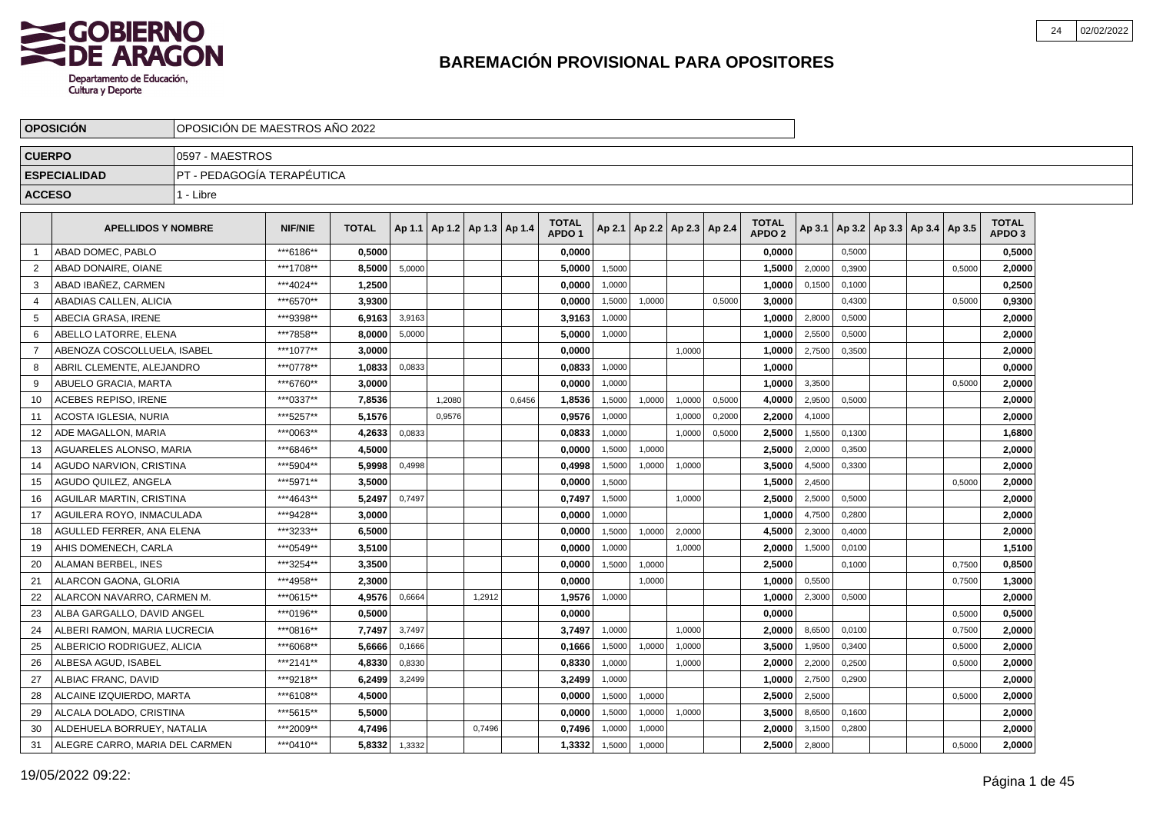

|               | <b>OPOSICION</b>               |                            | OPOSICION DE MAESTROS ANO 2022 |              |        |        |                                   |        |                                   |        |                          |        |        |                                   |        |        |                                            |        |                                   |  |
|---------------|--------------------------------|----------------------------|--------------------------------|--------------|--------|--------|-----------------------------------|--------|-----------------------------------|--------|--------------------------|--------|--------|-----------------------------------|--------|--------|--------------------------------------------|--------|-----------------------------------|--|
| <b>CUERPO</b> |                                | 0597 - MAESTROS            |                                |              |        |        |                                   |        |                                   |        |                          |        |        |                                   |        |        |                                            |        |                                   |  |
|               | <b>ESPECIALIDAD</b>            | PT - PEDAGOGÍA TERAPÉUTICA |                                |              |        |        |                                   |        |                                   |        |                          |        |        |                                   |        |        |                                            |        |                                   |  |
| <b>ACCESO</b> |                                | 1 - Libre                  |                                |              |        |        |                                   |        |                                   |        |                          |        |        |                                   |        |        |                                            |        |                                   |  |
|               | <b>APELLIDOS Y NOMBRE</b>      |                            | <b>NIF/NIE</b>                 | <b>TOTAL</b> |        |        | Ap 1.1   Ap 1.2   Ap 1.3   Ap 1.4 |        | <b>TOTAL</b><br>APDO <sub>1</sub> | Ap 2.1 | Ap 2.2   Ap 2.3   Ap 2.4 |        |        | <b>TOTAL</b><br>APDO <sub>2</sub> |        |        | Ap 3.1   Ap 3.2   Ap 3.3   Ap 3.4   Ap 3.5 |        | <b>TOTAL</b><br>APDO <sub>3</sub> |  |
|               | ABAD DOMEC, PABLO              |                            | ***6186**                      | 0.5000       |        |        |                                   |        | 0.0000                            |        |                          |        |        | 0,0000                            |        | 0,5000 |                                            |        | 0.5000                            |  |
| 2             | ABAD DONAIRE, OIANE            |                            | ***1708**                      | 8.5000       | 5,0000 |        |                                   |        | 5,0000                            | 1,5000 |                          |        |        | 1,5000                            | 2,0000 | 0,3900 |                                            | 0,5000 | 2,0000                            |  |
| 3             | ABAD IBAÑEZ. CARMEN            |                            | ***4024**                      | 1,2500       |        |        |                                   |        | 0,0000                            | 1,0000 |                          |        |        | 1,0000                            | 0,1500 | 0,1000 |                                            |        | 0,2500                            |  |
| 4             | ABADIAS CALLEN, ALICIA         |                            | ***6570**                      | 3.9300       |        |        |                                   |        | 0.0000                            | 1,5000 | 1,0000                   |        | 0,5000 | 3,0000                            |        | 0,4300 |                                            | 0,5000 | 0,9300                            |  |
| 5             | ABECIA GRASA, IRENE            |                            | ***9398**                      | 6,9163       | 3,9163 |        |                                   |        | 3,9163                            | 1,0000 |                          |        |        | 1,0000                            | 2,8000 | 0,5000 |                                            |        | 2,0000                            |  |
| 6             | ABELLO LATORRE, ELENA          |                            | ***7858**                      | 8.0000       | 5,0000 |        |                                   |        | 5,0000                            | 1,0000 |                          |        |        | 1,0000                            | 2,5500 | 0,5000 |                                            |        | 2,0000                            |  |
| 7             | ABENOZA COSCOLLUELA, ISABEL    |                            | ***1077**                      | 3,0000       |        |        |                                   |        | 0,0000                            |        |                          | 1,0000 |        | 1,0000                            | 2,7500 | 0,3500 |                                            |        | 2,0000                            |  |
| 8             | ABRIL CLEMENTE, ALEJANDRO      |                            | ***0778**                      | 1,0833       | 0,0833 |        |                                   |        | 0.0833                            | 1,0000 |                          |        |        | 1,0000                            |        |        |                                            |        | 0,0000                            |  |
| 9             | ABUELO GRACIA, MARTA           |                            | ***6760**                      | 3.0000       |        |        |                                   |        | 0,0000                            | 1,0000 |                          |        |        | 1,0000                            | 3,3500 |        |                                            | 0,5000 | 2,0000                            |  |
| 10            | <b>ACEBES REPISO. IRENE</b>    |                            | ***0337**                      | 7,8536       |        | 1,2080 |                                   | 0,6456 | 1,8536                            | 1,5000 | 1,0000                   | 1,0000 | 0,5000 | 4,0000                            | 2,9500 | 0,5000 |                                            |        | 2,0000                            |  |
| 11            | ACOSTA IGLESIA, NURIA          |                            | ***5257**                      | 5,1576       |        | 0,9576 |                                   |        | 0,9576                            | 1,0000 |                          | 1,0000 | 0,2000 | 2,2000                            | 4,1000 |        |                                            |        | 2,0000                            |  |
| 12            | ADE MAGALLON, MARIA            |                            | ***0063**                      | 4,2633       | 0,0833 |        |                                   |        | 0,0833                            | 1,0000 |                          | 1,0000 | 0,5000 | 2,5000                            | 1,5500 | 0,1300 |                                            |        | 1,6800                            |  |
| 13            | AGUARELES ALONSO. MARIA        |                            | ***6846**                      | 4,5000       |        |        |                                   |        | 0,0000                            | 1,5000 | 1,0000                   |        |        | 2,5000                            | 2,0000 | 0,3500 |                                            |        | 2,0000                            |  |
| 14            | AGUDO NARVION, CRISTINA        |                            | ***5904**                      | 5,9998       | 0,4998 |        |                                   |        | 0,4998                            | 1,5000 | 1,0000                   | 1,0000 |        | 3,5000                            | 4,5000 | 0,3300 |                                            |        | 2,0000                            |  |
| 15            | AGUDO QUILEZ. ANGELA           |                            | ***5971**                      | 3.5000       |        |        |                                   |        | 0.0000                            | 1,5000 |                          |        |        | 1.5000                            | 2,4500 |        |                                            | 0.5000 | 2.0000                            |  |
| 16            | AGUILAR MARTIN, CRISTINA       |                            | ***4643**                      | 5.2497       | 0,7497 |        |                                   |        | 0,7497                            | 1,5000 |                          | 1,0000 |        | 2,5000                            | 2,5000 | 0,5000 |                                            |        | 2,0000                            |  |
| 17            | AGUILERA ROYO. INMACULADA      |                            | ***9428**                      | 3.0000       |        |        |                                   |        | 0,0000                            | 1,0000 |                          |        |        | 1,0000                            | 4,7500 | 0,2800 |                                            |        | 2,0000                            |  |
| 18            | AGULLED FERRER. ANA ELENA      |                            | ***3233**                      | 6.5000       |        |        |                                   |        | 0.0000                            | 1,5000 | 1,0000                   | 2,0000 |        | 4,5000                            | 2,3000 | 0,4000 |                                            |        | 2,0000                            |  |
| 19            | AHIS DOMENECH, CARLA           |                            | ***0549**                      | 3,5100       |        |        |                                   |        | 0,0000                            | 1,0000 |                          | 1,0000 |        | 2,0000                            | 1,5000 | 0,0100 |                                            |        | 1,5100                            |  |
| 20            | ALAMAN BERBEL, INES            |                            | ***3254**                      | 3,3500       |        |        |                                   |        | 0,0000                            | 1,5000 | 1,0000                   |        |        | 2,5000                            |        | 0,1000 |                                            | 0,7500 | 0,8500                            |  |
| 21            | ALARCON GAONA, GLORIA          |                            | ***4958**                      | 2,3000       |        |        |                                   |        | 0,0000                            |        | 1,0000                   |        |        | 1,0000                            | 0,5500 |        |                                            | 0,7500 | 1,3000                            |  |
| 22            | ALARCON NAVARRO. CARMEN M.     |                            | ***0615**                      | 4.9576       | 0,6664 |        | 1,2912                            |        | 1.9576                            | 1,0000 |                          |        |        | 1,0000                            | 2,3000 | 0,5000 |                                            |        | 2.0000                            |  |
| 23            | ALBA GARGALLO. DAVID ANGEL     |                            | ***0196**                      | 0.5000       |        |        |                                   |        | 0.0000                            |        |                          |        |        | 0.0000                            |        |        |                                            | 0,5000 | 0.5000                            |  |
| 24            | ALBERI RAMON, MARIA LUCRECIA   |                            | ***0816**                      | 7,7497       | 3,7497 |        |                                   |        | 3,7497                            | 1,0000 |                          | 1,0000 |        | 2.0000                            | 8,6500 | 0,0100 |                                            | 0,7500 | 2,0000                            |  |
| 25            | ALBERICIO RODRIGUEZ, ALICIA    |                            | ***6068**                      | 5,6666       | 0,1666 |        |                                   |        | 0,1666                            | 1,5000 | 1,0000                   | 1,0000 |        | 3,5000                            | 1,9500 | 0,3400 |                                            | 0,5000 | 2,0000                            |  |
| 26            | ALBESA AGUD, ISABEL            |                            | ***2141**                      | 4,8330       | 0,8330 |        |                                   |        | 0,8330                            | 1,0000 |                          | 1,0000 |        | 2,0000                            | 2,2000 | 0,2500 |                                            | 0,5000 | 2,0000                            |  |
| 27            | ALBIAC FRANC, DAVID            |                            | ***9218**                      | 6,2499       | 3,2499 |        |                                   |        | 3,2499                            | 1,0000 |                          |        |        | 1,0000                            | 2,7500 | 0,2900 |                                            |        | 2,0000                            |  |
| 28            | ALCAINE IZQUIERDO, MARTA       |                            | ***6108**                      | 4,5000       |        |        |                                   |        | 0,0000                            | 1,5000 | 1,0000                   |        |        | 2,5000                            | 2,5000 |        |                                            | 0,5000 | 2,0000                            |  |
| 29            | ALCALA DOLADO, CRISTINA        |                            | ***5615**                      | 5,5000       |        |        |                                   |        | 0,0000                            | 1,5000 | 1,0000                   | 1,0000 |        | 3,5000                            | 8,6500 | 0,1600 |                                            |        | 2,0000                            |  |
| 30            | ALDEHUELA BORRUEY, NATALIA     |                            | ***2009**                      | 4,7496       |        |        | 0.7496                            |        | 0,7496                            | 1,0000 | 1,0000                   |        |        | 2,0000                            | 3,1500 | 0,2800 |                                            |        | 2,0000                            |  |
| 31            | ALEGRE CARRO. MARIA DEL CARMEN |                            | ***0410**                      | 5,8332       | 1,3332 |        |                                   |        | 1,3332                            | 1,5000 | 1,0000                   |        |        | 2,5000                            | 2,8000 |        |                                            | 0,5000 | 2,0000                            |  |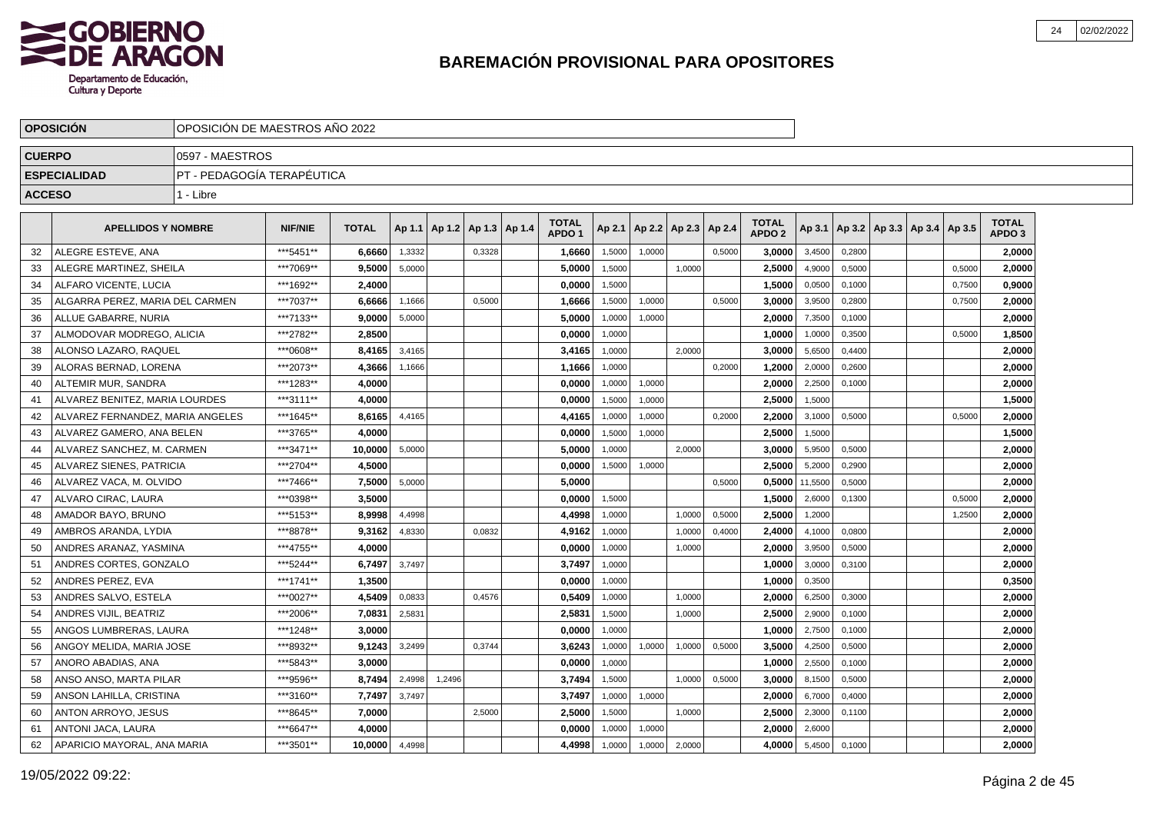

|               | <b>OPOSICION</b>                 | OPOSICION DE MAESTROS ANO 2022 |                |              |        |        |                          |                                   |        |                          |        |        |                                   |         |        |                                   |        |                                   |  |
|---------------|----------------------------------|--------------------------------|----------------|--------------|--------|--------|--------------------------|-----------------------------------|--------|--------------------------|--------|--------|-----------------------------------|---------|--------|-----------------------------------|--------|-----------------------------------|--|
| <b>CUERPO</b> |                                  | 0597 - MAESTROS                |                |              |        |        |                          |                                   |        |                          |        |        |                                   |         |        |                                   |        |                                   |  |
|               | <b>ESPECIALIDAD</b>              | IPT - PEDAGOGÍA TERAPÉUTICA    |                |              |        |        |                          |                                   |        |                          |        |        |                                   |         |        |                                   |        |                                   |  |
| <b>ACCESO</b> |                                  | 1 - Libre                      |                |              |        |        |                          |                                   |        |                          |        |        |                                   |         |        |                                   |        |                                   |  |
|               | <b>APELLIDOS Y NOMBRE</b>        |                                | <b>NIF/NIE</b> | <b>TOTAL</b> | Ap 1.1 |        | Ap 1.2   Ap 1.3   Ap 1.4 | <b>TOTAL</b><br>APDO <sub>1</sub> | Ap 2.1 | Ap 2.2   Ap 2.3   Ap 2.4 |        |        | <b>TOTAL</b><br>APDO <sub>2</sub> | Ap 3.1  |        | Ap 3.2   Ap 3.3   Ap 3.4   Ap 3.5 |        | <b>TOTAL</b><br>APDO <sub>3</sub> |  |
| 32            | ALEGRE ESTEVE, ANA               |                                | ***5451**      | 6,6660       | 1,3332 |        | 0,3328                   | 1,6660                            | 1,5000 | 1.0000                   |        | 0,5000 | 3.0000                            | 3,4500  | 0,2800 |                                   |        | 2.0000                            |  |
| 33            | ALEGRE MARTINEZ, SHEILA          |                                | ***7069**      | 9,5000       | 5,0000 |        |                          | 5,0000                            | 1,5000 |                          | 1.0000 |        | 2,5000                            | 4,9000  | 0,5000 |                                   | 0,5000 | 2,0000                            |  |
| 34            | ALFARO VICENTE, LUCIA            |                                | ***1692**      | 2,4000       |        |        |                          | 0,0000                            | 1,5000 |                          |        |        | 1,5000                            | 0,0500  | 0,1000 |                                   | 0,7500 | 0,9000                            |  |
| 35            | ALGARRA PEREZ, MARIA DEL CARMEN  |                                | ***7037**      | 6,6666       | 1,1666 |        | 0,5000                   | 1,6666                            | 1,5000 | 1,0000                   |        | 0,5000 | 3,0000                            | 3,9500  | 0,2800 |                                   | 0,7500 | 2,0000                            |  |
| 36            | ALLUE GABARRE, NURIA             |                                | ***7133**      | 9,0000       | 5,0000 |        |                          | 5,0000                            | 1,0000 | 1,0000                   |        |        | 2,0000                            | 7,3500  | 0,1000 |                                   |        | 2,0000                            |  |
| 37            | ALMODOVAR MODREGO, ALICIA        |                                | ***2782**      | 2.8500       |        |        |                          | 0.0000                            | 1,0000 |                          |        |        | 1.0000                            | 1,0000  | 0,3500 |                                   | 0,5000 | 1,8500                            |  |
| 38            | ALONSO LAZARO, RAQUEL            |                                | ***0608**      | 8,4165       | 3,4165 |        |                          | 3,4165                            | 1,0000 |                          | 2.0000 |        | 3.0000                            | 5,6500  | 0.4400 |                                   |        | 2,0000                            |  |
| 39            | ALORAS BERNAD, LORENA            |                                | ***2073**      | 4,3666       | 1,1666 |        |                          | 1,1666                            | 1,0000 |                          |        | 0,2000 | 1,2000                            | 2,0000  | 0,2600 |                                   |        | 2,0000                            |  |
| 40            | ALTEMIR MUR, SANDRA              |                                | ***1283**      | 4,0000       |        |        |                          | 0,0000                            | 1,0000 | 1,0000                   |        |        | 2,0000                            | 2,2500  | 0,1000 |                                   |        | 2,0000                            |  |
| 41            | ALVAREZ BENITEZ, MARIA LOURDES   |                                | ***3111**      | 4,0000       |        |        |                          | 0,0000                            | 1,5000 | 1,0000                   |        |        | 2,5000                            | 1,5000  |        |                                   |        | 1,5000                            |  |
| 42            | ALVAREZ FERNANDEZ, MARIA ANGELES |                                | ***1645**      | 8,6165       | 4,4165 |        |                          | 4,4165                            | 1,0000 | 1,0000                   |        | 0,2000 | 2,2000                            | 3,1000  | 0,5000 |                                   | 0,5000 | 2,0000                            |  |
| 43            | ALVAREZ GAMERO. ANA BELEN        |                                | ***3765**      | 4.0000       |        |        |                          | 0,0000                            | 1,5000 | 1.0000                   |        |        | 2,5000                            | 1,5000  |        |                                   |        | 1,5000                            |  |
| 44            | ALVAREZ SANCHEZ, M. CARMEN       |                                | ***3471**      | 10,0000      | 5,0000 |        |                          | 5.0000                            | 1,0000 |                          | 2.0000 |        | 3,0000                            | 5,9500  | 0,5000 |                                   |        | 2,0000                            |  |
| 45            | ALVAREZ SIENES, PATRICIA         |                                | ***2704**      | 4.5000       |        |        |                          | 0,0000                            | 1,5000 | 1,0000                   |        |        | 2,5000                            | 5,2000  | 0,2900 |                                   |        | 2,0000                            |  |
| 46            | ALVAREZ VACA, M. OLVIDO          |                                | ***7466**      | 7,5000       | 5,0000 |        |                          | 5,0000                            |        |                          |        | 0,5000 | 0,5000                            | 11,5500 | 0,5000 |                                   |        | 2,0000                            |  |
| 47            | ALVARO CIRAC, LAURA              |                                | ***0398**      | 3,5000       |        |        |                          | 0,0000                            | 1,5000 |                          |        |        | 1,5000                            | 2,6000  | 0,1300 |                                   | 0,5000 | 2,0000                            |  |
| 48            | AMADOR BAYO, BRUNO               |                                | ***5153**      | 8,9998       | 4,4998 |        |                          | 4,4998                            | 1,0000 |                          | 1,0000 | 0,5000 | 2,5000                            | 1,2000  |        |                                   | 1,2500 | 2,0000                            |  |
| 49            | AMBROS ARANDA, LYDIA             |                                | ***8878**      | 9.3162       | 4,8330 |        | 0,0832                   | 4.9162                            | 1,0000 |                          | 1.0000 | 0,4000 | 2.4000                            | 4,1000  | 0.0800 |                                   |        | 2,0000                            |  |
| 50            | ANDRES ARANAZ, YASMINA           |                                | ***4755**      | 4.0000       |        |        |                          | 0.0000                            | 1,0000 |                          | 1,0000 |        | 2,0000                            | 3,9500  | 0,5000 |                                   |        | 2,0000                            |  |
| 51            | ANDRES CORTES, GONZALO           |                                | ***5244**      | 6,7497       | 3,7497 |        |                          | 3,7497                            | 1,0000 |                          |        |        | 1,0000                            | 3,0000  | 0,3100 |                                   |        | 2,0000                            |  |
| 52            | ANDRES PEREZ, EVA                |                                | ***1741**      | 1,3500       |        |        |                          | 0,0000                            | 1,0000 |                          |        |        | 1,0000                            | 0,3500  |        |                                   |        | 0,3500                            |  |
| 53            | ANDRES SALVO, ESTELA             |                                | ***0027**      | 4,5409       | 0,0833 |        | 0,4576                   | 0,5409                            | 1,0000 |                          | 1,0000 |        | 2,0000                            | 6,2500  | 0,3000 |                                   |        | 2,0000                            |  |
| 54            | ANDRES VIJIL, BEATRIZ            |                                | ***2006**      | 7,0831       | 2,5831 |        |                          | 2,5831                            | 1,5000 |                          | 1,0000 |        | 2,5000                            | 2,9000  | 0,1000 |                                   |        | 2,0000                            |  |
| 55            | ANGOS LUMBRERAS, LAURA           |                                | ***1248**      | 3.0000       |        |        |                          | 0.0000                            | 1,0000 |                          |        |        | 1.0000                            | 2,7500  | 0,1000 |                                   |        | 2,0000                            |  |
| 56            | ANGOY MELIDA, MARIA JOSE         |                                | ***8932**      | 9.1243       | 3,2499 |        | 0,3744                   | 3,6243                            | 1,0000 | 1,0000                   | 1,0000 | 0,5000 | 3,5000                            | 4,2500  | 0,5000 |                                   |        | 2,0000                            |  |
| 57            | ANORO ABADIAS, ANA               |                                | ***5843**      | 3.0000       |        |        |                          | 0,0000                            | 1,0000 |                          |        |        | 1.0000                            | 2,5500  | 0,1000 |                                   |        | 2,0000                            |  |
| 58            | ANSO ANSO, MARTA PILAR           |                                | ***9596**      | 8,7494       | 2,4998 | 1,2496 |                          | 3,7494                            | 1,5000 |                          | 1,0000 | 0,5000 | 3,0000                            | 8,1500  | 0,5000 |                                   |        | 2,0000                            |  |
| 59            | ANSON LAHILLA, CRISTINA          |                                | ***3160**      | 7,7497       | 3,7497 |        |                          | 3,7497                            | 1,0000 | 1,0000                   |        |        | 2,0000                            | 6,7000  | 0,4000 |                                   |        | 2,0000                            |  |
| 60            | <b>ANTON ARROYO, JESUS</b>       |                                | ***8645**      | 7,0000       |        |        | 2,5000                   | 2,5000                            | 1,5000 |                          | 1,0000 |        | 2,5000                            | 2,3000  | 0,1100 |                                   |        | 2,0000                            |  |
| 61            | ANTONI JACA, LAURA               |                                | ***6647**      | 4.0000       |        |        |                          | 0.0000                            | 1,0000 | 1,0000                   |        |        | 2.0000                            | 2,6000  |        |                                   |        | 2.0000                            |  |
| 62            | APARICIO MAYORAL, ANA MARIA      |                                | ***3501**      | 10,0000      | 4,4998 |        |                          | 4,4998                            | 1,0000 | 1,0000                   | 2,0000 |        | 4.0000                            | 5,4500  | 0,1000 |                                   |        | 2,0000                            |  |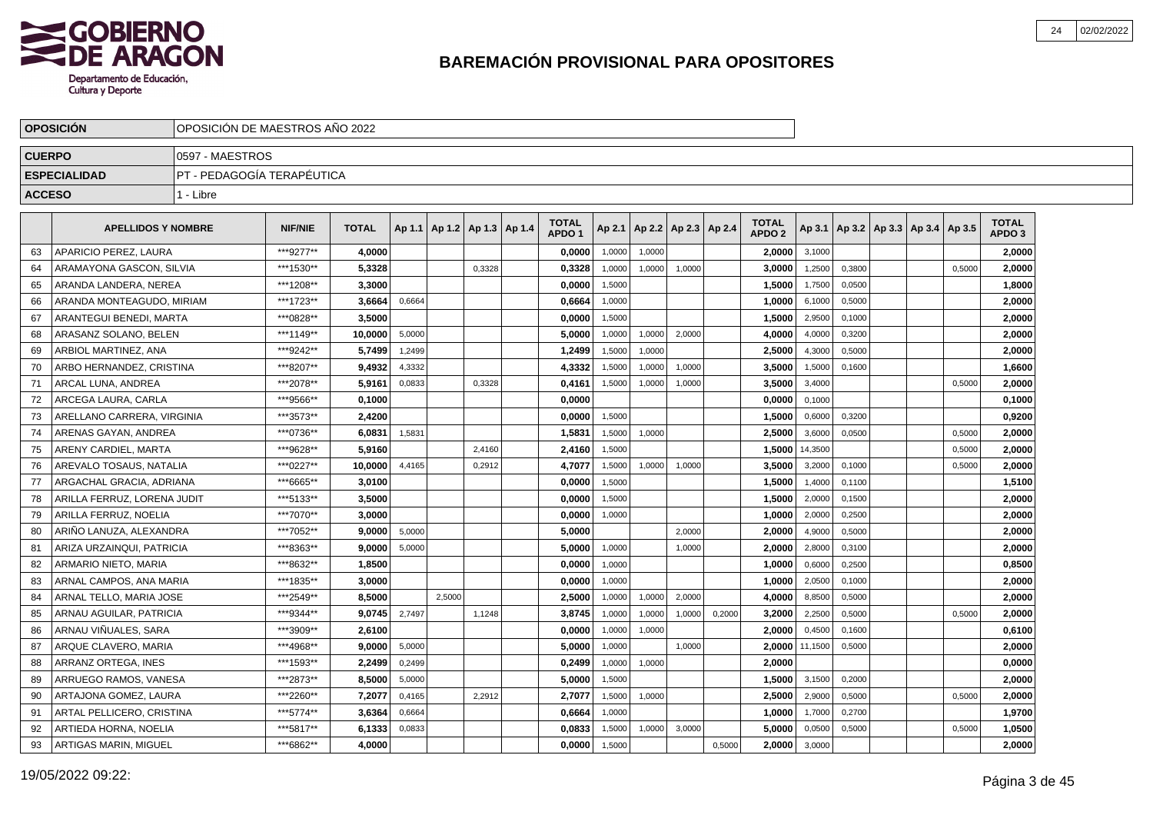

|               | <b>OPOSICIÓN</b>            |                            | OPOSICIÓN DE MAESTROS AÑO 2022 |              |        |        |                                   |  |                                   |        |        |                          |        |                                   |         |        |                                            |        |                                   |  |
|---------------|-----------------------------|----------------------------|--------------------------------|--------------|--------|--------|-----------------------------------|--|-----------------------------------|--------|--------|--------------------------|--------|-----------------------------------|---------|--------|--------------------------------------------|--------|-----------------------------------|--|
| <b>CUERPO</b> |                             | 0597 - MAESTROS            |                                |              |        |        |                                   |  |                                   |        |        |                          |        |                                   |         |        |                                            |        |                                   |  |
|               | <b>ESPECIALIDAD</b>         | PT - PEDAGOGIA TERAPEUTICA |                                |              |        |        |                                   |  |                                   |        |        |                          |        |                                   |         |        |                                            |        |                                   |  |
| <b>ACCESO</b> |                             | 1 - Libre                  |                                |              |        |        |                                   |  |                                   |        |        |                          |        |                                   |         |        |                                            |        |                                   |  |
|               |                             |                            |                                |              |        |        |                                   |  |                                   |        |        |                          |        |                                   |         |        |                                            |        |                                   |  |
|               | <b>APELLIDOS Y NOMBRE</b>   |                            | <b>NIF/NIE</b>                 | <b>TOTAL</b> |        |        | Ap 1.1   Ap 1.2   Ap 1.3   Ap 1.4 |  | <b>TOTAL</b><br>APDO <sub>1</sub> | Ap 2.1 |        | Ap 2.2   Ap 2.3   Ap 2.4 |        | <b>TOTAL</b><br>APDO <sub>2</sub> |         |        | Ap 3.1   Ap 3.2   Ap 3.3   Ap 3.4   Ap 3.5 |        | <b>TOTAL</b><br>APDO <sub>3</sub> |  |
| 63            | APARICIO PEREZ, LAURA       |                            | ***9277**                      | 4.0000       |        |        |                                   |  | 0,0000                            | 1,0000 | 1,0000 |                          |        | 2,0000                            | 3,1000  |        |                                            |        | 2,0000                            |  |
| 64            | ARAMAYONA GASCON, SILVIA    |                            | ***1530**                      | 5,3328       |        |        | 0,3328                            |  | 0,3328                            | 1,0000 | 1,0000 | 1,0000                   |        | 3,0000                            | 1,2500  | 0,3800 |                                            | 0.5000 | 2,0000                            |  |
| 65            | ARANDA LANDERA. NEREA       |                            | ***1208**                      | 3,3000       |        |        |                                   |  | 0,0000                            | 1,5000 |        |                          |        | 1,5000                            | 1,7500  | 0,0500 |                                            |        | 1,8000                            |  |
| 66            | ARANDA MONTEAGUDO. MIRIAM   |                            | ***1723**                      | 3,6664       | 0,6664 |        |                                   |  | 0,6664                            | 1,0000 |        |                          |        | 1,0000                            | 6,1000  | 0,5000 |                                            |        | 2,0000                            |  |
| 67            | ARANTEGUI BENEDI. MARTA     |                            | ***0828**                      | 3.5000       |        |        |                                   |  | 0,0000                            | 1,5000 |        |                          |        | 1,5000                            | 2,9500  | 0,1000 |                                            |        | 2,0000                            |  |
| 68            | ARASANZ SOLANO. BELEN       |                            | ***1149**                      | 10.0000      | 5,0000 |        |                                   |  | 5.0000                            | 1,0000 | 1,0000 | 2.0000                   |        | 4.0000                            | 4,0000  | 0,3200 |                                            |        | 2,0000                            |  |
| 69            | ARBIOL MARTINEZ. ANA        |                            | ***9242**                      | 5.7499       | 1,2499 |        |                                   |  | 1,2499                            | 1,5000 | 1,0000 |                          |        | 2,5000                            | 4,3000  | 0,5000 |                                            |        | 2,0000                            |  |
| 70            | ARBO HERNANDEZ, CRISTINA    |                            | ***8207**                      | 9.4932       | 4,3332 |        |                                   |  | 4,3332                            | 1.5000 | 1,0000 | 1.0000                   |        | 3.5000                            | 1,5000  | 0.1600 |                                            |        | 1,6600                            |  |
| 71            | ARCAL LUNA, ANDREA          |                            | ***2078**                      | 5,9161       | 0,0833 |        | 0.3328                            |  | 0,4161                            | 1,5000 | 1,0000 | 1,0000                   |        | 3,5000                            | 3,4000  |        |                                            | 0.5000 | 2,0000                            |  |
| 72            | ARCEGA LAURA, CARLA         |                            | ***9566**                      | 0,1000       |        |        |                                   |  | 0,0000                            |        |        |                          |        | 0,0000                            | 0,1000  |        |                                            |        | 0,1000                            |  |
| 73            | ARELLANO CARRERA, VIRGINIA  |                            | ***3573**                      | 2,4200       |        |        |                                   |  | 0,0000                            | 1,5000 |        |                          |        | 1,5000                            | 0,6000  | 0,3200 |                                            |        | 0,9200                            |  |
| 74            | ARENAS GAYAN, ANDREA        |                            | ***0736**                      | 6,0831       | 1,5831 |        |                                   |  | 1,5831                            | 1,5000 | 1,0000 |                          |        | 2,5000                            | 3,6000  | 0,0500 |                                            | 0,5000 | 2,0000                            |  |
| 75            | ARENY CARDIEL, MARTA        |                            | ***9628**                      | 5,9160       |        |        | 2,4160                            |  | 2,4160                            | 1,5000 |        |                          |        | 1,5000                            | 14,3500 |        |                                            | 0,5000 | 2,0000                            |  |
| 76            | AREVALO TOSAUS, NATALIA     |                            | ***0227**                      | 10,0000      | 4,4165 |        | 0,2912                            |  | 4,7077                            | 1,5000 | 1,0000 | 1,0000                   |        | 3,5000                            | 3,2000  | 0,1000 |                                            | 0,5000 | 2,0000                            |  |
| 77            | ARGACHAL GRACIA, ADRIANA    |                            | ***6665**                      | 3,0100       |        |        |                                   |  | 0,0000                            | 1,5000 |        |                          |        | 1,5000                            | 1,4000  | 0,1100 |                                            |        | 1,5100                            |  |
| 78            | ARILLA FERRUZ, LORENA JUDIT |                            | ***5133**                      | 3,5000       |        |        |                                   |  | 0,0000                            | 1,5000 |        |                          |        | 1,5000                            | 2,0000  | 0,1500 |                                            |        | 2,0000                            |  |
| 79            | ARILLA FERRUZ, NOELIA       |                            | ***7070**                      | 3,0000       |        |        |                                   |  | 0,0000                            | 1,0000 |        |                          |        | 1,0000                            | 2,0000  | 0,2500 |                                            |        | 2,0000                            |  |
| 80            | ARIÑO LANUZA, ALEXANDRA     |                            | ***7052**                      | 9,0000       | 5,0000 |        |                                   |  | 5,0000                            |        |        | 2,0000                   |        | 2,0000                            | 4,9000  | 0,5000 |                                            |        | 2,0000                            |  |
| 81            | ARIZA URZAINQUI, PATRICIA   |                            | ***8363**                      | 9,0000       | 5,0000 |        |                                   |  | 5,0000                            | 1,0000 |        | 1,0000                   |        | 2,0000                            | 2,8000  | 0,3100 |                                            |        | 2,0000                            |  |
| 82            | ARMARIO NIETO. MARIA        |                            | ***8632**                      | 1,8500       |        |        |                                   |  | 0,0000                            | 1,0000 |        |                          |        | 1,0000                            | 0,6000  | 0,2500 |                                            |        | 0,8500                            |  |
| 83            | ARNAL CAMPOS, ANA MARIA     |                            | ***1835**                      | 3,0000       |        |        |                                   |  | 0,0000                            | 1,0000 |        |                          |        | 1,0000                            | 2,0500  | 0,1000 |                                            |        | 2,0000                            |  |
| 84            | ARNAL TELLO, MARIA JOSE     |                            | ***2549**                      | 8.5000       |        | 2.5000 |                                   |  | 2,5000                            | 1,0000 | 1,0000 | 2,0000                   |        | 4,0000                            | 8,8500  | 0,5000 |                                            |        | 2,0000                            |  |
| 85            | ARNAU AGUILAR, PATRICIA     |                            | ***9344**                      | 9,0745       | 2,7497 |        | 1,1248                            |  | 3,8745                            | 1,0000 | 1,0000 | 1,0000                   | 0,2000 | 3,2000                            | 2,2500  | 0,5000 |                                            | 0,5000 | 2,0000                            |  |
| 86            | ARNAU VIÑUALES. SARA        |                            | ***3909**                      | 2,6100       |        |        |                                   |  | 0,0000                            | 1,0000 | 1,0000 |                          |        | 2,0000                            | 0,4500  | 0,1600 |                                            |        | 0,6100                            |  |
| 87            | ARQUE CLAVERO, MARIA        |                            | ***4968**                      | 9.0000       | 5,0000 |        |                                   |  | 5,0000                            | 1,0000 |        | 1,0000                   |        | 2,0000                            | 11,1500 | 0,5000 |                                            |        | 2,0000                            |  |
| 88            | ARRANZ ORTEGA, INES         |                            | ***1593**                      | 2,2499       | 0,2499 |        |                                   |  | 0,2499                            | 1,0000 | 1,0000 |                          |        | 2,0000                            |         |        |                                            |        | 0,0000                            |  |
| 89            | ARRUEGO RAMOS, VANESA       |                            | ***2873**                      | 8.5000       | 5,0000 |        |                                   |  | 5,0000                            | 1,5000 |        |                          |        | 1,5000                            | 3,1500  | 0.2000 |                                            |        | 2,0000                            |  |
| 90            | ARTAJONA GOMEZ, LAURA       |                            | ***2260**                      | 7,2077       | 0,4165 |        | 2,2912                            |  | 2,7077                            | 1,5000 | 1,0000 |                          |        | 2,5000                            | 2,9000  | 0,5000 |                                            | 0,5000 | 2,0000                            |  |
| 91            | ARTAL PELLICERO, CRISTINA   |                            | ***5774**                      | 3,6364       | 0,6664 |        |                                   |  | 0,6664                            | 1,0000 |        |                          |        | 1,0000                            | 1,7000  | 0,2700 |                                            |        | 1,9700                            |  |
| 92            | ARTIEDA HORNA, NOELIA       |                            | ***5817**                      | 6,1333       | 0,0833 |        |                                   |  | 0,0833                            | 1,5000 | 1,0000 | 3,0000                   |        | 5.0000                            | 0,0500  | 0,5000 |                                            | 0,5000 | 1,0500                            |  |
| 93            | ARTIGAS MARIN, MIGUEL       |                            | ***6862**                      | 4.0000       |        |        |                                   |  | 0,0000                            | 1,5000 |        |                          | 0,5000 | 2,0000                            | 3,0000  |        |                                            |        | 2.0000                            |  |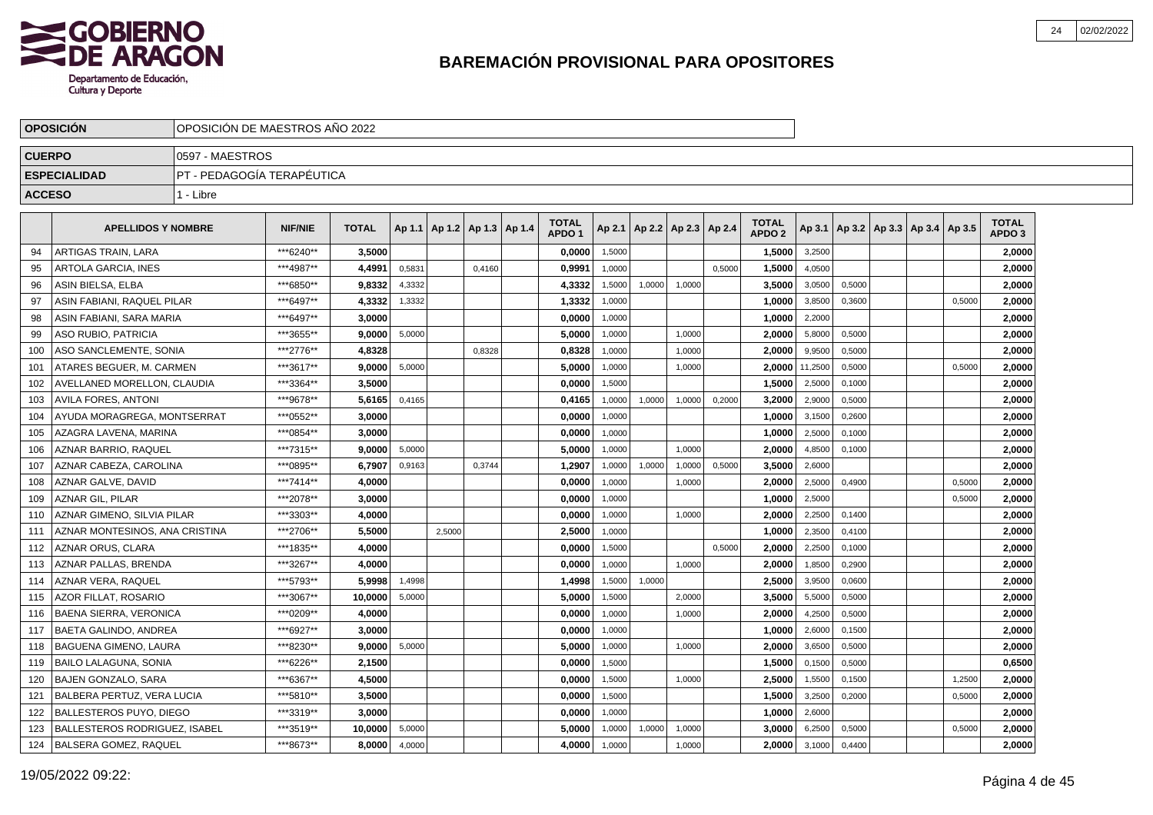

|               | <b>OPOSICIÓN</b>                     |                            | OPOSICIÓN DE MAESTROS AÑO 2022 |              |        |        |                                   |  |                                   |        |        |                          |        |                                   |         |        |                                            |        |                                   |  |
|---------------|--------------------------------------|----------------------------|--------------------------------|--------------|--------|--------|-----------------------------------|--|-----------------------------------|--------|--------|--------------------------|--------|-----------------------------------|---------|--------|--------------------------------------------|--------|-----------------------------------|--|
| <b>CUERPO</b> |                                      | 0597 - MAESTROS            |                                |              |        |        |                                   |  |                                   |        |        |                          |        |                                   |         |        |                                            |        |                                   |  |
|               | <b>ESPECIALIDAD</b>                  | PT - PEDAGOGÍA TERAPÉUTICA |                                |              |        |        |                                   |  |                                   |        |        |                          |        |                                   |         |        |                                            |        |                                   |  |
| <b>ACCESO</b> |                                      | 1 - Libre                  |                                |              |        |        |                                   |  |                                   |        |        |                          |        |                                   |         |        |                                            |        |                                   |  |
|               |                                      |                            |                                |              |        |        |                                   |  |                                   |        |        |                          |        |                                   |         |        |                                            |        |                                   |  |
|               | <b>APELLIDOS Y NOMBRE</b>            |                            | <b>NIF/NIE</b>                 | <b>TOTAL</b> |        |        | Ap 1.1   Ap 1.2   Ap 1.3   Ap 1.4 |  | <b>TOTAL</b><br>APDO <sub>1</sub> | Ap 2.1 |        | Ap 2.2   Ap 2.3   Ap 2.4 |        | <b>TOTAL</b><br>APDO <sub>2</sub> |         |        | Ap 3.1   Ap 3.2   Ap 3.3   Ap 3.4   Ap 3.5 |        | <b>TOTAL</b><br>APDO <sub>3</sub> |  |
| 94            | ARTIGAS TRAIN, LARA                  |                            | ***6240**                      | 3,5000       |        |        |                                   |  | 0,0000                            | 1,5000 |        |                          |        | 1,5000                            | 3,2500  |        |                                            |        | 2,0000                            |  |
| 95            | ARTOLA GARCIA, INES                  |                            | ***4987**                      | 4,4991       | 0,5831 |        | 0,4160                            |  | 0,9991                            | 1,0000 |        |                          | 0,5000 | 1,5000                            | 4,0500  |        |                                            |        | 2,0000                            |  |
| 96            | ASIN BIELSA, ELBA                    |                            | ***6850**                      | 9,8332       | 4,3332 |        |                                   |  | 4,3332                            | 1,5000 | 1,0000 | 1,0000                   |        | 3,5000                            | 3,0500  | 0,5000 |                                            |        | 2,0000                            |  |
| 97            | ASIN FABIANI. RAQUEL PILAR           |                            | ***6497**                      | 4,3332       | 1,3332 |        |                                   |  | 1,3332                            | 1,0000 |        |                          |        | 1,0000                            | 3,8500  | 0,3600 |                                            | 0,5000 | 2,0000                            |  |
| 98            | ASIN FABIANI, SARA MARIA             |                            | ***6497**                      | 3,0000       |        |        |                                   |  | 0,0000                            | 1,0000 |        |                          |        | 1,0000                            | 2,2000  |        |                                            |        | 2,0000                            |  |
| 99            | ASO RUBIO, PATRICIA                  |                            | ***3655**                      | 9.0000       | 5,0000 |        |                                   |  | 5,0000                            | 1,0000 |        | 1,0000                   |        | 2,0000                            | 5,8000  | 0,5000 |                                            |        | 2,0000                            |  |
| 100           | ASO SANCLEMENTE. SONIA               |                            | ***2776**                      | 4.8328       |        |        | 0,8328                            |  | 0,8328                            | 1,0000 |        | 1,0000                   |        | 2.0000                            | 9,9500  | 0,5000 |                                            |        | 2,0000                            |  |
| 101           | ATARES BEGUER. M. CARMEN             |                            | ***3617**                      | 9.0000       | 5,0000 |        |                                   |  | 5,0000                            | 1,0000 |        | 1,0000                   |        | 2.0000                            | 11,2500 | 0,5000 |                                            | 0,5000 | 2,0000                            |  |
| 102           | AVELLANED MORELLON. CLAUDIA          |                            | ***3364**                      | 3.5000       |        |        |                                   |  | 0.0000                            | 1.5000 |        |                          |        | 1,5000                            | 2,5000  | 0.1000 |                                            |        | 2,0000                            |  |
| 103           | AVILA FORES. ANTONI                  |                            | ***9678**                      | 5.6165       | 0,4165 |        |                                   |  | 0,4165                            | 1,0000 | 1,0000 | 1,0000                   | 0,2000 | 3.2000                            | 2,9000  | 0,5000 |                                            |        | 2.0000                            |  |
| 104           | AYUDA MORAGREGA, MONTSERRAT          |                            | ***0552**                      | 3,0000       |        |        |                                   |  | 0,0000                            | 1,0000 |        |                          |        | 1,0000                            | 3,1500  | 0,2600 |                                            |        | 2,0000                            |  |
| 105           | AZAGRA LAVENA, MARINA                |                            | ***0854**                      | 3,0000       |        |        |                                   |  | 0,0000                            | 1,0000 |        |                          |        | 1,0000                            | 2,5000  | 0,1000 |                                            |        | 2,0000                            |  |
| 106           | AZNAR BARRIO, RAQUEL                 |                            | ***7315**                      | 9,0000       | 5,0000 |        |                                   |  | 5,0000                            | 1,0000 |        | 1,0000                   |        | 2,0000                            | 4,8500  | 0,1000 |                                            |        | 2,0000                            |  |
| 107           | AZNAR CABEZA, CAROLINA               |                            | ***0895**                      | 6,7907       | 0,9163 |        | 0,3744                            |  | 1,2907                            | 1,0000 | 1,0000 | 1,0000                   | 0,5000 | 3,5000                            | 2,6000  |        |                                            |        | 2,0000                            |  |
| 108           | AZNAR GALVE, DAVID                   |                            | ***7414**                      | 4,0000       |        |        |                                   |  | 0,0000                            | 1,0000 |        | 1,0000                   |        | 2,0000                            | 2,5000  | 0,4900 |                                            | 0,5000 | 2,0000                            |  |
| 109           | <b>AZNAR GIL, PILAR</b>              |                            | ***2078**                      | 3,0000       |        |        |                                   |  | 0,0000                            | 1,0000 |        |                          |        | 1,0000                            | 2,5000  |        |                                            | 0,5000 | 2,0000                            |  |
| 110           | AZNAR GIMENO, SILVIA PILAR           |                            | ***3303**                      | 4.0000       |        |        |                                   |  | 0,0000                            | 1,0000 |        | 1,0000                   |        | 2,0000                            | 2,2500  | 0,1400 |                                            |        | 2,0000                            |  |
| 111           | AZNAR MONTESINOS, ANA CRISTINA       |                            | ***2706**                      | 5,5000       |        | 2.5000 |                                   |  | 2,5000                            | 1,0000 |        |                          |        | 1,0000                            | 2,3500  | 0,4100 |                                            |        | 2,0000                            |  |
| 112           | <b>AZNAR ORUS, CLARA</b>             |                            | ***1835**                      | 4.0000       |        |        |                                   |  | 0,0000                            | 1,5000 |        |                          | 0,5000 | 2,0000                            | 2,2500  | 0,1000 |                                            |        | 2,0000                            |  |
| 113           | AZNAR PALLAS. BRENDA                 |                            | ***3267**                      | 4.0000       |        |        |                                   |  | 0,0000                            | 1.0000 |        | 1,0000                   |        | 2,0000                            | 1,8500  | 0.2900 |                                            |        | 2,0000                            |  |
| 114           | AZNAR VERA. RAQUEL                   |                            | ***5793**                      | 5.9998       | 1,4998 |        |                                   |  | 1,4998                            | 1,5000 | 1,0000 |                          |        | 2,5000                            | 3,9500  | 0,0600 |                                            |        | 2,0000                            |  |
| 115           | <b>AZOR FILLAT, ROSARIO</b>          |                            | ***3067**                      | 10.0000      | 5,0000 |        |                                   |  | 5.0000                            | 1,5000 |        | 2,0000                   |        | 3.5000                            | 5,5000  | 0,5000 |                                            |        | 2.0000                            |  |
| 116           | BAENA SIERRA, VERONICA               |                            | ***0209**                      | 4,0000       |        |        |                                   |  | 0,0000                            | 1,0000 |        | 1,0000                   |        | 2,0000                            | 4,2500  | 0,5000 |                                            |        | 2,0000                            |  |
| 117           | BAETA GALINDO, ANDREA                |                            | ***6927**                      | 3,0000       |        |        |                                   |  | 0,0000                            | 1,0000 |        |                          |        | 1,0000                            | 2,6000  | 0,1500 |                                            |        | 2,0000                            |  |
| 118           | BAGUENA GIMENO, LAURA                |                            | ***8230**                      | 9,0000       | 5,0000 |        |                                   |  | 5,0000                            | 1,0000 |        | 1,0000                   |        | 2,0000                            | 3,6500  | 0,5000 |                                            |        | 2,0000                            |  |
| 119           | <b>BAILO LALAGUNA, SONIA</b>         |                            | ***6226**                      | 2,1500       |        |        |                                   |  | 0,0000                            | 1,5000 |        |                          |        | 1,5000                            | 0,1500  | 0,5000 |                                            |        | 0,6500                            |  |
| 120           | BAJEN GONZALO, SARA                  |                            | ***6367**                      | 4,5000       |        |        |                                   |  | 0,0000                            | 1,5000 |        | 1,0000                   |        | 2,5000                            | 1,5500  | 0,1500 |                                            | 1,2500 | 2,0000                            |  |
| 121           | BALBERA PERTUZ, VERA LUCIA           |                            | ***5810**                      | 3.5000       |        |        |                                   |  | 0,0000                            | 1,5000 |        |                          |        | 1,5000                            | 3,2500  | 0,2000 |                                            | 0,5000 | 2,0000                            |  |
| 122           | <b>BALLESTEROS PUYO, DIEGO</b>       |                            | ***3319**                      | 3.0000       |        |        |                                   |  | 0,0000                            | 1,0000 |        |                          |        | 1,0000                            | 2,6000  |        |                                            |        | 2,0000                            |  |
| 123           | <b>BALLESTEROS RODRIGUEZ, ISABEL</b> |                            | ***3519**                      | 10.0000      | 5,0000 |        |                                   |  | 5,0000                            | 1,0000 | 1,0000 | 1,0000                   |        | 3,0000                            | 6,2500  | 0,5000 |                                            | 0,5000 | 2,0000                            |  |
| 124           | BALSERA GOMEZ, RAQUEL                |                            | ***8673**                      | 8.0000       | 4,0000 |        |                                   |  | 4,0000                            | 1,0000 |        | 1,0000                   |        | 2,0000                            | 3,1000  | 0,4400 |                                            |        | 2.0000                            |  |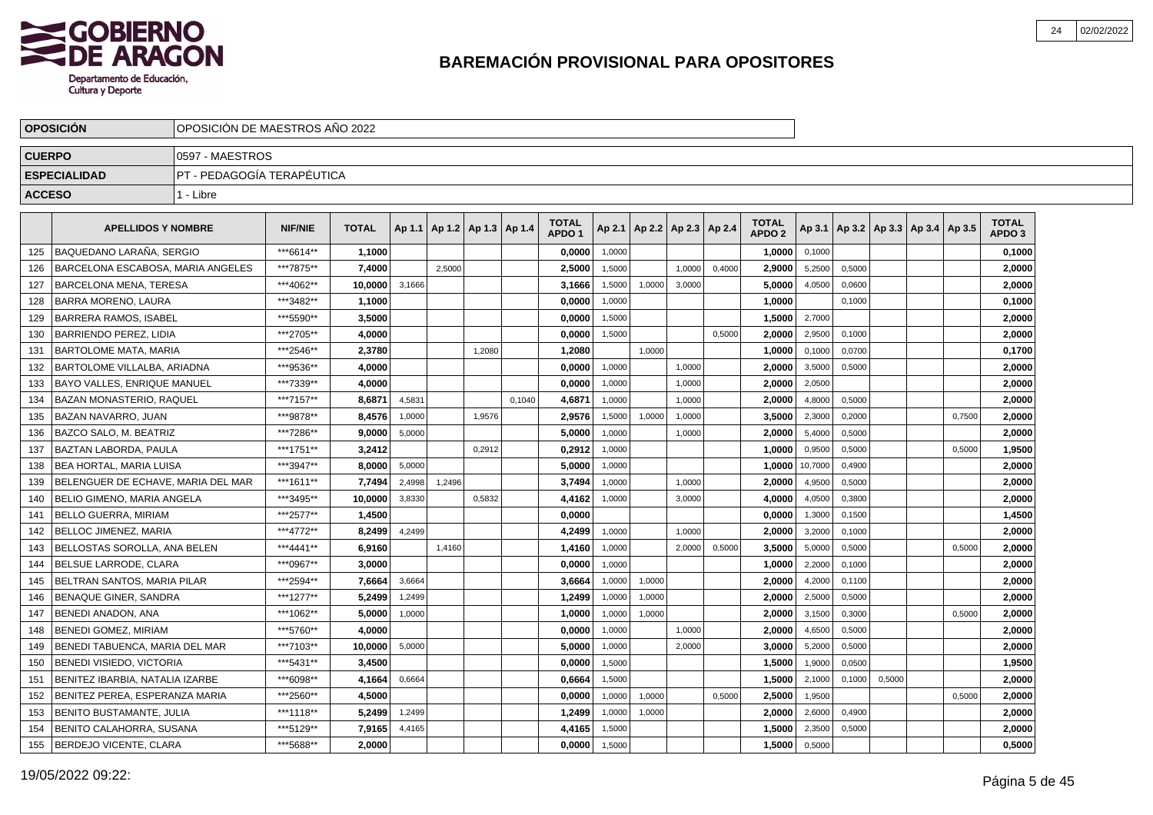

|               | <b>OPOSICION</b>                   | OPOSICION DE MAESTROS ANO 2022 |                |              |        |                          |        |        |                                   |        |        |                          |        |                                   |         |        |                                   |        |                                   |  |
|---------------|------------------------------------|--------------------------------|----------------|--------------|--------|--------------------------|--------|--------|-----------------------------------|--------|--------|--------------------------|--------|-----------------------------------|---------|--------|-----------------------------------|--------|-----------------------------------|--|
| <b>CUERPO</b> |                                    | 0597 - MAESTROS                |                |              |        |                          |        |        |                                   |        |        |                          |        |                                   |         |        |                                   |        |                                   |  |
|               | <b>ESPECIALIDAD</b>                | PT - PEDAGOGÍA TERAPÉUTICA     |                |              |        |                          |        |        |                                   |        |        |                          |        |                                   |         |        |                                   |        |                                   |  |
| <b>ACCESO</b> |                                    | 1 - Libre                      |                |              |        |                          |        |        |                                   |        |        |                          |        |                                   |         |        |                                   |        |                                   |  |
|               | <b>APELLIDOS Y NOMBRE</b>          |                                | <b>NIF/NIE</b> | <b>TOTAL</b> | Ap 1.1 | Ap 1.2   Ap 1.3   Ap 1.4 |        |        | <b>TOTAL</b><br>APDO <sub>1</sub> | Ap 2.1 |        | Ap 2.2   Ap 2.3   Ap 2.4 |        | <b>TOTAL</b><br>APDO <sub>2</sub> | Ap 3.1  |        | Ap 3.2   Ap 3.3   Ap 3.4   Ap 3.5 |        | <b>TOTAL</b><br>APDO <sub>3</sub> |  |
| 125           | BAQUEDANO LARAÑA. SERGIO           |                                | ***6614**      | 1,1000       |        |                          |        |        | 0,0000                            | 1,0000 |        |                          |        | 1,0000                            | 0,1000  |        |                                   |        | 0,1000                            |  |
| 126           | BARCELONA ESCABOSA, MARIA ANGELES  |                                | ***7875**      | 7,4000       |        | 2.5000                   |        |        | 2,5000                            | 1.5000 |        | 1.0000                   | 0.4000 | 2,9000                            | 5,2500  | 0,5000 |                                   |        | 2,0000                            |  |
| 127           | BARCELONA MENA, TERESA             |                                | ***4062**      | 10.0000      | 3,1666 |                          |        |        | 3,1666                            | 1,5000 | 1,0000 | 3,0000                   |        | 5,0000                            | 4,0500  | 0,0600 |                                   |        | 2,0000                            |  |
| 128           | <b>BARRA MORENO, LAURA</b>         |                                | ***3482**      | 1,1000       |        |                          |        |        | 0,0000                            | 1,0000 |        |                          |        | 1,0000                            |         | 0,1000 |                                   |        | 0,1000                            |  |
| 129           | <b>BARRERA RAMOS, ISABEL</b>       |                                | ***5590**      | 3,5000       |        |                          |        |        | 0,0000                            | 1,5000 |        |                          |        | 1,5000                            | 2,7000  |        |                                   |        | 2,0000                            |  |
| 130           | BARRIENDO PEREZ. LIDIA             |                                | ***2705**      | 4.0000       |        |                          |        |        | 0,0000                            | 1.5000 |        |                          | 0.5000 | 2.0000                            | 2,9500  | 0.1000 |                                   |        | 2,0000                            |  |
| 131           | <b>BARTOLOME MATA, MARIA</b>       |                                | ***2546**      | 2,3780       |        |                          | 1.2080 |        | 1,2080                            |        | 1.0000 |                          |        | 1.0000                            | 0,1000  | 0,0700 |                                   |        | 0,1700                            |  |
| 132           | <b>BARTOLOME VILLALBA, ARIADNA</b> |                                | ***9536**      | 4,0000       |        |                          |        |        | 0,0000                            | 1,0000 |        | 1,0000                   |        | 2.0000                            | 3,5000  | 0.5000 |                                   |        | 2,0000                            |  |
| 133           | <b>BAYO VALLES, ENRIQUE MANUEL</b> |                                | ***7339**      | 4.0000       |        |                          |        |        | 0,0000                            | 1,0000 |        | 1,0000                   |        | 2,0000                            | 2,0500  |        |                                   |        | 2,0000                            |  |
| 134           | BAZAN MONASTERIO, RAQUEL           |                                | ***7157**      | 8,6871       | 4,5831 |                          |        | 0,1040 | 4,6871                            | 1,0000 |        | 1,0000                   |        | 2,0000                            | 4,8000  | 0,5000 |                                   |        | 2,0000                            |  |
| 135           | BAZAN NAVARRO, JUAN                |                                | ***9878**      | 8,4576       | 1,0000 |                          | 1,9576 |        | 2,9576                            | 1,5000 | 1,0000 | 1,0000                   |        | 3,5000                            | 2,3000  | 0,2000 |                                   | 0,7500 | 2,0000                            |  |
| 136           | <b>BAZCO SALO, M. BEATRIZ</b>      |                                | ***7286**      | 9,0000       | 5,0000 |                          |        |        | 5,0000                            | 1.0000 |        | 1.0000                   |        | 2.0000                            | 5,4000  | 0.5000 |                                   |        | 2,0000                            |  |
| 137           | BAZTAN LABORDA. PAULA              |                                | ***1751**      | 3,2412       |        |                          | 0,2912 |        | 0,2912                            | 1,0000 |        |                          |        | 1.0000                            | 0,9500  | 0,5000 |                                   | 0.5000 | 1,9500                            |  |
| 138           | <b>BEA HORTAL, MARIA LUISA</b>     |                                | ***3947**      | 8.0000       | 5,0000 |                          |        |        | 5,0000                            | 1,0000 |        |                          |        | 1.0000                            | 10,7000 | 0,4900 |                                   |        | 2,0000                            |  |
| 139           | BELENGUER DE ECHAVE, MARIA DEL MAR |                                | ***1611**      | 7,7494       | 2,4998 | 1,2496                   |        |        | 3,7494                            | 1,0000 |        | 1,0000                   |        | 2,0000                            | 4,9500  | 0,5000 |                                   |        | 2,0000                            |  |
| 140           | BELIO GIMENO, MARIA ANGELA         |                                | ***3495**      | 10.0000      | 3,8330 |                          | 0,5832 |        | 4,4162                            | 1,0000 |        | 3,0000                   |        | 4,0000                            | 4,0500  | 0,3800 |                                   |        | 2,0000                            |  |
| 141           | BELLO GUERRA, MIRIAM               |                                | ***2577**      | 1,4500       |        |                          |        |        | 0,0000                            |        |        |                          |        | 0,0000                            | 1,3000  | 0,1500 |                                   |        | 1,4500                            |  |
| 142           | BELLOC JIMENEZ, MARIA              |                                | ***4772**      | 8.2499       | 4,2499 |                          |        |        | 4.2499                            | 1.0000 |        | 1.0000                   |        | 2.0000                            | 3,2000  | 0.1000 |                                   |        | 2.0000                            |  |
| 143           | BELLOSTAS SOROLLA. ANA BELEN       |                                | ***4441**      | 6.9160       |        | 1,4160                   |        |        | 1,4160                            | 1,0000 |        | 2.0000                   | 0,5000 | 3.5000                            | 5,0000  | 0,5000 |                                   | 0,5000 | 2,0000                            |  |
| 144           | BELSUE LARRODE, CLARA              |                                | ***0967**      | 3,0000       |        |                          |        |        | 0,0000                            | 1,0000 |        |                          |        | 1,0000                            | 2,2000  | 0,1000 |                                   |        | 2,0000                            |  |
| 145           | BELTRAN SANTOS, MARIA PILAR        |                                | ***2594**      | 7,6664       | 3,6664 |                          |        |        | 3,6664                            | 1,0000 | 1,0000 |                          |        | 2.0000                            | 4,2000  | 0,1100 |                                   |        | 2,0000                            |  |
| 146           | BENAQUE GINER, SANDRA              |                                | ***1277**      | 5,2499       | 1,2499 |                          |        |        | 1,2499                            | 1,0000 | 1,0000 |                          |        | 2.0000                            | 2,5000  | 0,5000 |                                   |        | 2,0000                            |  |
| 147           | BENEDI ANADON, ANA                 |                                | ***1062**      | 5,0000       | 1,0000 |                          |        |        | 1,0000                            | 1,0000 | 1,0000 |                          |        | 2,0000                            | 3,1500  | 0,3000 |                                   | 0,5000 | 2,0000                            |  |
| 148           | <b>BENEDI GOMEZ, MIRIAM</b>        |                                | ***5760**      | 4.0000       |        |                          |        |        | 0.0000                            | 1,0000 |        | 1,0000                   |        | 2.0000                            | 4,6500  | 0.5000 |                                   |        | 2,0000                            |  |
| 149           | BENEDI TABUENCA, MARIA DEL MAR     |                                | ***7103**      | 10.0000      | 5,0000 |                          |        |        | 5,0000                            | 1,0000 |        | 2,0000                   |        | 3.0000                            | 5,2000  | 0,5000 |                                   |        | 2,0000                            |  |
| 150           | BENEDI VISIEDO, VICTORIA           |                                | ***5431**      | 3,4500       |        |                          |        |        | 0,0000                            | 1,5000 |        |                          |        | 1,5000                            | 1,9000  | 0,0500 |                                   |        | 1,9500                            |  |
| 151           | BENITEZ IBARBIA, NATALIA IZARBE    |                                | ***6098**      | 4,1664       | 0,6664 |                          |        |        | 0,6664                            | 1,5000 |        |                          |        | 1,5000                            | 2,1000  | 0,1000 | 0,5000                            |        | 2,0000                            |  |
| 152           | BENITEZ PEREA, ESPERANZA MARIA     |                                | ***2560**      | 4,5000       |        |                          |        |        | 0,0000                            | 1,0000 | 1,0000 |                          | 0,5000 | 2,5000                            | 1,9500  |        |                                   | 0,5000 | 2,0000                            |  |
| 153           | <b>BENITO BUSTAMANTE, JULIA</b>    |                                | ***1118**      | 5,2499       | 1,2499 |                          |        |        | 1,2499                            | 1,0000 | 1,0000 |                          |        | 2,0000                            | 2,6000  | 0,4900 |                                   |        | 2,0000                            |  |
| 154           | BENITO CALAHORRA, SUSANA           |                                | ***5129**      | 7,9165       | 4,4165 |                          |        |        | 4,4165                            | 1,5000 |        |                          |        | 1.5000                            | 2,3500  | 0,5000 |                                   |        | 2,0000                            |  |
| 155           | <b>BERDEJO VICENTE, CLARA</b>      |                                | ***5688**      | 2.0000       |        |                          |        |        | 0,0000                            | 1,5000 |        |                          |        | 1,5000                            | 0,5000  |        |                                   |        | 0,5000                            |  |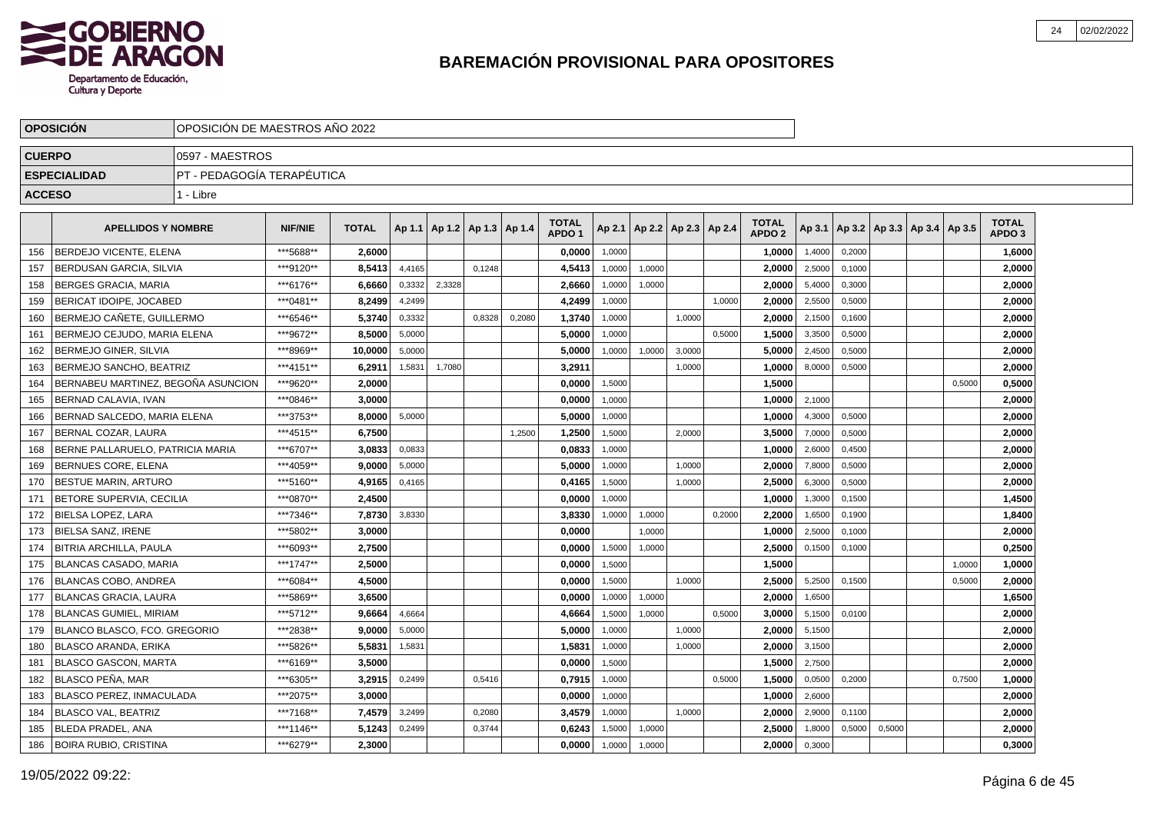

|               | <b>OPOSICION</b>                     | OPOSICIÓN DE MAESTROS AÑO 2022 |                |              |        |                                   |        |        |                                   |        |                          |        |        |                                   |        |        |        |                                   |        |                                   |  |
|---------------|--------------------------------------|--------------------------------|----------------|--------------|--------|-----------------------------------|--------|--------|-----------------------------------|--------|--------------------------|--------|--------|-----------------------------------|--------|--------|--------|-----------------------------------|--------|-----------------------------------|--|
| <b>CUERPO</b> |                                      | 0597 - MAESTROS                |                |              |        |                                   |        |        |                                   |        |                          |        |        |                                   |        |        |        |                                   |        |                                   |  |
|               | <b>ESPECIALIDAD</b>                  | PT - PEDAGOGÍA TERAPÉUTICA     |                |              |        |                                   |        |        |                                   |        |                          |        |        |                                   |        |        |        |                                   |        |                                   |  |
| <b>ACCESO</b> |                                      | 1 - Libre                      |                |              |        |                                   |        |        |                                   |        |                          |        |        |                                   |        |        |        |                                   |        |                                   |  |
|               | <b>APELLIDOS Y NOMBRE</b>            |                                | <b>NIF/NIE</b> | <b>TOTAL</b> |        | Ap 1.1   Ap 1.2   Ap 1.3   Ap 1.4 |        |        | <b>TOTAL</b><br>APDO <sub>1</sub> | Ap 2.1 | Ap 2.2   Ap 2.3   Ap 2.4 |        |        | <b>TOTAL</b><br>APDO <sub>2</sub> | Ap 3.1 |        |        | Ap 3.2   Ap 3.3   Ap 3.4   Ap 3.5 |        | <b>TOTAL</b><br>APDO <sub>3</sub> |  |
| 156           | <b>BERDEJO VICENTE. ELENA</b>        |                                | ***5688**      | 2.6000       |        |                                   |        |        | 0,0000                            | 1,0000 |                          |        |        | 1,0000                            | 1,4000 | 0,2000 |        |                                   |        | 1,6000                            |  |
| 157           | BERDUSAN GARCIA, SILVIA              |                                | ***9120**      | 8,5413       | 4,4165 |                                   | 0,1248 |        | 4,5413                            | 1,0000 | 1,0000                   |        |        | 2.0000                            | 2,5000 | 0,1000 |        |                                   |        | 2,0000                            |  |
| 158           | <b>BERGES GRACIA, MARIA</b>          |                                | ***6176**      | 6.6660       | 0,3332 | 2,3328                            |        |        | 2,6660                            | 1,0000 | 1,0000                   |        |        | 2,0000                            | 5,4000 | 0,3000 |        |                                   |        | 2,0000                            |  |
| 159           | BERICAT IDOIPE, JOCABED              |                                | ***0481**      | 8,2499       | 4,2499 |                                   |        |        | 4,2499                            | 1,0000 |                          |        | 1,0000 | 2,0000                            | 2,5500 | 0,5000 |        |                                   |        | 2,0000                            |  |
| 160           | BERMEJO CAÑETE, GUILLERMO            |                                | ***6546**      | 5,3740       | 0,3332 |                                   | 0,8328 | 0,2080 | 1,3740                            | 1,0000 |                          | 1,0000 |        | 2,0000                            | 2,1500 | 0,1600 |        |                                   |        | 2,0000                            |  |
| 161           | <b>IBERMEJO CEJUDO. MARIA ELENA</b>  |                                | ***9672**      | 8.5000       | 5,0000 |                                   |        |        | 5.0000                            | 1.0000 |                          |        | 0,5000 | 1.5000                            | 3,3500 | 0,5000 |        |                                   |        | 2.0000                            |  |
| 162           | <b>IBERMEJO GINER. SILVIA</b>        |                                | ***8969**      | 10.0000      | 5,0000 |                                   |        |        | 5,0000                            | 1,0000 | 1,0000                   | 3,0000 |        | 5.0000                            | 2,4500 | 0,5000 |        |                                   |        | 2,0000                            |  |
| 163           | I BERMEJO SANCHO. BEATRIZ            |                                | ***4151**      | 6,2911       | 1,5831 | 1,7080                            |        |        | 3,2911                            |        |                          | 1,0000 |        | 1,0000                            | 8,0000 | 0,5000 |        |                                   |        | 2,0000                            |  |
| 164           | I BERNABEU MARTINEZ. BEGOÑA ASUNCION |                                | ***9620**      | 2,0000       |        |                                   |        |        | 0,0000                            | 1,5000 |                          |        |        | 1,5000                            |        |        |        |                                   | 0,5000 | 0,5000                            |  |
| 165           | BERNAD CALAVIA, IVAN                 |                                | ***0846**      | 3,0000       |        |                                   |        |        | 0,0000                            | 1,0000 |                          |        |        | 1,0000                            | 2,1000 |        |        |                                   |        | 2,0000                            |  |
| 166           | BERNAD SALCEDO, MARIA ELENA          |                                | ***3753**      | 8,0000       | 5,0000 |                                   |        |        | 5,0000                            | 1,0000 |                          |        |        | 1,0000                            | 4,3000 | 0,5000 |        |                                   |        | 2,0000                            |  |
| 167           | I BERNAL COZAR. LAURA                |                                | ***4515**      | 6,7500       |        |                                   |        | 1.2500 | 1,2500                            | 1,5000 |                          | 2.0000 |        | 3,5000                            | 7,0000 | 0,5000 |        |                                   |        | 2,0000                            |  |
| 168           | BERNE PALLARUELO, PATRICIA MARIA     |                                | ***6707**      | 3,0833       | 0.0833 |                                   |        |        | 0,0833                            | 1.0000 |                          |        |        | 1,0000                            | 2,6000 | 0,4500 |        |                                   |        | 2,0000                            |  |
| 169           | <b>BERNUES CORE, ELENA</b>           |                                | ***4059**      | 9.0000       | 5,0000 |                                   |        |        | 5,0000                            | 1,0000 |                          | 1,0000 |        | 2,0000                            | 7,8000 | 0,5000 |        |                                   |        | 2,0000                            |  |
| 170           | BESTUE MARIN, ARTURO                 |                                | ***5160**      | 4,9165       | 0,4165 |                                   |        |        | 0,4165                            | 1,5000 |                          | 1,0000 |        | 2,5000                            | 6,3000 | 0,5000 |        |                                   |        | 2,0000                            |  |
| 171           | BETORE SUPERVIA. CECILIA             |                                | ***0870**      | 2,4500       |        |                                   |        |        | 0,0000                            | 1,0000 |                          |        |        | 1,0000                            | 1,3000 | 0,1500 |        |                                   |        | 1,4500                            |  |
| 172           | <b>BIELSA LOPEZ, LARA</b>            |                                | ***7346**      | 7,8730       | 3,8330 |                                   |        |        | 3,8330                            | 1,0000 | 1,0000                   |        | 0,2000 | 2,2000                            | 1,6500 | 0,1900 |        |                                   |        | 1,8400                            |  |
| 173           | <b>BIELSA SANZ, IRENE</b>            |                                | ***5802**      | 3.0000       |        |                                   |        |        | 0.0000                            |        | 1.0000                   |        |        | 1.0000                            | 2.5000 | 0.1000 |        |                                   |        | 2.0000                            |  |
| 174           | <b>BITRIA ARCHILLA, PAULA</b>        |                                | ***6093**      | 2.7500       |        |                                   |        |        | 0.0000                            | 1,5000 | 1,0000                   |        |        | 2.5000                            | 0,1500 | 0,1000 |        |                                   |        | 0,2500                            |  |
| 175           | <b>BLANCAS CASADO, MARIA</b>         |                                | ***1747**      | 2.5000       |        |                                   |        |        | 0,0000                            | 1,5000 |                          |        |        | 1,5000                            |        |        |        |                                   | 1,0000 | 1.0000                            |  |
| 176           | <b>BLANCAS COBO, ANDREA</b>          |                                | ***6084**      | 4,5000       |        |                                   |        |        | 0,0000                            | 1,5000 |                          | 1.0000 |        | 2,5000                            | 5,2500 | 0,1500 |        |                                   | 0,5000 | 2,0000                            |  |
| 177           | BLANCAS GRACIA, LAURA                |                                | ***5869**      | 3,6500       |        |                                   |        |        | 0,0000                            | 1,0000 | 1,0000                   |        |        | 2,0000                            | 1,6500 |        |        |                                   |        | 1,6500                            |  |
| 178           | BLANCAS GUMIEL, MIRIAM               |                                | ***5712**      | 9,6664       | 4,6664 |                                   |        |        | 4,6664                            | 1,5000 | 1,0000                   |        | 0,5000 | 3,0000                            | 5,1500 | 0,0100 |        |                                   |        | 2,0000                            |  |
| 179           | IBLANCO BLASCO. FCO. GREGORIO        |                                | ***2838**      | 9.0000       | 5,0000 |                                   |        |        | 5.0000                            | 1,0000 |                          | 1,0000 |        | 2.0000                            | 5,1500 |        |        |                                   |        | 2.0000                            |  |
| 180           | BLASCO ARANDA. ERIKA                 |                                | ***5826**      | 5.5831       | 1,5831 |                                   |        |        | 1,5831                            | 1,0000 |                          | 1,0000 |        | 2.0000                            | 3,1500 |        |        |                                   |        | 2.0000                            |  |
| 181           | <b>BLASCO GASCON, MARTA</b>          |                                | ***6169**      | 3,5000       |        |                                   |        |        | 0,0000                            | 1,5000 |                          |        |        | 1,5000                            | 2,7500 |        |        |                                   |        | 2,0000                            |  |
| 182           | BLASCO PEÑA. MAR                     |                                | ***6305**      | 3,2915       | 0,2499 |                                   | 0,5416 |        | 0,7915                            | 1,0000 |                          |        | 0,5000 | 1,5000                            | 0,0500 | 0,2000 |        |                                   | 0,7500 | 1,0000                            |  |
| 183           | BLASCO PEREZ, INMACULADA             |                                | ***2075**      | 3,0000       |        |                                   |        |        | 0,0000                            | 1,0000 |                          |        |        | 1,0000                            | 2,6000 |        |        |                                   |        | 2,0000                            |  |
| 184           | <b>BLASCO VAL, BEATRIZ</b>           |                                | ***7168**      | 7,4579       | 3,2499 |                                   | 0,2080 |        | 3,4579                            | 1,0000 |                          | 1,0000 |        | 2,0000                            | 2,9000 | 0,1100 |        |                                   |        | 2,0000                            |  |
| 185           | <b>BLEDA PRADEL. ANA</b>             |                                | ***1146**      | 5,1243       | 0,2499 |                                   | 0,3744 |        | 0.6243                            | 1,5000 | 1,0000                   |        |        | 2.5000                            | 1,8000 | 0,5000 | 0,5000 |                                   |        | 2.0000                            |  |
| 186           | BOIRA RUBIO, CRISTINA                |                                | ***6279**      | 2,3000       |        |                                   |        |        | 0,0000                            | 1,0000 | 1,0000                   |        |        | 2.0000                            | 0,3000 |        |        |                                   |        | 0,3000                            |  |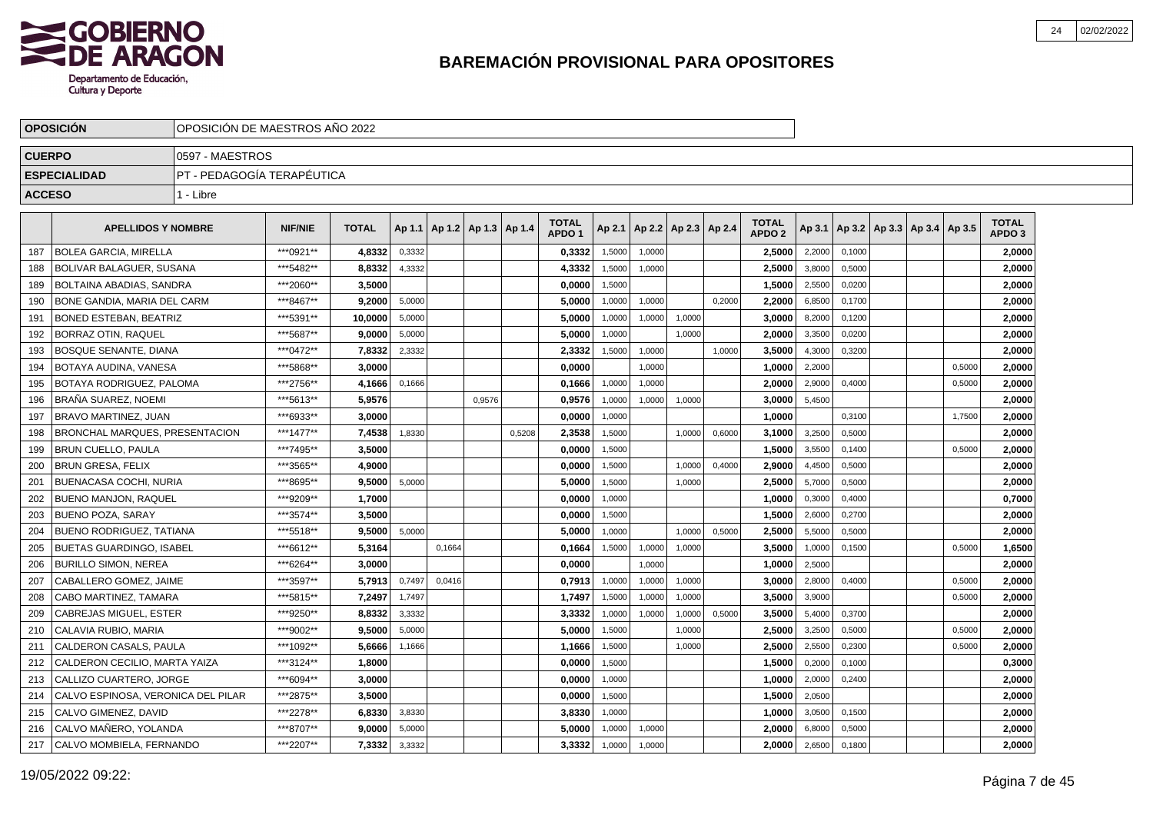

|               | <b>OPOSICION</b>                   | OPOSICION DE MAESTROS ANO 2022 |                |              |          |        |                          |        |                                   |        |                          |        |        |                                   |        |        |                                   |        |                                   |  |
|---------------|------------------------------------|--------------------------------|----------------|--------------|----------|--------|--------------------------|--------|-----------------------------------|--------|--------------------------|--------|--------|-----------------------------------|--------|--------|-----------------------------------|--------|-----------------------------------|--|
| <b>CUERPO</b> |                                    | 10597 - MAESTROS               |                |              |          |        |                          |        |                                   |        |                          |        |        |                                   |        |        |                                   |        |                                   |  |
|               | <b>ESPECIALIDAD</b>                | PT - PEDAGOGÍA TERAPÉUTICA     |                |              |          |        |                          |        |                                   |        |                          |        |        |                                   |        |        |                                   |        |                                   |  |
| <b>ACCESO</b> |                                    | 1 - Libre                      |                |              |          |        |                          |        |                                   |        |                          |        |        |                                   |        |        |                                   |        |                                   |  |
|               | <b>APELLIDOS Y NOMBRE</b>          |                                | <b>NIF/NIE</b> | <b>TOTAL</b> | Ap 1.1 l |        | Ap 1.2   Ap 1.3   Ap 1.4 |        | <b>TOTAL</b><br>APDO <sub>1</sub> | Ap 2.1 | Ap 2.2   Ap 2.3   Ap 2.4 |        |        | <b>TOTAL</b><br>APDO <sub>2</sub> | Ap 3.1 |        | Ap 3.2   Ap 3.3   Ap 3.4   Ap 3.5 |        | <b>TOTAL</b><br>APDO <sub>3</sub> |  |
| 187           | <b>BOLEA GARCIA. MIRELLA</b>       |                                | ***0921**      | 4,8332       | 0,3332   |        |                          |        | 0,3332                            | 1,5000 | 1,0000                   |        |        | 2,5000                            | 2,2000 | 0,1000 |                                   |        | 2,0000                            |  |
| 188           | BOLIVAR BALAGUER, SUSANA           |                                | ***5482**      | 8,8332       | 4,3332   |        |                          |        | 4,3332                            | 1,5000 | 1,0000                   |        |        | 2,5000                            | 3,8000 | 0,5000 |                                   |        | 2,0000                            |  |
| 189           | BOLTAINA ABADIAS, SANDRA           |                                | ***2060**      | 3.5000       |          |        |                          |        | 0.0000                            | 1,5000 |                          |        |        | 1.5000                            | 2,5500 | 0.0200 |                                   |        | 2.0000                            |  |
| 190           | I BONE GANDIA. MARIA DEL CARM      |                                | ***8467**      | 9.2000       | 5,0000   |        |                          |        | 5.0000                            | 1,0000 | 1,0000                   |        | 0,2000 | 2,2000                            | 6,8500 | 0,1700 |                                   |        | 2.0000                            |  |
| 191           | <b>BONED ESTEBAN. BEATRIZ</b>      |                                | ***5391**      | 10.0000      | 5,0000   |        |                          |        | 5,0000                            | 1,0000 | 1,0000                   | 1,0000 |        | 3.0000                            | 8,2000 | 0,1200 |                                   |        | 2,0000                            |  |
| 192           | BORRAZ OTIN. RAQUEL                |                                | ***5687**      | 9.0000       | 5,0000   |        |                          |        | 5,0000                            | 1,0000 |                          | 1,0000 |        | 2.0000                            | 3,3500 | 0,0200 |                                   |        | 2,0000                            |  |
| 193           | BOSQUE SENANTE. DIANA              |                                | ***0472**      | 7,8332       | 2,3332   |        |                          |        | 2,3332                            | 1,5000 | 1,0000                   |        | 1,0000 | 3,5000                            | 4,3000 | 0,3200 |                                   |        | 2,0000                            |  |
| 194           | <b>BOTAYA AUDINA, VANESA</b>       |                                | ***5868**      | 3.0000       |          |        |                          |        | 0,0000                            |        | 1,0000                   |        |        | 1,0000                            | 2,2000 |        |                                   | 0,5000 | 2,0000                            |  |
| 195           | BOTAYA RODRIGUEZ, PALOMA           |                                | ***2756**      | 4,1666       | 0,1666   |        |                          |        | 0,1666                            | 1,0000 | 1,0000                   |        |        | 2,0000                            | 2,9000 | 0,4000 |                                   | 0,5000 | 2,0000                            |  |
| 196           | BRAÑA SUAREZ, NOEMI                |                                | ***5613**      | 5,9576       |          |        | 0,9576                   |        | 0,9576                            | 1,0000 | 1,0000                   | 1,0000 |        | 3,0000                            | 5,4500 |        |                                   |        | 2,0000                            |  |
| 197           | I BRAVO MARTINEZ. JUAN             |                                | ***6933**      | 3.0000       |          |        |                          |        | 0,0000                            | 1.0000 |                          |        |        | 1.0000                            |        | 0,3100 |                                   | 1,7500 | 2,0000                            |  |
| 198           | BRONCHAL MARQUES, PRESENTACION     |                                | ***1477**      | 7,4538       | 1,8330   |        |                          | 0.5208 | 2,3538                            | 1,5000 |                          | 1.0000 | 0,6000 | 3.1000                            | 3,2500 | 0.5000 |                                   |        | 2,0000                            |  |
| 199           | <b>BRUN CUELLO, PAULA</b>          |                                | ***7495**      | 3.5000       |          |        |                          |        | 0,0000                            | 1,5000 |                          |        |        | 1,5000                            | 3,5500 | 0,1400 |                                   | 0.5000 | 2,0000                            |  |
| 200           | <b>BRUN GRESA, FELIX</b>           |                                | ***3565**      | 4.9000       |          |        |                          |        | 0,0000                            | 1,5000 |                          | 1,0000 | 0,4000 | 2.9000                            | 4,4500 | 0,5000 |                                   |        | 2,0000                            |  |
| 201           | <b>BUENACASA COCHI. NURIA</b>      |                                | ***8695**      | 9.5000       | 5,0000   |        |                          |        | 5,0000                            | 1,5000 |                          | 1,0000 |        | 2,5000                            | 5,7000 | 0,5000 |                                   |        | 2,0000                            |  |
| 202           | <b>BUENO MANJON, RAQUEL</b>        |                                | ***9209**      | 1,7000       |          |        |                          |        | 0,0000                            | 1,0000 |                          |        |        | 1,0000                            | 0,3000 | 0,4000 |                                   |        | 0,7000                            |  |
| 203           | <b>BUENO POZA, SARAY</b>           |                                | ***3574**      | 3.5000       |          |        |                          |        | 0,0000                            | 1,5000 |                          |        |        | 1,5000                            | 2,6000 | 0,2700 |                                   |        | 2,0000                            |  |
| 204           | <b>BUENO RODRIGUEZ, TATIANA</b>    |                                | ***5518**      | 9,5000       | 5,0000   |        |                          |        | 5,0000                            | 1,0000 |                          | 1,0000 | 0,5000 | 2,5000                            | 5,5000 | 0,5000 |                                   |        | 2,0000                            |  |
| 205           | <b>BUETAS GUARDINGO, ISABEL</b>    |                                | ***6612**      | 5,3164       |          | 0,1664 |                          |        | 0,1664                            | 1,5000 | 1,0000                   | 1,0000 |        | 3,5000                            | 1,0000 | 0,1500 |                                   | 0,5000 | 1,6500                            |  |
| 206           | <b>BURILLO SIMON, NEREA</b>        |                                | ***6264**      | 3.0000       |          |        |                          |        | 0,0000                            |        | 1,0000                   |        |        | 1.0000                            | 2,5000 |        |                                   |        | 2.0000                            |  |
| 207           | CABALLERO GOMEZ. JAIME             |                                | ***3597**      | 5.7913       | 0,7497   | 0,0416 |                          |        | 0.7913                            | 1,0000 | 1,0000                   | 1,0000 |        | 3.0000                            | 2,8000 | 0.4000 |                                   | 0.5000 | 2.0000                            |  |
| 208           | CABO MARTINEZ, TAMARA              |                                | ***5815**      | 7.2497       | 1,7497   |        |                          |        | 1,7497                            | 1,5000 | 1,0000                   | 1,0000 |        | 3.5000                            | 3,9000 |        |                                   | 0,5000 | 2.0000                            |  |
| 209           | CABREJAS MIGUEL, ESTER             |                                | ***9250**      | 8.8332       | 3,3332   |        |                          |        | 3,3332                            | 1,0000 | 1,0000                   | 1,0000 | 0,5000 | 3,5000                            | 5,4000 | 0,3700 |                                   |        | 2,0000                            |  |
| 210           | CALAVIA RUBIO, MARIA               |                                | ***9002**      | 9.5000       | 5,0000   |        |                          |        | 5,0000                            | 1,5000 |                          | 1,0000 |        | 2,5000                            | 3,2500 | 0,5000 |                                   | 0,5000 | 2,0000                            |  |
| 211           | CALDERON CASALS, PAULA             |                                | ***1092**      | 5,6666       | 1,1666   |        |                          |        | 1,1666                            | 1,5000 |                          | 1,0000 |        | 2,5000                            | 2,5500 | 0,2300 |                                   | 0,5000 | 2,0000                            |  |
| 212           | CALDERON CECILIO, MARTA YAIZA      |                                | ***3124**      | 1,8000       |          |        |                          |        | 0,0000                            | 1,5000 |                          |        |        | 1,5000                            | 0,2000 | 0,1000 |                                   |        | 0,3000                            |  |
| 213           | CALLIZO CUARTERO, JORGE            |                                | ***6094**      | 3,0000       |          |        |                          |        | 0,0000                            | 1,0000 |                          |        |        | 1,0000                            | 2,0000 | 0,2400 |                                   |        | 2,0000                            |  |
| 214           | CALVO ESPINOSA. VERONICA DEL PILAR |                                | ***2875**      | 3.5000       |          |        |                          |        | 0,0000                            | 1,5000 |                          |        |        | 1,5000                            | 2,0500 |        |                                   |        | 2,0000                            |  |
| 215           | CALVO GIMENEZ, DAVID               |                                | ***2278**      | 6,8330       | 3,8330   |        |                          |        | 3,8330                            | 1,0000 |                          |        |        | 1,0000                            | 3,0500 | 0,1500 |                                   |        | 2,0000                            |  |
| 216           | CALVO MAÑERO. YOLANDA              |                                | ***8707**      | 9.0000       | 5,0000   |        |                          |        | 5,0000                            | 1,0000 | 1,0000                   |        |        | 2.0000                            | 6,8000 | 0,5000 |                                   |        | 2.0000                            |  |
| 217           | CALVO MOMBIELA. FERNANDO           |                                | ***2207**      | 7,3332       | 3,3332   |        |                          |        | 3.3332                            | 1,0000 | 1,0000                   |        |        | 2.0000                            | 2,6500 | 0,1800 |                                   |        | 2,0000                            |  |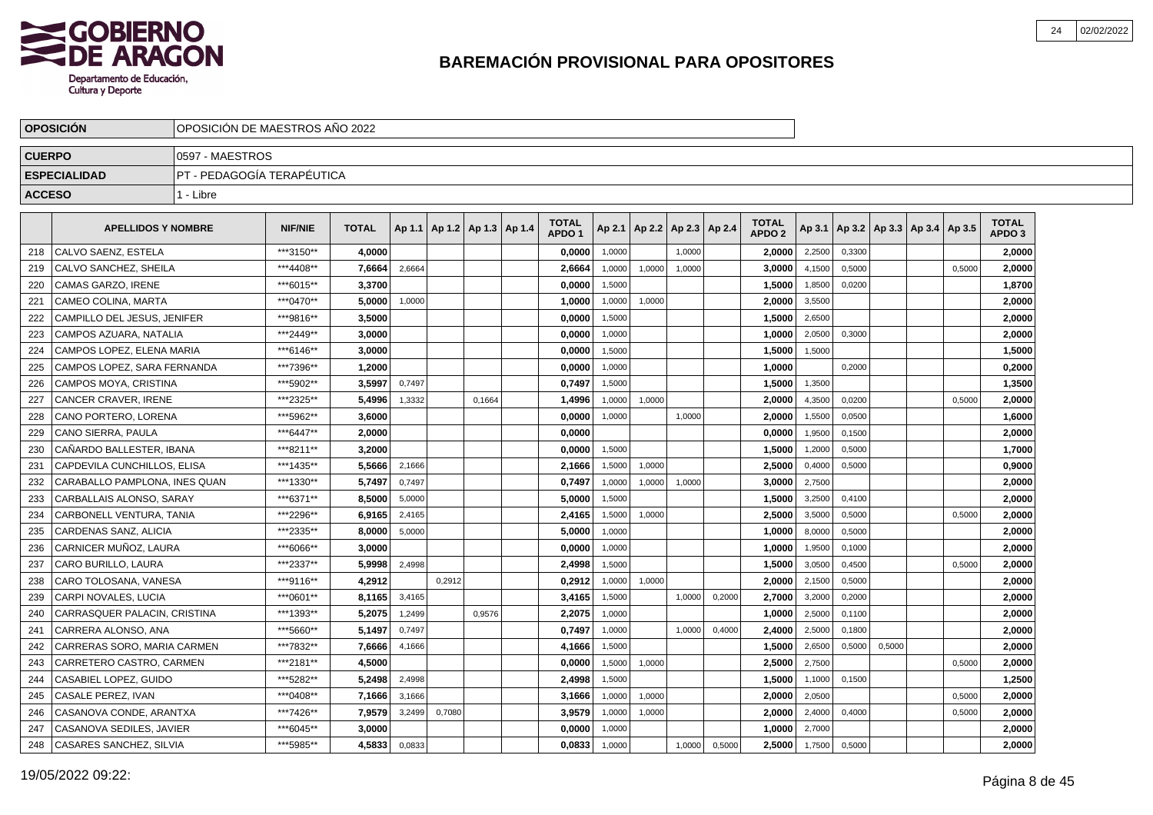

|               | <b>OPOSICIÓN</b>              | OPOSICIÓN DE MAESTROS AÑO 2022 |                |              |        |                                   |        |                                   |        |                 |        |        |                               |        |        |                                   |        |                                   |
|---------------|-------------------------------|--------------------------------|----------------|--------------|--------|-----------------------------------|--------|-----------------------------------|--------|-----------------|--------|--------|-------------------------------|--------|--------|-----------------------------------|--------|-----------------------------------|
| <b>CUERPO</b> |                               | 0597 - MAESTROS                |                |              |        |                                   |        |                                   |        |                 |        |        |                               |        |        |                                   |        |                                   |
|               | <b>ESPECIALIDAD</b>           | PT - PEDAGOGÍA TERAPÉUTICA     |                |              |        |                                   |        |                                   |        |                 |        |        |                               |        |        |                                   |        |                                   |
| <b>ACCESO</b> |                               | 1 - Libre                      |                |              |        |                                   |        |                                   |        |                 |        |        |                               |        |        |                                   |        |                                   |
|               | <b>APELLIDOS Y NOMBRE</b>     |                                | <b>NIF/NIE</b> | <b>TOTAL</b> |        | Ap 1.1   Ap 1.2   Ap 1.3   Ap 1.4 |        | <b>TOTAL</b><br>APDO <sub>1</sub> | Ap 2.1 | Ap 2.2   Ap 2.3 |        | Ap 2.4 | <b>TOTAL</b><br><b>APDO 2</b> | Ap 3.1 |        | Ap 3.2   Ap 3.3   Ap 3.4   Ap 3.5 |        | <b>TOTAL</b><br>APDO <sub>3</sub> |
| 218           | CALVO SAENZ, ESTELA           |                                | ***3150**      | 4,0000       |        |                                   |        | 0,0000                            | 1,0000 |                 | 1,0000 |        | 2,0000                        | 2,2500 | 0,3300 |                                   |        | 2,0000                            |
| 219           | CALVO SANCHEZ, SHEILA         |                                | ***4408**      | 7,6664       | 2,6664 |                                   |        | 2,6664                            | 1,0000 | 1,0000          | 1,0000 |        | 3,0000                        | 4,1500 | 0,5000 |                                   | 0,5000 | 2,0000                            |
| 220           | <b>CAMAS GARZO, IRENE</b>     |                                | ***6015**      | 3,3700       |        |                                   |        | 0,0000                            | 1.5000 |                 |        |        | 1,5000                        | 1,8500 | 0,0200 |                                   |        | 1,8700                            |
| 221           | CAMEO COLINA. MARTA           |                                | ***0470**      | 5,0000       | 1,0000 |                                   |        | 1,0000                            | 1,0000 | 1,0000          |        |        | 2,0000                        | 3,5500 |        |                                   |        | 2,0000                            |
| 222           | CAMPILLO DEL JESUS. JENIFER   |                                | ***9816**      | 3.5000       |        |                                   |        | 0.0000                            | 1,5000 |                 |        |        | 1.5000                        | 2,6500 |        |                                   |        | 2,0000                            |
| 223           | CAMPOS AZUARA. NATALIA        |                                | ***2449**      | 3.0000       |        |                                   |        | 0,0000                            | 1,0000 |                 |        |        | 1.0000                        | 2,0500 | 0.3000 |                                   |        | 2,0000                            |
| 224           | CAMPOS LOPEZ, ELENA MARIA     |                                | ***6146**      | 3,0000       |        |                                   |        | 0,0000                            | 1.5000 |                 |        |        | 1,5000                        | 1.5000 |        |                                   |        | 1,5000                            |
| 225           | CAMPOS LOPEZ, SARA FERNANDA   |                                | ***7396**      | 1,2000       |        |                                   |        | 0,0000                            | 1,0000 |                 |        |        | 1,0000                        |        | 0,2000 |                                   |        | 0,2000                            |
| 226           | CAMPOS MOYA, CRISTINA         |                                | ***5902**      | 3,5997       | 0,7497 |                                   |        | 0,7497                            | 1,5000 |                 |        |        | 1,5000                        | 1,3500 |        |                                   |        | 1,3500                            |
| 227           | CANCER CRAVER, IRENE          |                                | ***2325**      | 5,4996       | 1,3332 |                                   | 0,1664 | 1,4996                            | 1,0000 | 1,0000          |        |        | 2,0000                        | 4,3500 | 0,0200 |                                   | 0,5000 | 2,0000                            |
| 228           | CANO PORTERO, LORENA          |                                | ***5962**      | 3.6000       |        |                                   |        | 0,0000                            | 1,0000 |                 | 1,0000 |        | 2,0000                        | 1,5500 | 0,0500 |                                   |        | 1,6000                            |
| 229           | CANO SIERRA, PAULA            |                                | ***6447**      | 2.0000       |        |                                   |        | 0,0000                            |        |                 |        |        | 0,0000                        | 1,9500 | 0,1500 |                                   |        | 2,0000                            |
| 230           | CAÑARDO BALLESTER, IBANA      |                                | ***8211**      | 3.2000       |        |                                   |        | 0,0000                            | 1.5000 |                 |        |        | 1,5000                        | 1,2000 | 0,5000 |                                   |        | 1,7000                            |
| 231           | CAPDEVILA CUNCHILLOS, ELISA   |                                | ***1435**      | 5,5666       | 2,1666 |                                   |        | 2,1666                            | 1,5000 | 1,0000          |        |        | 2,5000                        | 0,4000 | 0.5000 |                                   |        | 0,9000                            |
| 232           | CARABALLO PAMPLONA. INES QUAN |                                | ***1330**      | 5,7497       | 0,7497 |                                   |        | 0.7497                            | 1,0000 | 1,0000          | 1,0000 |        | 3.0000                        | 2,7500 |        |                                   |        | 2,0000                            |
| 233           | CARBALLAIS ALONSO, SARAY      |                                | ***6371**      | 8,5000       | 5,0000 |                                   |        | 5.0000                            | 1.5000 |                 |        |        | 1.5000                        | 3,2500 | 0.4100 |                                   |        | 2.0000                            |
| 234           | CARBONELL VENTURA, TANIA      |                                | ***2296**      | 6,9165       | 2,4165 |                                   |        | 2,4165                            | 1,5000 | 1,0000          |        |        | 2,5000                        | 3,5000 | 0,5000 |                                   | 0,5000 | 2,0000                            |
| 235           | CARDENAS SANZ, ALICIA         |                                | ***2335**      | 8,0000       | 5,0000 |                                   |        | 5,0000                            | 1,0000 |                 |        |        | 1,0000                        | 8,0000 | 0,5000 |                                   |        | 2,0000                            |
| 236           | CARNICER MUÑOZ, LAURA         |                                | ***6066**      | 3,0000       |        |                                   |        | 0,0000                            | 1,0000 |                 |        |        | 1,0000                        | 1,9500 | 0,1000 |                                   |        | 2,0000                            |
| 237           | CARO BURILLO, LAURA           |                                | ***2337**      | 5,9998       | 2,4998 |                                   |        | 2,4998                            | 1,5000 |                 |        |        | 1,5000                        | 3,0500 | 0,4500 |                                   | 0,5000 | 2,0000                            |
| 238           | CARO TOLOSANA, VANESA         |                                | ***9116**      | 4,2912       |        | 0,2912                            |        | 0,2912                            | 1,0000 | 1,0000          |        |        | 2,0000                        | 2,1500 | 0,5000 |                                   |        | 2,0000                            |
| 239           | CARPI NOVALES. LUCIA          |                                | ***0601**      | 8,1165       | 3,4165 |                                   |        | 3,4165                            | 1,5000 |                 | 1,0000 | 0,2000 | 2,7000                        | 3,2000 | 0,2000 |                                   |        | 2,0000                            |
| 240           | CARRASQUER PALACIN, CRISTINA  |                                | ***1393**      | 5,2075       | 1,2499 |                                   | 0,9576 | 2,2075                            | 1,0000 |                 |        |        | 1.0000                        | 2,5000 | 0,1100 |                                   |        | 2,0000                            |
| 241           | CARRERA ALONSO. ANA           |                                | ***5660**      | 5.1497       | 0,7497 |                                   |        | 0,7497                            | 1,0000 |                 | 1.0000 | 0,4000 | 2.4000                        | 2,5000 | 0.1800 |                                   |        | 2,0000                            |
| 242           | CARRERAS SORO. MARIA CARMEN   |                                | ***7832**      | 7.6666       | 4,1666 |                                   |        | 4,1666                            | 1,5000 |                 |        |        | 1.5000                        | 2,6500 | 0.5000 | 0,5000                            |        | 2.0000                            |
| 243           | CARRETERO CASTRO, CARMEN      |                                | ***2181**      | 4,5000       |        |                                   |        | 0,0000                            | 1,5000 | 1,0000          |        |        | 2,5000                        | 2,7500 |        |                                   | 0,5000 | 2,0000                            |
| 244           | CASABIEL LOPEZ, GUIDO         |                                | ***5282**      | 5,2498       | 2,4998 |                                   |        | 2,4998                            | 1,5000 |                 |        |        | 1,5000                        | 1,1000 | 0,1500 |                                   |        | 1,2500                            |
| 245           | CASALE PEREZ, IVAN            |                                | ***0408**      | 7,1666       | 3,1666 |                                   |        | 3,1666                            | 1,0000 | 1,0000          |        |        | 2,0000                        | 2,0500 |        |                                   | 0,5000 | 2,0000                            |
| 246           | CASANOVA CONDE, ARANTXA       |                                | ***7426**      | 7,9579       | 3,2499 | 0,7080                            |        | 3,9579                            | 1,0000 | 1,0000          |        |        | 2,0000                        | 2,4000 | 0,4000 |                                   | 0,5000 | 2,0000                            |
| 247           | CASANOVA SEDILES, JAVIER      |                                | ***6045**      | 3,0000       |        |                                   |        | 0,0000                            | 1,0000 |                 |        |        | 1,0000                        | 2,7000 |        |                                   |        | 2,0000                            |
| 248           | CASARES SANCHEZ, SILVIA       |                                | ***5985**      | 4,5833       | 0,0833 |                                   |        | 0,0833                            | 1,0000 |                 | 1,0000 | 0,5000 | 2,5000                        | 1,7500 | 0,5000 |                                   |        | 2,0000                            |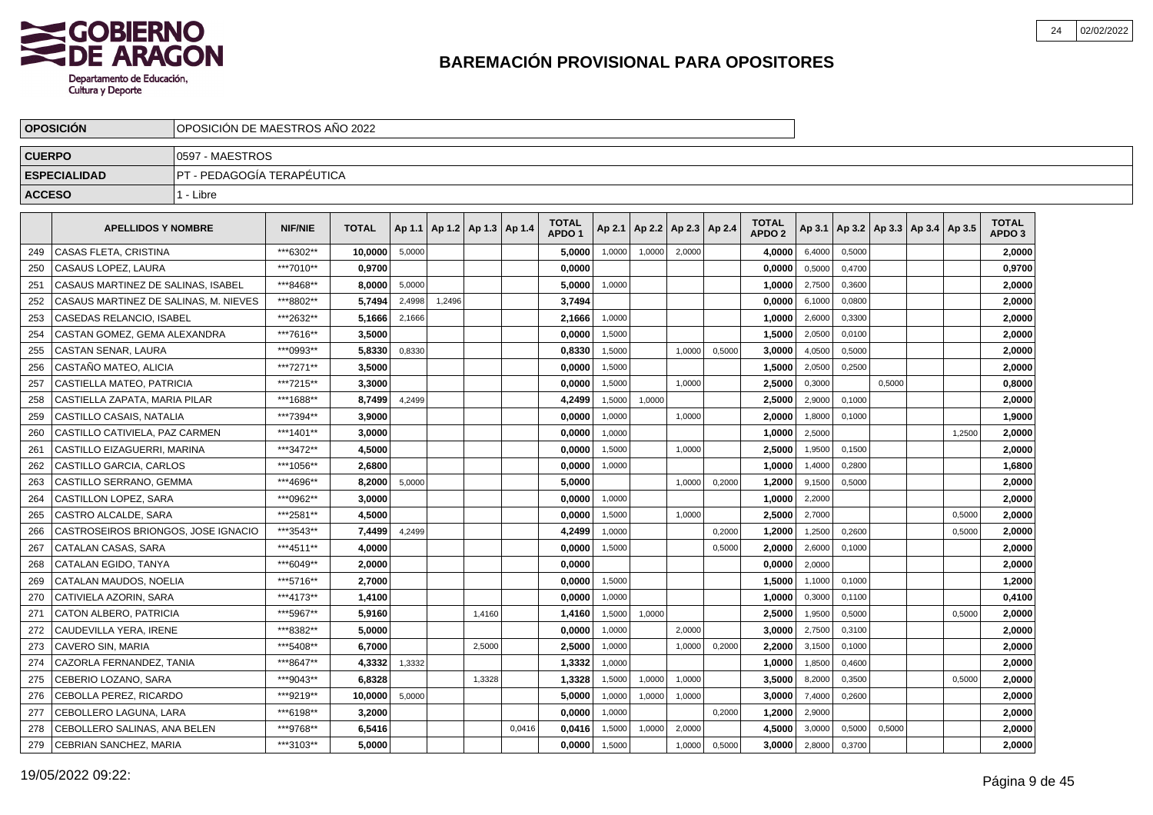

|               | <b>OPOSICIÓN</b>                      |                            | OPOSICIÓN DE MAESTROS AÑO 2022 |              |        |        |                          |        |                                   |        |        |                          |        |                                   |        |        |        |                                            |        |                                   |  |
|---------------|---------------------------------------|----------------------------|--------------------------------|--------------|--------|--------|--------------------------|--------|-----------------------------------|--------|--------|--------------------------|--------|-----------------------------------|--------|--------|--------|--------------------------------------------|--------|-----------------------------------|--|
| <b>CUERPO</b> |                                       | 0597 - MAESTROS            |                                |              |        |        |                          |        |                                   |        |        |                          |        |                                   |        |        |        |                                            |        |                                   |  |
|               | <b>ESPECIALIDAD</b>                   | PT - PEDAGOGÍA TERAPÉUTICA |                                |              |        |        |                          |        |                                   |        |        |                          |        |                                   |        |        |        |                                            |        |                                   |  |
| <b>ACCESO</b> |                                       | 1 - Libre                  |                                |              |        |        |                          |        |                                   |        |        |                          |        |                                   |        |        |        |                                            |        |                                   |  |
|               | <b>APELLIDOS Y NOMBRE</b>             |                            | <b>NIF/NIE</b>                 | <b>TOTAL</b> | Ap 1.1 |        | Ap 1.2   Ap 1.3   Ap 1.4 |        | <b>TOTAL</b><br>APDO <sub>1</sub> | Ap 2.1 |        | Ap 2.2   Ap 2.3   Ap 2.4 |        | <b>TOTAL</b><br>APDO <sub>2</sub> |        |        |        | Ap 3.1   Ap 3.2   Ap 3.3   Ap 3.4   Ap 3.5 |        | <b>TOTAL</b><br>APDO <sub>3</sub> |  |
| 249           | CASAS FLETA, CRISTINA                 |                            | ***6302**                      | 10,0000      | 5,0000 |        |                          |        | 5,0000                            | 1,0000 | 1,0000 | 2,0000                   |        | 4,0000                            | 6,4000 | 0,5000 |        |                                            |        | 2,0000                            |  |
| 250           | CASAUS LOPEZ, LAURA                   |                            | ***7010**                      | 0,9700       |        |        |                          |        | 0,0000                            |        |        |                          |        | 0,0000                            | 0,5000 | 0,4700 |        |                                            |        | 0,9700                            |  |
| 251           | CASAUS MARTINEZ DE SALINAS, ISABEL    |                            | ***8468**                      | 8,0000       | 5,0000 |        |                          |        | 5,0000                            | 1,0000 |        |                          |        | 1,0000                            | 2,7500 | 0,3600 |        |                                            |        | 2,0000                            |  |
| 252           | CASAUS MARTINEZ DE SALINAS, M. NIEVES |                            | ***8802**                      | 5.7494       | 2,4998 | 1,2496 |                          |        | 3,7494                            |        |        |                          |        | 0.0000                            | 6,1000 | 0,0800 |        |                                            |        | 2,0000                            |  |
| 253           | CASEDAS RELANCIO. ISABEL              |                            | ***2632**                      | 5.1666       | 2,1666 |        |                          |        | 2,1666                            | 1,0000 |        |                          |        | 1.0000                            | 2,6000 | 0,3300 |        |                                            |        | 2,0000                            |  |
| 254           | CASTAN GOMEZ. GEMA ALEXANDRA          |                            | ***7616**                      | 3.5000       |        |        |                          |        | 0,0000                            | 1,5000 |        |                          |        | 1,5000                            | 2,0500 | 0,0100 |        |                                            |        | 2,0000                            |  |
| 255           | CASTAN SENAR, LAURA                   |                            | ***0993**                      | 5,8330       | 0,8330 |        |                          |        | 0,8330                            | 1.5000 |        | 1.0000                   | 0.5000 | 3,0000                            | 4,0500 | 0.5000 |        |                                            |        | 2,0000                            |  |
| 256           | CASTAÑO MATEO, ALICIA                 |                            | ***7271**                      | 3,5000       |        |        |                          |        | 0,0000                            | 1,5000 |        |                          |        | 1,5000                            | 2,0500 | 0,2500 |        |                                            |        | 2,0000                            |  |
| 257           | CASTIELLA MATEO, PATRICIA             |                            | ***7215**                      | 3,3000       |        |        |                          |        | 0,0000                            | 1,5000 |        | 1,0000                   |        | 2,5000                            | 0,3000 |        | 0,5000 |                                            |        | 0,8000                            |  |
| 258           | CASTIELLA ZAPATA, MARIA PILAR         |                            | ***1688**                      | 8,7499       | 4,2499 |        |                          |        | 4,2499                            | 1,5000 | 1,0000 |                          |        | 2,5000                            | 2,9000 | 0,1000 |        |                                            |        | 2,0000                            |  |
| 259           | CASTILLO CASAIS, NATALIA              |                            | ***7394**                      | 3.9000       |        |        |                          |        | 0,0000                            | 1,0000 |        | 1,0000                   |        | 2,0000                            | 1,8000 | 0,1000 |        |                                            |        | 1,9000                            |  |
| 260           | CASTILLO CATIVIELA, PAZ CARMEN        |                            | ***1401**                      | 3.0000       |        |        |                          |        | 0,0000                            | 1,0000 |        |                          |        | 1,0000                            | 2,5000 |        |        |                                            | 1,2500 | 2,0000                            |  |
| 261           | CASTILLO EIZAGUERRI. MARINA           |                            | ***3472**                      | 4.5000       |        |        |                          |        | 0,0000                            | 1,5000 |        | 1,0000                   |        | 2.5000                            | 1,9500 | 0,1500 |        |                                            |        | 2,0000                            |  |
| 262           | CASTILLO GARCIA, CARLOS               |                            | ***1056**                      | 2.6800       |        |        |                          |        | 0,0000                            | 1,0000 |        |                          |        | 1,0000                            | 1,4000 | 0,2800 |        |                                            |        | 1,6800                            |  |
| 263           | CASTILLO SERRANO, GEMMA               |                            | ***4696**                      | 8,2000       | 5,0000 |        |                          |        | 5,0000                            |        |        | 1,0000                   | 0,2000 | 1,2000                            | 9,1500 | 0.5000 |        |                                            |        | 2,0000                            |  |
| 264           | <b>CASTILLON LOPEZ, SARA</b>          |                            | ***0962**                      | 3.0000       |        |        |                          |        | 0.0000                            | 1,0000 |        |                          |        | 1.0000                            | 2,2000 |        |        |                                            |        | 2,0000                            |  |
| 265           | CASTRO ALCALDE, SARA                  |                            | ***2581**                      | 4,5000       |        |        |                          |        | 0,0000                            | 1,5000 |        | 1,0000                   |        | 2,5000                            | 2,7000 |        |        |                                            | 0,5000 | 2,0000                            |  |
| 266           | CASTROSEIROS BRIONGOS, JOSE IGNACIO   |                            | ***3543**                      | 7,4499       | 4,2499 |        |                          |        | 4,2499                            | 1,0000 |        |                          | 0,2000 | 1,2000                            | 1,2500 | 0,2600 |        |                                            | 0,5000 | 2,0000                            |  |
| 267           | CATALAN CASAS, SARA                   |                            | ***4511**                      | 4,0000       |        |        |                          |        | 0,0000                            | 1,5000 |        |                          | 0,5000 | 2,0000                            | 2,6000 | 0,1000 |        |                                            |        | 2,0000                            |  |
| 268           | CATALAN EGIDO, TANYA                  |                            | ***6049**                      | 2.0000       |        |        |                          |        | 0,0000                            |        |        |                          |        | 0.0000                            | 2,0000 |        |        |                                            |        | 2,0000                            |  |
| 269           | CATALAN MAUDOS, NOELIA                |                            | ***5716**                      | 2,7000       |        |        |                          |        | 0,0000                            | 1,5000 |        |                          |        | 1,5000                            | 1,1000 | 0,1000 |        |                                            |        | 1,2000                            |  |
| 270           | CATIVIELA AZORIN, SARA                |                            | ***4173**                      | 1,4100       |        |        |                          |        | 0,0000                            | 1,0000 |        |                          |        | 1,0000                            | 0,3000 | 0,1100 |        |                                            |        | 0,4100                            |  |
| 271           | CATON ALBERO, PATRICIA                |                            | ***5967**                      | 5.9160       |        |        | 1,4160                   |        | 1,4160                            | 1,5000 | 1,0000 |                          |        | 2.5000                            | 1,9500 | 0,5000 |        |                                            | 0,5000 | 2,0000                            |  |
| 272           | CAUDEVILLA YERA. IRENE                |                            | ***8382**                      | 5.0000       |        |        |                          |        | 0,0000                            | 1,0000 |        | 2.0000                   |        | 3.0000                            | 2,7500 | 0,3100 |        |                                            |        | 2,0000                            |  |
| 273           | CAVERO SIN, MARIA                     |                            | ***5408**                      | 6.7000       |        |        | 2.5000                   |        | 2,5000                            | 1.0000 |        | 1.0000                   | 0,2000 | 2.2000                            | 3,1500 | 0.1000 |        |                                            |        | 2,0000                            |  |
| 274           | CAZORLA FERNANDEZ, TANIA              |                            | ***8647**                      | 4,3332       | 1,3332 |        |                          |        | 1,3332                            | 1,0000 |        |                          |        | 1,0000                            | 1,8500 | 0,4600 |        |                                            |        | 2,0000                            |  |
| 275           | CEBERIO LOZANO, SARA                  |                            | ***9043**                      | 6,8328       |        |        | 1,3328                   |        | 1,3328                            | 1,5000 | 1,0000 | 1,0000                   |        | 3,5000                            | 8,2000 | 0,3500 |        |                                            | 0,5000 | 2,0000                            |  |
| 276           | CEBOLLA PEREZ, RICARDO                |                            | ***9219**                      | 10,0000      | 5,0000 |        |                          |        | 5,0000                            | 1,0000 | 1,0000 | 1,0000                   |        | 3,0000                            | 7,4000 | 0,2600 |        |                                            |        | 2,0000                            |  |
| 277           | CEBOLLERO LAGUNA, LARA                |                            | ***6198**                      | 3,2000       |        |        |                          |        | 0,0000                            | 1,0000 |        |                          | 0,2000 | 1,2000                            | 2,9000 |        |        |                                            |        | 2,0000                            |  |
| 278           | CEBOLLERO SALINAS, ANA BELEN          |                            | ***9768**                      | 6,5416       |        |        |                          | 0,0416 | 0,0416                            | 1,5000 | 1,0000 | 2,0000                   |        | 4,5000                            | 3,0000 | 0,5000 | 0,5000 |                                            |        | 2,0000                            |  |
| 279           | CEBRIAN SANCHEZ, MARIA                |                            | ***3103**                      | 5.0000       |        |        |                          |        | 0,0000                            | 1,5000 |        | 1,0000                   | 0,5000 | 3,0000                            | 2,8000 | 0,3700 |        |                                            |        | 2,0000                            |  |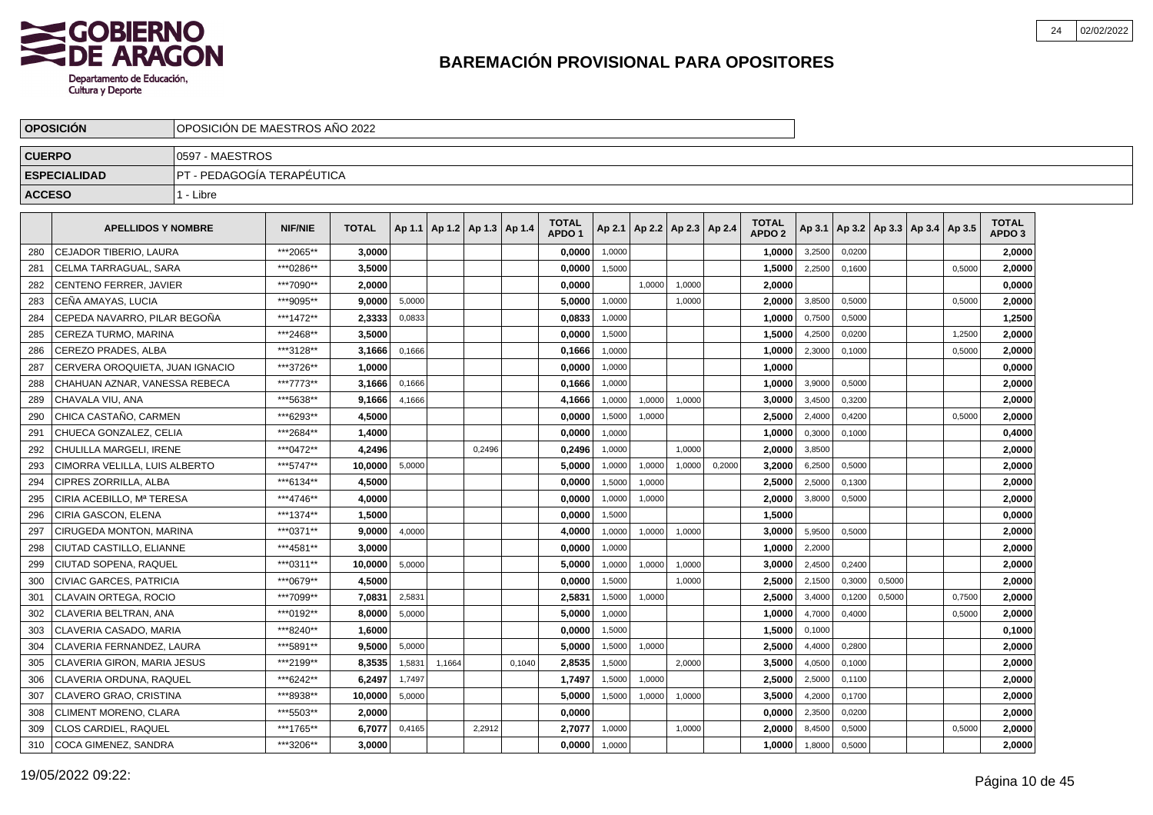

|               | <b>OPOSICIÓN</b>                |                             | OPOSICIÓN DE MAESTROS AÑO 2022 |              |        |        |                                   |        |                                   |        |        |                          |        |                                   |        |        |        |                                            |        |                                   |  |
|---------------|---------------------------------|-----------------------------|--------------------------------|--------------|--------|--------|-----------------------------------|--------|-----------------------------------|--------|--------|--------------------------|--------|-----------------------------------|--------|--------|--------|--------------------------------------------|--------|-----------------------------------|--|
| <b>CUERPO</b> |                                 | 0597 - MAESTROS             |                                |              |        |        |                                   |        |                                   |        |        |                          |        |                                   |        |        |        |                                            |        |                                   |  |
|               | <b>ESPECIALIDAD</b>             | IPT - PEDAGOGÍA TERAPÉUTICA |                                |              |        |        |                                   |        |                                   |        |        |                          |        |                                   |        |        |        |                                            |        |                                   |  |
| <b>ACCESO</b> |                                 | 1 - Libre                   |                                |              |        |        |                                   |        |                                   |        |        |                          |        |                                   |        |        |        |                                            |        |                                   |  |
|               | <b>APELLIDOS Y NOMBRE</b>       |                             | <b>NIF/NIE</b>                 | <b>TOTAL</b> |        |        | Ap 1.1   Ap 1.2   Ap 1.3   Ap 1.4 |        | <b>TOTAL</b><br>APDO <sub>1</sub> | Ap 2.1 |        | Ap 2.2   Ap 2.3   Ap 2.4 |        | <b>TOTAL</b><br>APDO <sub>2</sub> |        |        |        | Ap 3.1   Ap 3.2   Ap 3.3   Ap 3.4   Ap 3.5 |        | <b>TOTAL</b><br>APDO <sub>3</sub> |  |
| 280           | CEJADOR TIBERIO, LAURA          |                             | ***2065**                      | 3.0000       |        |        |                                   |        | 0,0000                            | 1,0000 |        |                          |        | 1,0000                            | 3,2500 | 0.0200 |        |                                            |        | 2,0000                            |  |
| 281           | CELMA TARRAGUAL, SARA           |                             | ***0286**                      | 3,5000       |        |        |                                   |        | 0,0000                            | 1,5000 |        |                          |        | 1,5000                            | 2.2500 | 0.1600 |        |                                            | 0.5000 | 2,0000                            |  |
| 282           | CENTENO FERRER, JAVIER          |                             | ***7090**                      | 2,0000       |        |        |                                   |        | 0,0000                            |        | 1,0000 | 1,0000                   |        | 2,0000                            |        |        |        |                                            |        | 0,0000                            |  |
| 283           | CEÑA AMAYAS, LUCIA              |                             | ***9095**                      | 9,0000       | 5,0000 |        |                                   |        | 5,0000                            | 1,0000 |        | 1,0000                   |        | 2,0000                            | 3,8500 | 0,5000 |        |                                            | 0,5000 | 2,0000                            |  |
| 284           | CEPEDA NAVARRO, PILAR BEGOÑA    |                             | ***1472**                      | 2,3333       | 0,0833 |        |                                   |        | 0,0833                            | 1,0000 |        |                          |        | 1,0000                            | 0,7500 | 0,5000 |        |                                            |        | 1,2500                            |  |
| 285           | CEREZA TURMO, MARINA            |                             | ***2468**                      | 3.5000       |        |        |                                   |        | 0,0000                            | 1,5000 |        |                          |        | 1.5000                            | 4,2500 | 0,0200 |        |                                            | 1,2500 | 2,0000                            |  |
| 286           | <b>CEREZO PRADES, ALBA</b>      |                             | ***3128**                      | 3.1666       | 0,1666 |        |                                   |        | 0,1666                            | 1,0000 |        |                          |        | 1.0000                            | 2,3000 | 0.1000 |        |                                            | 0,5000 | 2,0000                            |  |
| 287           | CERVERA OROQUIETA. JUAN IGNACIO |                             | ***3726**                      | 1.0000       |        |        |                                   |        | 0.0000                            | 1.0000 |        |                          |        | 1,0000                            |        |        |        |                                            |        | 0,0000                            |  |
| 288           | CHAHUAN AZNAR, VANESSA REBECA   |                             | ***7773**                      | 3,1666       | 0,1666 |        |                                   |        | 0,1666                            | 1,0000 |        |                          |        | 1,0000                            | 3,9000 | 0,5000 |        |                                            |        | 2,0000                            |  |
| 289           | CHAVALA VIU, ANA                |                             | ***5638**                      | 9,1666       | 4,1666 |        |                                   |        | 4,1666                            | 1,0000 | 1,0000 | 1,0000                   |        | 3,0000                            | 3,4500 | 0,3200 |        |                                            |        | 2,0000                            |  |
| 290           | CHICA CASTAÑO, CARMEN           |                             | ***6293**                      | 4,5000       |        |        |                                   |        | 0,0000                            | 1,5000 | 1,0000 |                          |        | 2,5000                            | 2,4000 | 0,4200 |        |                                            | 0,5000 | 2,0000                            |  |
| 291           | CHUECA GONZALEZ, CELIA          |                             | ***2684**                      | 1.4000       |        |        |                                   |        | 0,0000                            | 1,0000 |        |                          |        | 1,0000                            | 0,3000 | 0,1000 |        |                                            |        | 0,4000                            |  |
| 292           | CHULILLA MARGELI. IRENE         |                             | ***0472**                      | 4.2496       |        |        | 0.2496                            |        | 0,2496                            | 1,0000 |        | 1,0000                   |        | 2.0000                            | 3,8500 |        |        |                                            |        | 2,0000                            |  |
| 293           | CIMORRA VELILLA, LUIS ALBERTO   |                             | ***5747**                      | 10.0000      | 5,0000 |        |                                   |        | 5,0000                            | 1,0000 | 1,0000 | 1,0000                   | 0,2000 | 3.2000                            | 6,2500 | 0,5000 |        |                                            |        | 2,0000                            |  |
| 294           | CIPRES ZORRILLA, ALBA           |                             | ***6134**                      | 4,5000       |        |        |                                   |        | 0,0000                            | 1,5000 | 1,0000 |                          |        | 2,5000                            | 2,5000 | 0,1300 |        |                                            |        | 2,0000                            |  |
| 295           | CIRIA ACEBILLO, Mª TERESA       |                             | ***4746**                      | 4,0000       |        |        |                                   |        | 0,0000                            | 1,0000 | 1,0000 |                          |        | 2,0000                            | 3,8000 | 0,5000 |        |                                            |        | 2,0000                            |  |
| 296           | CIRIA GASCON, ELENA             |                             | ***1374**                      | 1,5000       |        |        |                                   |        | 0,0000                            | 1,5000 |        |                          |        | 1,5000                            |        |        |        |                                            |        | 0,0000                            |  |
| 297           | CIRUGEDA MONTON, MARINA         |                             | ***0371**                      | 9,0000       | 4,0000 |        |                                   |        | 4,0000                            | 1,0000 | 1,0000 | 1,0000                   |        | 3,0000                            | 5,9500 | 0.5000 |        |                                            |        | 2,0000                            |  |
| 298           | CIUTAD CASTILLO, ELIANNE        |                             | ***4581**                      | 3.0000       |        |        |                                   |        | 0,0000                            | 1,0000 |        |                          |        | 1,0000                            | 2,2000 |        |        |                                            |        | 2,0000                            |  |
| 299           | CIUTAD SOPENA, RAQUEL           |                             | ***0311**                      | 10.0000      | 5,0000 |        |                                   |        | 5.0000                            | 1,0000 | 1,0000 | 1,0000                   |        | 3.0000                            | 2,4500 | 0.2400 |        |                                            |        | 2,0000                            |  |
| 300           | CIVIAC GARCES, PATRICIA         |                             | ***0679**                      | 4,5000       |        |        |                                   |        | 0,0000                            | 1.5000 |        | 1.0000                   |        | 2,5000                            | 2,1500 | 0.3000 | 0.5000 |                                            |        | 2,0000                            |  |
| 301           | CLAVAIN ORTEGA, ROCIO           |                             | ***7099**                      | 7,0831       | 2,5831 |        |                                   |        | 2,5831                            | 1,5000 | 1,0000 |                          |        | 2,5000                            | 3,4000 | 0,1200 | 0,5000 |                                            | 0,7500 | 2,0000                            |  |
| 302           | CLAVERIA BELTRAN, ANA           |                             | ***0192**                      | 8,0000       | 5,0000 |        |                                   |        | 5,0000                            | 1,0000 |        |                          |        | 1,0000                            | 4,7000 | 0,4000 |        |                                            | 0,5000 | 2,0000                            |  |
| 303           | CLAVERIA CASADO, MARIA          |                             | ***8240**                      | 1.6000       |        |        |                                   |        | 0,0000                            | 1,5000 |        |                          |        | 1,5000                            | 0,1000 |        |        |                                            |        | 0,1000                            |  |
| 304           | CLAVERIA FERNANDEZ, LAURA       |                             | ***5891**                      | 9.5000       | 5,0000 |        |                                   |        | 5,0000                            | 1,5000 | 1,0000 |                          |        | 2,5000                            | 4,4000 | 0.2800 |        |                                            |        | 2,0000                            |  |
| 305           | CLAVERIA GIRON, MARIA JESUS     |                             | ***2199**                      | 8.3535       | 1,5831 | 1,1664 |                                   | 0.1040 | 2,8535                            | 1,5000 |        | 2,0000                   |        | 3.5000                            | 4,0500 | 0,1000 |        |                                            |        | 2,0000                            |  |
| 306           | CLAVERIA ORDUNA, RAQUEL         |                             | ***6242**                      | 6.2497       | 1,7497 |        |                                   |        | 1.7497                            | 1,5000 | 1,0000 |                          |        | 2.5000                            | 2,5000 | 0,1100 |        |                                            |        | 2,0000                            |  |
| 307           | CLAVERO GRAO, CRISTINA          |                             | ***8938**                      | 10,0000      | 5,0000 |        |                                   |        | 5,0000                            | 1,5000 | 1,0000 | 1,0000                   |        | 3,5000                            | 4,2000 | 0,1700 |        |                                            |        | 2,0000                            |  |
| 308           | CLIMENT MORENO, CLARA           |                             | ***5503**                      | 2,0000       |        |        |                                   |        | 0,0000                            |        |        |                          |        | 0,0000                            | 2,3500 | 0,0200 |        |                                            |        | 2,0000                            |  |
| 309           | <b>CLOS CARDIEL, RAQUEL</b>     |                             | ***1765**                      | 6,7077       | 0,4165 |        | 2,2912                            |        | 2,7077                            | 1,0000 |        | 1,0000                   |        | 2,0000                            | 8,4500 | 0,5000 |        |                                            | 0,5000 | 2,0000                            |  |
| 310           | COCA GIMENEZ, SANDRA            |                             | ***3206**                      | 3.0000       |        |        |                                   |        | 0,0000                            | 1,0000 |        |                          |        | 1,0000                            | 1,8000 | 0,5000 |        |                                            |        | 2,0000                            |  |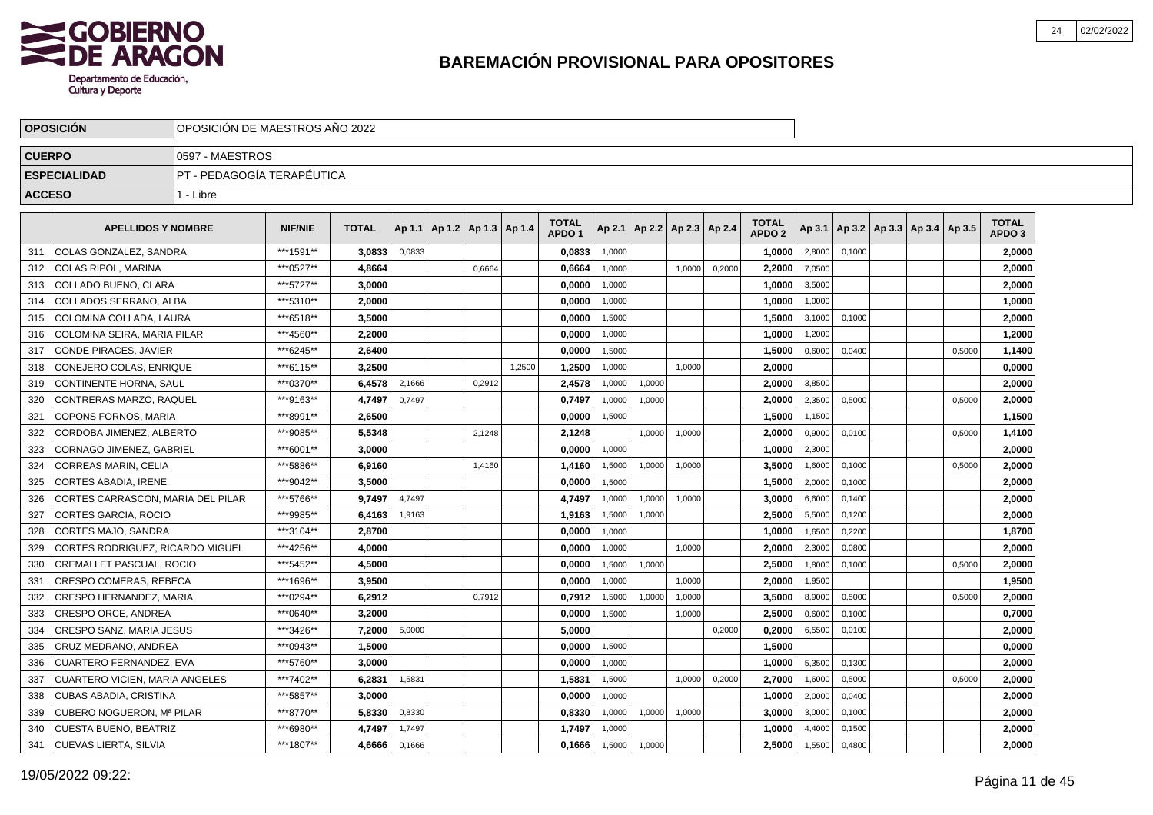

|               | <b>OPOSICIÓN</b>                  | OPOSICIÓN DE MAESTROS AÑO 2022 |                |              |        |                                   |        |        |                                   |        |                          |        |        |                               |        |        |                                   |        |                                   |
|---------------|-----------------------------------|--------------------------------|----------------|--------------|--------|-----------------------------------|--------|--------|-----------------------------------|--------|--------------------------|--------|--------|-------------------------------|--------|--------|-----------------------------------|--------|-----------------------------------|
| <b>CUERPO</b> |                                   | 0597 - MAESTROS                |                |              |        |                                   |        |        |                                   |        |                          |        |        |                               |        |        |                                   |        |                                   |
|               | <b>ESPECIALIDAD</b>               | PT - PEDAGOGÍA TERAPÉUTICA     |                |              |        |                                   |        |        |                                   |        |                          |        |        |                               |        |        |                                   |        |                                   |
| <b>ACCESO</b> |                                   | 1 - Libre                      |                |              |        |                                   |        |        |                                   |        |                          |        |        |                               |        |        |                                   |        |                                   |
|               | <b>APELLIDOS Y NOMBRE</b>         |                                | <b>NIF/NIE</b> | <b>TOTAL</b> |        | Ap 1.1   Ap 1.2   Ap 1.3   Ap 1.4 |        |        | <b>TOTAL</b><br>APDO <sub>1</sub> | Ap 2.1 | Ap 2.2   Ap 2.3   Ap 2.4 |        |        | <b>TOTAL</b><br><b>APDO 2</b> | Ap 3.1 |        | Ap 3.2   Ap 3.3   Ap 3.4   Ap 3.5 |        | <b>TOTAL</b><br>APDO <sub>3</sub> |
| 311           | COLAS GONZALEZ, SANDRA            |                                | ***1591**      | 3,0833       | 0,0833 |                                   |        |        | 0,0833                            | 1,0000 |                          |        |        | 1,0000                        | 2,8000 | 0,1000 |                                   |        | 2,0000                            |
| 312           | COLAS RIPOL, MARINA               |                                | ***0527**      | 4,8664       |        |                                   | 0,6664 |        | 0,6664                            | 1,0000 |                          | 1,0000 | 0,2000 | 2,2000                        | 7,0500 |        |                                   |        | 2,0000                            |
| 313           | COLLADO BUENO, CLARA              |                                | ***5727**      | 3,0000       |        |                                   |        |        | 0,0000                            | 1,0000 |                          |        |        | 1,0000                        | 3,5000 |        |                                   |        | 2,0000                            |
| 314           | COLLADOS SERRANO, ALBA            |                                | ***5310**      | 2.0000       |        |                                   |        |        | 0,0000                            | 1,0000 |                          |        |        | 1,0000                        | 1,0000 |        |                                   |        | 1,0000                            |
| 315           | COLOMINA COLLADA. LAURA           |                                | ***6518**      | 3.5000       |        |                                   |        |        | 0.0000                            | 1,5000 |                          |        |        | 1.5000                        | 3,1000 | 0,1000 |                                   |        | 2,0000                            |
| 316           | COLOMINA SEIRA. MARIA PILAR       |                                | ***4560**      | 2.2000       |        |                                   |        |        | 0.0000                            | 1,0000 |                          |        |        | 1.0000                        | 1,2000 |        |                                   |        | 1,2000                            |
| 317           | CONDE PIRACES, JAVIER             |                                | ***6245**      | 2,6400       |        |                                   |        |        | 0,0000                            | 1.5000 |                          |        |        | 1,5000                        | 0.6000 | 0.0400 |                                   | 0.5000 | 1,1400                            |
| 318           | CONEJERO COLAS, ENRIQUE           |                                | ***6115**      | 3,2500       |        |                                   |        | 1,2500 | 1,2500                            | 1,0000 |                          | 1,0000 |        | 2,0000                        |        |        |                                   |        | 0,0000                            |
| 319           | CONTINENTE HORNA, SAUL            |                                | ***0370**      | 6,4578       | 2,1666 |                                   | 0,2912 |        | 2,4578                            | 1,0000 | 1,0000                   |        |        | 2,0000                        | 3,8500 |        |                                   |        | 2,0000                            |
| 320           | CONTRERAS MARZO, RAQUEL           |                                | ***9163**      | 4,7497       | 0,7497 |                                   |        |        | 0,7497                            | 1,0000 | 1,0000                   |        |        | 2,0000                        | 2,3500 | 0.5000 |                                   | 0,5000 | 2,0000                            |
| 321           | <b>COPONS FORNOS, MARIA</b>       |                                | ***8991**      | 2.6500       |        |                                   |        |        | 0,0000                            | 1,5000 |                          |        |        | 1,5000                        | 1,1500 |        |                                   |        | 1,1500                            |
| 322           | CORDOBA JIMENEZ, ALBERTO          |                                | ***9085**      | 5,5348       |        |                                   | 2,1248 |        | 2,1248                            |        | 1,0000                   | 1,0000 |        | 2,0000                        | 0,9000 | 0,0100 |                                   | 0,5000 | 1,4100                            |
| 323           | CORNAGO JIMENEZ, GABRIEL          |                                | ***6001**      | 3.0000       |        |                                   |        |        | 0.0000                            | 1.0000 |                          |        |        | 1,0000                        | 2,3000 |        |                                   |        | 2,0000                            |
| 324           | <b>CORREAS MARIN, CELIA</b>       |                                | ***5886**      | 6,9160       |        |                                   | 1,4160 |        | 1,4160                            | 1,5000 | 1,0000                   | 1,0000 |        | 3,5000                        | 1,6000 | 0.1000 |                                   | 0,5000 | 2,0000                            |
| 325           | <b>CORTES ABADIA. IRENE</b>       |                                | ***9042**      | 3,5000       |        |                                   |        |        | 0.0000                            | 1,5000 |                          |        |        | 1,5000                        | 2,0000 | 0,1000 |                                   |        | 2,0000                            |
| 326           | CORTES CARRASCON. MARIA DEL PILAR |                                | ***5766**      | 9.7497       | 4.7497 |                                   |        |        | 4,7497                            | 1,0000 | 1,0000                   | 1.0000 |        | 3.0000                        | 6,6000 | 0,1400 |                                   |        | 2,0000                            |
| 327           | CORTES GARCIA, ROCIO              |                                | ***9985**      | 6,4163       | 1,9163 |                                   |        |        | 1,9163                            | 1,5000 | 1,0000                   |        |        | 2,5000                        | 5,5000 | 0,1200 |                                   |        | 2,0000                            |
| 328           | CORTES MAJO, SANDRA               |                                | ***3104**      | 2,8700       |        |                                   |        |        | 0,0000                            | 1,0000 |                          |        |        | 1,0000                        | 1,6500 | 0,2200 |                                   |        | 1,8700                            |
| 329           | CORTES RODRIGUEZ, RICARDO MIGUEL  |                                | ***4256**      | 4,0000       |        |                                   |        |        | 0,0000                            | 1,0000 |                          | 1,0000 |        | 2,0000                        | 2,3000 | 0,0800 |                                   |        | 2,0000                            |
| 330           | CREMALLET PASCUAL, ROCIO          |                                | ***5452**      | 4,5000       |        |                                   |        |        | 0,0000                            | 1,5000 | 1,0000                   |        |        | 2,5000                        | 1,8000 | 0,1000 |                                   | 0,5000 | 2,0000                            |
| 331           | <b>CRESPO COMERAS, REBECA</b>     |                                | ***1696**      | 3,9500       |        |                                   |        |        | 0,0000                            | 1,0000 |                          | 1,0000 |        | 2,0000                        | 1,9500 |        |                                   |        | 1,9500                            |
| 332           | CRESPO HERNANDEZ, MARIA           |                                | ***0294**      | 6,2912       |        |                                   | 0,7912 |        | 0,7912                            | 1,5000 | 1,0000                   | 1,0000 |        | 3,5000                        | 8,9000 | 0,5000 |                                   | 0,5000 | 2,0000                            |
| 333           | CRESPO ORCE, ANDREA               |                                | ***0640**      | 3.2000       |        |                                   |        |        | 0,0000                            | 1,5000 |                          | 1,0000 |        | 2.5000                        | 0,6000 | 0,1000 |                                   |        | 0,7000                            |
| 334           | CRESPO SANZ. MARIA JESUS          |                                | ***3426**      | 7.2000       | 5,0000 |                                   |        |        | 5.0000                            |        |                          |        | 0,2000 | 0.2000                        | 6,5500 | 0,0100 |                                   |        | 2,0000                            |
| 335           | CRUZ MEDRANO. ANDREA              |                                | ***0943**      | 1.5000       |        |                                   |        |        | 0.0000                            | 1,5000 |                          |        |        | 1,5000                        |        |        |                                   |        | 0,0000                            |
| 336           | CUARTERO FERNANDEZ, EVA           |                                | ***5760**      | 3,0000       |        |                                   |        |        | 0,0000                            | 1,0000 |                          |        |        | 1,0000                        | 5,3500 | 0,1300 |                                   |        | 2,0000                            |
| 337           | CUARTERO VICIEN, MARIA ANGELES    |                                | ***7402**      | 6,2831       | 1,5831 |                                   |        |        | 1,5831                            | 1,5000 |                          | 1,0000 | 0,2000 | 2,7000                        | 1,6000 | 0,5000 |                                   | 0,5000 | 2,0000                            |
| 338           | <b>CUBAS ABADIA, CRISTINA</b>     |                                | ***5857**      | 3,0000       |        |                                   |        |        | 0,0000                            | 1,0000 |                          |        |        | 1,0000                        | 2,0000 | 0,0400 |                                   |        | 2,0000                            |
| 339           | CUBERO NOGUERON, Mª PILAR         |                                | ***8770**      | 5,8330       | 0,8330 |                                   |        |        | 0,8330                            | 1,0000 | 1,0000                   | 1,0000 |        | 3,0000                        | 3,0000 | 0,1000 |                                   |        | 2,0000                            |
| 340           | CUESTA BUENO, BEATRIZ             |                                | ***6980**      | 4,7497       | 1,7497 |                                   |        |        | 1,7497                            | 1,0000 |                          |        |        | 1,0000                        | 4,4000 | 0,1500 |                                   |        | 2,0000                            |
| 341           | <b>CUEVAS LIERTA, SILVIA</b>      |                                | ***1807**      | 4,6666       | 0,1666 |                                   |        |        | 0,1666                            | 1,5000 | 1,0000                   |        |        | 2,5000                        | 1,5500 | 0,4800 |                                   |        | 2,0000                            |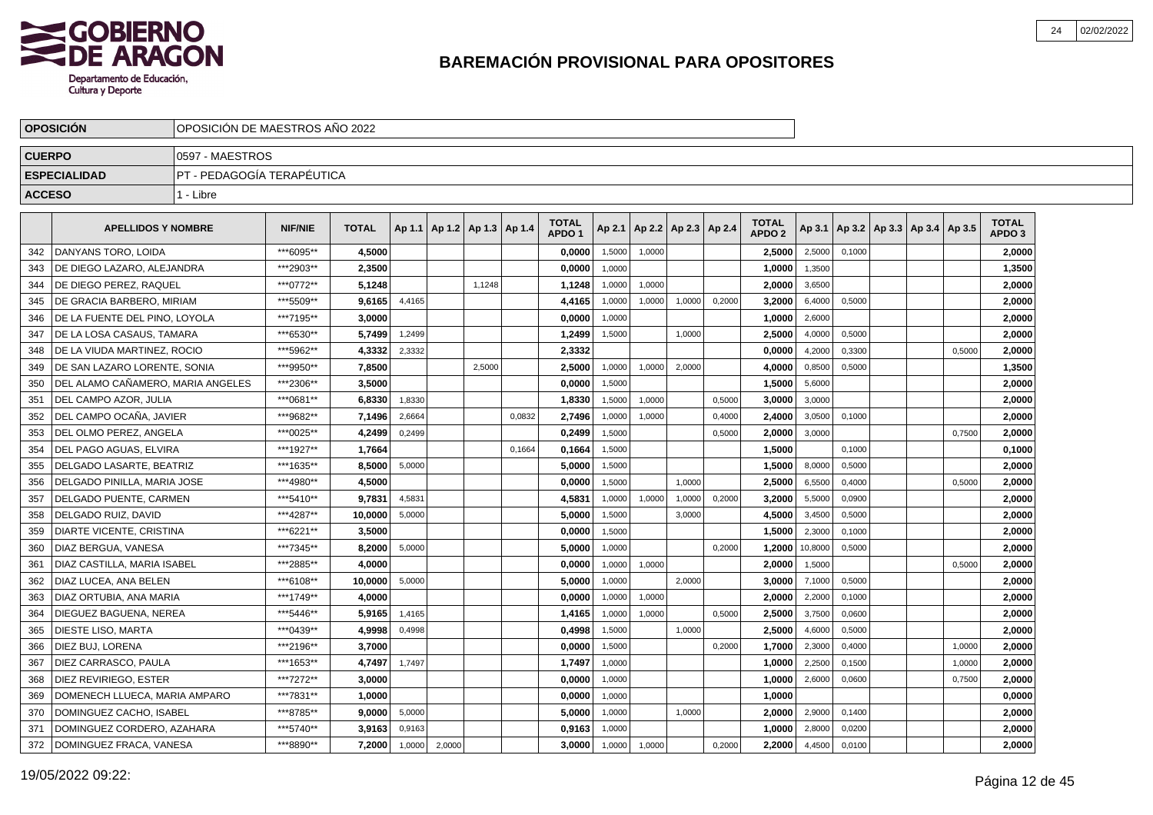

|               | <b>OPOSICION</b>                    | OPOSICION DE MAESTROS ANO 2022 |                |              |        |                                   |        |        |                                   |        |        |                          |        |                                   |         |        |                                   |        |                                   |  |
|---------------|-------------------------------------|--------------------------------|----------------|--------------|--------|-----------------------------------|--------|--------|-----------------------------------|--------|--------|--------------------------|--------|-----------------------------------|---------|--------|-----------------------------------|--------|-----------------------------------|--|
| <b>CUERPO</b> |                                     | 0597 - MAESTROS                |                |              |        |                                   |        |        |                                   |        |        |                          |        |                                   |         |        |                                   |        |                                   |  |
|               | <b>ESPECIALIDAD</b>                 | IPT - PEDAGOGÍA TERAPÉUTICA    |                |              |        |                                   |        |        |                                   |        |        |                          |        |                                   |         |        |                                   |        |                                   |  |
| <b>ACCESO</b> |                                     | 1 - Libre                      |                |              |        |                                   |        |        |                                   |        |        |                          |        |                                   |         |        |                                   |        |                                   |  |
|               | <b>APELLIDOS Y NOMBRE</b>           |                                | <b>NIF/NIE</b> | <b>TOTAL</b> |        | Ap 1.1   Ap 1.2   Ap 1.3   Ap 1.4 |        |        | <b>TOTAL</b><br>APDO <sub>1</sub> | Ap 2.1 |        | Ap 2.2   Ap 2.3   Ap 2.4 |        | <b>TOTAL</b><br>APDO <sub>2</sub> | Ap 3.1  |        | Ap 3.2   Ap 3.3   Ap 3.4   Ap 3.5 |        | <b>TOTAL</b><br>APDO <sub>3</sub> |  |
| 342           | DANYANS TORO, LOIDA                 |                                | ***6095**      | 4,5000       |        |                                   |        |        | 0,0000                            | 1,5000 | 1,0000 |                          |        | 2,5000                            | 2,5000  | 0,1000 |                                   |        | 2,0000                            |  |
| 343           | DE DIEGO LAZARO, ALEJANDRA          |                                | ***2903**      | 2,3500       |        |                                   |        |        | 0,0000                            | 1,0000 |        |                          |        | 1,0000                            | 1,3500  |        |                                   |        | 1,3500                            |  |
| 344           | DE DIEGO PEREZ, RAQUEL              |                                | ***0772**      | 5,1248       |        |                                   | 1,1248 |        | 1,1248                            | 1,0000 | 1,0000 |                          |        | 2,0000                            | 3,6500  |        |                                   |        | 2,0000                            |  |
| 345           | DE GRACIA BARBERO, MIRIAM           |                                | ***5509**      | 9.6165       | 4,4165 |                                   |        |        | 4,4165                            | 1,0000 | 1,0000 | 1,0000                   | 0,2000 | 3,2000                            | 6,4000  | 0,5000 |                                   |        | 2,0000                            |  |
| 346           | DE LA FUENTE DEL PINO, LOYOLA       |                                | ***7195**      | 3,0000       |        |                                   |        |        | 0,0000                            | 1,0000 |        |                          |        | 1,0000                            | 2,6000  |        |                                   |        | 2,0000                            |  |
| 347           | DE LA LOSA CASAUS, TAMARA           |                                | ***6530**      | 5.7499       | 1,2499 |                                   |        |        | 1,2499                            | 1,5000 |        | 1,0000                   |        | 2.5000                            | 4,0000  | 0,5000 |                                   |        | 2,0000                            |  |
| 348           | I DE LA VIUDA MARTINEZ. ROCIO       |                                | ***5962**      | 4,3332       | 2,3332 |                                   |        |        | 2,3332                            |        |        |                          |        | 0.0000                            | 4,2000  | 0,3300 |                                   | 0,5000 | 2,0000                            |  |
| 349           | l DE SAN LAZARO LORENTE. SONIA      |                                | ***9950**      | 7,8500       |        |                                   | 2,5000 |        | 2,5000                            | 1,0000 | 1,0000 | 2,0000                   |        | 4,0000                            | 0,8500  | 0,5000 |                                   |        | 1,3500                            |  |
| 350           | I DEL ALAMO CAÑAMERO. MARIA ANGELES |                                | ***2306**      | 3,5000       |        |                                   |        |        | 0,0000                            | 1,5000 |        |                          |        | 1,5000                            | 5,6000  |        |                                   |        | 2,0000                            |  |
| 351           | DEL CAMPO AZOR, JULIA               |                                | ***0681**      | 6,8330       | 1,8330 |                                   |        |        | 1,8330                            | 1,5000 | 1,0000 |                          | 0,5000 | 3,0000                            | 3,0000  |        |                                   |        | 2,0000                            |  |
| 352           | DEL CAMPO OCAÑA, JAVIER             |                                | ***9682**      | 7,1496       | 2,6664 |                                   |        | 0,0832 | 2,7496                            | 1,0000 | 1,0000 |                          | 0,4000 | 2,4000                            | 3,0500  | 0,1000 |                                   |        | 2,0000                            |  |
| 353           | DEL OLMO PEREZ. ANGELA              |                                | ***0025**      | 4,2499       | 0,2499 |                                   |        |        | 0,2499                            | 1.5000 |        |                          | 0,5000 | 2,0000                            | 3,0000  |        |                                   | 0.7500 | 2,0000                            |  |
| 354           | DEL PAGO AGUAS. ELVIRA              |                                | ***1927**      | 1,7664       |        |                                   |        | 0.1664 | 0,1664                            | 1,5000 |        |                          |        | 1,5000                            |         | 0,1000 |                                   |        | 0,1000                            |  |
| 355           | DELGADO LASARTE, BEATRIZ            |                                | ***1635**      | 8,5000       | 5,0000 |                                   |        |        | 5,0000                            | 1,5000 |        |                          |        | 1,5000                            | 8,0000  | 0,5000 |                                   |        | 2,0000                            |  |
| 356           | DELGADO PINILLA, MARIA JOSE         |                                | ***4980**      | 4,5000       |        |                                   |        |        | 0,0000                            | 1,5000 |        | 1,0000                   |        | 2,5000                            | 6,5500  | 0,4000 |                                   | 0,5000 | 2,0000                            |  |
| 357           | DELGADO PUENTE, CARMEN              |                                | ***5410**      | 9,7831       | 4,5831 |                                   |        |        | 4,5831                            | 1,0000 | 1,0000 | 1,0000                   | 0,2000 | 3,2000                            | 5,5000  | 0,0900 |                                   |        | 2,0000                            |  |
| 358           | DELGADO RUIZ, DAVID                 |                                | ***4287**      | 10,0000      | 5,0000 |                                   |        |        | 5,0000                            | 1,5000 |        | 3,0000                   |        | 4,5000                            | 3,4500  | 0,5000 |                                   |        | 2,0000                            |  |
| 359           | <b>DIARTE VICENTE, CRISTINA</b>     |                                | ***6221**      | 3.5000       |        |                                   |        |        | 0.0000                            | 1,5000 |        |                          |        | 1.5000                            | 2,3000  | 0.1000 |                                   |        | 2,0000                            |  |
| 360           | DIAZ BERGUA, VANESA                 |                                | ***7345**      | 8,2000       | 5,0000 |                                   |        |        | 5.0000                            | 1,0000 |        |                          | 0,2000 | 1,2000                            | 10,8000 | 0,5000 |                                   |        | 2,0000                            |  |
| 361           | DIAZ CASTILLA, MARIA ISABEL         |                                | ***2885**      | 4,0000       |        |                                   |        |        | 0,0000                            | 1,0000 | 1,0000 |                          |        | 2,0000                            | 1,5000  |        |                                   | 0,5000 | 2,0000                            |  |
| 362           | DIAZ LUCEA, ANA BELEN               |                                | ***6108**      | 10,0000      | 5,0000 |                                   |        |        | 5,0000                            | 1,0000 |        | 2,0000                   |        | 3,0000                            | 7,1000  | 0,5000 |                                   |        | 2,0000                            |  |
| 363           | DIAZ ORTUBIA, ANA MARIA             |                                | ***1749**      | 4,0000       |        |                                   |        |        | 0,0000                            | 1,0000 | 1,0000 |                          |        | 2,0000                            | 2,2000  | 0,1000 |                                   |        | 2,0000                            |  |
| 364           | DIEGUEZ BAGUENA, NEREA              |                                | ***5446**      | 5,9165       | 1,4165 |                                   |        |        | 1,4165                            | 1,0000 | 1,0000 |                          | 0,5000 | 2,5000                            | 3,7500  | 0,0600 |                                   |        | 2,0000                            |  |
| 365           | <b>DIESTE LISO, MARTA</b>           |                                | ***0439**      | 4.9998       | 0,4998 |                                   |        |        | 0,4998                            | 1,5000 |        | 1,0000                   |        | 2.5000                            | 4,6000  | 0,5000 |                                   |        | 2,0000                            |  |
| 366           | DIEZ BUJ, LORENA                    |                                | ***2196**      | 3.7000       |        |                                   |        |        | 0,0000                            | 1,5000 |        |                          | 0,2000 | 1,7000                            | 2,3000  | 0,4000 |                                   | 1,0000 | 2,0000                            |  |
| 367           | DIEZ CARRASCO, PAULA                |                                | ***1653**      | 4.7497       | 1,7497 |                                   |        |        | 1,7497                            | 1,0000 |        |                          |        | 1.0000                            | 2,2500  | 0,1500 |                                   | 1,0000 | 2,0000                            |  |
| 368           | DIEZ REVIRIEGO, ESTER               |                                | ***7272**      | 3,0000       |        |                                   |        |        | 0,0000                            | 1,0000 |        |                          |        | 1,0000                            | 2,6000  | 0,0600 |                                   | 0,7500 | 2,0000                            |  |
| 369           | DOMENECH LLUECA, MARIA AMPARO       |                                | ***7831**      | 1,0000       |        |                                   |        |        | 0,0000                            | 1,0000 |        |                          |        | 1,0000                            |         |        |                                   |        | 0,0000                            |  |
| 370           | DOMINGUEZ CACHO, ISABEL             |                                | ***8785**      | 9,0000       | 5,0000 |                                   |        |        | 5,0000                            | 1,0000 |        | 1,0000                   |        | 2,0000                            | 2,9000  | 0,1400 |                                   |        | 2,0000                            |  |
| 371           | DOMINGUEZ CORDERO, AZAHARA          |                                | ***5740**      | 3,9163       | 0,9163 |                                   |        |        | 0.9163                            | 1,0000 |        |                          |        | 1.0000                            | 2,8000  | 0,0200 |                                   |        | 2,0000                            |  |
| 372           | DOMINGUEZ FRACA, VANESA             |                                | ***8890**      | 7,2000       | 1,0000 | 2,0000                            |        |        | 3,0000                            | 1,0000 | 1,0000 |                          | 0,2000 | 2,2000                            | 4,4500  | 0,0100 |                                   |        | 2,0000                            |  |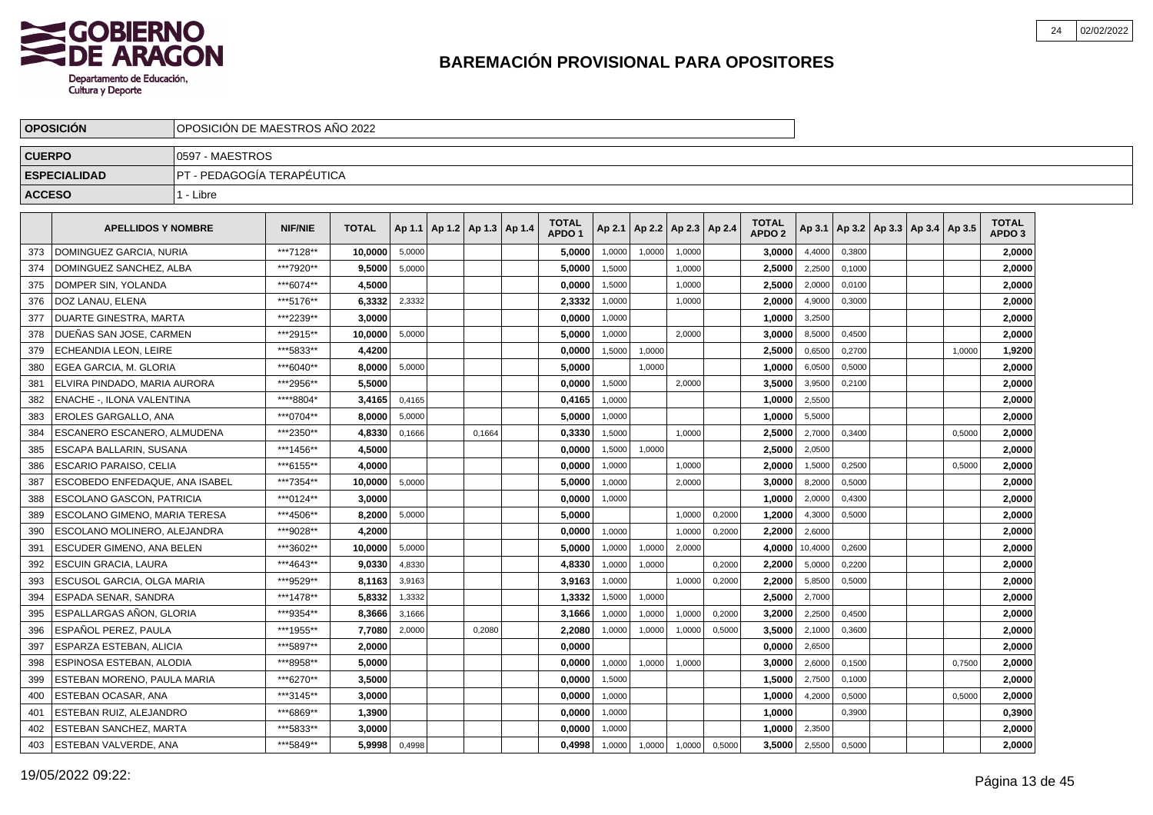

|               | <b>OPOSICION</b>                 | OPOSICION DE MAESTROS ANO 2022 |                |              |        |                              |        |                                   |        |        |                          |        |                                   |         |        |                                   |        |                                   |  |
|---------------|----------------------------------|--------------------------------|----------------|--------------|--------|------------------------------|--------|-----------------------------------|--------|--------|--------------------------|--------|-----------------------------------|---------|--------|-----------------------------------|--------|-----------------------------------|--|
| <b>CUERPO</b> |                                  | 0597 - MAESTROS                |                |              |        |                              |        |                                   |        |        |                          |        |                                   |         |        |                                   |        |                                   |  |
|               | <b>ESPECIALIDAD</b>              | IPT - PEDAGOGÍA TERAPÉUTICA    |                |              |        |                              |        |                                   |        |        |                          |        |                                   |         |        |                                   |        |                                   |  |
| <b>ACCESO</b> |                                  | 1 - Libre                      |                |              |        |                              |        |                                   |        |        |                          |        |                                   |         |        |                                   |        |                                   |  |
|               | <b>APELLIDOS Y NOMBRE</b>        |                                | <b>NIF/NIE</b> | <b>TOTAL</b> | Ap 1.1 | $ $ Ap 1.2   Ap 1.3   Ap 1.4 |        | <b>TOTAL</b><br>APDO <sub>1</sub> | Ap 2.1 |        | Ap 2.2   Ap 2.3   Ap 2.4 |        | <b>TOTAL</b><br>APDO <sub>2</sub> | Ap 3.1  |        | Ap 3.2   Ap 3.3   Ap 3.4   Ap 3.5 |        | <b>TOTAL</b><br>APDO <sub>3</sub> |  |
| 373           | DOMINGUEZ GARCIA, NURIA          |                                | ***7128**      | 10,0000      | 5,0000 |                              |        | 5.0000                            | 1,0000 | 1,0000 | 1,0000                   |        | 3,0000                            | 4,4000  | 0,3800 |                                   |        | 2,0000                            |  |
| 374           | DOMINGUEZ SANCHEZ, ALBA          |                                | ***7920**      | 9,5000       | 5,0000 |                              |        | 5,0000                            | 1,5000 |        | 1,0000                   |        | 2,5000                            | 2,2500  | 0,1000 |                                   |        | 2,0000                            |  |
| 375           | DOMPER SIN, YOLANDA              |                                | ***6074**      | 4,5000       |        |                              |        | 0,0000                            | 1,5000 |        | 1,0000                   |        | 2,5000                            | 2,0000  | 0,0100 |                                   |        | 2,0000                            |  |
| 376           | DOZ LANAU, ELENA                 |                                | ***5176**      | 6,3332       | 2,3332 |                              |        | 2,3332                            | 1,0000 |        | 1,0000                   |        | 2,0000                            | 4,9000  | 0,3000 |                                   |        | 2,0000                            |  |
| 377           | DUARTE GINESTRA, MARTA           |                                | ***2239**      | 3,0000       |        |                              |        | 0,0000                            | 1,0000 |        |                          |        | 1,0000                            | 3,2500  |        |                                   |        | 2,0000                            |  |
| 378           | DUEÑAS SAN JOSE, CARMEN          |                                | ***2915**      | 10.0000      | 5,0000 |                              |        | 5.0000                            | 1,0000 |        | 2.0000                   |        | 3.0000                            | 8,5000  | 0,4500 |                                   |        | 2,0000                            |  |
| 379           | <b>ECHEANDIA LEON, LEIRE</b>     |                                | ***5833**      | 4,4200       |        |                              |        | 0,0000                            | 1,5000 | 1,0000 |                          |        | 2,5000                            | 0,6500  | 0,2700 |                                   | 1,0000 | 1,9200                            |  |
| 380           | EGEA GARCIA, M. GLORIA           |                                | ***6040**      | 8,0000       | 5,0000 |                              |        | 5,0000                            |        | 1,0000 |                          |        | 1,0000                            | 6,0500  | 0,5000 |                                   |        | 2,0000                            |  |
| 381           | l ELVIRA PINDADO. MARIA AURORA   |                                | ***2956**      | 5,5000       |        |                              |        | 0,0000                            | 1,5000 |        | 2,0000                   |        | 3,5000                            | 3,9500  | 0,2100 |                                   |        | 2,0000                            |  |
| 382           | <b>ENACHE -, ILONA VALENTINA</b> |                                | ****8804*      | 3,4165       | 0,4165 |                              |        | 0,4165                            | 1,0000 |        |                          |        | 1,0000                            | 2,5500  |        |                                   |        | 2,0000                            |  |
| 383           | <b>EROLES GARGALLO, ANA</b>      |                                | ***0704**      | 8,0000       | 5,0000 |                              |        | 5,0000                            | 1,0000 |        |                          |        | 1,0000                            | 5,5000  |        |                                   |        | 2,0000                            |  |
| 384           | ESCANERO ESCANERO. ALMUDENA      |                                | ***2350**      | 4,8330       | 0,1666 |                              | 0.1664 | 0,3330                            | 1.5000 |        | 1.0000                   |        | 2,5000                            | 2,7000  | 0.3400 |                                   | 0.5000 | 2,0000                            |  |
| 385           | ESCAPA BALLARIN, SUSANA          |                                | ***1456**      | 4,5000       |        |                              |        | 0.0000                            | 1,5000 | 1.0000 |                          |        | 2,5000                            | 2,0500  |        |                                   |        | 2,0000                            |  |
| 386           | <b>ESCARIO PARAISO, CELIA</b>    |                                | ***6155**      | 4,0000       |        |                              |        | 0,0000                            | 1,0000 |        | 1,0000                   |        | 2,0000                            | 1,5000  | 0,2500 |                                   | 0,5000 | 2,0000                            |  |
| 387           | ESCOBEDO ENFEDAQUE. ANA ISABEL   |                                | ***7354**      | 10,0000      | 5,0000 |                              |        | 5,0000                            | 1,0000 |        | 2,0000                   |        | 3,0000                            | 8,2000  | 0,5000 |                                   |        | 2,0000                            |  |
| 388           | <b>ESCOLANO GASCON, PATRICIA</b> |                                | ***0124**      | 3,0000       |        |                              |        | 0,0000                            | 1,0000 |        |                          |        | 1.0000                            | 2,0000  | 0,4300 |                                   |        | 2,0000                            |  |
| 389           | ESCOLANO GIMENO, MARIA TERESA    |                                | ***4506**      | 8,2000       | 5,0000 |                              |        | 5,0000                            |        |        | 1,0000                   | 0,2000 | 1,2000                            | 4,3000  | 0,5000 |                                   |        | 2,0000                            |  |
| 390           | ESCOLANO MOLINERO. ALEJANDRA     |                                | ***9028**      | 4,2000       |        |                              |        | 0.0000                            | 1,0000 |        | 1.0000                   | 0,2000 | 2.2000                            | 2,6000  |        |                                   |        | 2,0000                            |  |
| 391           | ESCUDER GIMENO. ANA BELEN        |                                | ***3602**      | 10.0000      | 5,0000 |                              |        | 5.0000                            | 1,0000 | 1,0000 | 2,0000                   |        | 4.0000                            | 10,4000 | 0,2600 |                                   |        | 2,0000                            |  |
| 392           | ESCUIN GRACIA, LAURA             |                                | ***4643**      | 9,0330       | 4,8330 |                              |        | 4,8330                            | 1,0000 | 1,0000 |                          | 0,2000 | 2,2000                            | 5,0000  | 0,2200 |                                   |        | 2,0000                            |  |
| 393           | ESCUSOL GARCIA, OLGA MARIA       |                                | ***9529**      | 8,1163       | 3,9163 |                              |        | 3,9163                            | 1,0000 |        | 1,0000                   | 0,2000 | 2,2000                            | 5,8500  | 0,5000 |                                   |        | 2,0000                            |  |
| 394           | ESPADA SENAR, SANDRA             |                                | ***1478**      | 5,8332       | 1,3332 |                              |        | 1,3332                            | 1,5000 | 1,0000 |                          |        | 2,5000                            | 2,7000  |        |                                   |        | 2,0000                            |  |
| 395           | ESPALLARGAS AÑON, GLORIA         |                                | ***9354**      | 8,3666       | 3,1666 |                              |        | 3,1666                            | 1,0000 | 1,0000 | 1,0000                   | 0,2000 | 3,2000                            | 2,2500  | 0,4500 |                                   |        | 2,0000                            |  |
| 396           | ESPAÑOL PEREZ. PAULA             |                                | ***1955**      | 7.7080       | 2,0000 |                              | 0.2080 | 2.2080                            | 1,0000 | 1,0000 | 1,0000                   | 0,5000 | 3,5000                            | 2,1000  | 0.3600 |                                   |        | 2,0000                            |  |
| 397           | <b>ESPARZA ESTEBAN, ALICIA</b>   |                                | ***5897**      | 2.0000       |        |                              |        | 0,0000                            |        |        |                          |        | 0.0000                            | 2,6500  |        |                                   |        | 2,0000                            |  |
| 398           | ESPINOSA ESTEBAN. ALODIA         |                                | ***8958**      | 5.0000       |        |                              |        | 0.0000                            | 1,0000 | 1,0000 | 1,0000                   |        | 3.0000                            | 2,6000  | 0,1500 |                                   | 0,7500 | 2,0000                            |  |
| 399           | ESTEBAN MORENO, PAULA MARIA      |                                | ***6270**      | 3,5000       |        |                              |        | 0,0000                            | 1,5000 |        |                          |        | 1,5000                            | 2,7500  | 0,1000 |                                   |        | 2,0000                            |  |
| 400           | ESTEBAN OCASAR, ANA              |                                | ***3145**      | 3,0000       |        |                              |        | 0,0000                            | 1,0000 |        |                          |        | 1,0000                            | 4,2000  | 0,5000 |                                   | 0,5000 | 2,0000                            |  |
| 401           | ESTEBAN RUIZ, ALEJANDRO          |                                | ***6869**      | 1,3900       |        |                              |        | 0,0000                            | 1,0000 |        |                          |        | 1,0000                            |         | 0,3900 |                                   |        | 0,3900                            |  |
| 402           | <b>ESTEBAN SANCHEZ, MARTA</b>    |                                | ***5833**      | 3,0000       |        |                              |        | 0.0000                            | 1,0000 |        |                          |        | 1.0000                            | 2,3500  |        |                                   |        | 2,0000                            |  |
| 403           | <b>ESTEBAN VALVERDE, ANA</b>     |                                | ***5849**      | 5,9998       | 0,4998 |                              |        | 0,4998                            | 1,0000 | 1,0000 | 1,0000                   | 0,5000 | 3,5000                            | 2,5500  | 0,5000 |                                   |        | 2,0000                            |  |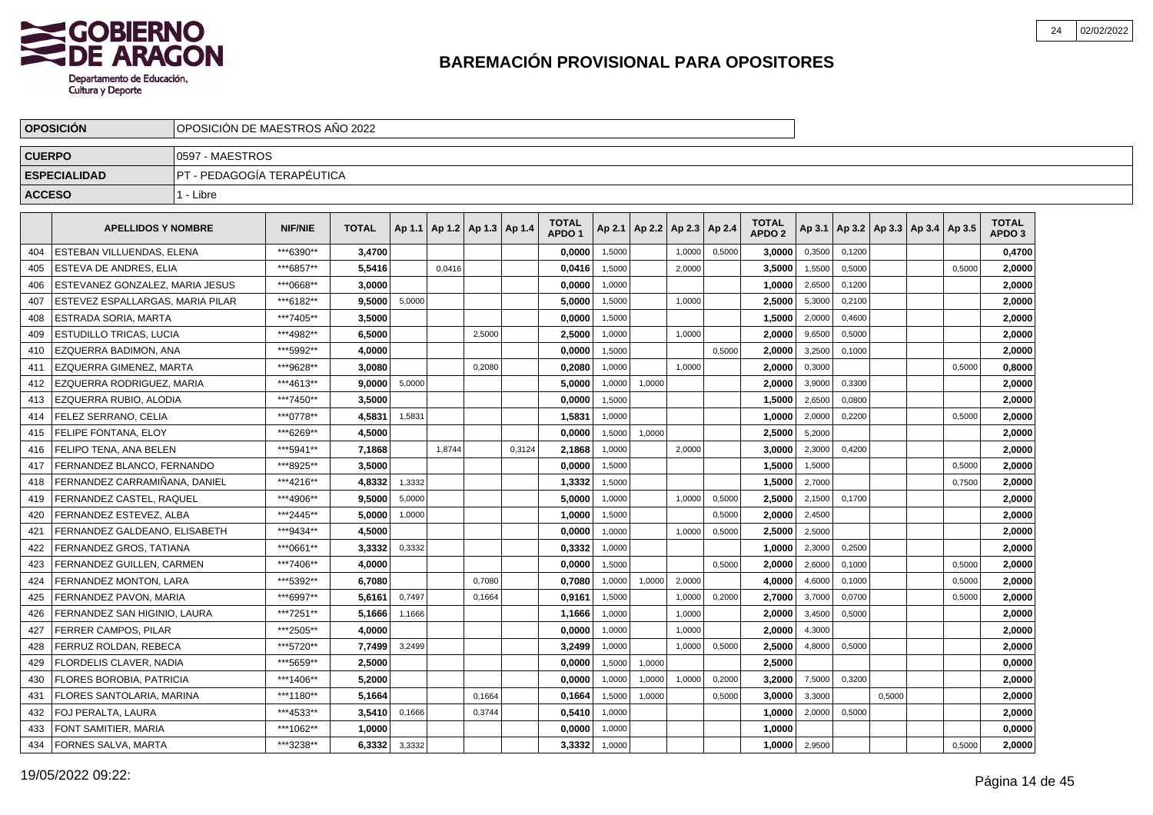

|               | <b>OPOSICIÓN</b>                 | OPOSICIÓN DE MAESTROS AÑO 2022 |                |              |        |                                   |        |        |                                   |        |                 |        |        |                               |        |        |                                   |        |                                   |
|---------------|----------------------------------|--------------------------------|----------------|--------------|--------|-----------------------------------|--------|--------|-----------------------------------|--------|-----------------|--------|--------|-------------------------------|--------|--------|-----------------------------------|--------|-----------------------------------|
| <b>CUERPO</b> |                                  | 0597 - MAESTROS                |                |              |        |                                   |        |        |                                   |        |                 |        |        |                               |        |        |                                   |        |                                   |
|               | <b>ESPECIALIDAD</b>              | PT - PEDAGOGÍA TERAPÉUTICA     |                |              |        |                                   |        |        |                                   |        |                 |        |        |                               |        |        |                                   |        |                                   |
| <b>ACCESO</b> |                                  | 1 - Libre                      |                |              |        |                                   |        |        |                                   |        |                 |        |        |                               |        |        |                                   |        |                                   |
|               | <b>APELLIDOS Y NOMBRE</b>        |                                | <b>NIF/NIE</b> | <b>TOTAL</b> |        | Ap 1.1   Ap 1.2   Ap 1.3   Ap 1.4 |        |        | <b>TOTAL</b><br>APDO <sub>1</sub> | Ap 2.1 | Ap 2.2   Ap 2.3 |        | Ap 2.4 | <b>TOTAL</b><br><b>APDO 2</b> | Ap 3.1 |        | Ap 3.2   Ap 3.3   Ap 3.4   Ap 3.5 |        | <b>TOTAL</b><br>APDO <sub>3</sub> |
| 404           | ESTEBAN VILLUENDAS, ELENA        |                                | ***6390**      | 3,4700       |        |                                   |        |        | 0,0000                            | 1,5000 |                 | 1,0000 | 0,5000 | 3,0000                        | 0,3500 | 0,1200 |                                   |        | 0,4700                            |
| 405           | ESTEVA DE ANDRES, ELIA           |                                | ***6857**      | 5,5416       |        | 0,0416                            |        |        | 0,0416                            | 1,5000 |                 | 2,0000 |        | 3,5000                        | 1,5500 | 0,5000 |                                   | 0,5000 | 2,0000                            |
| 406           | ESTEVANEZ GONZALEZ. MARIA JESUS  |                                | ***0668**      | 3,0000       |        |                                   |        |        | 0,0000                            | 1,0000 |                 |        |        | 1,0000                        | 2,6500 | 0,1200 |                                   |        | 2,0000                            |
| 407           | ESTEVEZ ESPALLARGAS. MARIA PILAR |                                | ***6182**      | 9.5000       | 5,0000 |                                   |        |        | 5.0000                            | 1,5000 |                 | 1,0000 |        | 2,5000                        | 5,3000 | 0,2100 |                                   |        | 2,0000                            |
| 408           | ESTRADA SORIA, MARTA             |                                | ***7405**      | 3.5000       |        |                                   |        |        | 0.0000                            | 1,5000 |                 |        |        | 1.5000                        | 2,0000 | 0,4600 |                                   |        | 2,0000                            |
| 409           | ESTUDILLO TRICAS. LUCIA          |                                | ***4982**      | 6.5000       |        |                                   | 2,5000 |        | 2,5000                            | 1,0000 |                 | 1.0000 |        | 2.0000                        | 9,6500 | 0,5000 |                                   |        | 2,0000                            |
| 410           | EZQUERRA BADIMON, ANA            |                                | *** 5992**     | 4,0000       |        |                                   |        |        | 0,0000                            | 1.5000 |                 |        | 0.5000 | 2,0000                        | 3.2500 | 0.1000 |                                   |        | 2,0000                            |
| 411           | EZQUERRA GIMENEZ, MARTA          |                                | ***9628**      | 3,0080       |        |                                   | 0,2080 |        | 0,2080                            | 1,0000 |                 | 1,0000 |        | 2,0000                        | 0,3000 |        |                                   | 0,5000 | 0,8000                            |
| 412           | EZQUERRA RODRIGUEZ, MARIA        |                                | ***4613**      | 9,0000       | 5,0000 |                                   |        |        | 5,0000                            | 1,0000 | 1,0000          |        |        | 2,0000                        | 3,9000 | 0,3300 |                                   |        | 2,0000                            |
| 413           | EZQUERRA RUBIO, ALODIA           |                                | ***7450**      | 3,5000       |        |                                   |        |        | 0,0000                            | 1,5000 |                 |        |        | 1,5000                        | 2,6500 | 0,0800 |                                   |        | 2,0000                            |
| 414           | FELEZ SERRANO, CELIA             |                                | ***0778**      | 4,5831       | 1,5831 |                                   |        |        | 1,5831                            | 1,0000 |                 |        |        | 1,0000                        | 2,0000 | 0,2200 |                                   | 0,5000 | 2,0000                            |
| 415           | <b>FELIPE FONTANA, ELOY</b>      |                                | ***6269**      | 4,5000       |        |                                   |        |        | 0.0000                            | 1,5000 | 1,0000          |        |        | 2,5000                        | 5,2000 |        |                                   |        | 2,0000                            |
| 416           | FELIPO TENA. ANA BELEN           |                                | ***5941**      | 7,1868       |        | 1,8744                            |        | 0,3124 | 2,1868                            | 1,0000 |                 | 2,0000 |        | 3,0000                        | 2,3000 | 0.4200 |                                   |        | 2,0000                            |
| 417           | FERNANDEZ BLANCO, FERNANDO       |                                | ***8925**      | 3,5000       |        |                                   |        |        | 0,0000                            | 1,5000 |                 |        |        | 1,5000                        | 1,5000 |        |                                   | 0,5000 | 2,0000                            |
| 418           | FERNANDEZ CARRAMIÑANA. DANIEL    |                                | ***4216**      | 4,8332       | 1,3332 |                                   |        |        | 1,3332                            | 1,5000 |                 |        |        | 1.5000                        | 2,7000 |        |                                   | 0,7500 | 2,0000                            |
| 419           | FERNANDEZ CASTEL. RAQUEL         |                                | ***4906**      | 9.5000       | 5,0000 |                                   |        |        | 5.0000                            | 1,0000 |                 | 1.0000 | 0,5000 | 2.5000                        | 2,1500 | 0.1700 |                                   |        | 2,0000                            |
| 420           | FERNANDEZ ESTEVEZ, ALBA          |                                | ***2445**      | 5,0000       | 1,0000 |                                   |        |        | 1,0000                            | 1,5000 |                 |        | 0,5000 | 2,0000                        | 2,4500 |        |                                   |        | 2,0000                            |
| 421           | FERNANDEZ GALDEANO, ELISABETH    |                                | ***9434**      | 4,5000       |        |                                   |        |        | 0,0000                            | 1,0000 |                 | 1,0000 | 0,5000 | 2,5000                        | 2,5000 |        |                                   |        | 2,0000                            |
| 422           | FERNANDEZ GROS, TATIANA          |                                | ***0661**      | 3,3332       | 0,3332 |                                   |        |        | 0,3332                            | 1,0000 |                 |        |        | 1,0000                        | 2,3000 | 0,2500 |                                   |        | 2,0000                            |
| 423           | FERNANDEZ GUILLEN, CARMEN        |                                | ***7406**      | 4,0000       |        |                                   |        |        | 0,0000                            | 1,5000 |                 |        | 0,5000 | 2,0000                        | 2,6000 | 0,1000 |                                   | 0,5000 | 2,0000                            |
| 424           | FERNANDEZ MONTON, LARA           |                                | ***5392**      | 6,7080       |        |                                   | 0,7080 |        | 0,7080                            | 1,0000 | 1,0000          | 2,0000 |        | 4.0000                        | 4,6000 | 0,1000 |                                   | 0,5000 | 2,0000                            |
| 425           | FERNANDEZ PAVON. MARIA           |                                | ***6997**      | 5,6161       | 0,7497 |                                   | 0,1664 |        | 0,9161                            | 1,5000 |                 | 1,0000 | 0,2000 | 2.7000                        | 3,7000 | 0,0700 |                                   | 0,5000 | 2,0000                            |
| 426           | FERNANDEZ SAN HIGINIO, LAURA     |                                | ***7251**      | 5,1666       | 1,1666 |                                   |        |        | 1,1666                            | 1,0000 |                 | 1,0000 |        | 2.0000                        | 3,4500 | 0,5000 |                                   |        | 2,0000                            |
| 427           | FERRER CAMPOS, PILAR             |                                | ***2505**      | 4.0000       |        |                                   |        |        | 0.0000                            | 1,0000 |                 | 1.0000 |        | 2.0000                        | 4,3000 |        |                                   |        | 2,0000                            |
| 428           | FERRUZ ROLDAN. REBECA            |                                | ***5720**      | 7,7499       | 3,2499 |                                   |        |        | 3.2499                            | 1.0000 |                 | 1.0000 | 0,5000 | 2.5000                        | 4,8000 | 0.5000 |                                   |        | 2,0000                            |
| 429           | FLORDELIS CLAVER, NADIA          |                                | ***5659**      | 2,5000       |        |                                   |        |        | 0,0000                            | 1,5000 | 1,0000          |        |        | 2,5000                        |        |        |                                   |        | 0,0000                            |
| 430           | FLORES BOROBIA, PATRICIA         |                                | ***1406**      | 5,2000       |        |                                   |        |        | 0,0000                            | 1,0000 | 1,0000          | 1,0000 | 0,2000 | 3,2000                        | 7,5000 | 0,3200 |                                   |        | 2,0000                            |
| 431           | FLORES SANTOLARIA, MARINA        |                                | ***1180**      | 5,1664       |        |                                   | 0,1664 |        | 0,1664                            | 1,5000 | 1,0000          |        | 0,5000 | 3,0000                        | 3,3000 |        | 0,5000                            |        | 2,0000                            |
| 432           | FOJ PERALTA, LAURA               |                                | ***4533**      | 3,5410       | 0,1666 |                                   | 0,3744 |        | 0,5410                            | 1,0000 |                 |        |        | 1,0000                        | 2,0000 | 0,5000 |                                   |        | 2,0000                            |
| 433           | FONT SAMITIER, MARIA             |                                | ***1062**      | 1,0000       |        |                                   |        |        | 0,0000                            | 1,0000 |                 |        |        | 1,0000                        |        |        |                                   |        | 0,0000                            |
| 434           | FORNES SALVA, MARTA              |                                | ***3238**      | 6,3332       | 3,3332 |                                   |        |        | 3,3332                            | 1,0000 |                 |        |        | 1,0000                        | 2,9500 |        |                                   | 0,5000 | 2,0000                            |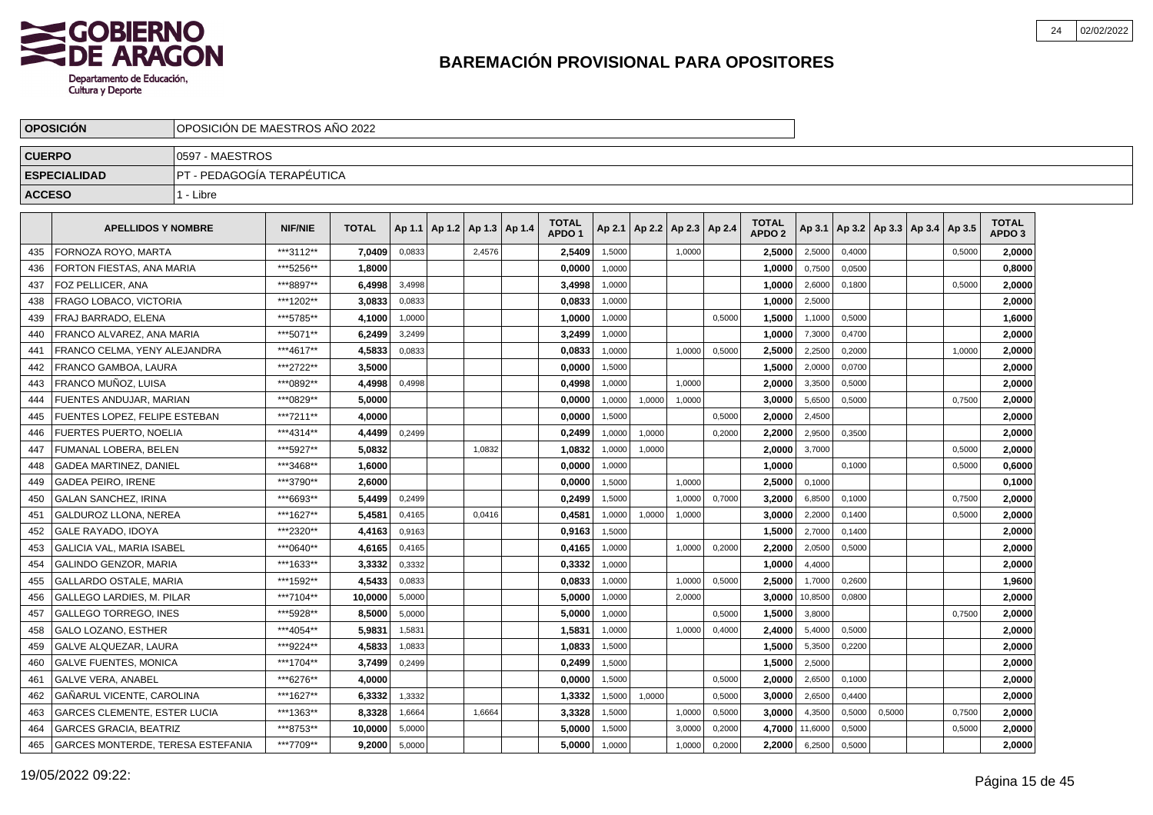

|               | <b>OPOSICION</b>                         | OPOSICION DE MAESTROS ANO 2022 |                |              |        |                 |        |               |                                   |        |                          |        |        |                                   |         |        |        |                                   |        |                                   |  |
|---------------|------------------------------------------|--------------------------------|----------------|--------------|--------|-----------------|--------|---------------|-----------------------------------|--------|--------------------------|--------|--------|-----------------------------------|---------|--------|--------|-----------------------------------|--------|-----------------------------------|--|
| <b>CUERPO</b> |                                          | 0597 - MAESTROS                |                |              |        |                 |        |               |                                   |        |                          |        |        |                                   |         |        |        |                                   |        |                                   |  |
|               | <b>ESPECIALIDAD</b>                      | PT - PEDAGOGÍA TERAPÉUTICA     |                |              |        |                 |        |               |                                   |        |                          |        |        |                                   |         |        |        |                                   |        |                                   |  |
| <b>ACCESO</b> |                                          | 1 - Libre                      |                |              |        |                 |        |               |                                   |        |                          |        |        |                                   |         |        |        |                                   |        |                                   |  |
|               |                                          |                                |                |              |        |                 |        |               |                                   |        |                          |        |        |                                   |         |        |        |                                   |        |                                   |  |
|               | <b>APELLIDOS Y NOMBRE</b>                |                                | <b>NIF/NIE</b> | <b>TOTAL</b> |        | Ap 1.1   Ap 1.2 |        | Ap 1.3 Ap 1.4 | <b>TOTAL</b><br>APDO <sub>1</sub> | Ap 2.1 | Ap 2.2   Ap 2.3   Ap 2.4 |        |        | <b>TOTAL</b><br>APDO <sub>2</sub> | Ap 3.1  |        |        | Ap 3.2   Ap 3.3   Ap 3.4   Ap 3.5 |        | <b>TOTAL</b><br>APDO <sub>3</sub> |  |
| 435           | FORNOZA ROYO. MARTA                      |                                | ***3112**      | 7.0409       | 0,0833 |                 | 2,4576 |               | 2,5409                            | 1,5000 |                          | 1.0000 |        | 2.5000                            | 2,5000  | 0.4000 |        |                                   | 0,5000 | 2,0000                            |  |
| 436           | FORTON FIESTAS, ANA MARIA                |                                | ***5256**      | 1,8000       |        |                 |        |               | 0,0000                            | 1.0000 |                          |        |        | 1,0000                            | 0,7500  | 0,0500 |        |                                   |        | 0,8000                            |  |
| 437           | FOZ PELLICER, ANA                        |                                | ***8897**      | 6,4998       | 3,4998 |                 |        |               | 3,4998                            | 1.0000 |                          |        |        | 1,0000                            | 2,6000  | 0.1800 |        |                                   | 0,5000 | 2,0000                            |  |
| 438           | FRAGO LOBACO, VICTORIA                   |                                | ***1202**      | 3.0833       | 0,0833 |                 |        |               | 0,0833                            | 1,0000 |                          |        |        | 1,0000                            | 2,5000  |        |        |                                   |        | 2,0000                            |  |
| 439           | FRAJ BARRADO, ELENA                      |                                | ***5785**      | 4,1000       | 1,0000 |                 |        |               | 1,0000                            | 1,0000 |                          |        | 0,5000 | 1,5000                            | 1,1000  | 0,5000 |        |                                   |        | 1,6000                            |  |
| 440           | FRANCO ALVAREZ. ANA MARIA                |                                | ***5071**      | 6.2499       | 3,2499 |                 |        |               | 3.2499                            | 1.0000 |                          |        |        | 1.0000                            | 7,3000  | 0,4700 |        |                                   |        | 2,0000                            |  |
| 441           | FRANCO CELMA. YENY ALEJANDRA             |                                | ***4617**      | 4,5833       | 0,0833 |                 |        |               | 0,0833                            | 1,0000 |                          | 1,0000 | 0,5000 | 2,5000                            | 2,2500  | 0,2000 |        |                                   | 1,0000 | 2,0000                            |  |
| 442           | <b>FRANCO GAMBOA, LAURA</b>              |                                | ***2722**      | 3,5000       |        |                 |        |               | 0,0000                            | 1,5000 |                          |        |        | 1,5000                            | 2,0000  | 0,0700 |        |                                   |        | 2,0000                            |  |
| 443           | FRANCO MUÑOZ. LUISA                      |                                | ***0892**      | 4,4998       | 0,4998 |                 |        |               | 0,4998                            | 1,0000 |                          | 1,0000 |        | 2,0000                            | 3,3500  | 0,5000 |        |                                   |        | 2,0000                            |  |
| 444           | FUENTES ANDUJAR, MARIAN                  |                                | ***0829**      | 5,0000       |        |                 |        |               | 0,0000                            | 1,0000 | 1,0000                   | 1,0000 |        | 3,0000                            | 5,6500  | 0,5000 |        |                                   | 0,7500 | 2,0000                            |  |
| 445           | FUENTES LOPEZ, FELIPE ESTEBAN            |                                | ***7211**      | 4,0000       |        |                 |        |               | 0,0000                            | 1,5000 |                          |        | 0,5000 | 2,0000                            | 2,4500  |        |        |                                   |        | 2,0000                            |  |
| 446           | <b>FUERTES PUERTO, NOELIA</b>            |                                | ***4314**      | 4,4499       | 0,2499 |                 |        |               | 0,2499                            | 1.0000 | 1,0000                   |        | 0,2000 | 2.2000                            | 2,9500  | 0.3500 |        |                                   |        | 2,0000                            |  |
| 447           | FUMANAL LOBERA. BELEN                    |                                | ***5927**      | 5.0832       |        |                 | 1,0832 |               | 1,0832                            | 1,0000 | 1,0000                   |        |        | 2.0000                            | 3,7000  |        |        |                                   | 0,5000 | 2,0000                            |  |
| 448           | <b>GADEA MARTINEZ, DANIEL</b>            |                                | ***3468**      | 1.6000       |        |                 |        |               | 0,0000                            | 1,0000 |                          |        |        | 1,0000                            |         | 0,1000 |        |                                   | 0,5000 | 0,6000                            |  |
| 449           | <b>GADEA PEIRO. IRENE</b>                |                                | ***3790**      | 2,6000       |        |                 |        |               | 0,0000                            | 1,5000 |                          | 1,0000 |        | 2,5000                            | 0,1000  |        |        |                                   |        | 0,1000                            |  |
| 450           | <b>GALAN SANCHEZ, IRINA</b>              |                                | ***6693**      | 5,4499       | 0,2499 |                 |        |               | 0,2499                            | 1,5000 |                          | 1,0000 | 0,7000 | 3,2000                            | 6,8500  | 0,1000 |        |                                   | 0,7500 | 2,0000                            |  |
| 451           | <b>GALDUROZ LLONA, NEREA</b>             |                                | ***1627**      | 5,4581       | 0,4165 |                 | 0,0416 |               | 0,4581                            | 1,0000 | 1,0000                   | 1,0000 |        | 3,0000                            | 2,2000  | 0,1400 |        |                                   | 0,5000 | 2,0000                            |  |
| 452           | <b>GALE RAYADO, IDOYA</b>                |                                | ***2320**      | 4.4163       | 0,9163 |                 |        |               | 0.9163                            | 1.5000 |                          |        |        | 1.5000                            | 2,7000  | 0.1400 |        |                                   |        | 2.0000                            |  |
| 453           | <b>GALICIA VAL. MARIA ISABEL</b>         |                                | ***0640**      | 4,6165       | 0,4165 |                 |        |               | 0.4165                            | 1,0000 |                          | 1,0000 | 0,2000 | 2,2000                            | 2,0500  | 0,5000 |        |                                   |        | 2,0000                            |  |
| 454           | <b>GALINDO GENZOR, MARIA</b>             |                                | ***1633**      | 3,3332       | 0,3332 |                 |        |               | 0,3332                            | 1,0000 |                          |        |        | 1,0000                            | 4,4000  |        |        |                                   |        | 2,0000                            |  |
| 455           | <b>GALLARDO OSTALE, MARIA</b>            |                                | ***1592**      | 4,5433       | 0,0833 |                 |        |               | 0,0833                            | 1,0000 |                          | 1.0000 | 0,5000 | 2,5000                            | 1,7000  | 0,2600 |        |                                   |        | 1,9600                            |  |
| 456           | GALLEGO LARDIES, M. PILAR                |                                | ***7104**      | 10,0000      | 5,0000 |                 |        |               | 5,0000                            | 1,0000 |                          | 2,0000 |        | 3,0000                            | 10,8500 | 0,0800 |        |                                   |        | 2,0000                            |  |
| 457           | <b>GALLEGO TORREGO, INES</b>             |                                | ***5928**      | 8,5000       | 5,0000 |                 |        |               | 5,0000                            | 1,0000 |                          |        | 0,5000 | 1,5000                            | 3,8000  |        |        |                                   | 0,7500 | 2,0000                            |  |
| 458           | GALO LOZANO, ESTHER                      |                                | ***4054**      | 5.9831       | 1,5831 |                 |        |               | 1,5831                            | 1,0000 |                          | 1,0000 | 0,4000 | 2,4000                            | 5,4000  | 0,5000 |        |                                   |        | 2.0000                            |  |
| 459           | <b>GALVE ALQUEZAR, LAURA</b>             |                                | ***9224**      | 4.5833       | 1,0833 |                 |        |               | 1,0833                            | 1,5000 |                          |        |        | 1,5000                            | 5,3500  | 0,2200 |        |                                   |        | 2,0000                            |  |
| 460           | <b>GALVE FUENTES, MONICA</b>             |                                | ***1704**      | 3,7499       | 0,2499 |                 |        |               | 0,2499                            | 1,5000 |                          |        |        | 1,5000                            | 2,5000  |        |        |                                   |        | 2,0000                            |  |
| 461           | <b>GALVE VERA, ANABEL</b>                |                                | ***6276**      | 4,0000       |        |                 |        |               | 0,0000                            | 1,5000 |                          |        | 0,5000 | 2,0000                            | 2,6500  | 0,1000 |        |                                   |        | 2,0000                            |  |
| 462           | GAÑARUL VICENTE, CAROLINA                |                                | ***1627**      | 6,3332       | 1,3332 |                 |        |               | 1,3332                            | 1,5000 | 1,0000                   |        | 0,5000 | 3,0000                            | 2,6500  | 0,4400 |        |                                   |        | 2,0000                            |  |
| 463           | <b>GARCES CLEMENTE, ESTER LUCIA</b>      |                                | ***1363**      | 8,3328       | 1,6664 |                 | 1,6664 |               | 3,3328                            | 1,5000 |                          | 1,0000 | 0,5000 | 3,0000                            | 4,3500  | 0,5000 | 0,5000 |                                   | 0,7500 | 2,0000                            |  |
| 464           | <b>GARCES GRACIA, BEATRIZ</b>            |                                | ***8753**      | 10.0000      | 5,0000 |                 |        |               | 5,0000                            | 1,5000 |                          | 3,0000 | 0,2000 | 4,7000                            | 11,6000 | 0,5000 |        |                                   | 0,5000 | 2,0000                            |  |
| 465           | <b>GARCES MONTERDE, TERESA ESTEFANIA</b> |                                | ***7709**      | 9,2000       | 5,0000 |                 |        |               | 5,0000                            | 1,0000 |                          | 1,0000 | 0,2000 | 2,2000                            | 6,2500  | 0,5000 |        |                                   |        | 2,0000                            |  |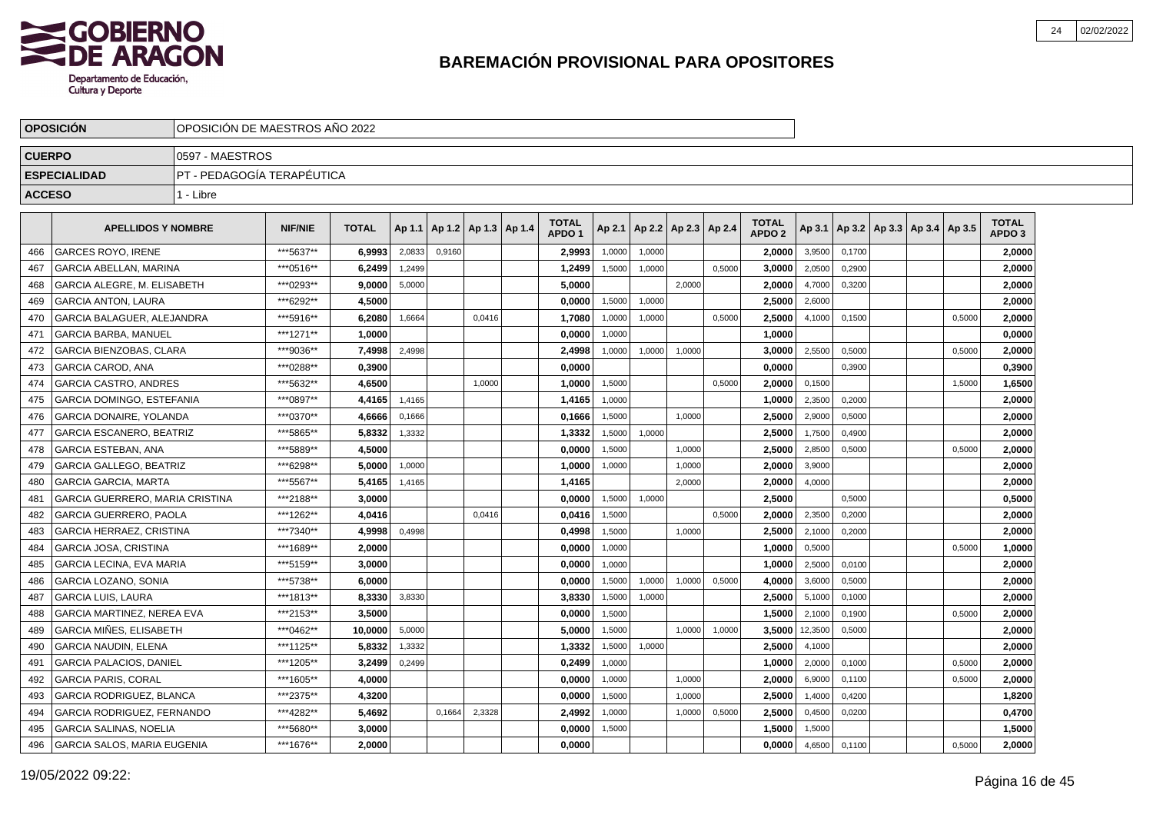

| <b>OPOSICION</b>                 | OPOSICIÓN DE MAESTROS AÑO 2022 |                                    |              |        |        |                          |                                   |        |        |                          |        |                                   |         |        |                                   |        |                                   |  |
|----------------------------------|--------------------------------|------------------------------------|--------------|--------|--------|--------------------------|-----------------------------------|--------|--------|--------------------------|--------|-----------------------------------|---------|--------|-----------------------------------|--------|-----------------------------------|--|
| <b>CUERPO</b>                    | 0597 - MAESTROS                |                                    |              |        |        |                          |                                   |        |        |                          |        |                                   |         |        |                                   |        |                                   |  |
| <b>ESPECIALIDAD</b>              | PT - PEDAGOGÍA TERAPÉUTICA     |                                    |              |        |        |                          |                                   |        |        |                          |        |                                   |         |        |                                   |        |                                   |  |
| <b>ACCESO</b>                    | 1 - Libre                      |                                    |              |        |        |                          |                                   |        |        |                          |        |                                   |         |        |                                   |        |                                   |  |
|                                  |                                |                                    |              |        |        |                          |                                   |        |        |                          |        |                                   |         |        |                                   |        |                                   |  |
| <b>APELLIDOS Y NOMBRE</b>        |                                | <b>NIF/NIE</b>                     | <b>TOTAL</b> | Ap 1.1 |        | Ap 1.2   Ap 1.3   Ap 1.4 | <b>TOTAL</b><br>APDO <sub>1</sub> | Ap 2.1 |        | Ap 2.2   Ap 2.3   Ap 2.4 |        | <b>TOTAL</b><br>APDO <sub>2</sub> | Ap 3.1  |        | Ap 3.2   Ap 3.3   Ap 3.4   Ap 3.5 |        | <b>TOTAL</b><br>APDO <sub>3</sub> |  |
| <b>GARCES ROYO. IRENE</b>        |                                | ***5637**                          | 6.9993       | 2,0833 | 0.9160 |                          | 2,9993                            | 1.0000 | 1,0000 |                          |        | 2.0000                            | 3,9500  | 0.1700 |                                   |        | 2,0000                            |  |
| GARCIA ABELLAN, MARINA           |                                | ***0516**                          | 6,2499       | 1,2499 |        |                          | 1,2499                            | 1,5000 | 1,0000 |                          | 0,5000 | 3,0000                            | 2,0500  | 0,2900 |                                   |        | 2,0000                            |  |
| GARCIA ALEGRE, M. ELISABETH      |                                | ***0293**                          | 9.0000       | 5,0000 |        |                          | 5,0000                            |        |        | 2,0000                   |        | 2.0000                            | 4,7000  | 0,3200 |                                   |        | 2,0000                            |  |
| <b>GARCIA ANTON, LAURA</b>       |                                | ***6292**                          | 4.5000       |        |        |                          | 0,0000                            | 1,5000 | 1,0000 |                          |        | 2.5000                            | 2,6000  |        |                                   |        | 2,0000                            |  |
| GARCIA BALAGUER, ALEJANDRA       |                                | ***5916**                          | 6,2080       | 1,6664 |        | 0,0416                   | 1,7080                            | 1,0000 | 1,0000 |                          | 0,5000 | 2,5000                            | 4,1000  | 0,1500 |                                   | 0,5000 | 2,0000                            |  |
| <b>GARCIA BARBA, MANUEL</b>      |                                | ***1271**                          | 1.0000       |        |        |                          | 0.0000                            | 1.0000 |        |                          |        | 1.0000                            |         |        |                                   |        | 0,0000                            |  |
| <b>GARCIA BIENZOBAS, CLARA</b>   |                                | ***9036**                          | 7.4998       | 2,4998 |        |                          | 2,4998                            | 1,0000 | 1,0000 | 1,0000                   |        | 3,0000                            | 2,5500  | 0,5000 |                                   | 0,5000 | 2,0000                            |  |
| <b>GARCIA CAROD, ANA</b>         |                                | ***0288**                          | 0,3900       |        |        |                          | 0,0000                            |        |        |                          |        | 0.0000                            |         | 0,3900 |                                   |        | 0,3900                            |  |
| <b>GARCIA CASTRO, ANDRES</b>     |                                | ***5632**                          | 4,6500       |        |        | 1,0000                   | 1,0000                            | 1,5000 |        |                          | 0,5000 | 2,0000                            | 0,1500  |        |                                   | 1,5000 | 1,6500                            |  |
| <b>GARCIA DOMINGO, ESTEFANIA</b> |                                | ***0897**                          | 4,4165       | 1,4165 |        |                          | 1,4165                            | 1,0000 |        |                          |        | 1,0000                            | 2,3500  | 0,2000 |                                   |        | 2,0000                            |  |
| <b>GARCIA DONAIRE, YOLANDA</b>   |                                | ***0370**                          | 4,6666       | 0,1666 |        |                          | 0,1666                            | 1,5000 |        | 1,0000                   |        | 2,5000                            | 2,9000  | 0,5000 |                                   |        | 2,0000                            |  |
| <b>GARCIA ESCANERO, BEATRIZ</b>  |                                | ***5865**                          | 5,8332       | 1,3332 |        |                          | 1,3332                            | 1,5000 | 1.0000 |                          |        | 2,5000                            | 1,7500  | 0,4900 |                                   |        | 2,0000                            |  |
| <b>GARCIA ESTEBAN, ANA</b>       |                                | ***5889**                          | 4,5000       |        |        |                          | 0,0000                            | 1,5000 |        | 1.0000                   |        | 2,5000                            | 2,8500  | 0.5000 |                                   | 0.5000 | 2,0000                            |  |
| <b>GARCIA GALLEGO, BEATRIZ</b>   |                                | ***6298**                          | 5.0000       | 1,0000 |        |                          | 1,0000                            | 1,0000 |        | 1,0000                   |        | 2.0000                            | 3,9000  |        |                                   |        | 2,0000                            |  |
| <b>GARCIA GARCIA, MARTA</b>      |                                | ***5567**                          | 5,4165       | 1,4165 |        |                          | 1,4165                            |        |        | 2.0000                   |        | 2,0000                            | 4,0000  |        |                                   |        | 2,0000                            |  |
| GARCIA GUERRERO, MARIA CRISTINA  |                                | ***2188**                          | 3,0000       |        |        |                          | 0,0000                            | 1,5000 | 1,0000 |                          |        | 2,5000                            |         | 0,5000 |                                   |        | 0,5000                            |  |
| <b>GARCIA GUERRERO, PAOLA</b>    |                                | ***1262**                          | 4,0416       |        |        | 0,0416                   | 0,0416                            | 1,5000 |        |                          | 0,5000 | 2,0000                            | 2,3500  | 0,2000 |                                   |        | 2,0000                            |  |
| <b>GARCIA HERRAEZ, CRISTINA</b>  |                                | ***7340**                          | 4.9998       | 0,4998 |        |                          | 0.4998                            | 1.5000 |        | 1.0000                   |        | 2.5000                            | 2,1000  | 0.2000 |                                   |        | 2,0000                            |  |
| <b>GARCIA JOSA, CRISTINA</b>     |                                | ***1689**                          | 2.0000       |        |        |                          | 0.0000                            | 1,0000 |        |                          |        | 1.0000                            | 0,5000  |        |                                   | 0,5000 | 1,0000                            |  |
| <b>GARCIA LECINA, EVA MARIA</b>  |                                | ***5159**                          | 3.0000       |        |        |                          | 0,0000                            | 1,0000 |        |                          |        | 1,0000                            | 2,5000  | 0,0100 |                                   |        | 2,0000                            |  |
| <b>GARCIA LOZANO, SONIA</b>      |                                | ***5738**                          | 6.0000       |        |        |                          | 0,0000                            | 1,5000 | 1,0000 | 1.0000                   | 0,5000 | 4.0000                            | 3,6000  | 0,5000 |                                   |        | 2,0000                            |  |
| <b>GARCIA LUIS, LAURA</b>        |                                | ***1813**                          | 8,3330       | 3,8330 |        |                          | 3,8330                            | 1,5000 | 1,0000 |                          |        | 2,5000                            | 5,1000  | 0,1000 |                                   |        | 2,0000                            |  |
| GARCIA MARTINEZ, NEREA EVA       |                                | ***2153**                          | 3.5000       |        |        |                          | 0,0000                            | 1,5000 |        |                          |        | 1,5000                            | 2,1000  | 0,1900 |                                   | 0,5000 | 2,0000                            |  |
| <b>GARCIA MINES, ELISABETH</b>   |                                | ***0462**                          | 10.0000      | 5,0000 |        |                          | 5,0000                            | 1,5000 |        | 1.0000                   | 1,0000 | 3.5000                            | 12,3500 | 0,5000 |                                   |        | 2,0000                            |  |
| <b>GARCIA NAUDIN, ELENA</b>      |                                | ***1125**                          | 5.8332       | 1,3332 |        |                          | 1,3332                            | 1,5000 | 1,0000 |                          |        | 2,5000                            | 4,1000  |        |                                   |        | 2,0000                            |  |
| <b>GARCIA PALACIOS, DANIEL</b>   |                                | ***1205**                          | 3,2499       | 0,2499 |        |                          | 0,2499                            | 1,0000 |        |                          |        | 1,0000                            | 2,0000  | 0,1000 |                                   | 0,5000 | 2,0000                            |  |
| <b>GARCIA PARIS, CORAL</b>       |                                | ***1605**                          | 4,0000       |        |        |                          | 0,0000                            | 1,0000 |        | 1,0000                   |        | 2,0000                            | 6,9000  | 0,1100 |                                   | 0,5000 | 2,0000                            |  |
| <b>GARCIA RODRIGUEZ, BLANCA</b>  |                                | ***2375**                          | 4,3200       |        |        |                          | 0,0000                            | 1,5000 |        | 1,0000                   |        | 2,5000                            | 1,4000  | 0,4200 |                                   |        | 1,8200                            |  |
| GARCIA RODRIGUEZ, FERNANDO       |                                | ***4282**                          | 5,4692       |        | 0,1664 | 2,3328                   | 2,4992                            | 1,0000 |        | 1,0000                   | 0,5000 | 2,5000                            | 0,4500  | 0,0200 |                                   |        | 0,4700                            |  |
| <b>GARCIA SALINAS, NOELIA</b>    |                                | ***5680**                          | 3.0000       |        |        |                          | 0,0000                            | 1,5000 |        |                          |        | 1.5000                            | 1,5000  |        |                                   |        | 1,5000                            |  |
|                                  |                                | ***1676**                          | 2.0000       |        |        |                          | 0,0000                            |        |        |                          |        | 0.0000                            | 4,6500  | 0,1100 |                                   | 0,5000 | 2,0000                            |  |
|                                  |                                | <b>GARCIA SALOS, MARIA EUGENIA</b> |              |        |        |                          |                                   |        |        |                          |        |                                   |         |        |                                   |        |                                   |  |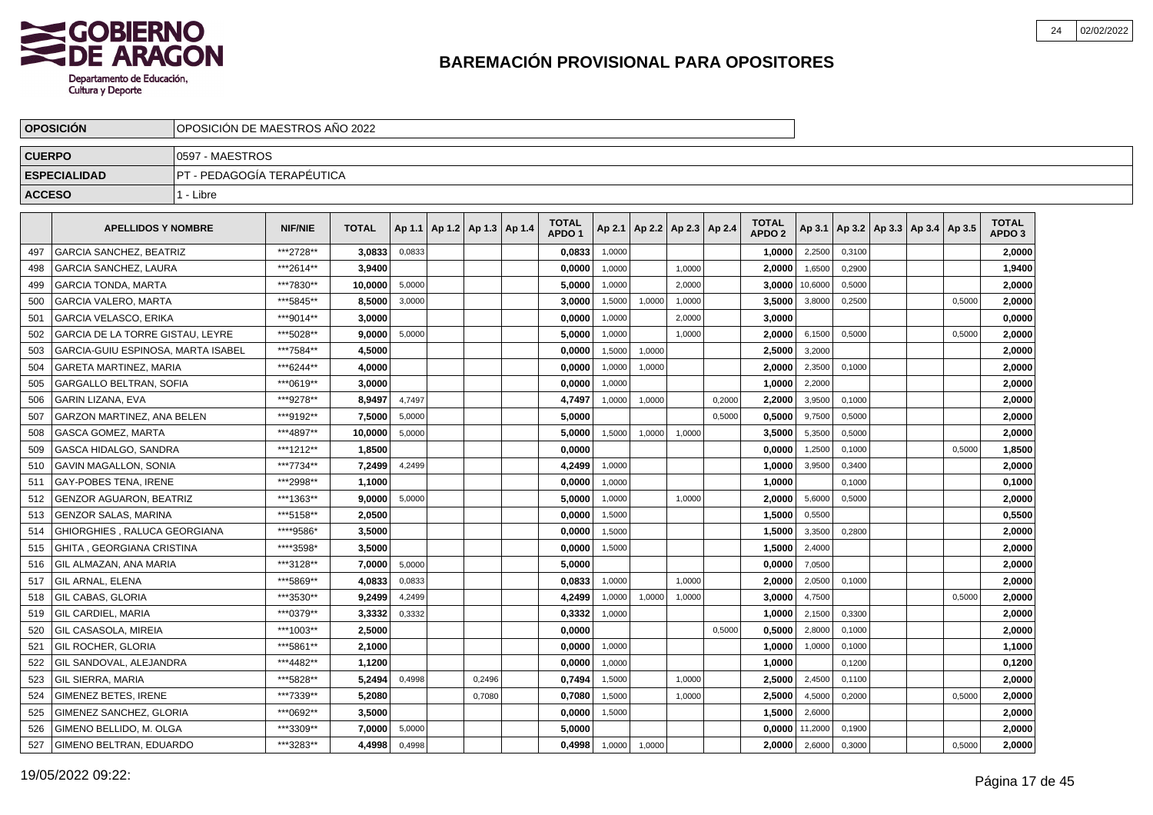

|               | <b>OPOSICION</b>                        | OPOSICIÓN DE MAESTROS AÑO 2022 |                |              |        |                                   |        |                                   |        |        |                          |        |                                   |         |        |                                   |        |                                   |  |
|---------------|-----------------------------------------|--------------------------------|----------------|--------------|--------|-----------------------------------|--------|-----------------------------------|--------|--------|--------------------------|--------|-----------------------------------|---------|--------|-----------------------------------|--------|-----------------------------------|--|
| <b>CUERPO</b> |                                         | 0597 - MAESTROS                |                |              |        |                                   |        |                                   |        |        |                          |        |                                   |         |        |                                   |        |                                   |  |
|               | <b>ESPECIALIDAD</b>                     | IPT - PEDAGOGÍA TERAPÉUTICA    |                |              |        |                                   |        |                                   |        |        |                          |        |                                   |         |        |                                   |        |                                   |  |
| <b>ACCESO</b> |                                         | 1 - Libre                      |                |              |        |                                   |        |                                   |        |        |                          |        |                                   |         |        |                                   |        |                                   |  |
|               | <b>APELLIDOS Y NOMBRE</b>               |                                | <b>NIF/NIE</b> | <b>TOTAL</b> |        | Ap 1.1   Ap 1.2   Ap 1.3   Ap 1.4 |        | <b>TOTAL</b><br>APDO <sub>1</sub> | Ap 2.1 |        | Ap 2.2   Ap 2.3   Ap 2.4 |        | <b>TOTAL</b><br>APDO <sub>2</sub> | Ap 3.1  |        | Ap 3.2   Ap 3.3   Ap 3.4   Ap 3.5 |        | <b>TOTAL</b><br>APDO <sub>3</sub> |  |
| 497           | <b>GARCIA SANCHEZ, BEATRIZ</b>          |                                | ***2728**      | 3,0833       | 0,0833 |                                   |        | 0,0833                            | 1,0000 |        |                          |        | 1,0000                            | 2,2500  | 0,3100 |                                   |        | 2,0000                            |  |
| 498           | <b>GARCIA SANCHEZ, LAURA</b>            |                                | ***2614**      | 3,9400       |        |                                   |        | 0,0000                            | 1,0000 |        | 1,0000                   |        | 2,0000                            | 1,6500  | 0,2900 |                                   |        | 1,9400                            |  |
| 499           | <b>GARCIA TONDA, MARTA</b>              |                                | ***7830**      | 10.0000      | 5,0000 |                                   |        | 5.0000                            | 1.0000 |        | 2.0000                   |        | 3.0000                            | 10,6000 | 0.5000 |                                   |        | 2,0000                            |  |
| 500           | <b>GARCIA VALERO, MARTA</b>             |                                | ***5845**      | 8.5000       | 3,0000 |                                   |        | 3.0000                            | 1,5000 | 1,0000 | 1,0000                   |        | 3,5000                            | 3,8000  | 0,2500 |                                   | 0,5000 | 2,0000                            |  |
| 501           | <b>GARCIA VELASCO, ERIKA</b>            |                                | ***9014**      | 3.0000       |        |                                   |        | 0,0000                            | 1,0000 |        | 2,0000                   |        | 3.0000                            |         |        |                                   |        | 0,0000                            |  |
| 502           | <b>GARCIA DE LA TORRE GISTAU. LEYRE</b> |                                | ***5028**      | 9.0000       | 5,0000 |                                   |        | 5,0000                            | 1,0000 |        | 1,0000                   |        | 2,0000                            | 6,1500  | 0,5000 |                                   | 0,5000 | 2,0000                            |  |
| 503           | GARCIA-GUIU ESPINOSA, MARTA ISABEL      |                                | ***7584**      | 4,5000       |        |                                   |        | 0,0000                            | 1,5000 | 1,0000 |                          |        | 2,5000                            | 3,2000  |        |                                   |        | 2,0000                            |  |
| 504           | <b>GARETA MARTINEZ, MARIA</b>           |                                | ***6244**      | 4,0000       |        |                                   |        | 0,0000                            | 1,0000 | 1,0000 |                          |        | 2,0000                            | 2,3500  | 0,1000 |                                   |        | 2,0000                            |  |
| 505           | GARGALLO BELTRAN, SOFIA                 |                                | ***0619**      | 3,0000       |        |                                   |        | 0,0000                            | 1,0000 |        |                          |        | 1,0000                            | 2,2000  |        |                                   |        | 2,0000                            |  |
| 506           | <b>GARIN LIZANA, EVA</b>                |                                | ***9278**      | 8,9497       | 4,7497 |                                   |        | 4,7497                            | 1,0000 | 1,0000 |                          | 0,2000 | 2,2000                            | 3,9500  | 0,1000 |                                   |        | 2,0000                            |  |
| 507           | <b>GARZON MARTINEZ, ANA BELEN</b>       |                                | ***9192**      | 7,5000       | 5,0000 |                                   |        | 5.0000                            |        |        |                          | 0.5000 | 0,5000                            | 9,7500  | 0,5000 |                                   |        | 2,0000                            |  |
| 508           | <b>GASCA GOMEZ, MARTA</b>               |                                | ***4897**      | 10,0000      | 5,0000 |                                   |        | 5,0000                            | 1,5000 | 1,0000 | 1,0000                   |        | 3,5000                            | 5,3500  | 0,5000 |                                   |        | 2,0000                            |  |
| 509           | <b>GASCA HIDALGO, SANDRA</b>            |                                | ***1212**      | 1,8500       |        |                                   |        | 0.0000                            |        |        |                          |        | 0.0000                            | 1,2500  | 0,1000 |                                   | 0.5000 | 1,8500                            |  |
| 510           | <b>GAVIN MAGALLON, SONIA</b>            |                                | ***7734**      | 7.2499       | 4,2499 |                                   |        | 4,2499                            | 1,0000 |        |                          |        | 1.0000                            | 3,9500  | 0,3400 |                                   |        | 2,0000                            |  |
| 511           | <b>GAY-POBES TENA. IRENE</b>            |                                | ***2998**      | 1,1000       |        |                                   |        | 0,0000                            | 1,0000 |        |                          |        | 1.0000                            |         | 0,1000 |                                   |        | 0,1000                            |  |
| 512           | <b>GENZOR AGUARON, BEATRIZ</b>          |                                | ***1363**      | 9,0000       | 5,0000 |                                   |        | 5,0000                            | 1,0000 |        | 1,0000                   |        | 2,0000                            | 5,6000  | 0,5000 |                                   |        | 2,0000                            |  |
| 513           | <b>GENZOR SALAS, MARINA</b>             |                                | ***5158**      | 2,0500       |        |                                   |        | 0,0000                            | 1,5000 |        |                          |        | 1,5000                            | 0,5500  |        |                                   |        | 0,5500                            |  |
| 514           | GHIORGHIES, RALUCA GEORGIANA            |                                | ****9586*      | 3,5000       |        |                                   |        | 0,0000                            | 1,5000 |        |                          |        | 1,5000                            | 3,3500  | 0,2800 |                                   |        | 2,0000                            |  |
| 515           | GHITA, GEORGIANA CRISTINA               |                                | *****3598*     | 3,5000       |        |                                   |        | 0,0000                            | 1,5000 |        |                          |        | 1,5000                            | 2,4000  |        |                                   |        | 2,0000                            |  |
| 516           | GIL ALMAZAN. ANA MARIA                  |                                | ***3128**      | 7.0000       | 5,0000 |                                   |        | 5.0000                            |        |        |                          |        | 0.0000                            | 7,0500  |        |                                   |        | 2,0000                            |  |
| 517           | <b>GIL ARNAL, ELENA</b>                 |                                | ***5869**      | 4,0833       | 0.0833 |                                   |        | 0.0833                            | 1,0000 |        | 1.0000                   |        | 2.00001                           | 2,0500  | 0,1000 |                                   |        | 2,0000                            |  |
| 518           | <b>GIL CABAS, GLORIA</b>                |                                | ***3530**      | 9.2499       | 4,2499 |                                   |        | 4,2499                            | 1,0000 | 1,0000 | 1,0000                   |        | 3.0000                            | 4,7500  |        |                                   | 0,5000 | 2,0000                            |  |
| 519           | GIL CARDIEL, MARIA                      |                                | ***0379**      | 3,3332       | 0,3332 |                                   |        | 0,3332                            | 1,0000 |        |                          |        | 1.0000                            | 2,1500  | 0,3300 |                                   |        | 2,0000                            |  |
| 520           | GIL CASASOLA. MIREIA                    |                                | ***1003**      | 2,5000       |        |                                   |        | 0,0000                            |        |        |                          | 0,5000 | 0,5000                            | 2,8000  | 0,1000 |                                   |        | 2,0000                            |  |
| 521           | GIL ROCHER, GLORIA                      |                                | ***5861**      | 2,1000       |        |                                   |        | 0,0000                            | 1,0000 |        |                          |        | 1,0000                            | 1,0000  | 0,1000 |                                   |        | 1,1000                            |  |
| 522           | GIL SANDOVAL, ALEJANDRA                 |                                | ***4482**      | 1,1200       |        |                                   |        | 0,0000                            | 1,0000 |        |                          |        | 1,0000                            |         | 0,1200 |                                   |        | 0,1200                            |  |
| 523           | <b>GIL SIERRA, MARIA</b>                |                                | ***5828**      | 5,2494       | 0,4998 |                                   | 0,2496 | 0,7494                            | 1,5000 |        | 1,0000                   |        | 2,5000                            | 2,4500  | 0,1100 |                                   |        | 2,0000                            |  |
| 524           | <b>GIMENEZ BETES, IRENE</b>             |                                | ***7339**      | 5.2080       |        |                                   | 0,7080 | 0.7080                            | 1,5000 |        | 1,0000                   |        | 2,5000                            | 4,5000  | 0,2000 |                                   | 0.5000 | 2,0000                            |  |
| 525           | GIMENEZ SANCHEZ, GLORIA                 |                                | ***0692**      | 3,5000       |        |                                   |        | 0,0000                            | 1,5000 |        |                          |        | 1,5000                            | 2,6000  |        |                                   |        | 2,0000                            |  |
| 526           | GIMENO BELLIDO. M. OLGA                 |                                | ***3309**      | 7,0000       | 5,0000 |                                   |        | 5,0000                            |        |        |                          |        | 0.0000                            | 11,2000 | 0,1900 |                                   |        | 2,0000                            |  |
| 527           | GIMENO BELTRAN, EDUARDO                 |                                | ***3283**      | 4,4998       | 0,4998 |                                   |        | 0.4998                            | 1,0000 | 1,0000 |                          |        | 2.0000                            | 2,6000  | 0,3000 |                                   | 0,5000 | 2,0000                            |  |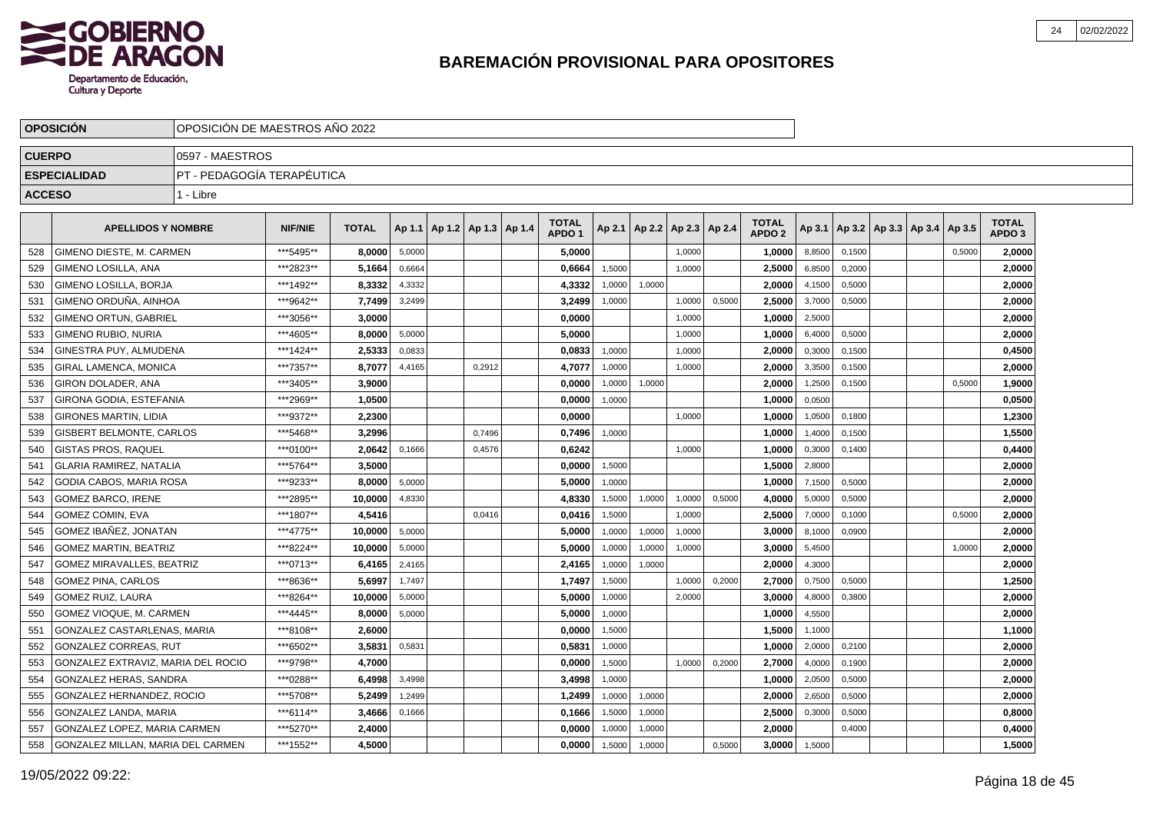

|               | <b>OPOSICIÓN</b>                   | OPOSICIÓN DE MAESTROS AÑO 2022 |                |              |        |                          |                                   |        |                                   |        |        |                                   |        |        |                                   |        |                                   |  |
|---------------|------------------------------------|--------------------------------|----------------|--------------|--------|--------------------------|-----------------------------------|--------|-----------------------------------|--------|--------|-----------------------------------|--------|--------|-----------------------------------|--------|-----------------------------------|--|
| <b>CUERPO</b> |                                    | 0597 - MAESTROS                |                |              |        |                          |                                   |        |                                   |        |        |                                   |        |        |                                   |        |                                   |  |
|               | <b>ESPECIALIDAD</b>                | PT - PEDAGOGÍA TERAPÉUTICA     |                |              |        |                          |                                   |        |                                   |        |        |                                   |        |        |                                   |        |                                   |  |
| <b>ACCESO</b> |                                    | 1 - Libre                      |                |              |        |                          |                                   |        |                                   |        |        |                                   |        |        |                                   |        |                                   |  |
|               | <b>APELLIDOS Y NOMBRE</b>          |                                | <b>NIF/NIE</b> | <b>TOTAL</b> | Ap 1.1 | Ap 1.2   Ap 1.3   Ap 1.4 | <b>TOTAL</b><br>APDO <sub>1</sub> |        | Ap 2.1   Ap 2.2   Ap 2.3   Ap 2.4 |        |        | <b>TOTAL</b><br>APDO <sub>2</sub> | Ap 3.1 |        | Ap 3.2   Ap 3.3   Ap 3.4   Ap 3.5 |        | <b>TOTAL</b><br>APDO <sub>3</sub> |  |
| 528           | GIMENO DIESTE, M. CARMEN           |                                | ***5495**      | 8,0000       | 5,0000 |                          | 5,0000                            |        |                                   | 1,0000 |        | 1,0000                            | 8,8500 | 0,1500 |                                   | 0,5000 | 2,0000                            |  |
| 529           | GIMENO LOSILLA, ANA                |                                | ***2823**      | 5,1664       | 0,6664 |                          | 0,6664                            | 1.5000 |                                   | 1,0000 |        | 2,5000                            | 6,8500 | 0,2000 |                                   |        | 2,0000                            |  |
| 530           | <b>GIMENO LOSILLA, BORJA</b>       |                                | ***1492**      | 8.3332       | 4,3332 |                          | 4,3332                            | 1,0000 | 1,0000                            |        |        | 2.00001                           | 4,1500 | 0,5000 |                                   |        | 2,0000                            |  |
| 531           | GIMENO ORDUÑA. AINHOA              |                                | ***9642**      | 7.7499       | 3,2499 |                          | 3,2499                            | 1,0000 |                                   | 1,0000 | 0,5000 | 2.5000                            | 3,7000 | 0,5000 |                                   |        | 2,0000                            |  |
| 532           | <b>GIMENO ORTUN, GABRIEL</b>       |                                | ***3056**      | 3,0000       |        |                          | 0,0000                            |        |                                   | 1,0000 |        | 1,0000                            | 2,5000 |        |                                   |        | 2,0000                            |  |
| 533           | <b>GIMENO RUBIO, NURIA</b>         |                                | ***4605**      | 8,0000       | 5,0000 |                          | 5,0000                            |        |                                   | 1,0000 |        | 1,0000                            | 6,4000 | 0,5000 |                                   |        | 2,0000                            |  |
| 534           | GINESTRA PUY, ALMUDENA             |                                | ***1424**      | 2,5333       | 0,0833 |                          | 0,0833                            | 1,0000 |                                   | 1,0000 |        | 2,0000                            | 0,3000 | 0,1500 |                                   |        | 0,4500                            |  |
| 535           | GIRAL LAMENCA, MONICA              |                                | ***7357**      | 8,7077       | 4,4165 | 0,2912                   | 4,7077                            | 1,0000 |                                   | 1,0000 |        | 2,0000                            | 3,3500 | 0,1500 |                                   |        | 2,0000                            |  |
| 536           | GIRON DOLADER, ANA                 |                                | ***3405**      | 3,9000       |        |                          | 0,0000                            | 1,0000 | 1,0000                            |        |        | 2,0000                            | 1,2500 | 0,1500 |                                   | 0,5000 | 1,9000                            |  |
| 537           | GIRONA GODIA, ESTEFANIA            |                                | ***2969**      | 1.0500       |        |                          | 0.0000                            | 1,0000 |                                   |        |        | 1,0000                            | 0,0500 |        |                                   |        | 0,0500                            |  |
| 538           | <b>GIRONES MARTIN, LIDIA</b>       |                                | ***9372**      | 2.2300       |        |                          | 0.0000                            |        |                                   | 1,0000 |        | 1.0000                            | 1,0500 | 0,1800 |                                   |        | 1,2300                            |  |
| 539           | GISBERT BELMONTE, CARLOS           |                                | ***5468**      | 3,2996       |        | 0,7496                   | 0,7496                            | 1,0000 |                                   |        |        | 1,0000                            | 1,4000 | 0,1500 |                                   |        | 1,5500                            |  |
| 540           | GISTAS PROS, RAQUEL                |                                | ***0100**      | 2,0642       | 0,1666 | 0,4576                   | 0,6242                            |        |                                   | 1,0000 |        | 1,0000                            | 0,3000 | 0,1400 |                                   |        | 0,4400                            |  |
| 541           | <b>GLARIA RAMIREZ, NATALIA</b>     |                                | ***5764**      | 3,5000       |        |                          | 0,0000                            | 1,5000 |                                   |        |        | 1,5000                            | 2,8000 |        |                                   |        | 2,0000                            |  |
| 542           | GODIA CABOS, MARIA ROSA            |                                | ***9233**      | 8,0000       | 5,0000 |                          | 5,0000                            | 1,0000 |                                   |        |        | 1,0000                            | 7,1500 | 0,5000 |                                   |        | 2,0000                            |  |
| 543           | <b>GOMEZ BARCO, IRENE</b>          |                                | ***2895**      | 10,0000      | 4,8330 |                          | 4,8330                            | 1,5000 | 1,0000                            | 1,0000 | 0,5000 | 4,0000                            | 5,0000 | 0,5000 |                                   |        | 2,0000                            |  |
| 544           | <b>GOMEZ COMIN. EVA</b>            |                                | ***1807**      | 4,5416       |        | 0.0416                   | 0,0416                            | 1,5000 |                                   | 1,0000 |        | 2,5000                            | 7,0000 | 0,1000 |                                   | 0,5000 | 2,0000                            |  |
| 545           | GOMEZ IBAÑEZ, JONATAN              |                                | ***4775**      | 10.0000      | 5,0000 |                          | 5,0000                            | 1,0000 | 1,0000                            | 1,0000 |        | 3.0000                            | 8,1000 | 0,0900 |                                   |        | 2,0000                            |  |
| 546           | <b>GOMEZ MARTIN, BEATRIZ</b>       |                                | ***8224**      | 10.0000      | 5,0000 |                          | 5.0000                            | 1,0000 | 1,0000                            | 1.0000 |        | 3.0000                            | 5,4500 |        |                                   | 1.0000 | 2.0000                            |  |
| 547           | GOMEZ MIRAVALLES, BEATRIZ          |                                | ***0713**      | 6,4165       | 2,4165 |                          | 2,4165                            | 1,0000 | 1,0000                            |        |        | 2,0000                            | 4,3000 |        |                                   |        | 2,0000                            |  |
| 548           | <b>GOMEZ PINA, CARLOS</b>          |                                | ***8636**      | 5,6997       | 1,7497 |                          | 1,7497                            | 1,5000 |                                   | 1,0000 | 0,2000 | 2,7000                            | 0,7500 | 0,5000 |                                   |        | 1,2500                            |  |
| 549           | GOMEZ RUIZ, LAURA                  |                                | ***8264**      | 10,0000      | 5,0000 |                          | 5,0000                            | 1,0000 |                                   | 2,0000 |        | 3,0000                            | 4,8000 | 0,3800 |                                   |        | 2,0000                            |  |
| 550           | GOMEZ VIOQUE, M. CARMEN            |                                | ***4445**      | 8.0000       | 5,0000 |                          | 5,0000                            | 1,0000 |                                   |        |        | 1,0000                            | 4,5500 |        |                                   |        | 2,0000                            |  |
| 551           | GONZALEZ CASTARLENAS, MARIA        |                                | ***8108**      | 2.6000       |        |                          | 0,0000                            | 1,5000 |                                   |        |        | 1,5000                            | 1,1000 |        |                                   |        | 1,1000                            |  |
| 552           | <b>GONZALEZ CORREAS, RUT</b>       |                                | ***6502**      | 3.5831       | 0,5831 |                          | 0,5831                            | 1,0000 |                                   |        |        | 1.0000                            | 2,0000 | 0,2100 |                                   |        | 2,0000                            |  |
| 553           | GONZALEZ EXTRAVIZ. MARIA DEL ROCIO |                                | ***9798**      | 4.7000       |        |                          | 0.0000                            | 1,5000 |                                   | 1,0000 | 0,2000 | 2.7000                            | 4,0000 | 0,1900 |                                   |        | 2,0000                            |  |
| 554           | GONZALEZ HERAS, SANDRA             |                                | ***0288**      | 6,4998       | 3,4998 |                          | 3,4998                            | 1.0000 |                                   |        |        | 1,0000                            | 2,0500 | 0,5000 |                                   |        | 2,0000                            |  |
| 555           | GONZALEZ HERNANDEZ, ROCIO          |                                | ***5708**      | 5,2499       | 1,2499 |                          | 1,2499                            | 1,0000 | 1,0000                            |        |        | 2,0000                            | 2,6500 | 0,5000 |                                   |        | 2,0000                            |  |
| 556           | GONZALEZ LANDA, MARIA              |                                | ***6114**      | 3,4666       | 0,1666 |                          | 0,1666                            | 1,5000 | 1,0000                            |        |        | 2,5000                            | 0,3000 | 0,5000 |                                   |        | 0,8000                            |  |
| 557           | GONZALEZ LOPEZ, MARIA CARMEN       |                                | *** 5270**     | 2,4000       |        |                          | 0,0000                            | 1,0000 | 1,0000                            |        |        | 2,0000                            |        | 0,4000 |                                   |        | 0,4000                            |  |
| 558           | GONZALEZ MILLAN, MARIA DEL CARMEN  |                                | ***1552**      | 4.5000       |        |                          | 0,0000                            | 1,5000 | 1,0000                            |        | 0,5000 | 3,0000                            | 1,5000 |        |                                   |        | 1,5000                            |  |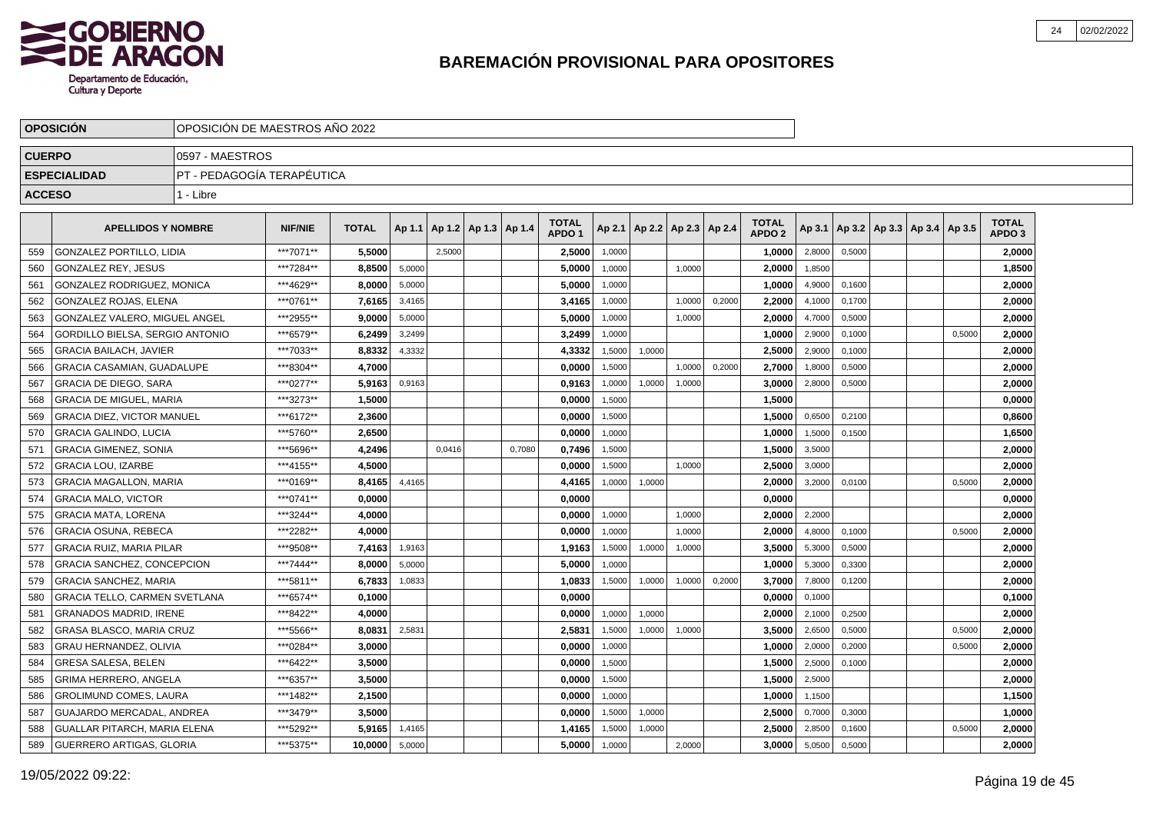

|               | <b>OPOSICION</b>                     | OPOSICION DE MAESTROS ANO 2022 |                |              |        |                          |        |                                   |        |        |                          |        |                                   |        |        |                                   |        |                                   |  |
|---------------|--------------------------------------|--------------------------------|----------------|--------------|--------|--------------------------|--------|-----------------------------------|--------|--------|--------------------------|--------|-----------------------------------|--------|--------|-----------------------------------|--------|-----------------------------------|--|
| <b>CUERPO</b> |                                      | 0597 - MAESTROS                |                |              |        |                          |        |                                   |        |        |                          |        |                                   |        |        |                                   |        |                                   |  |
|               | <b>ESPECIALIDAD</b>                  | PT - PEDAGOGÍA TERAPÉUTICA     |                |              |        |                          |        |                                   |        |        |                          |        |                                   |        |        |                                   |        |                                   |  |
| <b>ACCESO</b> |                                      | 1 - Libre                      |                |              |        |                          |        |                                   |        |        |                          |        |                                   |        |        |                                   |        |                                   |  |
|               | <b>APELLIDOS Y NOMBRE</b>            |                                | <b>NIF/NIE</b> | <b>TOTAL</b> | Ap 1.1 | Ap 1.2   Ap 1.3   Ap 1.4 |        | <b>TOTAL</b><br>APDO <sub>1</sub> | Ap 2.1 |        | Ap 2.2   Ap 2.3   Ap 2.4 |        | <b>TOTAL</b><br>APDO <sub>2</sub> | Ap 3.1 |        | Ap 3.2   Ap 3.3   Ap 3.4   Ap 3.5 |        | <b>TOTAL</b><br>APDO <sub>3</sub> |  |
| 559           | <b>GONZALEZ PORTILLO, LIDIA</b>      |                                | ***7071**      | 5.5000       |        | 2.5000                   |        | 2,5000                            | 1,0000 |        |                          |        | 1,0000                            | 2,8000 | 0,5000 |                                   |        | 2,0000                            |  |
| 560           | GONZALEZ REY, JESUS                  |                                | ***7284**      | 8,8500       | 5,0000 |                          |        | 5,0000                            | 1,0000 |        | 1,0000                   |        | 2,0000                            | 1,8500 |        |                                   |        | 1,8500                            |  |
| 561           | GONZALEZ RODRIGUEZ, MONICA           |                                | ***4629**      | 8.0000       | 5,0000 |                          |        | 5,0000                            | 1,0000 |        |                          |        | 1,0000                            | 4,9000 | 0,1600 |                                   |        | 2,0000                            |  |
| 562           | GONZALEZ ROJAS, ELENA                |                                | ***0761**      | 7,6165       | 3,4165 |                          |        | 3,4165                            | 1,0000 |        | 1,0000                   | 0,2000 | 2,2000                            | 4,1000 | 0,1700 |                                   |        | 2,0000                            |  |
| 563           | GONZALEZ VALERO, MIGUEL ANGEL        |                                | ***2955**      | 9,0000       | 5,0000 |                          |        | 5,0000                            | 1,0000 |        | 1,0000                   |        | 2,0000                            | 4,7000 | 0,5000 |                                   |        | 2,0000                            |  |
| 564           | GORDILLO BIELSA, SERGIO ANTONIO      |                                | ***6579**      | 6.2499       | 3,2499 |                          |        | 3,2499                            | 1.0000 |        |                          |        | 1.0000                            | 2,9000 | 0.1000 |                                   | 0.5000 | 2,0000                            |  |
| 565           | <b>GRACIA BAILACH, JAVIER</b>        |                                | ***7033**      | 8,8332       | 4,3332 |                          |        | 4,3332                            | 1,5000 | 1,0000 |                          |        | 2,5000                            | 2,9000 | 0.1000 |                                   |        | 2,0000                            |  |
| 566           | GRACIA CASAMIAN, GUADALUPE           |                                | ***8304**      | 4,7000       |        |                          |        | 0,0000                            | 1,5000 |        | 1,0000                   | 0,2000 | 2.7000                            | 1,8000 | 0,5000 |                                   |        | 2,0000                            |  |
| 567           | <b>GRACIA DE DIEGO, SARA</b>         |                                | ***0277**      | 5,9163       | 0,9163 |                          |        | 0,9163                            | 1,0000 | 1,0000 | 1,0000                   |        | 3,0000                            | 2,8000 | 0,5000 |                                   |        | 2,0000                            |  |
| 568           | <b>GRACIA DE MIGUEL, MARIA</b>       |                                | ***3273**      | 1,5000       |        |                          |        | 0,0000                            | 1,5000 |        |                          |        | 1,5000                            |        |        |                                   |        | 0,0000                            |  |
| 569           | <b>GRACIA DIEZ, VICTOR MANUEL</b>    |                                | ***6172**      | 2,3600       |        |                          |        | 0,0000                            | 1,5000 |        |                          |        | 1,5000                            | 0,6500 | 0,2100 |                                   |        | 0,8600                            |  |
| 570           | <b>GRACIA GALINDO, LUCIA</b>         |                                | ***5760**      | 2,6500       |        |                          |        | 0,0000                            | 1.0000 |        |                          |        | 1.0000                            | 1,5000 | 0.1500 |                                   |        | 1,6500                            |  |
| 571           | <b>GRACIA GIMENEZ, SONIA</b>         |                                | ***5696**      | 4,2496       |        | 0,0416                   | 0.7080 | 0,7496                            | 1,5000 |        |                          |        | 1.5000                            | 3,5000 |        |                                   |        | 2,0000                            |  |
| 572           | <b>GRACIA LOU. IZARBE</b>            |                                | ***4155**      | 4.5000       |        |                          |        | 0,0000                            | 1,5000 |        | 1,0000                   |        | 2,5000                            | 3,0000 |        |                                   |        | 2,0000                            |  |
| 573           | <b>GRACIA MAGALLON, MARIA</b>        |                                | ***0169**      | 8,4165       | 4,4165 |                          |        | 4,4165                            | 1,0000 | 1,0000 |                          |        | 2,0000                            | 3,2000 | 0,0100 |                                   | 0,5000 | 2,0000                            |  |
| 574           | <b>GRACIA MALO, VICTOR</b>           |                                | ***0741**      | 0.0000       |        |                          |        | 0,0000                            |        |        |                          |        | 0,0000                            |        |        |                                   |        | 0,0000                            |  |
| 575           | <b>GRACIA MATA, LORENA</b>           |                                | ***3244**      | 4,0000       |        |                          |        | 0,0000                            | 1,0000 |        | 1,0000                   |        | 2,0000                            | 2,2000 |        |                                   |        | 2,0000                            |  |
| 576           | <b>GRACIA OSUNA, REBECA</b>          |                                | ***2282**      | 4.0000       |        |                          |        | 0.0000                            | 1.0000 |        | 1.0000                   |        | 2.0000                            | 4,8000 | 0.1000 |                                   | 0.5000 | 2.0000                            |  |
| 577           | <b>GRACIA RUIZ. MARIA PILAR</b>      |                                | ***9508**      | 7,4163       | 1,9163 |                          |        | 1,9163                            | 1,5000 | 1,0000 | 1,0000                   |        | 3.5000                            | 5,3000 | 0,5000 |                                   |        | 2,0000                            |  |
| 578           | <b>GRACIA SANCHEZ, CONCEPCION</b>    |                                | ***7444**      | 8,0000       | 5,0000 |                          |        | 5,0000                            | 1,0000 |        |                          |        | 1,0000                            | 5,3000 | 0,3300 |                                   |        | 2,0000                            |  |
| 579           | <b>GRACIA SANCHEZ, MARIA</b>         |                                | ***5811**      | 6,7833       | 1,0833 |                          |        | 1,0833                            | 1,5000 | 1,0000 | 1,0000                   | 0,2000 | 3,7000                            | 7,8000 | 0,1200 |                                   |        | 2,0000                            |  |
| 580           | <b>GRACIA TELLO, CARMEN SVETLANA</b> |                                | ***6574**      | 0,1000       |        |                          |        | 0,0000                            |        |        |                          |        | 0,0000                            | 0,1000 |        |                                   |        | 0,1000                            |  |
| 581           | <b>GRANADOS MADRID, IRENE</b>        |                                | ***8422**      | 4,0000       |        |                          |        | 0,0000                            | 1,0000 | 1,0000 |                          |        | 2,0000                            | 2,1000 | 0,2500 |                                   |        | 2,0000                            |  |
| 582           | GRASA BLASCO, MARIA CRUZ             |                                | ***5566**      | 8.0831       | 2,5831 |                          |        | 2,5831                            | 1,5000 | 1,0000 | 1,0000                   |        | 3.5000                            | 2,6500 | 0.5000 |                                   | 0.5000 | 2,0000                            |  |
| 583           | GRAU HERNANDEZ, OLIVIA               |                                | ***0284**      | 3.0000       |        |                          |        | 0.0000                            | 1,0000 |        |                          |        | 1.0000                            | 2,0000 | 0,2000 |                                   | 0,5000 | 2,0000                            |  |
| 584           | <b>GRESA SALESA, BELEN</b>           |                                | ***6422**      | 3.5000       |        |                          |        | 0,0000                            | 1,5000 |        |                          |        | 1,5000                            | 2,5000 | 0,1000 |                                   |        | 2,0000                            |  |
| 585           | <b>GRIMA HERRERO, ANGELA</b>         |                                | ***6357**      | 3,5000       |        |                          |        | 0,0000                            | 1,5000 |        |                          |        | 1,5000                            | 2,5000 |        |                                   |        | 2,0000                            |  |
| 586           | <b>GROLIMUND COMES, LAURA</b>        |                                | ***1482**      | 2,1500       |        |                          |        | 0,0000                            | 1,0000 |        |                          |        | 1,0000                            | 1,1500 |        |                                   |        | 1,1500                            |  |
| 587           | GUAJARDO MERCADAL, ANDREA            |                                | ***3479**      | 3,5000       |        |                          |        | 0,0000                            | 1,5000 | 1,0000 |                          |        | 2,5000                            | 0,7000 | 0,3000 |                                   |        | 1,0000                            |  |
| 588           | GUALLAR PITARCH, MARIA ELENA         |                                | ***5292**      | 5,9165       | 1,4165 |                          |        | 1.4165                            | 1,5000 | 1,0000 |                          |        | 2.5000                            | 2,8500 | 0,1600 |                                   | 0,5000 | 2,0000                            |  |
| 589           | GUERRERO ARTIGAS, GLORIA             |                                | ***5375**      | 10,0000      | 5,0000 |                          |        | 5,0000                            | 1,0000 |        | 2,0000                   |        | 3.0000                            | 5,0500 | 0,5000 |                                   |        | 2,0000                            |  |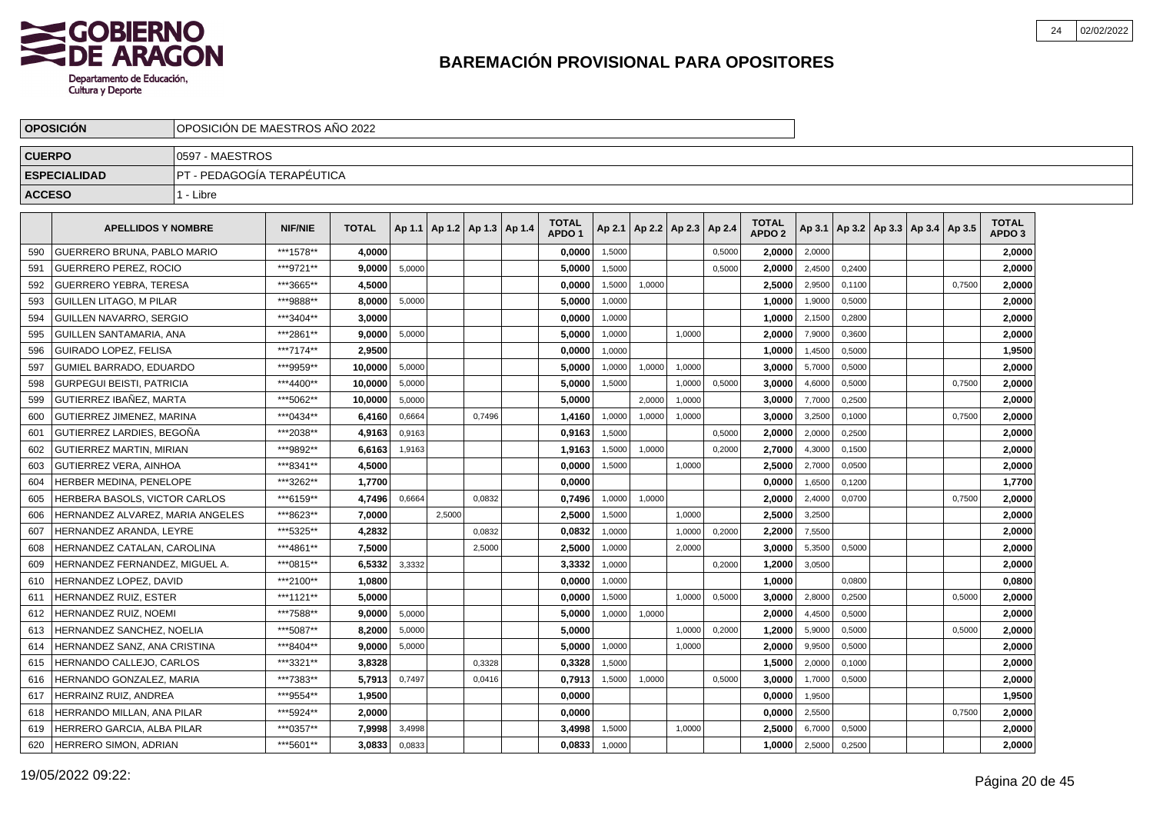

|               | <b>OPOSICIÓN</b>                  |                             | OPOSICIÓN DE MAESTROS AÑO 2022 |              |        |        |                                   |  |                                   |        |        |                 |        |                                   |        |                                            |  |        |                                   |  |
|---------------|-----------------------------------|-----------------------------|--------------------------------|--------------|--------|--------|-----------------------------------|--|-----------------------------------|--------|--------|-----------------|--------|-----------------------------------|--------|--------------------------------------------|--|--------|-----------------------------------|--|
| <b>CUERPO</b> |                                   | 0597 - MAESTROS             |                                |              |        |        |                                   |  |                                   |        |        |                 |        |                                   |        |                                            |  |        |                                   |  |
|               | <b>ESPECIALIDAD</b>               | IPT - PEDAGOGÍA TERAPÉUTICA |                                |              |        |        |                                   |  |                                   |        |        |                 |        |                                   |        |                                            |  |        |                                   |  |
| <b>ACCESO</b> |                                   | 1 - Libre                   |                                |              |        |        |                                   |  |                                   |        |        |                 |        |                                   |        |                                            |  |        |                                   |  |
|               | <b>APELLIDOS Y NOMBRE</b>         |                             | <b>NIF/NIE</b>                 | <b>TOTAL</b> |        |        | Ap 1.1   Ap 1.2   Ap 1.3   Ap 1.4 |  | <b>TOTAL</b><br>APDO <sub>1</sub> | Ap 2.1 |        | Ap 2.2   Ap 2.3 | Ap 2.4 | <b>TOTAL</b><br>APDO <sub>2</sub> |        | Ap 3.1   Ap 3.2   Ap 3.3   Ap 3.4   Ap 3.5 |  |        | <b>TOTAL</b><br>APDO <sub>3</sub> |  |
| 590           | GUERRERO BRUNA, PABLO MARIO       |                             | ***1578**                      | 4,0000       |        |        |                                   |  | 0,0000                            | 1,5000 |        |                 | 0,5000 | 2,0000                            | 2,0000 |                                            |  |        | 2,0000                            |  |
| 591           | <b>GUERRERO PEREZ, ROCIO</b>      |                             | ***9721**                      | 9,0000       | 5,0000 |        |                                   |  | 5,0000                            | 1,5000 |        |                 | 0,5000 | 2,0000                            | 2,4500 | 0,2400                                     |  |        | 2,0000                            |  |
| 592           | <b>GUERRERO YEBRA, TERESA</b>     |                             | ***3665**                      | 4,5000       |        |        |                                   |  | 0,0000                            | 1,5000 | 1,0000 |                 |        | 2,5000                            | 2,9500 | 0,1100                                     |  | 0,7500 | 2,0000                            |  |
| 593           | GUILLEN LITAGO. M PILAR           |                             | ***9888**                      | 8.0000       | 5,0000 |        |                                   |  | 5,0000                            | 1,0000 |        |                 |        | 1,0000                            | 1,9000 | 0,5000                                     |  |        | 2,0000                            |  |
| 594           | GUILLEN NAVARRO. SERGIO           |                             | ***3404**                      | 3.0000       |        |        |                                   |  | 0,0000                            | 1,0000 |        |                 |        | 1.0000                            | 2,1500 | 0,2800                                     |  |        | 2,0000                            |  |
| 595           | GUILLEN SANTAMARIA, ANA           |                             | ***2861**                      | 9.0000       | 5,0000 |        |                                   |  | 5.0000                            | 1,0000 |        | 1.0000          |        | 2.0000                            | 7,9000 | 0.3600                                     |  |        | 2,0000                            |  |
| 596           | GUIRADO LOPEZ, FELISA             |                             | ***7174**                      | 2,9500       |        |        |                                   |  | 0,0000                            | 1,0000 |        |                 |        | 1,0000                            | 1,4500 | 0,5000                                     |  |        | 1,9500                            |  |
| 597           | <b>GUMIEL BARRADO, EDUARDO</b>    |                             | ***9959**                      | 10,0000      | 5,0000 |        |                                   |  | 5,0000                            | 1,0000 | 1,0000 | 1,0000          |        | 3,0000                            | 5,7000 | 0,5000                                     |  |        | 2,0000                            |  |
| 598           | <b>GURPEGUI BEISTI, PATRICIA</b>  |                             | ***4400**                      | 10,0000      | 5,0000 |        |                                   |  | 5,0000                            | 1,5000 |        | 1,0000          | 0,5000 | 3,0000                            | 4,6000 | 0,5000                                     |  | 0,7500 | 2,0000                            |  |
| 599           | GUTIERREZ IBAÑEZ. MARTA           |                             | ***5062**                      | 10.0000      | 5,0000 |        |                                   |  | 5,0000                            |        | 2,0000 | 1,0000          |        | 3.0000                            | 7,7000 | 0,2500                                     |  |        | 2,0000                            |  |
| 600           | <b>GUTIERREZ JIMENEZ, MARINA</b>  |                             | *** 0434**                     | 6.4160       | 0,6664 |        | 0.7496                            |  | 1.4160                            | 1,0000 | 1,0000 | 1.0000          |        | 3.0000                            | 3,2500 | 0.1000                                     |  | 0,7500 | 2,0000                            |  |
| 601           | GUTIERREZ LARDIES, BEGOÑA         |                             | ***2038**                      | 4,9163       | 0,9163 |        |                                   |  | 0,9163                            | 1,5000 |        |                 | 0,5000 | 2,0000                            | 2,0000 | 0,2500                                     |  |        | 2,0000                            |  |
| 602           | GUTIERREZ MARTIN, MIRIAN          |                             | ***9892**                      | 6,6163       | 1,9163 |        |                                   |  | 1,9163                            | 1,5000 | 1,0000 |                 | 0,2000 | 2.7000                            | 4,3000 | 0,1500                                     |  |        | 2,0000                            |  |
| 603           | <b>GUTIERREZ VERA, AINHOA</b>     |                             | ***8341**                      | 4,5000       |        |        |                                   |  | 0,0000                            | 1,5000 |        | 1,0000          |        | 2,5000                            | 2,7000 | 0,0500                                     |  |        | 2,0000                            |  |
| 604           | HERBER MEDINA. PENELOPE           |                             | ***3262**                      | 1,7700       |        |        |                                   |  | 0,0000                            |        |        |                 |        | 0.0000                            | 1,6500 | 0,1200                                     |  |        | 1,7700                            |  |
| 605           | HERBERA BASOLS. VICTOR CARLOS     |                             | ***6159**                      | 4,7496       | 0.6664 |        | 0.0832                            |  | 0,7496                            | 1,0000 | 1,0000 |                 |        | 2.0000                            | 2,4000 | 0.0700                                     |  | 0.7500 | 2,0000                            |  |
| 606           | HERNANDEZ ALVAREZ. MARIA ANGELES  |                             | ***8623**                      | 7.0000       |        | 2,5000 |                                   |  | 2,5000                            | 1,5000 |        | 1.0000          |        | 2,5000                            | 3,2500 |                                            |  |        | 2,0000                            |  |
| 607           | HERNANDEZ ARANDA, LEYRE           |                             | ***5325**                      | 4,2832       |        |        | 0,0832                            |  | 0,0832                            | 1,0000 |        | 1,0000          | 0,2000 | 2,2000                            | 7,5500 |                                            |  |        | 2,0000                            |  |
| 608           | HERNANDEZ CATALAN, CAROLINA       |                             | ***4861**                      | 7,5000       |        |        | 2,5000                            |  | 2,5000                            | 1,0000 |        | 2,0000          |        | 3.0000                            | 5,3500 | 0,5000                                     |  |        | 2,0000                            |  |
| 609           | HERNANDEZ FERNANDEZ. MIGUEL A.    |                             | ***0815**                      | 6,5332       | 3,3332 |        |                                   |  | 3,3332                            | 1,0000 |        |                 | 0,2000 | 1,2000                            | 3,0500 |                                            |  |        | 2,0000                            |  |
| 610           | <b>HERNANDEZ LOPEZ, DAVID</b>     |                             | ***2100**                      | 1.0800       |        |        |                                   |  | 0,0000                            | 1,0000 |        |                 |        | 1,0000                            |        | 0.0800                                     |  |        | 0,0800                            |  |
| 611           | <b>IERNANDEZ RUIZ, ESTER</b>      |                             | ***1121**                      | 5.0000       |        |        |                                   |  | 0.0000                            | 1,5000 |        | 1.0000          | 0,5000 | 3.0000                            | 2,8000 | 0,2500                                     |  | 0,5000 | 2.0000                            |  |
| 612           | <del>I</del> ERNANDEZ RUIZ, NOEMI |                             | ***7588**                      | 9,0000       | 5,0000 |        |                                   |  | 5,0000                            | 1,0000 | 1,0000 |                 |        | 2,0000                            | 4,4500 | 0,5000                                     |  |        | 2,0000                            |  |
| 613           | <b>HERNANDEZ SANCHEZ, NOELIA</b>  |                             | ***5087**                      | 8.2000       | 5,0000 |        |                                   |  | 5,0000                            |        |        | 1,0000          | 0,2000 | 1,2000                            | 5,9000 | 0,5000                                     |  | 0,5000 | 2,0000                            |  |
| 614           | HERNANDEZ SANZ, ANA CRISTINA      |                             | ***8404**                      | 9.0000       | 5,0000 |        |                                   |  | 5.0000                            | 1,0000 |        | 1,0000          |        | 2,0000                            | 9,9500 | 0,5000                                     |  |        | 2,0000                            |  |
| 615           | HERNANDO CALLEJO, CARLOS          |                             | ***3321**                      | 3.8328       |        |        | 0,3328                            |  | 0,3328                            | 1,5000 |        |                 |        | 1.5000                            | 2,0000 | 0,1000                                     |  |        | 2,0000                            |  |
| 616           | HERNANDO GONZALEZ, MARIA          |                             | ***7383**                      | 5.7913       | 0,7497 |        | 0.0416                            |  | 0,7913                            | 1,5000 | 1,0000 |                 | 0,5000 | 3.0000                            | 1,7000 | 0.5000                                     |  |        | 2,0000                            |  |
| 617           | HERRAINZ RUIZ. ANDREA             |                             | ***9554**                      | 1.9500       |        |        |                                   |  | 0,0000                            |        |        |                 |        | 0.0000                            | 1,9500 |                                            |  |        | 1,9500                            |  |
| 618           | HERRANDO MILLAN, ANA PILAR        |                             | ***5924**                      | 2,0000       |        |        |                                   |  | 0,0000                            |        |        |                 |        | 0,0000                            | 2,5500 |                                            |  | 0,7500 | 2,0000                            |  |
| 619           | HERRERO GARCIA, ALBA PILAR        |                             | ***0357**                      | 7,9998       | 3,4998 |        |                                   |  | 3,4998                            | 1,5000 |        | 1,0000          |        | 2,5000                            | 6,7000 | 0,5000                                     |  |        | 2,0000                            |  |
| 620           | HERRERO SIMON, ADRIAN             |                             | ***5601**                      | 3,0833       | 0,0833 |        |                                   |  | 0,0833                            | 1,0000 |        |                 |        | 1,0000                            | 2,5000 | 0,2500                                     |  |        | 2,0000                            |  |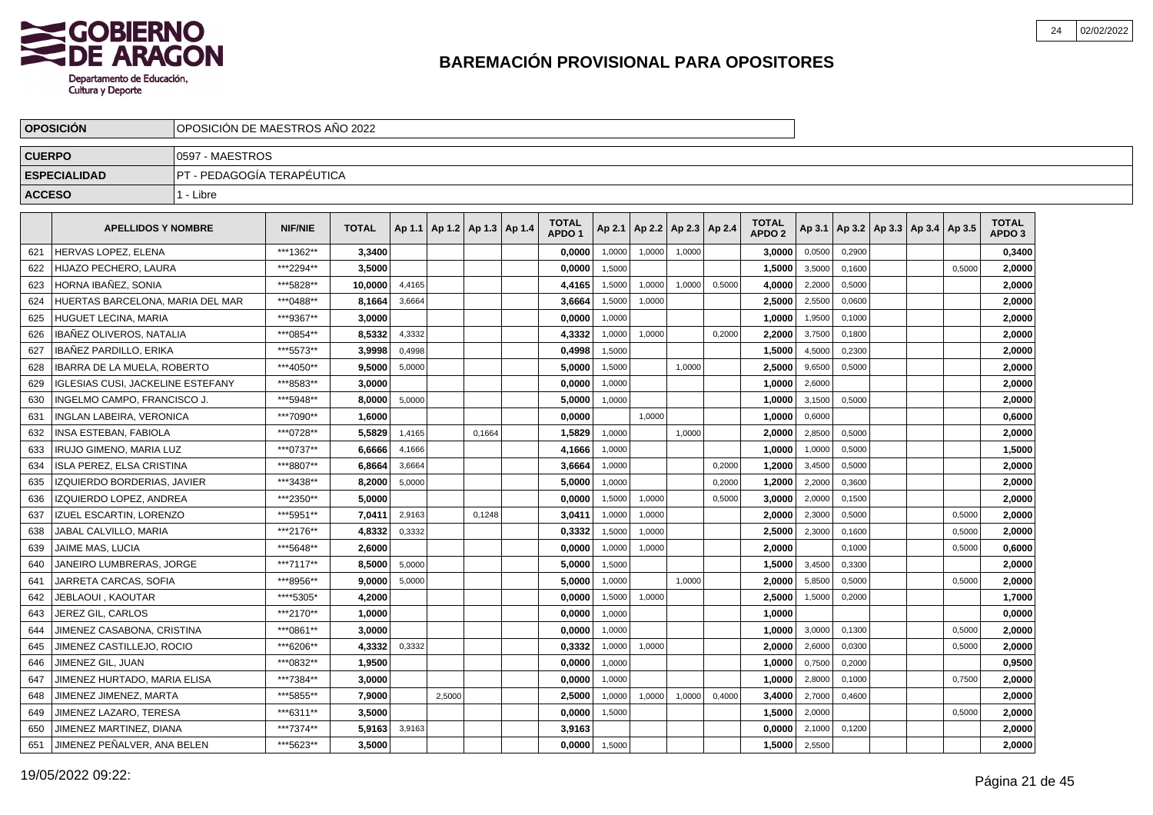

|               | <b>OPOSICIÓN</b>                   |                            | OPOSICIÓN DE MAESTROS AÑO 2022 |              |        |                                   |        |  |                                   |        |        |        |                          |                                   |        |        |                                            |        |                                   |  |
|---------------|------------------------------------|----------------------------|--------------------------------|--------------|--------|-----------------------------------|--------|--|-----------------------------------|--------|--------|--------|--------------------------|-----------------------------------|--------|--------|--------------------------------------------|--------|-----------------------------------|--|
| <b>CUERPO</b> |                                    | 0597 - MAESTROS            |                                |              |        |                                   |        |  |                                   |        |        |        |                          |                                   |        |        |                                            |        |                                   |  |
|               | <b>ESPECIALIDAD</b>                | PT - PEDAGOGÍA TERAPÉUTICA |                                |              |        |                                   |        |  |                                   |        |        |        |                          |                                   |        |        |                                            |        |                                   |  |
| <b>ACCESO</b> |                                    | 1 - Libre                  |                                |              |        |                                   |        |  |                                   |        |        |        |                          |                                   |        |        |                                            |        |                                   |  |
|               | <b>APELLIDOS Y NOMBRE</b>          |                            | <b>NIF/NIE</b>                 | <b>TOTAL</b> |        | Ap 1.1   Ap 1.2   Ap 1.3   Ap 1.4 |        |  | <b>TOTAL</b><br>APDO <sub>1</sub> | Ap 2.1 |        |        | Ap 2.2   Ap 2.3   Ap 2.4 | <b>TOTAL</b><br>APDO <sub>2</sub> |        |        | Ap 3.1   Ap 3.2   Ap 3.3   Ap 3.4   Ap 3.5 |        | <b>TOTAL</b><br>APDO <sub>3</sub> |  |
| 621           | <b>HERVAS LOPEZ, ELENA</b>         |                            | ***1362**                      | 3,3400       |        |                                   |        |  | 0,0000                            | 1,0000 | 1,0000 | 1,0000 |                          | 3,0000                            | 0,0500 | 0,2900 |                                            |        | 0,3400                            |  |
| 622           | HIJAZO PECHERO, LAURA              |                            | ***2294**                      | 3,5000       |        |                                   |        |  | 0,0000                            | 1,5000 |        |        |                          | 1,5000                            | 3,5000 | 0,1600 |                                            | 0.5000 | 2,0000                            |  |
| 623           | HORNA IBAÑEZ. SONIA                |                            | ***5828**                      | 10.0000      | 4,4165 |                                   |        |  | 4,4165                            | 1,5000 | 1,0000 | 1,0000 | 0,5000                   | 4,0000                            | 2,2000 | 0,5000 |                                            |        | 2,0000                            |  |
| 624           | HUERTAS BARCELONA. MARIA DEL MAR   |                            | ***0488**                      | 8.1664       | 3,6664 |                                   |        |  | 3,6664                            | 1,5000 | 1,0000 |        |                          | 2.5000                            | 2,5500 | 0,0600 |                                            |        | 2,0000                            |  |
| 625           | HUGUET LECINA, MARIA               |                            | ***9367**                      | 3,0000       |        |                                   |        |  | 0,0000                            | 1,0000 |        |        |                          | 1,0000                            | 1,9500 | 0,1000 |                                            |        | 2,0000                            |  |
| 626           | IBAÑEZ OLIVEROS, NATALIA           |                            | ***0854**                      | 8,5332       | 4,3332 |                                   |        |  | 4,3332                            | 1,0000 | 1,0000 |        | 0,2000                   | 2,2000                            | 3,7500 | 0,1800 |                                            |        | 2,0000                            |  |
| 627           | IBAÑEZ PARDILLO, ERIKA             |                            | ***5573**                      | 3.9998       | 0,4998 |                                   |        |  | 0,4998                            | 1,5000 |        |        |                          | 1,5000                            | 4,5000 | 0,2300 |                                            |        | 2,0000                            |  |
| 628           | <b>IBARRA DE LA MUELA, ROBERTO</b> |                            | ***4050**                      | 9,5000       | 5,0000 |                                   |        |  | 5,0000                            | 1,5000 |        | 1,0000 |                          | 2,5000                            | 9,6500 | 0,5000 |                                            |        | 2,0000                            |  |
| 629           | IGLESIAS CUSI, JACKELINE ESTEFANY  |                            | ***8583**                      | 3.0000       |        |                                   |        |  | 0,0000                            | 1,0000 |        |        |                          | 1,0000                            | 2,6000 |        |                                            |        | 2,0000                            |  |
| 630           | INGELMO CAMPO. FRANCISCO J.        |                            | ***5948**                      | 8.0000       | 5,0000 |                                   |        |  | 5.0000                            | 1,0000 |        |        |                          | 1,0000                            | 3,1500 | 0,5000 |                                            |        | 2.0000                            |  |
| 631           | <b>INGLAN LABEIRA, VERONICA</b>    |                            | ***7090**                      | 1.6000       |        |                                   |        |  | 0.0000                            |        | 1.0000 |        |                          | 1.0000                            | 0,6000 |        |                                            |        | 0.6000                            |  |
| 632           | INSA ESTEBAN, FABIOLA              |                            | ***0728**                      | 5,5829       | 1,4165 |                                   | 0,1664 |  | 1,5829                            | 1,0000 |        | 1,0000 |                          | 2,0000                            | 2,8500 | 0,5000 |                                            |        | 2,0000                            |  |
| 633           | IRUJO GIMENO, MARIA LUZ            |                            | ***0737**                      | 6,6666       | 4,1666 |                                   |        |  | 4,1666                            | 1,0000 |        |        |                          | 1,0000                            | 1,0000 | 0,5000 |                                            |        | 1,5000                            |  |
| 634           | ISLA PEREZ, ELSA CRISTINA          |                            | ***8807**                      | 6,8664       | 3,6664 |                                   |        |  | 3,6664                            | 1,0000 |        |        | 0,2000                   | 1,2000                            | 3,4500 | 0,5000 |                                            |        | 2,0000                            |  |
| 635           | IZQUIERDO BORDERIAS, JAVIER        |                            | ***3438**                      | 8,2000       | 5,0000 |                                   |        |  | 5,0000                            | 1,0000 |        |        | 0,2000                   | 1,2000                            | 2,2000 | 0,3600 |                                            |        | 2,0000                            |  |
| 636           | IZQUIERDO LOPEZ, ANDREA            |                            | ***2350**                      | 5,0000       |        |                                   |        |  | 0,0000                            | 1,5000 | 1,0000 |        | 0,5000                   | 3,0000                            | 2,0000 | 0,1500 |                                            |        | 2,0000                            |  |
| 637           | <b>IZUEL ESCARTIN, LORENZO</b>     |                            | ***5951**                      | 7.0411       | 2,9163 |                                   | 0.1248 |  | 3,0411                            | 1,0000 | 1,0000 |        |                          | 2,0000                            | 2,3000 | 0,5000 |                                            | 0.5000 | 2,0000                            |  |
| 638           | JABAL CALVILLO. MARIA              |                            | ***2176**                      | 4,8332       | 0,3332 |                                   |        |  | 0,3332                            | 1,5000 | 1,0000 |        |                          | 2,5000                            | 2,3000 | 0,1600 |                                            | 0,5000 | 2,0000                            |  |
| 639           | JAIME MAS. LUCIA                   |                            | ***5648**                      | 2.6000       |        |                                   |        |  | 0.0000                            | 1.0000 | 1,0000 |        |                          | 2.0000                            |        | 0,1000 |                                            | 0.5000 | 0,6000                            |  |
| 640           | JANEIRO LUMBRERAS, JORGE           |                            | ***7117**                      | 8,5000       | 5,0000 |                                   |        |  | 5,0000                            | 1,5000 |        |        |                          | 1,5000                            | 3,4500 | 0,3300 |                                            |        | 2,0000                            |  |
| 641           | JARRETA CARCAS, SOFIA              |                            | ***8956**                      | 9.0000       | 5,0000 |                                   |        |  | 5,0000                            | 1,0000 |        | 1,0000 |                          | 2,0000                            | 5,8500 | 0,5000 |                                            | 0,5000 | 2,0000                            |  |
| 642           | JEBLAOUI, KAOUTAR                  |                            | ****5305*                      | 4,2000       |        |                                   |        |  | 0,0000                            | 1,5000 | 1,0000 |        |                          | 2,5000                            | 1,5000 | 0,2000 |                                            |        | 1,7000                            |  |
| 643           | JEREZ GIL, CARLOS                  |                            | ***2170**                      | 1,0000       |        |                                   |        |  | 0,0000                            | 1,0000 |        |        |                          | 1,0000                            |        |        |                                            |        | 0,0000                            |  |
| 644           | JIMENEZ CASABONA, CRISTINA         |                            | ***0861**                      | 3.0000       |        |                                   |        |  | 0,0000                            | 1,0000 |        |        |                          | 1,0000                            | 3,0000 | 0,1300 |                                            | 0,5000 | 2.0000                            |  |
| 645           | JIMENEZ CASTILLEJO. ROCIO          |                            | ***6206**                      | 4.3332       | 0,3332 |                                   |        |  | 0,3332                            | 1,0000 | 1,0000 |        |                          | 2,0000                            | 2,6000 | 0,0300 |                                            | 0,5000 | 2.0000                            |  |
| 646           | JIMENEZ GIL. JUAN                  |                            | ***0832**                      | 1.9500       |        |                                   |        |  | 0.0000                            | 1,0000 |        |        |                          | 1.0000                            | 0,7500 | 0,2000 |                                            |        | 0.9500                            |  |
| 647           | JIMENEZ HURTADO, MARIA ELISA       |                            | ***7384**                      | 3,0000       |        |                                   |        |  | 0,0000                            | 1.0000 |        |        |                          | 1,0000                            | 2,8000 | 0,1000 |                                            | 0.7500 | 2,0000                            |  |
| 648           | JIMENEZ JIMENEZ, MARTA             |                            | ***5855**                      | 7,9000       |        | 2,5000                            |        |  | 2,5000                            | 1,0000 | 1,0000 | 1,0000 | 0,4000                   | 3,4000                            | 2,7000 | 0,4600 |                                            |        | 2,0000                            |  |
| 649           | JIMENEZ LAZARO, TERESA             |                            | ***6311**                      | 3,5000       |        |                                   |        |  | 0,0000                            | 1,5000 |        |        |                          | 1,5000                            | 2,0000 |        |                                            | 0,5000 | 2,0000                            |  |
| 650           | JIMENEZ MARTINEZ, DIANA            |                            | ***7374**                      | 5,9163       | 3,9163 |                                   |        |  | 3,9163                            |        |        |        |                          | 0,0000                            | 2,1000 | 0,1200 |                                            |        | 2,0000                            |  |
| 651           | JIMENEZ PEÑALVER. ANA BELEN        |                            | ***5623**                      | 3.5000       |        |                                   |        |  | 0,0000                            | 1,5000 |        |        |                          | 1,5000                            | 2,5500 |        |                                            |        | 2,0000                            |  |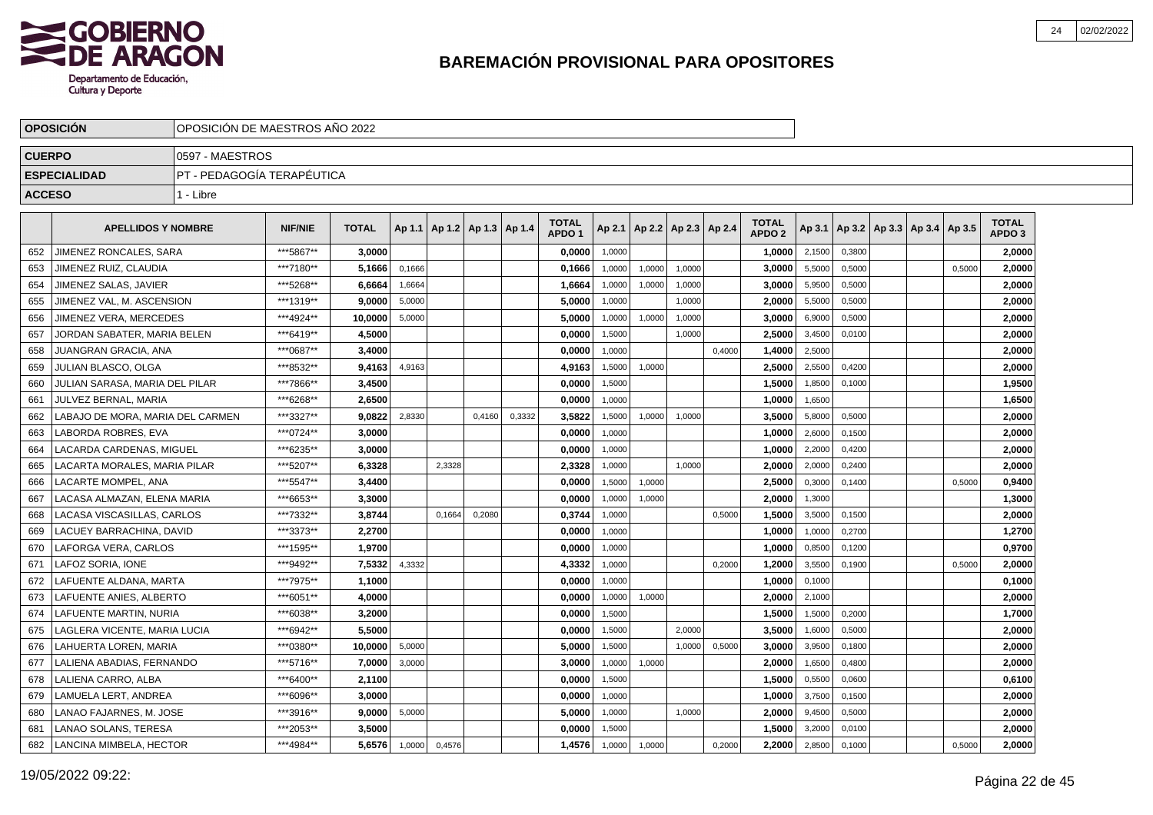

|               | <b>OPOSICION</b>                 | OPOSICIÓN DE MAESTROS AÑO 2022 |                |              |        |                                   |        |        |                                   |        |                          |        |        |                                   |        |        |                                   |        |                                   |  |
|---------------|----------------------------------|--------------------------------|----------------|--------------|--------|-----------------------------------|--------|--------|-----------------------------------|--------|--------------------------|--------|--------|-----------------------------------|--------|--------|-----------------------------------|--------|-----------------------------------|--|
| <b>CUERPO</b> |                                  | 0597 - MAESTROS                |                |              |        |                                   |        |        |                                   |        |                          |        |        |                                   |        |        |                                   |        |                                   |  |
|               | <b>ESPECIALIDAD</b>              | PT - PEDAGOGÍA TERAPÉUTICA     |                |              |        |                                   |        |        |                                   |        |                          |        |        |                                   |        |        |                                   |        |                                   |  |
| <b>ACCESO</b> |                                  | 1 - Libre                      |                |              |        |                                   |        |        |                                   |        |                          |        |        |                                   |        |        |                                   |        |                                   |  |
|               | <b>APELLIDOS Y NOMBRE</b>        |                                | <b>NIF/NIE</b> | <b>TOTAL</b> |        | Ap 1.1   Ap 1.2   Ap 1.3   Ap 1.4 |        |        | <b>TOTAL</b><br>APDO <sub>1</sub> | Ap 2.1 | Ap 2.2   Ap 2.3   Ap 2.4 |        |        | <b>TOTAL</b><br>APDO <sub>2</sub> | Ap 3.1 |        | Ap 3.2   Ap 3.3   Ap 3.4   Ap 3.5 |        | <b>TOTAL</b><br>APDO <sub>3</sub> |  |
| 652           | JIMENEZ RONCALES. SARA           |                                | ***5867**      | 3.0000       |        |                                   |        |        | 0.0000                            | 1.0000 |                          |        |        | 1.0000                            | 2,1500 | 0,3800 |                                   |        | 2.0000                            |  |
| 653           | JIMENEZ RUIZ, CLAUDIA            |                                | ***7180**      | 5.1666       | 0,1666 |                                   |        |        | 0,1666                            | 1,0000 | 1,0000                   | 1.0000 |        | 3.0000                            | 5,5000 | 0,5000 |                                   | 0.5000 | 2.0000                            |  |
| 654           | JIMENEZ SALAS. JAVIER            |                                | ***5268**      | 6.6664       | 1,6664 |                                   |        |        | 1,6664                            | 1,0000 | 1,0000                   | 1.0000 |        | 3,0000                            | 5,9500 | 0,5000 |                                   |        | 2.0000                            |  |
| 655           | JIMENEZ VAL, M. ASCENSION        |                                | ***1319**      | 9.0000       | 5,0000 |                                   |        |        | 5,0000                            | 1,0000 |                          | 1,0000 |        | 2,0000                            | 5,5000 | 0,5000 |                                   |        | 2,0000                            |  |
| 656           | JIMENEZ VERA, MERCEDES           |                                | ***4924**      | 10,0000      | 5,0000 |                                   |        |        | 5,0000                            | 1,0000 | 1,0000                   | 1,0000 |        | 3,0000                            | 6,9000 | 0,5000 |                                   |        | 2,0000                            |  |
| 657           | JORDAN SABATER, MARIA BELEN      |                                | ***6419**      | 4,5000       |        |                                   |        |        | 0,0000                            | 1,5000 |                          | 1,0000 |        | 2,5000                            | 3,4500 | 0,0100 |                                   |        | 2,0000                            |  |
| 658           | JUANGRAN GRACIA, ANA             |                                | ***0687**      | 3,4000       |        |                                   |        |        | 0,0000                            | 1,0000 |                          |        | 0,4000 | 1,4000                            | 2,5000 |        |                                   |        | 2,0000                            |  |
| 659           | JULIAN BLASCO. OLGA              |                                | ***8532**      | 9.4163       | 4,9163 |                                   |        |        | 4,9163                            | 1,5000 | 1,0000                   |        |        | 2.5000                            | 2,5500 | 0.4200 |                                   |        | 2.0000                            |  |
| 660           | JULIAN SARASA. MARIA DEL PILAR   |                                | ***7866**      | 3,4500       |        |                                   |        |        | 0,0000                            | 1,5000 |                          |        |        | 1,5000                            | 1,8500 | 0,1000 |                                   |        | 1,9500                            |  |
| 661           | JULVEZ BERNAL, MARIA             |                                | ***6268**      | 2.6500       |        |                                   |        |        | 0,0000                            | 1,0000 |                          |        |        | 1,0000                            | 1,6500 |        |                                   |        | 1,6500                            |  |
| 662           | LABAJO DE MORA. MARIA DEL CARMEN |                                | ***3327**      | 9,0822       | 2,8330 |                                   | 0,4160 | 0,3332 | 3,5822                            | 1,5000 | 1,0000                   | 1,0000 |        | 3,5000                            | 5,8000 | 0,5000 |                                   |        | 2,0000                            |  |
| 663           | <b>LABORDA ROBRES, EVA</b>       |                                | ***0724**      | 3,0000       |        |                                   |        |        | 0,0000                            | 1,0000 |                          |        |        | 1,0000                            | 2,6000 | 0,1500 |                                   |        | 2,0000                            |  |
| 664           | LACARDA CARDENAS, MIGUEL         |                                | ***6235**      | 3,0000       |        |                                   |        |        | 0,0000                            | 1,0000 |                          |        |        | 1,0000                            | 2,2000 | 0,4200 |                                   |        | 2,0000                            |  |
| 665           | LACARTA MORALES, MARIA PILAR     |                                | ***5207**      | 6,3328       |        | 2,3328                            |        |        | 2,3328                            | 1,0000 |                          | 1,0000 |        | 2,0000                            | 2,0000 | 0,2400 |                                   |        | 2,0000                            |  |
| 666           | LACARTE MOMPEL. ANA              |                                | ***5547**      | 3.4400       |        |                                   |        |        | 0.0000                            | 1.5000 | 1,0000                   |        |        | 2.5000                            | 0.3000 | 0.1400 |                                   | 0.5000 | 0.9400                            |  |
| 667           | LACASA ALMAZAN. ELENA MARIA      |                                | ***6653**      | 3.3000       |        |                                   |        |        | 0.0000                            | 1.0000 | 1,0000                   |        |        | 2.0000                            | 1,3000 |        |                                   |        | 1,3000                            |  |
| 668           | LACASA VISCASILLAS. CARLOS       |                                | ***7332**      | 3.8744       |        | 0.1664                            | 0,2080 |        | 0,3744                            | 1,0000 |                          |        | 0,5000 | 1,5000                            | 3,5000 | 0,1500 |                                   |        | 2,0000                            |  |
| 669           | LACUEY BARRACHINA. DAVID         |                                | ***3373**      | 2,2700       |        |                                   |        |        | 0,0000                            | 1,0000 |                          |        |        | 1,0000                            | 1,0000 | 0,2700 |                                   |        | 1,2700                            |  |
| 670           | LAFORGA VERA, CARLOS             |                                | ***1595**      | 1,9700       |        |                                   |        |        | 0,0000                            | 1,0000 |                          |        |        | 1,0000                            | 0,8500 | 0,1200 |                                   |        | 0,9700                            |  |
| 671           | LAFOZ SORIA, IONE                |                                | ***9492**      | 7,5332       | 4,3332 |                                   |        |        | 4,3332                            | 1,0000 |                          |        | 0,2000 | 1,2000                            | 3,5500 | 0,1900 |                                   | 0,5000 | 2,0000                            |  |
| 672           | LAFUENTE ALDANA, MARTA           |                                | ***7975**      | 1,1000       |        |                                   |        |        | 0,0000                            | 1,0000 |                          |        |        | 1,0000                            | 0,1000 |        |                                   |        | 0,1000                            |  |
| 673           | LAFUENTE ANIES. ALBERTO          |                                | ***6051**      | 4.0000       |        |                                   |        |        | 0.0000                            | 1,0000 | 1,0000                   |        |        | 2.0000                            | 2,1000 |        |                                   |        | 2.0000                            |  |
| 674           | LAFUENTE MARTIN, NURIA           |                                | ***6038**      | 3.2000       |        |                                   |        |        | 0.0000                            | 1,5000 |                          |        |        | 1,5000                            | 1,5000 | 0,2000 |                                   |        | 1,7000                            |  |
| 675           | LAGLERA VICENTE, MARIA LUCIA     |                                | ***6942**      | 5.5000       |        |                                   |        |        | 0,0000                            | 1,5000 |                          | 2.0000 |        | 3,5000                            | 1,6000 | 0,5000 |                                   |        | 2,0000                            |  |
| 676           | LAHUERTA LOREN, MARIA            |                                | ***0380**      | 10.0000      | 5,0000 |                                   |        |        | 5,0000                            | 1,5000 |                          | 1,0000 | 0,5000 | 3,0000                            | 3,9500 | 0,1800 |                                   |        | 2,0000                            |  |
| 677           | LALIENA ABADIAS, FERNANDO        |                                | ***5716**      | 7,0000       | 3,0000 |                                   |        |        | 3,0000                            | 1,0000 | 1,0000                   |        |        | 2,0000                            | 1,6500 | 0,4800 |                                   |        | 2,0000                            |  |
| 678           | LALIENA CARRO, ALBA              |                                | ***6400**      | 2,1100       |        |                                   |        |        | 0,0000                            | 1,5000 |                          |        |        | 1,5000                            | 0,5500 | 0,0600 |                                   |        | 0,6100                            |  |
| 679           | LAMUELA LERT, ANDREA             |                                | ***6096**      | 3,0000       |        |                                   |        |        | 0,0000                            | 1,0000 |                          |        |        | 1,0000                            | 3,7500 | 0,1500 |                                   |        | 2,0000                            |  |
| 680           | LANAO FAJARNES, M. JOSE          |                                | ***3916**      | 9.0000       | 5,0000 |                                   |        |        | 5,0000                            | 1,0000 |                          | 1.0000 |        | 2.0000                            | 9,4500 | 0,5000 |                                   |        | 2,0000                            |  |
| 681           | LANAO SOLANS, TERESA             |                                | ***2053**      | 3,5000       |        |                                   |        |        | 0,0000                            | 1.5000 |                          |        |        | 1,5000                            | 3,2000 | 0,0100 |                                   |        | 2,0000                            |  |
| 682           | LANCINA MIMBELA, HECTOR          |                                | ***4984**      | 5.6576       | 1,0000 | 0,4576                            |        |        | 1,4576                            | 1,0000 | 1,0000                   |        | 0,2000 | 2.2000                            | 2,8500 | 0,1000 |                                   | 0,5000 | 2,0000                            |  |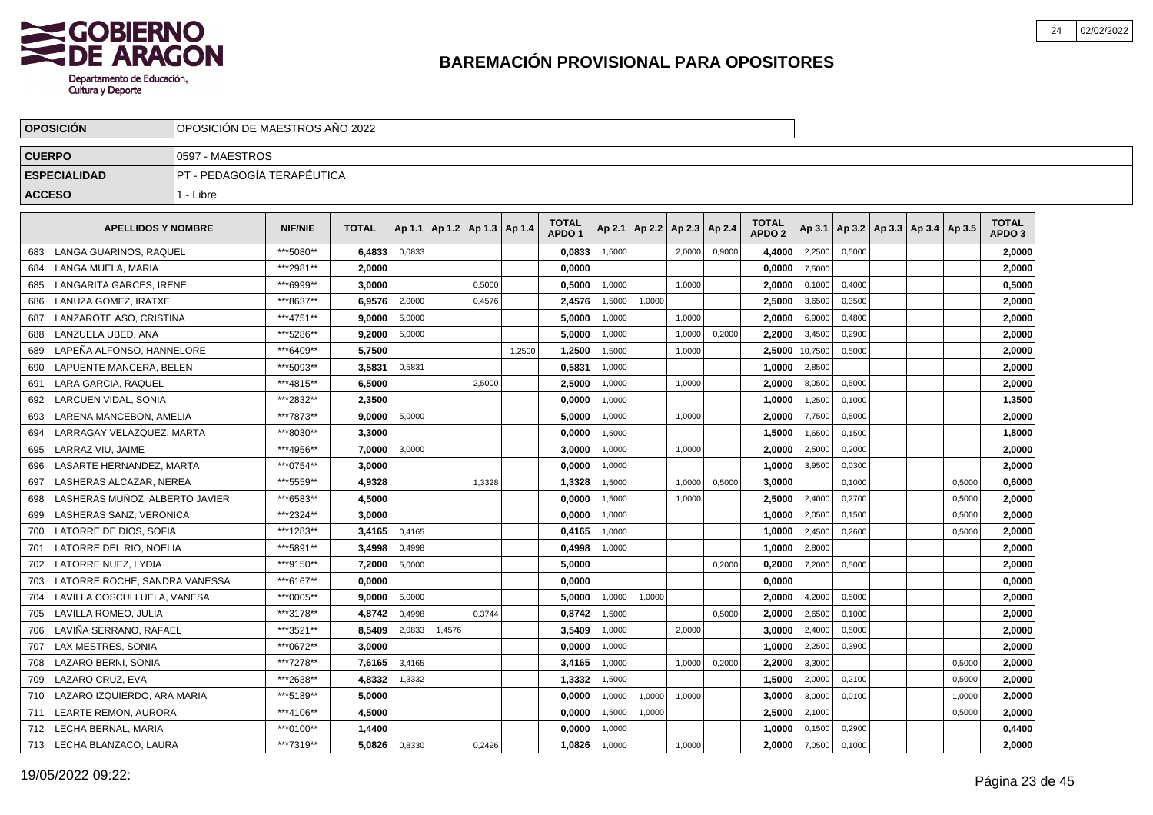

|               | <b>OPOSICION</b>               | OPOSICION DE MAESTROS ANO 2022 |                |              |        |                                   |        |        |                                   |        |                          |        |        |                                   |         |        |                             |        |                                   |  |
|---------------|--------------------------------|--------------------------------|----------------|--------------|--------|-----------------------------------|--------|--------|-----------------------------------|--------|--------------------------|--------|--------|-----------------------------------|---------|--------|-----------------------------|--------|-----------------------------------|--|
| <b>CUERPO</b> |                                | 0597 - MAESTROS                |                |              |        |                                   |        |        |                                   |        |                          |        |        |                                   |         |        |                             |        |                                   |  |
|               | <b>ESPECIALIDAD</b>            | PT - PEDAGOGÍA TERAPÉUTICA     |                |              |        |                                   |        |        |                                   |        |                          |        |        |                                   |         |        |                             |        |                                   |  |
| <b>ACCESO</b> |                                | 1 - Libre                      |                |              |        |                                   |        |        |                                   |        |                          |        |        |                                   |         |        |                             |        |                                   |  |
|               |                                |                                |                |              |        |                                   |        |        |                                   |        |                          |        |        |                                   |         |        |                             |        |                                   |  |
|               | <b>APELLIDOS Y NOMBRE</b>      |                                | <b>NIF/NIE</b> | <b>TOTAL</b> |        | Ap 1.1   Ap 1.2   Ap 1.3   Ap 1.4 |        |        | <b>TOTAL</b><br>APDO <sub>1</sub> | Ap 2.1 | Ap 2.2   Ap 2.3   Ap 2.4 |        |        | <b>TOTAL</b><br>APDO <sub>2</sub> | Ap 3.1  |        | Ap 3.2 Ap 3.3 Ap 3.4 Ap 3.5 |        | <b>TOTAL</b><br>APDO <sub>3</sub> |  |
| 683           | <b>LANGA GUARINOS, RAQUEL</b>  |                                | ***5080**      | 6,4833       | 0,0833 |                                   |        |        | 0,0833                            | 1,5000 |                          | 2.0000 | 0,9000 | 4,4000                            | 2,2500  | 0.5000 |                             |        | 2,0000                            |  |
| 684           | LANGA MUELA, MARIA             |                                | ***2981**      | 2,0000       |        |                                   |        |        | 0,0000                            |        |                          |        |        | 0,0000                            | 7,5000  |        |                             |        | 2,0000                            |  |
| 685           | LANGARITA GARCES, IRENE        |                                | ***6999**      | 3.0000       |        |                                   | 0,5000 |        | 0.5000                            | 1,0000 |                          | 1,0000 |        | 2,0000                            | 0,1000  | 0,4000 |                             |        | 0,5000                            |  |
| 686           | LANUZA GOMEZ. IRATXE           |                                | ***8637**      | 6,9576       | 2,0000 |                                   | 0,4576 |        | 2,4576                            | 1,5000 | 1,0000                   |        |        | 2,5000                            | 3,6500  | 0,3500 |                             |        | 2,0000                            |  |
| 687           | LANZAROTE ASO, CRISTINA        |                                | ***4751**      | 9,0000       | 5,0000 |                                   |        |        | 5,0000                            | 1,0000 |                          | 1,0000 |        | 2,0000                            | 6,9000  | 0,4800 |                             |        | 2,0000                            |  |
| 688           | LANZUELA UBED. ANA             |                                | ***5286**      | 9.2000       | 5.0000 |                                   |        |        | 5.0000                            | 1,0000 |                          | 1,0000 | 0,2000 | 2.2000                            | 3,4500  | 0.2900 |                             |        | 2.0000                            |  |
| 689           | LAPEÑA ALFONSO, HANNELORE      |                                | ***6409**      | 5.7500       |        |                                   |        | 1,2500 | 1,2500                            | 1,5000 |                          | 1,0000 |        | 2.5000                            | 10,7500 | 0,5000 |                             |        | 2,0000                            |  |
| 690           | LAPUENTE MANCERA, BELEN        |                                | ***5093**      | 3,5831       | 0,5831 |                                   |        |        | 0,5831                            | 1,0000 |                          |        |        | 1,0000                            | 2,8500  |        |                             |        | 2,0000                            |  |
| 691           | LARA GARCIA. RAQUEL            |                                | ***4815**      | 6,5000       |        |                                   | 2,5000 |        | 2,5000                            | 1,0000 |                          | 1,0000 |        | 2,0000                            | 8,0500  | 0,5000 |                             |        | 2,0000                            |  |
| 692           | LARCUEN VIDAL, SONIA           |                                | ***2832**      | 2,3500       |        |                                   |        |        | 0,0000                            | 1,0000 |                          |        |        | 1,0000                            | 1,2500  | 0,1000 |                             |        | 1,3500                            |  |
| 693           | LARENA MANCEBON, AMELIA        |                                | ***7873**      | 9,0000       | 5,0000 |                                   |        |        | 5,0000                            | 1,0000 |                          | 1,0000 |        | 2,0000                            | 7,7500  | 0,5000 |                             |        | 2,0000                            |  |
| 694           | LARRAGAY VELAZQUEZ, MARTA      |                                | ***8030**      | 3,3000       |        |                                   |        |        | 0,0000                            | 1,5000 |                          |        |        | 1,5000                            | 1,6500  | 0,1500 |                             |        | 1,8000                            |  |
| 695           | LARRAZ VIU. JAIME              |                                | ***4956**      | 7,0000       | 3.0000 |                                   |        |        | 3,0000                            | 1,0000 |                          | 1.0000 |        | 2,0000                            | 2,5000  | 0.2000 |                             |        | 2,0000                            |  |
| 696           | LASARTE HERNANDEZ. MARTA       |                                | ***0754**      | 3.0000       |        |                                   |        |        | 0.0000                            | 1,0000 |                          |        |        | 1,0000                            | 3,9500  | 0,0300 |                             |        | 2,0000                            |  |
| 697           | LASHERAS ALCAZAR. NEREA        |                                | ***5559**      | 4,9328       |        |                                   | 1,3328 |        | 1,3328                            | 1,5000 |                          | 1,0000 | 0,5000 | 3,0000                            |         | 0,1000 |                             | 0,5000 | 0,6000                            |  |
| 698           | LASHERAS MUÑOZ. ALBERTO JAVIER |                                | ***6583**      | 4,5000       |        |                                   |        |        | 0,0000                            | 1,5000 |                          | 1,0000 |        | 2,5000                            | 2,4000  | 0,2700 |                             | 0,5000 | 2,0000                            |  |
| 699           | LASHERAS SANZ, VERONICA        |                                | ***2324**      | 3,0000       |        |                                   |        |        | 0,0000                            | 1,0000 |                          |        |        | 1,0000                            | 2,0500  | 0,1500 |                             | 0,5000 | 2,0000                            |  |
| 700           | LATORRE DE DIOS. SOFIA         |                                | ***1283**      | 3.4165       | 0.4165 |                                   |        |        | 0,4165                            | 1.0000 |                          |        |        | 1.0000                            | 2,4500  | 0.2600 |                             | 0,5000 | 2,0000                            |  |
| 701           | LATORRE DEL RIO. NOELIA        |                                | ***5891**      | 3.4998       | 0,4998 |                                   |        |        | 0.4998                            | 1,0000 |                          |        |        | 1.0000                            | 2,8000  |        |                             |        | 2,0000                            |  |
| 702           | <b>LATORRE NUEZ, LYDIA</b>     |                                | ***9150**      | 7,2000       | 5,0000 |                                   |        |        | 5,0000                            |        |                          |        | 0,2000 | 0,2000                            | 7,2000  | 0,5000 |                             |        | 2,0000                            |  |
| 703           | LATORRE ROCHE, SANDRA VANESSA  |                                | ***6167**      | 0,0000       |        |                                   |        |        | 0,0000                            |        |                          |        |        | 0,0000                            |         |        |                             |        | 0,0000                            |  |
| 704           | LAVILLA COSCULLUELA, VANESA    |                                | ***0005**      | 9,0000       | 5,0000 |                                   |        |        | 5.0000                            | 1,0000 | 1,0000                   |        |        | 2.0000                            | 4,2000  | 0,5000 |                             |        | 2,0000                            |  |
| 705           | LAVILLA ROMEO, JULIA           |                                | ***3178**      | 4,8742       | 0,4998 |                                   | 0,3744 |        | 0,8742                            | 1,5000 |                          |        | 0,5000 | 2,0000                            | 2,6500  | 0,1000 |                             |        | 2,0000                            |  |
| 706           | LAVIÑA SERRANO, RAFAEL         |                                | ***3521**      | 8.5409       | 2,0833 | 1,4576                            |        |        | 3.5409                            | 1,0000 |                          | 2,0000 |        | 3.0000                            | 2,4000  | 0,5000 |                             |        | 2.0000                            |  |
| 707           | <b>LAX MESTRES, SONIA</b>      |                                | ***0672**      | 3.0000       |        |                                   |        |        | 0,0000                            | 1,0000 |                          |        |        | 1.0000                            | 2,2500  | 0,3900 |                             |        | 2.0000                            |  |
| 708           | <b>LAZARO BERNI, SONIA</b>     |                                | ***7278**      | 7,6165       | 3,4165 |                                   |        |        | 3,4165                            | 1,0000 |                          | 1,0000 | 0,2000 | 2.2000                            | 3,3000  |        |                             | 0,5000 | 2,0000                            |  |
| 709           | LAZARO CRUZ, EVA               |                                | ***2638**      | 4,8332       | 1,3332 |                                   |        |        | 1,3332                            | 1,5000 |                          |        |        | 1,5000                            | 2,0000  | 0,2100 |                             | 0,5000 | 2,0000                            |  |
| 710           | LAZARO IZQUIERDO, ARA MARIA    |                                | ***5189**      | 5,0000       |        |                                   |        |        | 0,0000                            | 1,0000 | 1,0000                   | 1,0000 |        | 3,0000                            | 3,0000  | 0,0100 |                             | 1,0000 | 2,0000                            |  |
| 711           | LEARTE REMON, AURORA           |                                | ***4106**      | 4,5000       |        |                                   |        |        | 0,0000                            | 1,5000 | 1,0000                   |        |        | 2,5000                            | 2,1000  |        |                             | 0,5000 | 2,0000                            |  |
| 712           | LECHA BERNAL, MARIA            |                                | ***0100**      | 1.4400       |        |                                   |        |        | 0.0000                            | 1,0000 |                          |        |        | 1.0000                            | 0,1500  | 0,2900 |                             |        | 0,4400                            |  |
| 713           | LECHA BLANZACO, LAURA          |                                | ***7319**      | 5,0826       | 0,8330 |                                   | 0,2496 |        | 1,0826                            | 1,0000 |                          | 1,0000 |        | 2,0000                            | 7,0500  | 0,1000 |                             |        | 2,0000                            |  |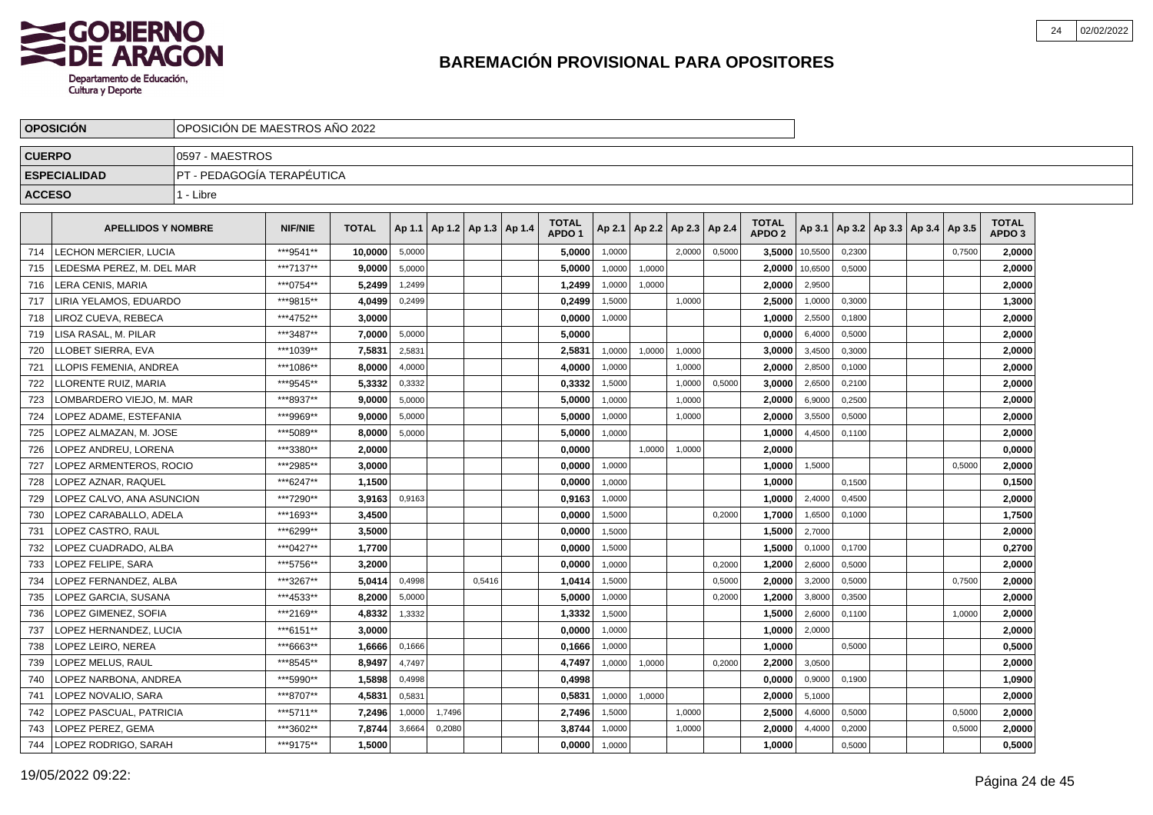

|               | <b>OPOSICIÓN</b>               | OPOSICIÓN DE MAESTROS AÑO 2022 |                |              |        |        |                                   |                                   |        |               |        |        |                                   |         |        |                                            |        |                                   |  |
|---------------|--------------------------------|--------------------------------|----------------|--------------|--------|--------|-----------------------------------|-----------------------------------|--------|---------------|--------|--------|-----------------------------------|---------|--------|--------------------------------------------|--------|-----------------------------------|--|
| <b>CUERPO</b> |                                | 0597 - MAESTROS                |                |              |        |        |                                   |                                   |        |               |        |        |                                   |         |        |                                            |        |                                   |  |
|               | <b>ESPECIALIDAD</b>            | IPT - PEDAGOGÍA TERAPÉUTICA    |                |              |        |        |                                   |                                   |        |               |        |        |                                   |         |        |                                            |        |                                   |  |
| <b>ACCESO</b> |                                | 1 - Libre                      |                |              |        |        |                                   |                                   |        |               |        |        |                                   |         |        |                                            |        |                                   |  |
|               | <b>APELLIDOS Y NOMBRE</b>      |                                | <b>NIF/NIE</b> | <b>TOTAL</b> |        |        | Ap 1.1   Ap 1.2   Ap 1.3   Ap 1.4 | <b>TOTAL</b><br>APDO <sub>1</sub> | Ap 2.1 | Ap 2.2 Ap 2.3 |        | Ap 2.4 | <b>TOTAL</b><br>APDO <sub>2</sub> |         |        | Ap 3.1   Ap 3.2   Ap 3.3   Ap 3.4   Ap 3.5 |        | <b>TOTAL</b><br>APDO <sub>3</sub> |  |
| 714           | LECHON MERCIER, LUCIA          |                                | ***9541**      | 10,0000      | 5,0000 |        |                                   | 5,0000                            | 1,0000 |               | 2,0000 | 0,5000 | 3,5000                            | 10,5500 | 0,2300 |                                            | 0,7500 | 2,0000                            |  |
| 715           | EDESMA PEREZ, M. DEL MAR       |                                | ***7137**      | 9,0000       | 5,0000 |        |                                   | 5,0000                            | 1,0000 | 1,0000        |        |        | 2,0000                            | 10,6500 | 0,5000 |                                            |        | 2,0000                            |  |
| 716           | <b>LERA CENIS, MARIA</b>       |                                | ***0754**      | 5,2499       | 1,2499 |        |                                   | 1,2499                            | 1,0000 | 1,0000        |        |        | 2,0000                            | 2,9500  |        |                                            |        | 2,0000                            |  |
| 717           | LIRIA YELAMOS. EDUARDO         |                                | ***9815**      | 4,0499       | 0,2499 |        |                                   | 0,2499                            | 1,5000 |               | 1,0000 |        | 2,5000                            | 1,0000  | 0.3000 |                                            |        | 1,3000                            |  |
| 718           | LIROZ CUEVA. REBECA            |                                | ***4752**      | 3.0000       |        |        |                                   | 0,0000                            | 1,0000 |               |        |        | 1,0000                            | 2,5500  | 0,1800 |                                            |        | 2,0000                            |  |
| 719           | <b>ISA RASAL, M. PILAR</b>     |                                | ***3487**      | 7.0000       | 5,0000 |        |                                   | 5.0000                            |        |               |        |        | 0.0000                            | 6,4000  | 0,5000 |                                            |        | 2,0000                            |  |
| 720           | LOBET SIERRA, EVA              |                                | ***1039**      | 7,5831       | 2,5831 |        |                                   | 2,5831                            | 1,0000 | 1,0000        | 1,0000 |        | 3,0000                            | 3,4500  | 0,3000 |                                            |        | 2,0000                            |  |
| 721           | LOPIS FEMENIA, ANDREA          |                                | ***1086**      | 8.0000       | 4,0000 |        |                                   | 4,0000                            | 1,0000 |               | 1,0000 |        | 2,0000                            | 2,8500  | 0,1000 |                                            |        | 2,0000                            |  |
| 722           | LORENTE RUIZ, MARIA            |                                | ***9545**      | 5,3332       | 0,3332 |        |                                   | 0,3332                            | 1,5000 |               | 1,0000 | 0,5000 | 3,0000                            | 2,6500  | 0,2100 |                                            |        | 2,0000                            |  |
| 723           | LOMBARDERO VIEJO, M. MAR       |                                | ***8937**      | 9.0000       | 5,0000 |        |                                   | 5,0000                            | 1,0000 |               | 1,0000 |        | 2.0000                            | 6,9000  | 0,2500 |                                            |        | 2,0000                            |  |
| 724           | LOPEZ ADAME. ESTEFANIA         |                                | ***9969**      | 9,0000       | 5,0000 |        |                                   | 5.0000                            | 1,0000 |               | 1.0000 |        | 2.0000                            | 3,5500  | 0.5000 |                                            |        | 2,0000                            |  |
| 725           | LOPEZ ALMAZAN, M. JOSE         |                                | ***5089**      | 8,0000       | 5,0000 |        |                                   | 5,0000                            | 1,0000 |               |        |        | 1,0000                            | 4,4500  | 0,1100 |                                            |        | 2,0000                            |  |
| 726           | LOPEZ ANDREU, LORENA           |                                | ***3380**      | 2,0000       |        |        |                                   | 0,0000                            |        | 1,0000        | 1,0000 |        | 2,0000                            |         |        |                                            |        | 0,0000                            |  |
| 727           | <b>LOPEZ ARMENTEROS, ROCIO</b> |                                | ***2985**      | 3,0000       |        |        |                                   | 0,0000                            | 1,0000 |               |        |        | 1,0000                            | 1,5000  |        |                                            | 0,5000 | 2,0000                            |  |
| 728           | LOPEZ AZNAR. RAQUEL            |                                | ***6247**      | 1,1500       |        |        |                                   | 0,0000                            | 1,0000 |               |        |        | 1,0000                            |         | 0,1500 |                                            |        | 0,1500                            |  |
| 729           | LOPEZ CALVO. ANA ASUNCION      |                                | ***7290**      | 3,9163       | 0,9163 |        |                                   | 0,9163                            | 1,0000 |               |        |        | 1.0000                            | 2,4000  | 0,4500 |                                            |        | 2,0000                            |  |
| 730           | LOPEZ CARABALLO. ADELA         |                                | ***1693**      | 3.4500       |        |        |                                   | 0,0000                            | 1,5000 |               |        | 0,2000 | 1,7000                            | 1,6500  | 0.1000 |                                            |        | 1,7500                            |  |
| 731           | OPEZ CASTRO, RAUL              |                                | ***6299**      | 3,5000       |        |        |                                   | 0,0000                            | 1,5000 |               |        |        | 1,5000                            | 2,7000  |        |                                            |        | 2,0000                            |  |
| 732           | OPEZ CUADRADO, ALBA            |                                | ***0427**      | 1,7700       |        |        |                                   | 0,0000                            | 1,5000 |               |        |        | 1,5000                            | 0,1000  | 0,1700 |                                            |        | 0,2700                            |  |
| 733           | OPEZ FELIPE, SARA              |                                | ***5756**      | 3,2000       |        |        |                                   | 0,0000                            | 1,0000 |               |        | 0,2000 | 1.2000                            | 2,6000  | 0,5000 |                                            |        | 2,0000                            |  |
| 734           | <b>LOPEZ FERNANDEZ. ALBA</b>   |                                | ***3267**      | 5.0414       | 0,4998 |        | 0,5416                            | 1,0414                            | 1,5000 |               |        | 0,5000 | 2.0000                            | 3,2000  | 0,5000 |                                            | 0,7500 | 2,0000                            |  |
| 735           | LOPEZ GARCIA. SUSANA           |                                | ***4533**      | 8.2000       | 5,0000 |        |                                   | 5.0000                            | 1,0000 |               |        | 0,2000 | 1,2000                            | 3,8000  | 0,3500 |                                            |        | 2.0000                            |  |
| 736           | OPEZ GIMENEZ, SOFIA            |                                | ***2169**      | 4,8332       | 1,3332 |        |                                   | 1,3332                            | 1,5000 |               |        |        | 1,5000                            | 2,6000  | 0,1100 |                                            | 1,0000 | 2,0000                            |  |
| 737           | OPEZ HERNANDEZ, LUCIA          |                                | ***6151**      | 3.0000       |        |        |                                   | 0,0000                            | 1,0000 |               |        |        | 1,0000                            | 2,0000  |        |                                            |        | 2,0000                            |  |
| 738           | OPEZ LEIRO, NEREA              |                                | ***6663**      | 1.6666       | 0,1666 |        |                                   | 0,1666                            | 1,0000 |               |        |        | 1,0000                            |         | 0,5000 |                                            |        | 0,5000                            |  |
| 739           | LOPEZ MELUS. RAUL              |                                | ***8545**      | 8.9497       | 4,7497 |        |                                   | 4,7497                            | 1,0000 | 1,0000        |        | 0,2000 | 2.2000                            | 3,0500  |        |                                            |        | 2,0000                            |  |
| 740           | OPEZ NARBONA, ANDREA           |                                | ***5990**      | 1,5898       | 0,4998 |        |                                   | 0,4998                            |        |               |        |        | 0.0000                            | 0,9000  | 0.1900 |                                            |        | 1,0900                            |  |
| 741           | LOPEZ NOVALIO. SARA            |                                | ***8707**      | 4,5831       | 0,5831 |        |                                   | 0,5831                            | 1,0000 | 1,0000        |        |        | 2.0000                            | 5,1000  |        |                                            |        | 2,0000                            |  |
| 742           | OPEZ PASCUAL, PATRICIA         |                                | ***5711**      | 7,2496       | 1,0000 | 1,7496 |                                   | 2,7496                            | 1,5000 |               | 1,0000 |        | 2,5000                            | 4,6000  | 0,5000 |                                            | 0,5000 | 2,0000                            |  |
| 743           | OPEZ PEREZ, GEMA               |                                | ***3602**      | 7,8744       | 3,6664 | 0,2080 |                                   | 3,8744                            | 1,0000 |               | 1,0000 |        | 2,0000                            | 4,4000  | 0,2000 |                                            | 0,5000 | 2,0000                            |  |
| 744           | LOPEZ RODRIGO, SARAH           |                                | ***9175**      | 1.5000       |        |        |                                   | 0,0000                            | 1,0000 |               |        |        | 1,0000                            |         | 0,5000 |                                            |        | 0,5000                            |  |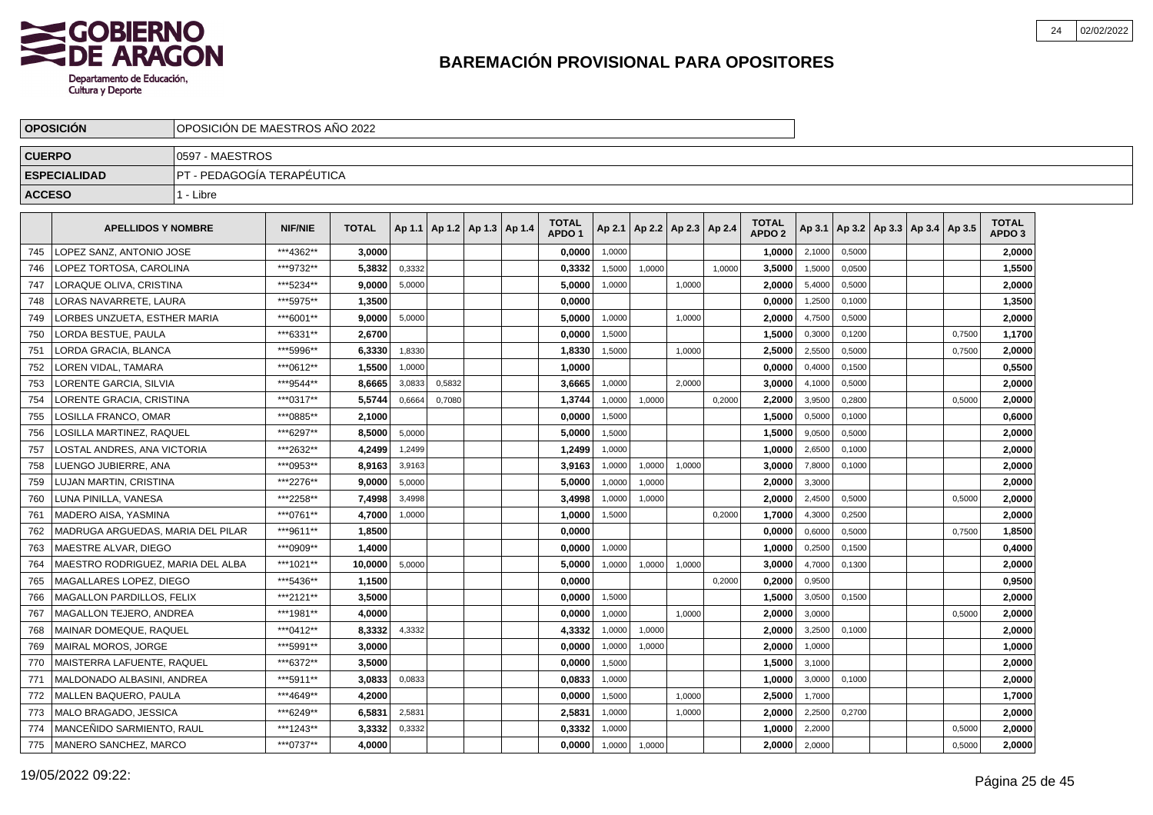

|               | <b>OPOSICION</b>                  | OPOSICION DE MAESTROS ANO 2022 |                |              |        |                                   |  |                                   |        |                          |        |        |                                   |        |        |                                   |        |                                   |  |
|---------------|-----------------------------------|--------------------------------|----------------|--------------|--------|-----------------------------------|--|-----------------------------------|--------|--------------------------|--------|--------|-----------------------------------|--------|--------|-----------------------------------|--------|-----------------------------------|--|
| <b>CUERPO</b> |                                   | 0597 - MAESTROS                |                |              |        |                                   |  |                                   |        |                          |        |        |                                   |        |        |                                   |        |                                   |  |
|               | <b>ESPECIALIDAD</b>               | IPT - PEDAGOGÍA TERAPÉUTICA    |                |              |        |                                   |  |                                   |        |                          |        |        |                                   |        |        |                                   |        |                                   |  |
| <b>ACCESO</b> |                                   | 1 - Libre                      |                |              |        |                                   |  |                                   |        |                          |        |        |                                   |        |        |                                   |        |                                   |  |
|               | <b>APELLIDOS Y NOMBRE</b>         |                                | <b>NIF/NIE</b> | <b>TOTAL</b> |        | Ap 1.1   Ap 1.2   Ap 1.3   Ap 1.4 |  | <b>TOTAL</b><br>APDO <sub>1</sub> | Ap 2.1 | Ap 2.2   Ap 2.3   Ap 2.4 |        |        | <b>TOTAL</b><br>APDO <sub>2</sub> | Ap 3.1 |        | Ap 3.2   Ap 3.3   Ap 3.4   Ap 3.5 |        | <b>TOTAL</b><br>APDO <sub>3</sub> |  |
| 745           | LOPEZ SANZ. ANTONIO JOSE          |                                | ***4362**      | 3,0000       |        |                                   |  | 0,0000                            | 1,0000 |                          |        |        | 1,0000                            | 2,1000 | 0,5000 |                                   |        | 2,0000                            |  |
| 746           | LOPEZ TORTOSA, CAROLINA           |                                | ***9732**      | 5,3832       | 0,3332 |                                   |  | 0,3332                            | 1,5000 | 1,0000                   |        | 1,0000 | 3,5000                            | 1,5000 | 0,0500 |                                   |        | 1,5500                            |  |
| 747           | LORAQUE OLIVA. CRISTINA           |                                | ***5234**      | 9.0000       | 5.0000 |                                   |  | 5.0000                            | 1,0000 |                          | 1.0000 |        | 2.0000                            | 5,4000 | 0.5000 |                                   |        | 2,0000                            |  |
| 748           | LORAS NAVARRETE, LAURA            |                                | ***5975**      | 1.3500       |        |                                   |  | 0.0000                            |        |                          |        |        | 0.0000                            | 1,2500 | 0,1000 |                                   |        | 1,3500                            |  |
| 749           | LORBES UNZUETA, ESTHER MARIA      |                                | ***6001**      | 9.0000       | 5,0000 |                                   |  | 5,0000                            | 1,0000 |                          | 1,0000 |        | 2.0000                            | 4,7500 | 0,5000 |                                   |        | 2,0000                            |  |
| 750           | <b>LORDA BESTUE, PAULA</b>        |                                | ***6331**      | 2.6700       |        |                                   |  | 0,0000                            | 1,5000 |                          |        |        | 1,5000                            | 0,3000 | 0,1200 |                                   | 0,7500 | 1,1700                            |  |
| 751           | LORDA GRACIA, BLANCA              |                                | *** 5996**     | 6,3330       | 1,8330 |                                   |  | 1,8330                            | 1,5000 |                          | 1,0000 |        | 2,5000                            | 2,5500 | 0,5000 |                                   | 0,7500 | 2,0000                            |  |
| 752           | <b>LOREN VIDAL, TAMARA</b>        |                                | ***0612**      | 1,5500       | 1,0000 |                                   |  | 1,0000                            |        |                          |        |        | 0,0000                            | 0,4000 | 0,1500 |                                   |        | 0,5500                            |  |
| 753           | LORENTE GARCIA, SILVIA            |                                | ***9544**      | 8,6665       | 3,0833 | 0,5832                            |  | 3,6665                            | 1,0000 |                          | 2,0000 |        | 3,0000                            | 4,1000 | 0,5000 |                                   |        | 2,0000                            |  |
| 754           | LORENTE GRACIA, CRISTINA          |                                | ***0317**      | 5,5744       | 0,6664 | 0,7080                            |  | 1,3744                            | 1,0000 | 1,0000                   |        | 0,2000 | 2,2000                            | 3,9500 | 0,2800 |                                   | 0,5000 | 2,0000                            |  |
| 755           | LOSILLA FRANCO, OMAR              |                                | ***0885**      | 2,1000       |        |                                   |  | 0.0000                            | 1.5000 |                          |        |        | 1,5000                            | 0,5000 | 0,1000 |                                   |        | 0,6000                            |  |
| 756           | LOSILLA MARTINEZ. RAQUEL          |                                | ***6297**      | 8,5000       | 5,0000 |                                   |  | 5,0000                            | 1,5000 |                          |        |        | 1,5000                            | 9,0500 | 0,5000 |                                   |        | 2,0000                            |  |
| 757           | LOSTAL ANDRES, ANA VICTORIA       |                                | ***2632**      | 4,2499       | 1,2499 |                                   |  | 1,2499                            | 1,0000 |                          |        |        | 1.0000                            | 2,6500 | 0,1000 |                                   |        | 2,0000                            |  |
| 758           | LUENGO JUBIERRE, ANA              |                                | ***0953**      | 8,9163       | 3,9163 |                                   |  | 3,9163                            | 1,0000 | 1,0000                   | 1,0000 |        | 3.0000                            | 7,8000 | 0,1000 |                                   |        | 2,0000                            |  |
| 759           | LUJAN MARTIN, CRISTINA            |                                | ***2276**      | 9.0000       | 5,0000 |                                   |  | 5.0000                            | 1,0000 | 1,0000                   |        |        | 2,0000                            | 3,3000 |        |                                   |        | 2,0000                            |  |
| 760           | LUNA PINILLA, VANESA              |                                | ***2258**      | 7,4998       | 3,4998 |                                   |  | 3,4998                            | 1,0000 | 1,0000                   |        |        | 2,0000                            | 2,4500 | 0,5000 |                                   | 0,5000 | 2,0000                            |  |
| 761           | <b>MADERO AISA, YASMINA</b>       |                                | ***0761**      | 4,7000       | 1,0000 |                                   |  | 1,0000                            | 1,5000 |                          |        | 0,2000 | 1,7000                            | 4,3000 | 0,2500 |                                   |        | 2,0000                            |  |
| 762           | MADRUGA ARGUEDAS, MARIA DEL PILAR |                                | ***9611**      | 1,8500       |        |                                   |  | 0,0000                            |        |                          |        |        | 0,0000                            | 0,6000 | 0,5000 |                                   | 0,7500 | 1,8500                            |  |
| 763           | MAESTRE ALVAR, DIEGO              |                                | ***0909**      | 1,4000       |        |                                   |  | 0,0000                            | 1,0000 |                          |        |        | 1,0000                            | 0,2500 | 0,1500 |                                   |        | 0,4000                            |  |
| 764           | MAESTRO RODRIGUEZ. MARIA DEL ALBA |                                | ***1021**      | 10.0000      | 5,0000 |                                   |  | 5.0000                            | 1,0000 | 1,0000                   | 1,0000 |        | 3.0000                            | 4,7000 | 0.1300 |                                   |        | 2,0000                            |  |
| 765           | MAGALLARES LOPEZ. DIEGO           |                                | ***5436**      | 1,1500       |        |                                   |  | 0.0000                            |        |                          |        | 0,2000 | 0.2000                            | 0,9500 |        |                                   |        | 0,9500                            |  |
| 766           | <b>MAGALLON PARDILLOS, FELIX</b>  |                                | ***2121**      | 3.5000       |        |                                   |  | 0.0000                            | 1,5000 |                          |        |        | 1.5000                            | 3,0500 | 0,1500 |                                   |        | 2,0000                            |  |
| 767           | MAGALLON TEJERO, ANDREA           |                                | ***1981**      | 4.0000       |        |                                   |  | 0,0000                            | 1,0000 |                          | 1,0000 |        | 2,0000                            | 3,0000 |        |                                   | 0,5000 | 2,0000                            |  |
| 768           | MAINAR DOMEQUE, RAQUEL            |                                | ***0412**      | 8,3332       | 4,3332 |                                   |  | 4,3332                            | 1,0000 | 1,0000                   |        |        | 2,0000                            | 3,2500 | 0,1000 |                                   |        | 2,0000                            |  |
| 769           | MAIRAL MOROS, JORGE               |                                | ***5991**      | 3,0000       |        |                                   |  | 0,0000                            | 1,0000 | 1,0000                   |        |        | 2,0000                            | 1,0000 |        |                                   |        | 1,0000                            |  |
| 770           | MAISTERRA LAFUENTE, RAQUEL        |                                | ***6372**      | 3,5000       |        |                                   |  | 0,0000                            | 1,5000 |                          |        |        | 1,5000                            | 3,1000 |        |                                   |        | 2,0000                            |  |
| 771           | MALDONADO ALBASINI, ANDREA        |                                | ***5911**      | 3,0833       | 0,0833 |                                   |  | 0,0833                            | 1,0000 |                          |        |        | 1,0000                            | 3,0000 | 0,1000 |                                   |        | 2,0000                            |  |
| 772           | MALLEN BAQUERO, PAULA             |                                | ***4649**      | 4,2000       |        |                                   |  | 0.0000                            | 1,5000 |                          | 1.0000 |        | 2,5000                            | 1,7000 |        |                                   |        | 1,7000                            |  |
| 773           | MALO BRAGADO, JESSICA             |                                | ***6249**      | 6,5831       | 2,5831 |                                   |  | 2,5831                            | 1,0000 |                          | 1,0000 |        | 2,0000                            | 2,2500 | 0,2700 |                                   |        | 2,0000                            |  |
| 774           | MANCENIDO SARMIENTO. RAUL         |                                | ***1243**      | 3,3332       | 0,3332 |                                   |  | 0,3332                            | 1,0000 |                          |        |        | 1.0000                            | 2,2000 |        |                                   | 0,5000 | 2,0000                            |  |
| 775           | MANERO SANCHEZ, MARCO             |                                | ***0737**      | 4,0000       |        |                                   |  | 0.0000                            | 1,0000 | 1,0000                   |        |        | 2.0000                            | 2,0000 |        |                                   | 0,5000 | 2,0000                            |  |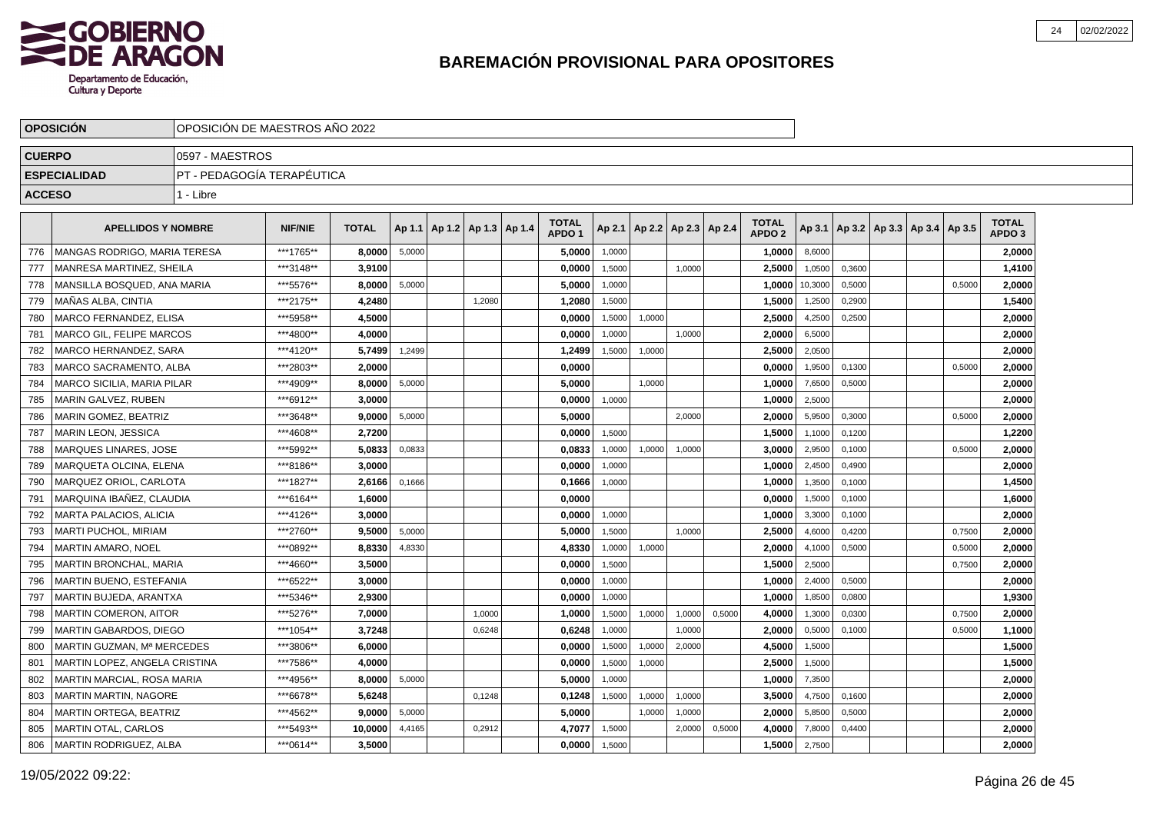

|               | <b>OPOSICIÓN</b>                  |                             | OPOSICIÓN DE MAESTROS AÑO 2022                                                                                                                 |              |        |  |                                   |  |                                   |        |        |                          |        |                                   |         |        |                                            |        |                                   |  |
|---------------|-----------------------------------|-----------------------------|------------------------------------------------------------------------------------------------------------------------------------------------|--------------|--------|--|-----------------------------------|--|-----------------------------------|--------|--------|--------------------------|--------|-----------------------------------|---------|--------|--------------------------------------------|--------|-----------------------------------|--|
| <b>CUERPO</b> |                                   | 0597 - MAESTROS             |                                                                                                                                                |              |        |  |                                   |  |                                   |        |        |                          |        |                                   |         |        |                                            |        |                                   |  |
|               | <b>ESPECIALIDAD</b>               | IPT - PEDAGOGÍA TERAPÉUTICA |                                                                                                                                                |              |        |  |                                   |  |                                   |        |        |                          |        |                                   |         |        |                                            |        |                                   |  |
| <b>ACCESO</b> |                                   | 1 - Libre                   |                                                                                                                                                |              |        |  |                                   |  |                                   |        |        |                          |        |                                   |         |        |                                            |        |                                   |  |
|               | <b>APELLIDOS Y NOMBRE</b>         |                             | <b>NIF/NIE</b>                                                                                                                                 | <b>TOTAL</b> |        |  | Ap 1.1   Ap 1.2   Ap 1.3   Ap 1.4 |  | <b>TOTAL</b><br>APDO <sub>1</sub> | Ap 2.1 |        | Ap 2.2   Ap 2.3   Ap 2.4 |        | <b>TOTAL</b><br>APDO <sub>2</sub> |         |        | Ap 3.1   Ap 3.2   Ap 3.3   Ap 3.4   Ap 3.5 |        | <b>TOTAL</b><br>APDO <sub>3</sub> |  |
| 776           | MANGAS RODRIGO, MARIA TERESA      |                             | ***1765**                                                                                                                                      | 8.0000       | 5.0000 |  |                                   |  | 5,0000                            | 1,0000 |        |                          |        | 1,0000                            | 8,6000  |        |                                            |        | 2,0000                            |  |
| 777           | MANRESA MARTINEZ, SHEILA          |                             | ***3148**                                                                                                                                      | 3,9100       |        |  |                                   |  | 0,0000                            | 1,5000 |        | 1.0000                   |        | 2,5000                            | 1,0500  | 0.3600 |                                            |        | 1,4100                            |  |
| 778           | MANSILLA BOSQUED, ANA MARIA       |                             | ***5576**                                                                                                                                      | 8,0000       | 5,0000 |  |                                   |  | 5,0000                            | 1,0000 |        |                          |        | 1,0000                            | 10,3000 | 0,5000 |                                            | 0,5000 | 2,0000                            |  |
| 779           | MAÑAS ALBA, CINTIA                |                             | ***2175**                                                                                                                                      | 4,2480       |        |  | 1,2080                            |  | 1,2080                            | 1,5000 |        |                          |        | 1,5000                            | 1,2500  | 0,2900 |                                            |        | 1,5400                            |  |
| 780           | MARCO FERNANDEZ. ELISA            |                             | ***5958**<br>4,5000<br>0,0000<br>1,5000<br>1,0000<br>2,5000<br>4,2500<br>***4800**<br>4.0000<br>1,0000<br>2.0000<br>6,5000<br>0,0000<br>1,0000 |              |        |  |                                   |  |                                   |        |        |                          |        |                                   |         |        |                                            |        | 2,0000                            |  |
| 781           | MARCO GIL, FELIPE MARCOS          |                             | ***4120**<br>5,7499<br>1,2499<br>1,2499<br>1,5000<br>1,0000<br>2,5000                                                                          |              |        |  |                                   |  |                                   |        |        |                          |        |                                   |         |        |                                            |        | 2,0000                            |  |
| 782           | MARCO HERNANDEZ. SARA             |                             |                                                                                                                                                |              |        |  |                                   |  |                                   |        |        |                          |        |                                   | 2,0500  |        |                                            |        | 2,0000                            |  |
| 783           | MARCO SACRAMENTO. ALBA            |                             | ***2803**                                                                                                                                      | 2.0000       |        |  |                                   |  | 0,0000                            |        |        |                          |        | 0.0000                            | 1,9500  | 0.1300 |                                            | 0.5000 | 2,0000                            |  |
| 784           | MARCO SICILIA, MARIA PILAR        |                             | ***4909**                                                                                                                                      | 8,0000       | 5,0000 |  |                                   |  | 5,0000                            |        | 1,0000 |                          |        | 1,0000                            | 7,6500  | 0,5000 |                                            |        | 2,0000                            |  |
| 785           | MARIN GALVEZ, RUBEN               |                             | ***6912**                                                                                                                                      | 3.0000       |        |  |                                   |  | 0,0000                            | 1,0000 |        |                          |        | 1,0000                            | 2,5000  |        |                                            |        | 2,0000                            |  |
| 786           | MARIN GOMEZ, BEATRIZ              |                             | ***3648**                                                                                                                                      | 9,0000       | 5,0000 |  |                                   |  | 5,0000                            |        |        | 2,0000                   |        | 2,0000                            | 5,9500  | 0,3000 |                                            | 0,5000 | 2,0000                            |  |
| 787           | <b>MARIN LEON, JESSICA</b>        |                             | ***4608**                                                                                                                                      | 2.7200       |        |  |                                   |  | 0,0000                            | 1,5000 |        |                          |        | 1,5000                            | 1,1000  | 0,1200 |                                            |        | 1,2200                            |  |
| 788           | <b>MARQUES LINARES, JOSE</b>      |                             | ***5992**                                                                                                                                      | 5.0833       | 0,0833 |  |                                   |  | 0.0833                            | 1,0000 | 1,0000 | 1,0000                   |        | 3.0000                            | 2,9500  | 0,1000 |                                            | 0,5000 | 2,0000                            |  |
| 789           | <b>MARQUETA OLCINA, ELENA</b>     |                             | ***8186**                                                                                                                                      | 3.0000       |        |  |                                   |  | 0,0000                            | 1,0000 |        |                          |        | 1.0000                            | 2,4500  | 0,4900 |                                            |        | 2,0000                            |  |
| 790           | MARQUEZ ORIOL, CARLOTA            |                             | ***1827**                                                                                                                                      | 2,6166       | 0,1666 |  |                                   |  | 0,1666                            | 1,0000 |        |                          |        | 1,0000                            | 1,3500  | 0,1000 |                                            |        | 1,4500                            |  |
| 791           | MARQUINA IBAÑEZ, CLAUDIA          |                             | ***6164**                                                                                                                                      | 1,6000       |        |  |                                   |  | 0,0000                            |        |        |                          |        | 0,0000                            | 1,5000  | 0,1000 |                                            |        | 1,6000                            |  |
| 792           | MARTA PALACIOS, ALICIA            |                             | ***4126**                                                                                                                                      | 3,0000       |        |  |                                   |  | 0,0000                            | 1,0000 |        |                          |        | 1,0000                            | 3,3000  | 0,1000 |                                            |        | 2,0000                            |  |
| 793           | MARTI PUCHOL, MIRIAM              |                             | ***2760**                                                                                                                                      | 9,5000       | 5,0000 |  |                                   |  | 5,0000                            | 1,5000 |        | 1.0000                   |        | 2,5000                            | 4,6000  | 0,4200 |                                            | 0,7500 | 2,0000                            |  |
| 794           | MARTIN AMARO. NOEL                |                             | ***0892**                                                                                                                                      | 8.8330       | 4,8330 |  |                                   |  | 4,8330                            | 1,0000 | 1,0000 |                          |        | 2,0000                            | 4,1000  | 0,5000 |                                            | 0,5000 | 2,0000                            |  |
| 795           | MARTIN BRONCHAL. MARIA            |                             | ***4660**                                                                                                                                      | 3.5000       |        |  |                                   |  | 0.0000                            | 1,5000 |        |                          |        | 1.5000                            | 2,5000  |        |                                            | 0,7500 | 2,0000                            |  |
| 796           | MARTIN BUENO, ESTEFANIA           |                             | ***6522**                                                                                                                                      | 3,0000       |        |  |                                   |  | 0,0000                            | 1,0000 |        |                          |        | 1,0000                            | 2.4000  | 0,5000 |                                            |        | 2,0000                            |  |
| 797           | MARTIN BUJEDA, ARANTXA            |                             | ***5346**                                                                                                                                      | 2,9300       |        |  |                                   |  | 0,0000                            | 1,0000 |        |                          |        | 1,0000                            | 1,8500  | 0,0800 |                                            |        | 1,9300                            |  |
| 798           | MARTIN COMERON, AITOR             |                             | ***5276**                                                                                                                                      | 7,0000       |        |  | 1,0000                            |  | 1,0000                            | 1,5000 | 1,0000 | 1,0000                   | 0,5000 | 4,0000                            | 1,3000  | 0,0300 |                                            | 0,7500 | 2,0000                            |  |
| 799           | MARTIN GABARDOS, DIEGO            |                             | ***1054**                                                                                                                                      | 3,7248       |        |  | 0,6248                            |  | 0,6248                            | 1,0000 |        | 1,0000                   |        | 2.0000                            | 0,5000  | 0,1000 |                                            | 0,5000 | 1,1000                            |  |
| 800           | MARTIN GUZMAN, Mª MERCEDES        |                             | ***3806**                                                                                                                                      | 6.0000       |        |  |                                   |  | 0,0000                            | 1,5000 | 1,0000 | 2.0000                   |        | 4,5000                            | 1,5000  |        |                                            |        | 1,5000                            |  |
| 801           | MARTIN LOPEZ, ANGELA CRISTINA     |                             | ***7586**                                                                                                                                      | 4.0000       |        |  |                                   |  | 0,0000                            | 1,5000 | 1,0000 |                          |        | 2,5000                            | 1,5000  |        |                                            |        | 1,5000                            |  |
| 802           | <b>MARTIN MARCIAL, ROSA MARIA</b> |                             | ***4956**                                                                                                                                      | 8.0000       | 5,0000 |  |                                   |  | 5.0000                            | 1,0000 |        |                          |        | 1.0000                            | 7,3500  |        |                                            |        | 2,0000                            |  |
| 803           | MARTIN MARTIN, NAGORE             |                             | ***6678**                                                                                                                                      | 5,6248       |        |  | 0,1248                            |  | 0,1248                            | 1,5000 | 1,0000 | 1,0000                   |        | 3,5000                            | 4,7500  | 0,1600 |                                            |        | 2,0000                            |  |
| 804           | MARTIN ORTEGA, BEATRIZ            |                             | ***4562**                                                                                                                                      | 9,0000       | 5,0000 |  |                                   |  | 5,0000                            |        | 1,0000 | 1,0000                   |        | 2,0000                            | 5,8500  | 0,5000 |                                            |        | 2,0000                            |  |
| 805           | <b>MARTIN OTAL, CARLOS</b>        |                             | ***5493**                                                                                                                                      | 10,0000      | 4,4165 |  | 0,2912                            |  | 4,7077                            | 1,5000 |        | 2,0000                   | 0,5000 | 4,0000                            | 7,8000  | 0,4400 |                                            |        | 2,0000                            |  |
| 806           | MARTIN RODRIGUEZ, ALBA            |                             | ***0614**                                                                                                                                      | 3.5000       |        |  |                                   |  | 0,0000                            | 1,5000 |        |                          |        | 1,5000                            | 2,7500  |        |                                            |        | 2,0000                            |  |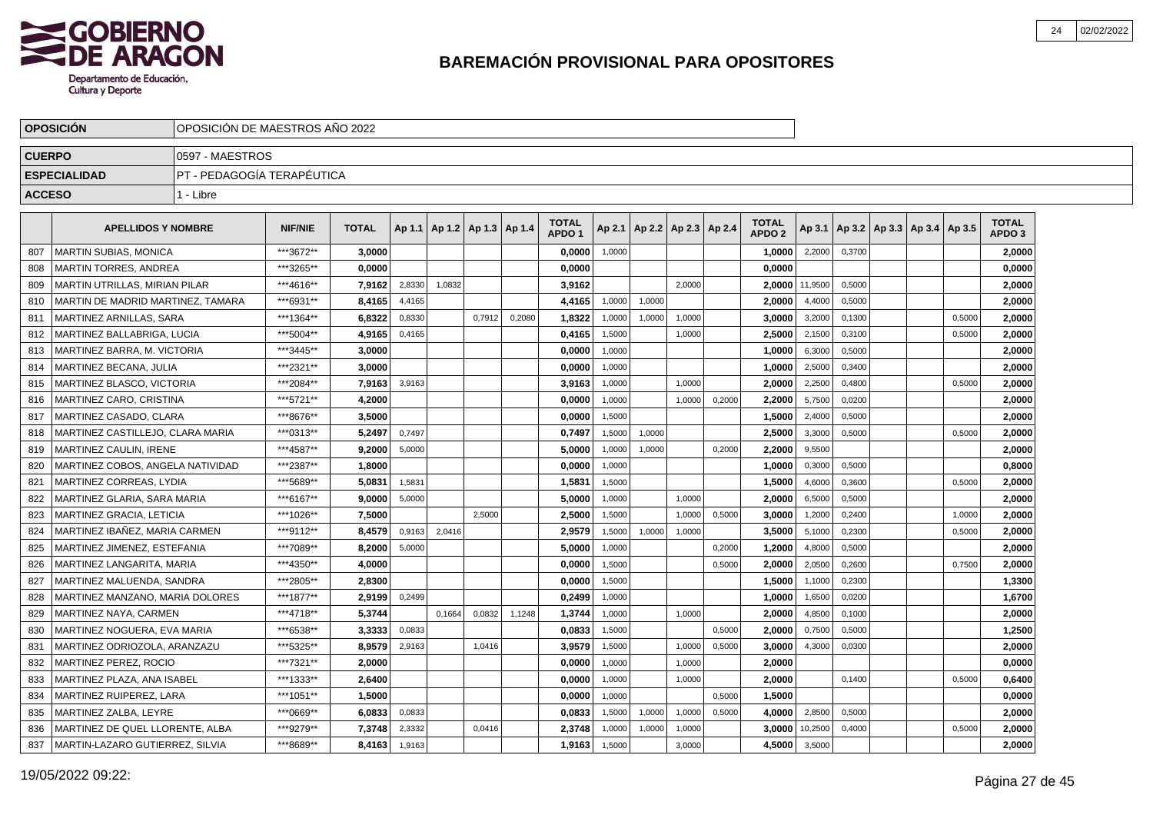

|               | <b>OPOSICION</b>                  | OPOSICION DE MAESTROS ANO 2022 |                |              |        |                          |        |        |                                   |        |                          |        |        |                                   |         |        |                                   |        |                                   |  |
|---------------|-----------------------------------|--------------------------------|----------------|--------------|--------|--------------------------|--------|--------|-----------------------------------|--------|--------------------------|--------|--------|-----------------------------------|---------|--------|-----------------------------------|--------|-----------------------------------|--|
| <b>CUERPO</b> |                                   | 0597 - MAESTROS                |                |              |        |                          |        |        |                                   |        |                          |        |        |                                   |         |        |                                   |        |                                   |  |
|               | <b>ESPECIALIDAD</b>               | IPT - PEDAGOGÍA TERAPÉUTICA    |                |              |        |                          |        |        |                                   |        |                          |        |        |                                   |         |        |                                   |        |                                   |  |
| <b>ACCESO</b> |                                   | 1 - Libre                      |                |              |        |                          |        |        |                                   |        |                          |        |        |                                   |         |        |                                   |        |                                   |  |
|               | <b>APELLIDOS Y NOMBRE</b>         |                                | <b>NIF/NIE</b> | <b>TOTAL</b> | Ap 1.1 | Ap 1.2   Ap 1.3   Ap 1.4 |        |        | <b>TOTAL</b><br>APDO <sub>1</sub> | Ap 2.1 | Ap 2.2   Ap 2.3   Ap 2.4 |        |        | <b>TOTAL</b><br>APDO <sub>2</sub> | Ap 3.1  |        | Ap 3.2   Ap 3.3   Ap 3.4   Ap 3.5 |        | <b>TOTAL</b><br>APDO <sub>3</sub> |  |
| 807           | <b>MARTIN SUBIAS, MONICA</b>      |                                | ***3672**      | 3.0000       |        |                          |        |        | 0,0000                            | 1,0000 |                          |        |        | 1,0000                            | 2,2000  | 0.3700 |                                   |        | 2.0000                            |  |
| 808           | MARTIN TORRES, ANDREA             |                                | ***3265**      | 0.0000       |        |                          |        |        | 0,0000                            |        |                          |        |        | 0,0000                            |         |        |                                   |        | 0,0000                            |  |
| 809           | MARTIN UTRILLAS, MIRIAN PILAR     |                                | ***4616**      | 7,9162       | 2,8330 | 1.0832                   |        |        | 3,9162                            |        |                          | 2.0000 |        | 2,0000                            | 11,9500 | 0,5000 |                                   |        | 2,0000                            |  |
| 810           | MARTIN DE MADRID MARTINEZ, TAMARA |                                | ***6931**      | 8.4165       | 4,4165 |                          |        |        | 4,4165                            | 1,0000 | 1,0000                   |        |        | 2,0000                            | 4,4000  | 0,5000 |                                   |        | 2,0000                            |  |
| 811           | MARTINEZ ARNILLAS, SARA           |                                | ***1364**      | 6,8322       | 0,8330 |                          | 0,7912 | 0,2080 | 1,8322                            | 1,0000 | 1,0000                   | 1,0000 |        | 3,0000                            | 3,2000  | 0,1300 |                                   | 0,5000 | 2,0000                            |  |
| 812           | MARTINEZ BALLABRIGA, LUCIA        |                                | ***5004**      | 4.9165       | 0.4165 |                          |        |        | 0.4165                            | 1,5000 |                          | 1.0000 |        | 2.5000                            | 2,1500  | 0.3100 |                                   | 0,5000 | 2,0000                            |  |
| 813           | MARTINEZ BARRA, M. VICTORIA       |                                | ***3445**      | 3,0000       |        |                          |        |        | 0,0000                            | 1,0000 |                          |        |        | 1,0000                            | 6,3000  | 0,5000 |                                   |        | 2,0000                            |  |
| 814           | <b>MARTINEZ BECANA, JULIA</b>     |                                | ***2321**      | 3,0000       |        |                          |        |        | 0,0000                            | 1,0000 |                          |        |        | 1,0000                            | 2,5000  | 0,3400 |                                   |        | 2,0000                            |  |
| 815           | <b>MARTINEZ BLASCO, VICTORIA</b>  |                                | ***2084**      | 7,9163       | 3,9163 |                          |        |        | 3,9163                            | 1,0000 |                          | 1,0000 |        | 2,0000                            | 2,2500  | 0,4800 |                                   | 0,5000 | 2,0000                            |  |
| 816           | MARTINEZ CARO, CRISTINA           |                                | ***5721**      | 4,2000       |        |                          |        |        | 0,0000                            | 1,0000 |                          | 1,0000 | 0,2000 | 2,2000                            | 5,7500  | 0,0200 |                                   |        | 2,0000                            |  |
| 817           | MARTINEZ CASADO, CLARA            |                                | ***8676**      | 3,5000       |        |                          |        |        | 0,0000                            | 1,5000 |                          |        |        | 1,5000                            | 2,4000  | 0,5000 |                                   |        | 2,0000                            |  |
| 818           | MARTINEZ CASTILLEJO. CLARA MARIA  |                                | ***0313**      | 5,2497       | 0.7497 |                          |        |        | 0,7497                            | 1,5000 | 1,0000                   |        |        | 2,5000                            | 3,3000  | 0.5000 |                                   | 0,5000 | 2,0000                            |  |
| 819           | <b>MARTINEZ CAULIN. IRENE</b>     |                                | ***4587**      | 9,2000       | 5,0000 |                          |        |        | 5.0000                            | 1,0000 | 1,0000                   |        | 0,2000 | 2.2000                            | 9,5500  |        |                                   |        | 2,0000                            |  |
| 820           | MARTINEZ COBOS, ANGELA NATIVIDAD  |                                | ***2387**      | 1,8000       |        |                          |        |        | 0.0000                            | 1,0000 |                          |        |        | 1,0000                            | 0,3000  | 0,5000 |                                   |        | 0,8000                            |  |
| 821           | MARTINEZ CORREAS, LYDIA           |                                | ***5689**      | 5,0831       | 1,5831 |                          |        |        | 1,5831                            | 1,5000 |                          |        |        | 1,5000                            | 4,6000  | 0,3600 |                                   | 0,5000 | 2,0000                            |  |
| 822           | MARTINEZ GLARIA, SARA MARIA       |                                | ***6167**      | 9,0000       | 5,0000 |                          |        |        | 5,0000                            | 1,0000 |                          | 1.0000 |        | 2,0000                            | 6,5000  | 0,5000 |                                   |        | 2,0000                            |  |
| 823           | MARTINEZ GRACIA, LETICIA          |                                | ***1026**      | 7,5000       |        |                          | 2,5000 |        | 2,5000                            | 1,5000 |                          | 1,0000 | 0,5000 | 3,0000                            | 1,2000  | 0,2400 |                                   | 1,0000 | 2,0000                            |  |
| 824           | MARTINEZ IBAÑEZ, MARIA CARMEN     |                                | ***9112**      | 8.4579       | 0,9163 | 2,0416                   |        |        | 2.9579                            | 1.5000 | 1,0000                   | 1.0000 |        | 3.5000                            | 5,1000  | 0,2300 |                                   | 0,5000 | 2.0000                            |  |
| 825           | MARTINEZ JIMENEZ, ESTEFANIA       |                                | ***7089**      | 8.2000       | 5,0000 |                          |        |        | 5.0000                            | 1,0000 |                          |        | 0,2000 | 1,2000                            | 4,8000  | 0,5000 |                                   |        | 2,0000                            |  |
| 826           | MARTINEZ LANGARITA, MARIA         |                                | ***4350**      | 4,0000       |        |                          |        |        | 0,0000                            | 1,5000 |                          |        | 0,5000 | 2,0000                            | 2,0500  | 0,2600 |                                   | 0,7500 | 2,0000                            |  |
| 827           | MARTINEZ MALUENDA, SANDRA         |                                | ***2805**      | 2.8300       |        |                          |        |        | 0,0000                            | 1,5000 |                          |        |        | 1,5000                            | 1,1000  | 0,2300 |                                   |        | 1,3300                            |  |
| 828           | MARTINEZ MANZANO, MARIA DOLORES   |                                | ***1877**      | 2,9199       | 0,2499 |                          |        |        | 0,2499                            | 1,0000 |                          |        |        | 1,0000                            | 1,6500  | 0,0200 |                                   |        | 1,6700                            |  |
| 829           | MARTINEZ NAYA, CARMEN             |                                | ***4718**      | 5,3744       |        | 0,1664                   | 0,0832 | 1,1248 | 1,3744                            | 1,0000 |                          | 1,0000 |        | 2,0000                            | 4,8500  | 0,1000 |                                   |        | 2,0000                            |  |
| 830           | MARTINEZ NOGUERA, EVA MARIA       |                                | ***6538**      | 3.3333       | 0,0833 |                          |        |        | 0.0833                            | 1,5000 |                          |        | 0.5000 | 2.0000                            | 0,7500  | 0,5000 |                                   |        | 1,2500                            |  |
| 831           | MARTINEZ ODRIOZOLA, ARANZAZU      |                                | ***5325**      | 8.9579       | 2,9163 |                          | 1,0416 |        | 3.9579                            | 1,5000 |                          | 1,0000 | 0,5000 | 3,0000                            | 4,3000  | 0,0300 |                                   |        | 2,0000                            |  |
| 832           | <b>MARTINEZ PEREZ, ROCIO</b>      |                                | ***7321**      | 2.0000       |        |                          |        |        | 0,0000                            | 1,0000 |                          | 1,0000 |        | 2,0000                            |         |        |                                   |        | 0,0000                            |  |
| 833           | MARTINEZ PLAZA, ANA ISABEL        |                                | ***1333**      | 2,6400       |        |                          |        |        | 0,0000                            | 1,0000 |                          | 1,0000 |        | 2,0000                            |         | 0,1400 |                                   | 0,5000 | 0,6400                            |  |
| 834           | MARTINEZ RUIPEREZ, LARA           |                                | ***1051**      | 1,5000       |        |                          |        |        | 0,0000                            | 1,0000 |                          |        | 0,5000 | 1,5000                            |         |        |                                   |        | 0,0000                            |  |
| 835           | MARTINEZ ZALBA, LEYRE             |                                | ***0669**      | 6,0833       | 0,0833 |                          |        |        | 0,0833                            | 1,5000 | 1,0000                   | 1,0000 | 0,5000 | 4,0000                            | 2,8500  | 0,5000 |                                   |        | 2,0000                            |  |
| 836           | MARTINEZ DE QUEL LLORENTE. ALBA   |                                | ***9279**      | 7,3748       | 2,3332 |                          | 0,0416 |        | 2,3748                            | 1,0000 | 1,0000                   | 1,0000 |        | 3.0000                            | 10,2500 | 0,4000 |                                   | 0,5000 | 2.0000                            |  |
| 837           | MARTIN-LAZARO GUTIERREZ, SILVIA   |                                | ***8689**      | 8,4163       | 1,9163 |                          |        |        | 1,9163                            | 1,5000 |                          | 3,0000 |        | 4,5000                            | 3,5000  |        |                                   |        | 2,0000                            |  |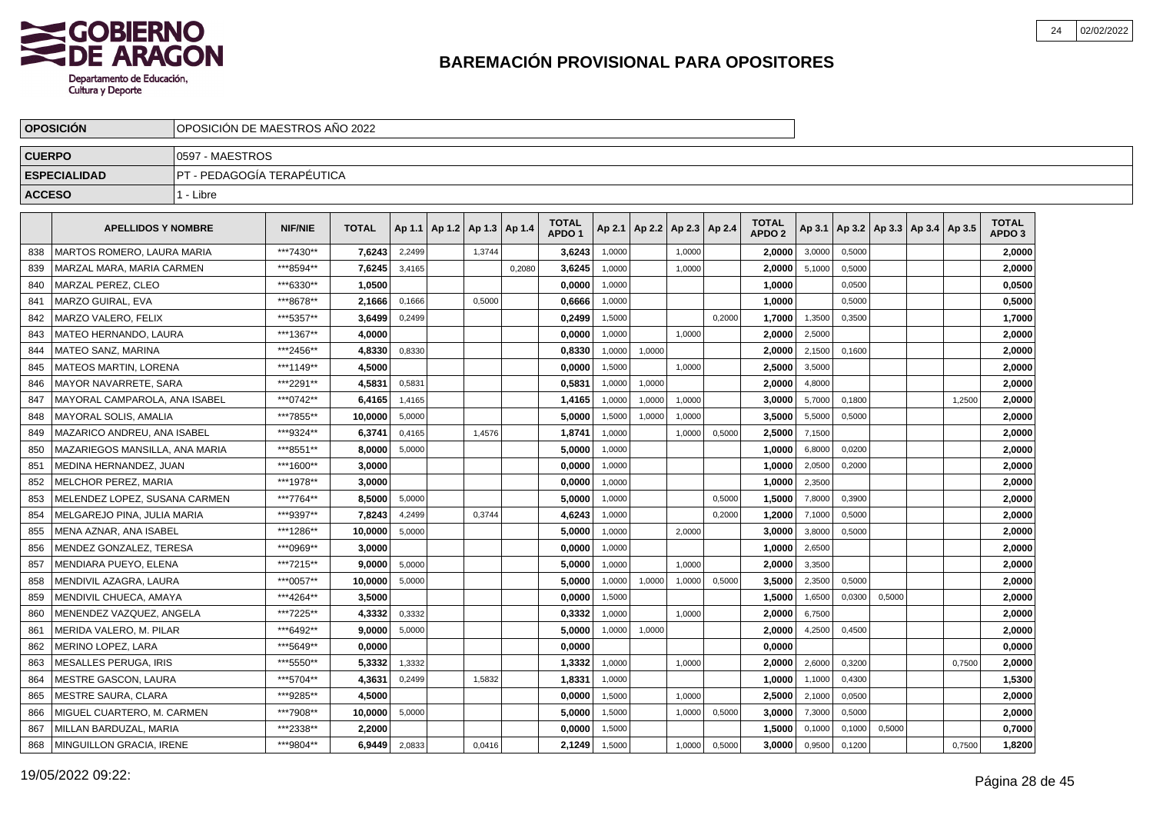

|               | <b>OPOSICIÓN</b>               |                             | OPOSICIÓN DE MAESTROS AÑO 2022 |              |        |  |                                   |        |                                   |        |        |                          |        |                                   |        |        |        |                                            |        |                                   |  |
|---------------|--------------------------------|-----------------------------|--------------------------------|--------------|--------|--|-----------------------------------|--------|-----------------------------------|--------|--------|--------------------------|--------|-----------------------------------|--------|--------|--------|--------------------------------------------|--------|-----------------------------------|--|
| <b>CUERPO</b> |                                | 0597 - MAESTROS             |                                |              |        |  |                                   |        |                                   |        |        |                          |        |                                   |        |        |        |                                            |        |                                   |  |
|               | <b>ESPECIALIDAD</b>            | IPT - PEDAGOGÍA TERAPÉUTICA |                                |              |        |  |                                   |        |                                   |        |        |                          |        |                                   |        |        |        |                                            |        |                                   |  |
| <b>ACCESO</b> |                                | 1 - Libre                   |                                |              |        |  |                                   |        |                                   |        |        |                          |        |                                   |        |        |        |                                            |        |                                   |  |
|               | <b>APELLIDOS Y NOMBRE</b>      |                             | <b>NIF/NIE</b>                 | <b>TOTAL</b> |        |  | Ap 1.1   Ap 1.2   Ap 1.3   Ap 1.4 |        | <b>TOTAL</b><br>APDO <sub>1</sub> | Ap 2.1 |        | Ap 2.2   Ap 2.3   Ap 2.4 |        | <b>TOTAL</b><br>APDO <sub>2</sub> |        |        |        | Ap 3.1   Ap 3.2   Ap 3.3   Ap 3.4   Ap 3.5 |        | <b>TOTAL</b><br>APDO <sub>3</sub> |  |
| 838           | MARTOS ROMERO. LAURA MARIA     |                             | ***7430**                      | 7,6243       | 2.2499 |  | 1.3744                            |        | 3,6243                            | 1,0000 |        | 1.0000                   |        | 2,0000                            | 3,0000 | 0.5000 |        |                                            |        | 2,0000                            |  |
| 839           | MARZAL MARA, MARIA CARMEN      |                             | ***8594**                      | 7,6245       | 3,4165 |  |                                   | 0.2080 | 3,6245                            | 1,0000 |        | 1,0000                   |        | 2,0000                            | 5,1000 | 0,5000 |        |                                            |        | 2,0000                            |  |
| 840           | MARZAL PEREZ, CLEO             |                             | ***6330**                      | 1,0500       |        |  |                                   |        | 0,0000                            | 1,0000 |        |                          |        | 1,0000                            |        | 0,0500 |        |                                            |        | 0,0500                            |  |
| 841           | MARZO GUIRAL, EVA              |                             | ***8678**                      | 2,1666       | 0,1666 |  | 0,5000                            |        | 0,6666                            | 1,0000 |        |                          |        | 1,0000                            |        | 0,5000 |        |                                            |        | 0,5000                            |  |
| 842           | MARZO VALERO. FELIX            |                             | ***5357**                      | 3.6499       | 0,2499 |  |                                   |        | 0,2499                            | 1,5000 |        |                          | 0,2000 | 1,7000                            | 1,3500 | 0,3500 |        |                                            |        | 1,7000                            |  |
| 843           | MATEO HERNANDO, LAURA          |                             | ***1367**                      | 4.0000       |        |  |                                   |        | 0,0000                            | 1,0000 |        | 1,0000                   |        | 2.0000                            | 2,5000 |        |        |                                            |        | 2,0000                            |  |
| 844           | MATEO SANZ, MARINA             |                             | ***2456**                      | 4.8330       | 0,8330 |  |                                   |        | 0,8330                            | 1,0000 | 1,0000 |                          |        | 2.0000                            | 2,1500 | 0.1600 |        |                                            |        | 2,0000                            |  |
| 845           | MATEOS MARTIN, LORENA          |                             | ***1149**                      | 4.5000       |        |  |                                   |        | 0.0000                            | 1.5000 |        | 1.0000                   |        | 2.5000                            | 3,5000 |        |        |                                            |        | 2,0000                            |  |
| 846           | MAYOR NAVARRETE, SARA          |                             | ***2291**                      | 4,5831       | 0,5831 |  |                                   |        | 0,5831                            | 1,0000 | 1,0000 |                          |        | 2,0000                            | 4,8000 |        |        |                                            |        | 2,0000                            |  |
| 847           | MAYORAL CAMPAROLA, ANA ISABEL  |                             | ***0742**                      | 6,4165       | 1,4165 |  |                                   |        | 1,4165                            | 1,0000 | 1,0000 | 1,0000                   |        | 3,0000                            | 5,7000 | 0,1800 |        |                                            | 1,2500 | 2,0000                            |  |
| 848           | MAYORAL SOLIS, AMALIA          |                             | ***7855**                      | 10,0000      | 5,0000 |  |                                   |        | 5,0000                            | 1,5000 | 1,0000 | 1.0000                   |        | 3,5000                            | 5,5000 | 0.5000 |        |                                            |        | 2,0000                            |  |
| 849           | MAZARICO ANDREU, ANA ISABEL    |                             | ***9324**                      | 6.3741       | 0,4165 |  | 1,4576                            |        | 1,8741                            | 1,0000 |        | 1,0000                   | 0,5000 | 2,5000                            | 7,1500 |        |        |                                            |        | 2,0000                            |  |
| 850           | MAZARIEGOS MANSILLA. ANA MARIA |                             | ***8551**                      | 8.0000       | 5,0000 |  |                                   |        | 5,0000                            | 1,0000 |        |                          |        | 1.0000                            | 6,8000 | 0,0200 |        |                                            |        | 2,0000                            |  |
| 851           | MEDINA HERNANDEZ, JUAN         |                             | ***1600**                      | 3.0000       |        |  |                                   |        | 0,0000                            | 1,0000 |        |                          |        | 1.0000                            | 2,0500 | 0.2000 |        |                                            |        | 2,0000                            |  |
| 852           | <b>MELCHOR PEREZ, MARIA</b>    |                             | ***1978**                      | 3,0000       |        |  |                                   |        | 0,0000                            | 1,0000 |        |                          |        | 1,0000                            | 2,3500 |        |        |                                            |        | 2,0000                            |  |
| 853           | MELENDEZ LOPEZ, SUSANA CARMEN  |                             | ***7764**                      | 8,5000       | 5,0000 |  |                                   |        | 5,0000                            | 1,0000 |        |                          | 0,5000 | 1,5000                            | 7,8000 | 0,3900 |        |                                            |        | 2,0000                            |  |
| 854           | MELGAREJO PINA, JULIA MARIA    |                             | ***9397**                      | 7,8243       | 4,2499 |  | 0,3744                            |        | 4,6243                            | 1,0000 |        |                          | 0,2000 | 1,2000                            | 7,1000 | 0,5000 |        |                                            |        | 2,0000                            |  |
| 855           | MENA AZNAR, ANA ISABEL         |                             | ***1286**                      | 10,0000      | 5,0000 |  |                                   |        | 5,0000                            | 1,0000 |        | 2,0000                   |        | 3,0000                            | 3,8000 | 0,5000 |        |                                            |        | 2,0000                            |  |
| 856           | MENDEZ GONZALEZ. TERESA        |                             | ***0969**                      | 3.0000       |        |  |                                   |        | 0,0000                            | 1,0000 |        |                          |        | 1,0000                            | 2,6500 |        |        |                                            |        | 2,0000                            |  |
| 857           | MENDIARA PUEYO. ELENA          |                             | ***7215**                      | 9.0000       | 5,0000 |  |                                   |        | 5.0000                            | 1,0000 |        | 1.0000                   |        | 2.0000                            | 3,3500 |        |        |                                            |        | 2,0000                            |  |
| 858           | MENDIVIL AZAGRA, LAURA         |                             | ***0057**                      | 10,0000      | 5,0000 |  |                                   |        | 5,0000                            | 1.0000 | 1,0000 | 1,0000                   | 0,5000 | 3,5000                            | 2.3500 | 0.5000 |        |                                            |        | 2,0000                            |  |
| 859           | MENDIVIL CHUECA, AMAYA         |                             | ***4264**                      | 3,5000       |        |  |                                   |        | 0,0000                            | 1,5000 |        |                          |        | 1,5000                            | 1,6500 | 0,0300 | 0,5000 |                                            |        | 2,0000                            |  |
| 860           | MENENDEZ VAZQUEZ, ANGELA       |                             | ***7225**                      | 4,3332       | 0,3332 |  |                                   |        | 0,3332                            | 1,0000 |        | 1,0000                   |        | 2,0000                            | 6,7500 |        |        |                                            |        | 2,0000                            |  |
| 861           | MERIDA VALERO, M. PILAR        |                             | ***6492**                      | 9.0000       | 5,0000 |  |                                   |        | 5,0000                            | 1,0000 | 1,0000 |                          |        | 2.0000                            | 4,2500 | 0,4500 |        |                                            |        | 2,0000                            |  |
| 862           | MERINO LOPEZ, LARA             |                             | ***5649**                      | 0.0000       |        |  |                                   |        | 0,0000                            |        |        |                          |        | 0,0000                            |        |        |        |                                            |        | 0,0000                            |  |
| 863           | MESALLES PERUGA, IRIS          |                             | ***5550**                      | 5.3332       | 1,3332 |  |                                   |        | 1,3332                            | 1,0000 |        | 1,0000                   |        | 2.0000                            | 2,6000 | 0,3200 |        |                                            | 0,7500 | 2,0000                            |  |
| 864           | <b>MESTRE GASCON, LAURA</b>    |                             | ***5704**                      | 4.3631       | 0,2499 |  | 1,5832                            |        | 1.8331                            | 1,0000 |        |                          |        | 1.0000                            | 1,1000 | 0,4300 |        |                                            |        | 1,5300                            |  |
| 865           | MESTRE SAURA, CLARA            |                             | ***9285**                      | 4,5000       |        |  |                                   |        | 0,0000                            | 1,5000 |        | 1,0000                   |        | 2,5000                            | 2,1000 | 0,0500 |        |                                            |        | 2,0000                            |  |
| 866           | MIGUEL CUARTERO, M. CARMEN     |                             | ***7908**                      | 10,0000      | 5,0000 |  |                                   |        | 5,0000                            | 1,5000 |        | 1,0000                   | 0,5000 | 3,0000                            | 7,3000 | 0,5000 |        |                                            |        | 2,0000                            |  |
| 867           | MILLAN BARDUZAL, MARIA         |                             | ***2338**                      | 2,2000       |        |  |                                   |        | 0,0000                            | 1,5000 |        |                          |        | 1,5000                            | 0,1000 | 0,1000 | 0,5000 |                                            |        | 0,7000                            |  |
| 868           | MINGUILLON GRACIA, IRENE       |                             | ***9804**                      | 6,9449       | 2,0833 |  | 0,0416                            |        | 2,1249                            | 1,5000 |        | 1,0000                   | 0,5000 | 3,0000                            | 0,9500 | 0,1200 |        |                                            | 0,7500 | 1,8200                            |  |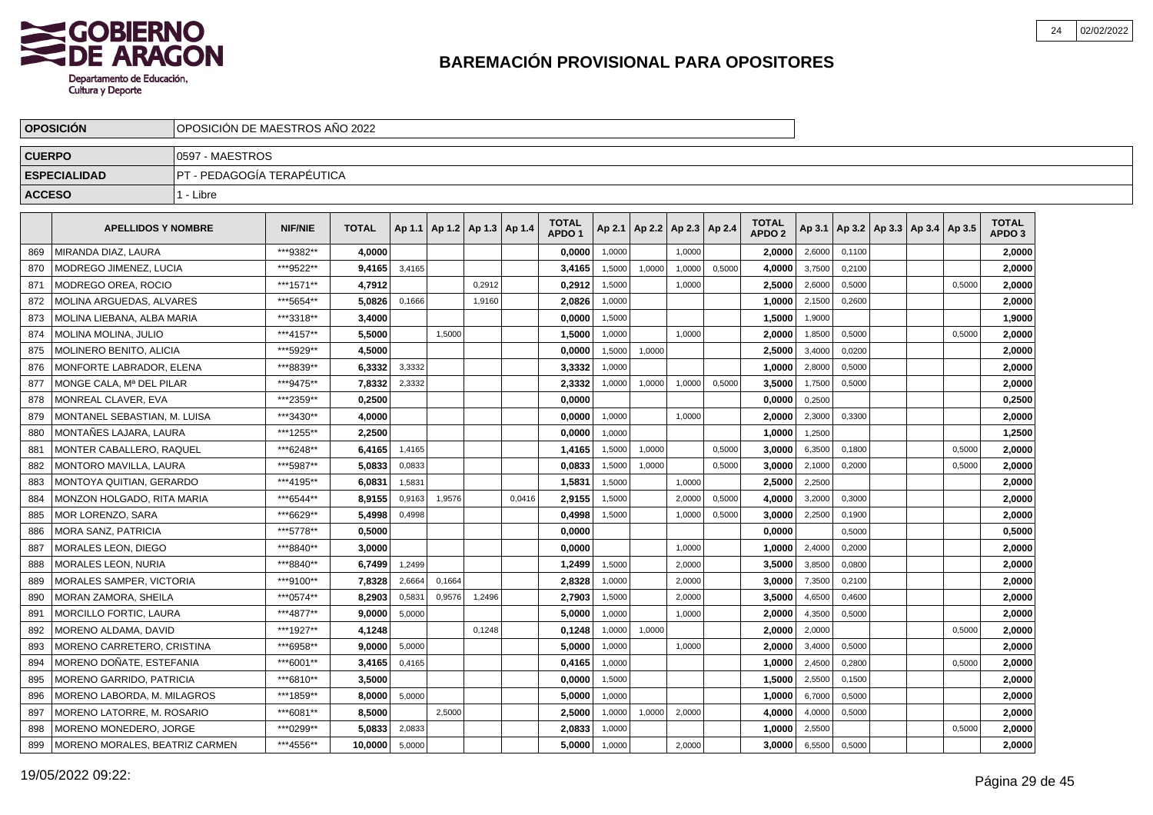

|               | <b>OPOSICIÓN</b>                |                            | OPOSICIÓN DE MAESTROS AÑO 2022                                                                                                                 |              |        |        |                                   |        |                                   |        |                 |        |        |                                   |        |        |                                   |        |                                   |  |
|---------------|---------------------------------|----------------------------|------------------------------------------------------------------------------------------------------------------------------------------------|--------------|--------|--------|-----------------------------------|--------|-----------------------------------|--------|-----------------|--------|--------|-----------------------------------|--------|--------|-----------------------------------|--------|-----------------------------------|--|
| <b>CUERPO</b> |                                 | 0597 - MAESTROS            |                                                                                                                                                |              |        |        |                                   |        |                                   |        |                 |        |        |                                   |        |        |                                   |        |                                   |  |
|               | <b>ESPECIALIDAD</b>             | PT - PEDAGOGÍA TERAPÉUTICA |                                                                                                                                                |              |        |        |                                   |        |                                   |        |                 |        |        |                                   |        |        |                                   |        |                                   |  |
| <b>ACCESO</b> |                                 | 1 - Libre                  |                                                                                                                                                |              |        |        |                                   |        |                                   |        |                 |        |        |                                   |        |        |                                   |        |                                   |  |
|               | <b>APELLIDOS Y NOMBRE</b>       |                            | <b>NIF/NIE</b>                                                                                                                                 | <b>TOTAL</b> |        |        | Ap 1.1   Ap 1.2   Ap 1.3   Ap 1.4 |        | <b>TOTAL</b><br>APDO <sub>1</sub> | Ap 2.1 | Ap 2.2   Ap 2.3 |        | Ap 2.4 | <b>TOTAL</b><br>APDO <sub>2</sub> | Ap 3.1 |        | Ap 3.2   Ap 3.3   Ap 3.4   Ap 3.5 |        | <b>TOTAL</b><br>APDO <sub>3</sub> |  |
| 869           | MIRANDA DIAZ, LAURA             |                            | ***9382**                                                                                                                                      | 4.0000       |        |        |                                   |        | 0,0000                            | 1,0000 |                 | 1,0000 |        | 2,0000                            | 2,6000 | 0,1100 |                                   |        | 2,0000                            |  |
| 870           | MODREGO JIMENEZ, LUCIA          |                            | ***9522**                                                                                                                                      | 9,4165       | 3,4165 |        |                                   |        | 3,4165                            | 1,5000 | 1,0000          | 1,0000 | 0,5000 | 4,0000                            | 3,7500 | 0,2100 |                                   |        | 2,0000                            |  |
| 871           | MODREGO OREA. ROCIO             |                            | ***1571**                                                                                                                                      | 4,7912       |        |        | 0.2912                            |        | 0,2912                            | 1,5000 |                 | 1,0000 |        | 2.5000                            | 2,6000 | 0,5000 |                                   | 0,5000 | 2,0000                            |  |
| 872           | MOLINA ARGUEDAS. ALVARES        |                            | ***5654**                                                                                                                                      | 5.0826       | 0,1666 |        | 1,9160                            |        | 2.0826                            | 1,0000 |                 |        |        | 1.0000                            | 2,1500 | 0,2600 |                                   |        | 2,0000                            |  |
| 873           | MOLINA LIEBANA, ALBA MARIA      |                            | ***3318**<br>3,4000<br>0,0000<br>1,5000<br>1,5000<br>1,9000<br>***4157**<br>5,5000<br>1,5000<br>1,5000<br>1,0000<br>1,0000<br>2,0000<br>1,8500 |              |        |        |                                   |        |                                   |        |                 |        |        |                                   |        |        |                                   |        | 1,9000                            |  |
| 874           | MOLINA MOLINA, JULIO            |                            | ***5929**<br>4.5000<br>2.5000<br>0,0000<br>1,5000<br>1,0000                                                                                    |              |        |        |                                   |        |                                   |        |                 |        |        |                                   |        |        |                                   | 0,5000 | 2,0000                            |  |
| 875           | <b>MOLINERO BENITO, ALICIA</b>  |                            |                                                                                                                                                |              |        |        |                                   |        |                                   |        |                 |        |        |                                   | 3,4000 | 0,0200 |                                   |        | 2,0000                            |  |
| 876           | MONFORTE LABRADOR, ELENA        |                            | ***8839**                                                                                                                                      | 6,3332       | 3,3332 |        |                                   |        | 3,3332                            | 1,0000 |                 |        |        | 1,0000                            | 2,8000 | 0,5000 |                                   |        | 2,0000                            |  |
| 877           | MONGE CALA, Mª DEL PILAR        |                            | ***9475**                                                                                                                                      | 7,8332       | 2,3332 |        |                                   |        | 2,3332                            | 1,0000 | 1,0000          | 1.0000 | 0,5000 | 3,5000                            | 1,7500 | 0,5000 |                                   |        | 2,0000                            |  |
| 878           | MONREAL CLAVER. EVA             |                            | ***2359**                                                                                                                                      | 0.2500       |        |        |                                   |        | 0.0000                            |        |                 |        |        | 0.0000                            | 0,2500 |        |                                   |        | 0,2500                            |  |
| 879           | MONTANEL SEBASTIAN. M. LUISA    |                            | ***3430**                                                                                                                                      | 4.0000       |        |        |                                   |        | 0.0000                            | 1,0000 |                 | 1,0000 |        | 2.0000                            | 2,3000 | 0,3300 |                                   |        | 2,0000                            |  |
| 880           | MONTAÑES LAJARA, LAURA          |                            | ***1255**                                                                                                                                      | 2,2500       |        |        |                                   |        | 0,0000                            | 1,0000 |                 |        |        | 1,0000                            | 1,2500 |        |                                   |        | 1,2500                            |  |
| 881           | MONTER CABALLERO, RAQUEL        |                            | ***6248**                                                                                                                                      | 6,4165       | 1,4165 |        |                                   |        | 1,4165                            | 1,5000 | 1,0000          |        | 0,5000 | 3,0000                            | 6,3500 | 0,1800 |                                   | 0,5000 | 2,0000                            |  |
| 882           | <b>MONTORO MAVILLA, LAURA</b>   |                            | ***5987**                                                                                                                                      | 5,0833       | 0,0833 |        |                                   |        | 0,0833                            | 1,5000 | 1,0000          |        | 0,5000 | 3,0000                            | 2,1000 | 0,2000 |                                   | 0,5000 | 2,0000                            |  |
| 883           | MONTOYA QUITIAN, GERARDO        |                            | ***4195**                                                                                                                                      | 6,0831       | 1,5831 |        |                                   |        | 1,5831                            | 1,5000 |                 | 1,0000 |        | 2,5000                            | 2,2500 |        |                                   |        | 2,0000                            |  |
| 884           | MONZON HOLGADO, RITA MARIA      |                            | ***6544**                                                                                                                                      | 8,9155       | 0,9163 | 1.9576 |                                   | 0.0416 | 2,9155                            | 1,5000 |                 | 2,0000 | 0,5000 | 4,0000                            | 3,2000 | 0,3000 |                                   |        | 2,0000                            |  |
| 885           | MOR LORENZO. SARA               |                            | ***6629**                                                                                                                                      | 5.4998       | 0,4998 |        |                                   |        | 0,4998                            | 1,5000 |                 | 1,0000 | 0,5000 | 3,0000                            | 2,2500 | 0,1900 |                                   |        | 2,0000                            |  |
| 886           | MORA SANZ. PATRICIA             |                            | ***5778**                                                                                                                                      | 0.5000       |        |        |                                   |        | 0,0000                            |        |                 |        |        | 0.0000                            |        | 0,5000 |                                   |        | 0,5000                            |  |
| 887           | MORALES LEON. DIEGO             |                            | ***8840**                                                                                                                                      | 3.0000       |        |        |                                   |        | 0.0000                            |        |                 | 1.0000 |        | 1.0000                            | 2,4000 | 0,2000 |                                   |        | 2,0000                            |  |
| 888           | MORALES LEON, NURIA             |                            | ***8840**                                                                                                                                      | 6,7499       | 1,2499 |        |                                   |        | 1,2499                            | 1,5000 |                 | 2,0000 |        | 3,5000                            | 3,8500 | 0,0800 |                                   |        | 2,0000                            |  |
| 889           | <b>MORALES SAMPER, VICTORIA</b> |                            | ***9100**                                                                                                                                      | 7,8328       | 2,6664 | 0,1664 |                                   |        | 2,8328                            | 1,0000 |                 | 2,0000 |        | 3,0000                            | 7,3500 | 0,2100 |                                   |        | 2,0000                            |  |
| 890           | <b>MORAN ZAMORA, SHEILA</b>     |                            | ***0574**                                                                                                                                      | 8,2903       | 0,5831 | 0,9576 | 1,2496                            |        | 2,7903                            | 1,5000 |                 | 2,0000 |        | 3,5000                            | 4,6500 | 0,4600 |                                   |        | 2,0000                            |  |
| 891           | MORCILLO FORTIC, LAURA          |                            | ***4877**                                                                                                                                      | 9.0000       | 5,0000 |        |                                   |        | 5,0000                            | 1,0000 |                 | 1,0000 |        | 2.0000                            | 4,3500 | 0,5000 |                                   |        | 2,0000                            |  |
| 892           | MORENO ALDAMA. DAVID            |                            | ***1927**                                                                                                                                      | 4.1248       |        |        | 0.1248                            |        | 0,1248                            | 1,0000 | 1,0000          |        |        | 2.0000                            | 2,0000 |        |                                   | 0,5000 | 2,0000                            |  |
| 893           | MORENO CARRETERO, CRISTINA      |                            | ***6958**                                                                                                                                      | 9.0000       | 5,0000 |        |                                   |        | 5.0000                            | 1,0000 |                 | 1,0000 |        | 2.0000                            | 3,4000 | 0,5000 |                                   |        | 2.0000                            |  |
| 894           | MORENO DOÑATE. ESTEFANIA        |                            | ***6001**                                                                                                                                      | 3.4165       | 0,4165 |        |                                   |        | 0.4165                            | 1,0000 |                 |        |        | 1.0000                            | 2,4500 | 0,2800 |                                   | 0,5000 | 2,0000                            |  |
| 895           | MORENO GARRIDO, PATRICIA        |                            | ***6810**                                                                                                                                      | 3,5000       |        |        |                                   |        | 0,0000                            | 1,5000 |                 |        |        | 1,5000                            | 2,5500 | 0.1500 |                                   |        | 2,0000                            |  |
| 896           | MORENO LABORDA, M. MILAGROS     |                            | ***1859**                                                                                                                                      | 8,0000       | 5,0000 |        |                                   |        | 5,0000                            | 1,0000 |                 |        |        | 1,0000                            | 6,7000 | 0,5000 |                                   |        | 2,0000                            |  |
| 897           | MORENO LATORRE, M. ROSARIO      |                            | ***6081**                                                                                                                                      | 8,5000       |        | 2,5000 |                                   |        | 2,5000                            | 1,0000 | 1,0000          | 2,0000 |        | 4,0000                            | 4,0000 | 0,5000 |                                   |        | 2,0000                            |  |
| 898           | MORENO MONEDERO, JORGE          |                            | ***0299**                                                                                                                                      | 5,0833       | 2,0833 |        |                                   |        | 2,0833                            | 1,0000 |                 |        |        | 1,0000                            | 2,5500 |        |                                   | 0,5000 | 2,0000                            |  |
| 899           | MORENO MORALES, BEATRIZ CARMEN  |                            | ***4556**                                                                                                                                      | 10.0000      | 5,0000 |        |                                   |        | 5,0000                            | 1,0000 |                 | 2,0000 |        | 3,0000                            | 6,5500 | 0,5000 |                                   |        | 2,0000                            |  |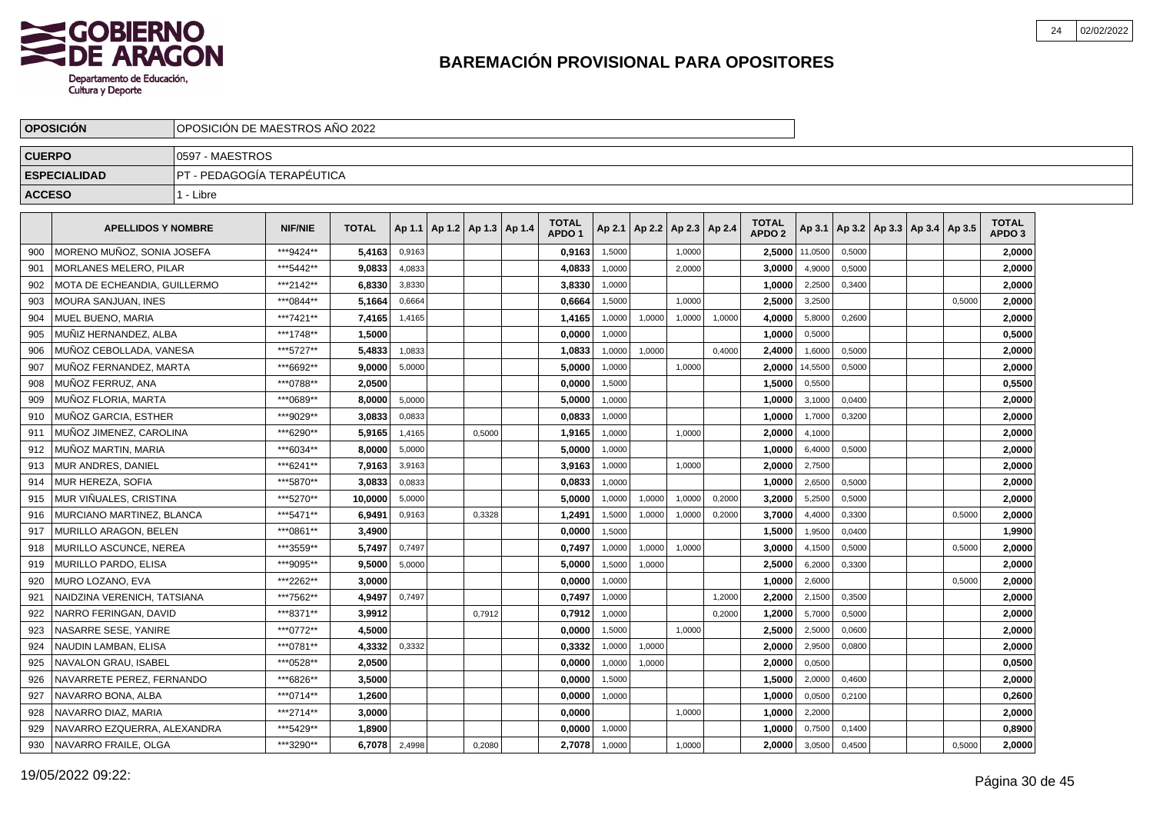

|               | <b>OPOSICIÓN</b>             | OPOSICIÓN DE MAESTROS AÑO 2022 |                |              |        |                                   |        |                                   |        |        |        |                          |                                   |         |        |                                            |        |                                   |  |
|---------------|------------------------------|--------------------------------|----------------|--------------|--------|-----------------------------------|--------|-----------------------------------|--------|--------|--------|--------------------------|-----------------------------------|---------|--------|--------------------------------------------|--------|-----------------------------------|--|
| <b>CUERPO</b> |                              | 0597 - MAESTROS                |                |              |        |                                   |        |                                   |        |        |        |                          |                                   |         |        |                                            |        |                                   |  |
|               | <b>ESPECIALIDAD</b>          | PT - PEDAGOGÍA TERAPÉUTICA     |                |              |        |                                   |        |                                   |        |        |        |                          |                                   |         |        |                                            |        |                                   |  |
| <b>ACCESO</b> |                              | 1 - Libre                      |                |              |        |                                   |        |                                   |        |        |        |                          |                                   |         |        |                                            |        |                                   |  |
|               |                              |                                |                |              |        |                                   |        |                                   |        |        |        |                          |                                   |         |        |                                            |        |                                   |  |
|               | <b>APELLIDOS Y NOMBRE</b>    |                                | <b>NIF/NIE</b> | <b>TOTAL</b> |        | Ap 1.1   Ap 1.2   Ap 1.3   Ap 1.4 |        | <b>TOTAL</b><br>APDO <sub>1</sub> | Ap 2.1 |        |        | Ap 2.2   Ap 2.3   Ap 2.4 | <b>TOTAL</b><br>APDO <sub>2</sub> |         |        | Ap 3.1   Ap 3.2   Ap 3.3   Ap 3.4   Ap 3.5 |        | <b>TOTAL</b><br>APDO <sub>3</sub> |  |
| 900           | MORENO MUÑOZ. SONIA JOSEFA   |                                | ***9424**      | 5,4163       | 0,9163 |                                   |        | 0,9163                            | 1,5000 |        | 1,0000 |                          | 2,5000                            | 11,0500 | 0,5000 |                                            |        | 2,0000                            |  |
| 901           | MORLANES MELERO, PILAR       |                                | *** 5442**     | 9,0833       | 4,0833 |                                   |        | 4,0833                            | 1,0000 |        | 2,0000 |                          | 3,0000                            | 4,9000  | 0,5000 |                                            |        | 2,0000                            |  |
| 902           | MOTA DE ECHEANDIA, GUILLERMO |                                | ***2142**      | 6,8330       | 3,8330 |                                   |        | 3,8330                            | 1,0000 |        |        |                          | 1,0000                            | 2,2500  | 0,3400 |                                            |        | 2,0000                            |  |
| 903           | MOURA SANJUAN, INES          |                                | ***0844**      | 5,1664       | 0,6664 |                                   |        | 0,6664                            | 1,5000 |        | 1,0000 |                          | 2,5000                            | 3,2500  |        |                                            | 0,5000 | 2,0000                            |  |
| 904           | MUEL BUENO, MARIA            |                                | ***7421**      | 7,4165       | 1,4165 |                                   |        | 1,4165                            | 1,0000 | 1,0000 | 1,0000 | 1,0000                   | 4,0000                            | 5,8000  | 0,2600 |                                            |        | 2,0000                            |  |
| 905           | MUÑIZ HERNANDEZ. ALBA        |                                | ***1748**      | 1.5000       |        |                                   |        | 0,0000                            | 1,0000 |        |        |                          | 1.0000                            | 0,5000  |        |                                            |        | 0,5000                            |  |
| 906           | MUÑOZ CEBOLLADA. VANESA      |                                | ***5727**      | 5.4833       | 1,0833 |                                   |        | 1,0833                            | 1,0000 | 1,0000 |        | 0,4000                   | 2.4000                            | 1,6000  | 0,5000 |                                            |        | 2,0000                            |  |
| 907           | MUÑOZ FERNANDEZ. MARTA       |                                | ***6692**      | 9.0000       | 5,0000 |                                   |        | 5.0000                            | 1.0000 |        | 1.0000 |                          | 2.0000                            | 14,5500 | 0.5000 |                                            |        | 2,0000                            |  |
| 908           | MUÑOZ FERRUZ, ANA            |                                | ***0788**      | 2,0500       |        |                                   |        | 0,0000                            | 1,5000 |        |        |                          | 1,5000                            | 0,5500  |        |                                            |        | 0,5500                            |  |
| 909           | MUÑOZ FLORIA, MARTA          |                                | ***0689**      | 8.0000       | 5,0000 |                                   |        | 5,0000                            | 1,0000 |        |        |                          | 1,0000                            | 3,1000  | 0,0400 |                                            |        | 2,0000                            |  |
| 910           | MUÑOZ GARCIA, ESTHER         |                                | ***9029**      | 3,0833       | 0,0833 |                                   |        | 0,0833                            | 1,0000 |        |        |                          | 1,0000                            | 1,7000  | 0,3200 |                                            |        | 2,0000                            |  |
| 911           | MUNOZ JIMENEZ, CAROLINA      |                                | ***6290**      | 5.9165       | 1,4165 |                                   | 0.5000 | 1,9165                            | 1,0000 |        | 1,0000 |                          | 2,0000                            | 4,1000  |        |                                            |        | 2,0000                            |  |
| 912           | MUÑOZ MARTIN, MARIA          |                                | ***6034**      | 8.0000       | 5,0000 |                                   |        | 5.0000                            | 1,0000 |        |        |                          | 1.0000                            | 6,4000  | 0,5000 |                                            |        | 2.0000                            |  |
| 913           | MUR ANDRES, DANIEL           |                                | ***6241**      | 7,9163       | 3,9163 |                                   |        | 3,9163                            | 1,0000 |        | 1,0000 |                          | 2.0000                            | 2,7500  |        |                                            |        | 2,0000                            |  |
| 914           | MUR HEREZA, SOFIA            |                                | ***5870**      | 3,0833       | 0,0833 |                                   |        | 0,0833                            | 1,0000 |        |        |                          | 1,0000                            | 2,6500  | 0,5000 |                                            |        | 2,0000                            |  |
| 915           | MUR VIÑUALES, CRISTINA       |                                | ***5270**      | 10,0000      | 5,0000 |                                   |        | 5,0000                            | 1,0000 | 1,0000 | 1,0000 | 0,2000                   | 3,2000                            | 5,2500  | 0,5000 |                                            |        | 2,0000                            |  |
| 916           | MURCIANO MARTINEZ. BLANCA    |                                | ***5471**      | 6,9491       | 0,9163 |                                   | 0,3328 | 1,2491                            | 1,5000 | 1,0000 | 1,0000 | 0,2000                   | 3,7000                            | 4,4000  | 0,3300 |                                            | 0,5000 | 2,0000                            |  |
| 917           | MURILLO ARAGON, BELEN        |                                | ***0861**      | 3,4900       |        |                                   |        | 0,0000                            | 1,5000 |        |        |                          | 1,5000                            | 1,9500  | 0,0400 |                                            |        | 1,9900                            |  |
| 918           | MURILLO ASCUNCE. NEREA       |                                | ***3559**      | 5.7497       | 0,7497 |                                   |        | 0,7497                            | 1,0000 | 1,0000 | 1,0000 |                          | 3,0000                            | 4,1500  | 0,5000 |                                            | 0.5000 | 2,0000                            |  |
| 919           | MURILLO PARDO. ELISA         |                                | ***9095**      | 9.5000       | 5,0000 |                                   |        | 5.0000                            | 1,5000 | 1,0000 |        |                          | 2.5000                            | 6,2000  | 0,3300 |                                            |        | 2.0000                            |  |
| 920           | MURO LOZANO, EVA             |                                | ***2262**      | 3,0000       |        |                                   |        | 0,0000                            | 1.0000 |        |        |                          | 1,0000                            | 2,6000  |        |                                            | 0.5000 | 2,0000                            |  |
| 921           | NAIDZINA VERENICH, TATSIANA  |                                | ***7562**      | 4.9497       | 0,7497 |                                   |        | 0,7497                            | 1,0000 |        |        | 1,2000                   | 2,2000                            | 2,1500  | 0,3500 |                                            |        | 2,0000                            |  |
| 922           | NARRO FERINGAN, DAVID        |                                | ***8371**      | 3,9912       |        |                                   | 0,7912 | 0,7912                            | 1,0000 |        |        | 0,2000                   | 1,2000                            | 5,7000  | 0,5000 |                                            |        | 2,0000                            |  |
| 923           | NASARRE SESE, YANIRE         |                                | ***0772**      | 4.5000       |        |                                   |        | 0,0000                            | 1,5000 |        | 1,0000 |                          | 2,5000                            | 2,5000  | 0,0600 |                                            |        | 2,0000                            |  |
| 924           | NAUDIN LAMBAN, ELISA         |                                | ***0781**      | 4,3332       | 0,3332 |                                   |        | 0,3332                            | 1,0000 | 1,0000 |        |                          | 2,0000                            | 2,9500  | 0.0800 |                                            |        | 2,0000                            |  |
| 925           | NAVALON GRAU, ISABEL         |                                | ***0528**      | 2.0500       |        |                                   |        | 0,0000                            | 1,0000 | 1,0000 |        |                          | 2,0000                            | 0,0500  |        |                                            |        | 0.0500                            |  |
| 926           | NAVARRETE PEREZ. FERNANDO    |                                | ***6826**      | 3.5000       |        |                                   |        | 0.0000                            | 1,5000 |        |        |                          | 1.5000                            | 2,0000  | 0,4600 |                                            |        | 2.0000                            |  |
| 927           | NAVARRO BONA, ALBA           |                                | ***0714**      | 1,2600       |        |                                   |        | 0,0000                            | 1,0000 |        |        |                          | 1,0000                            | 0,0500  | 0,2100 |                                            |        | 0,2600                            |  |
| 928           | NAVARRO DIAZ, MARIA          |                                | ***2714**      | 3,0000       |        |                                   |        | 0,0000                            |        |        | 1,0000 |                          | 1,0000                            | 2,2000  |        |                                            |        | 2,0000                            |  |
| 929           | NAVARRO EZQUERRA, ALEXANDRA  |                                | ***5429**      | 1,8900       |        |                                   |        | 0,0000                            | 1,0000 |        |        |                          | 1,0000                            | 0,7500  | 0,1400 |                                            |        | 0,8900                            |  |
| 930           | NAVARRO FRAILE, OLGA         |                                | ***3290**      | 6,7078       | 2,4998 |                                   | 0,2080 | 2,7078                            | 1,0000 |        | 1,0000 |                          | 2,0000                            | 3,0500  | 0,4500 |                                            | 0,5000 | 2,0000                            |  |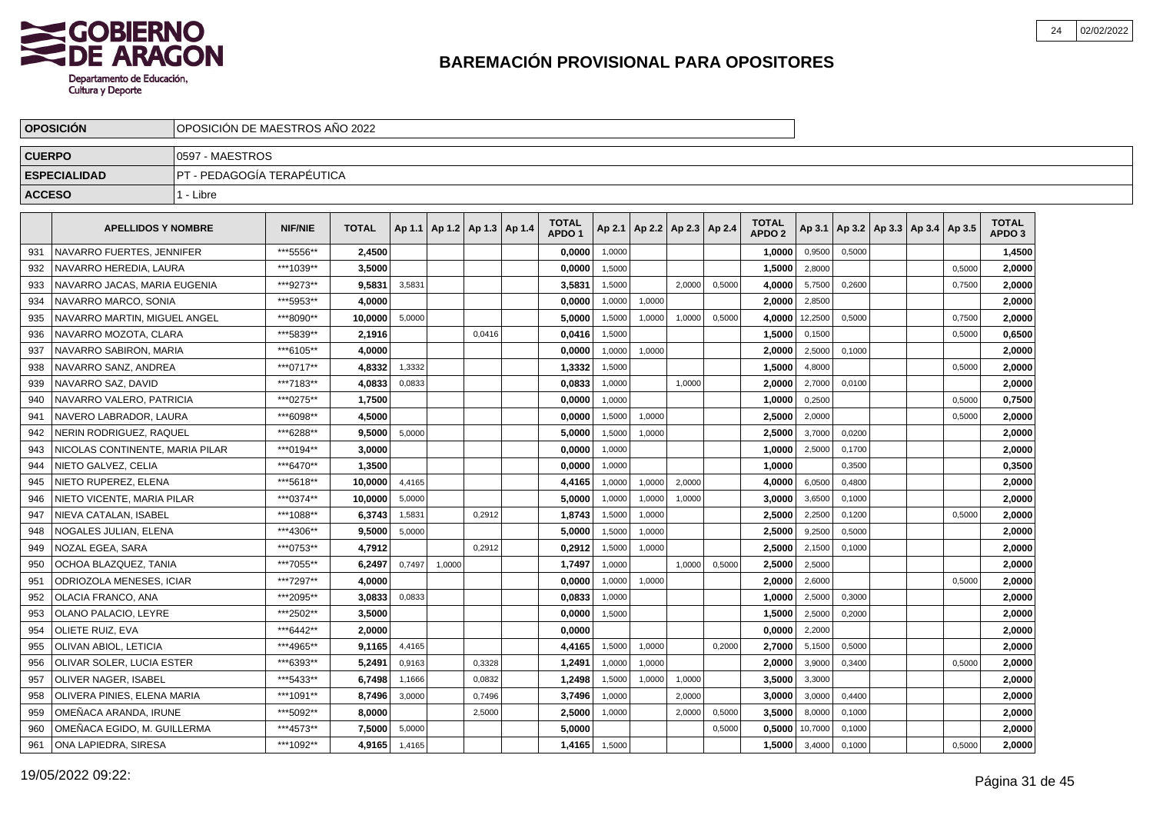

|               | <b>OPOSICION</b>                 |                            | OPOSICION DE MAESTROS ANO 2022 |              |        |                                   |        |  |                                   |        |                          |        |        |                                   |         |        |                                   |        |                                   |  |
|---------------|----------------------------------|----------------------------|--------------------------------|--------------|--------|-----------------------------------|--------|--|-----------------------------------|--------|--------------------------|--------|--------|-----------------------------------|---------|--------|-----------------------------------|--------|-----------------------------------|--|
| <b>CUERPO</b> |                                  | 10597 - MAESTROS           |                                |              |        |                                   |        |  |                                   |        |                          |        |        |                                   |         |        |                                   |        |                                   |  |
|               | <b>ESPECIALIDAD</b>              | PT - PEDAGOGÍA TERAPÉUTICA |                                |              |        |                                   |        |  |                                   |        |                          |        |        |                                   |         |        |                                   |        |                                   |  |
| <b>ACCESO</b> |                                  | 1 - Libre                  |                                |              |        |                                   |        |  |                                   |        |                          |        |        |                                   |         |        |                                   |        |                                   |  |
|               |                                  |                            |                                |              |        |                                   |        |  |                                   |        |                          |        |        |                                   |         |        |                                   |        |                                   |  |
|               | <b>APELLIDOS Y NOMBRE</b>        |                            | <b>NIF/NIE</b>                 | <b>TOTAL</b> |        | Ap 1.1   Ap 1.2   Ap 1.3   Ap 1.4 |        |  | <b>TOTAL</b><br>APDO <sub>1</sub> | Ap 2.1 | Ap 2.2   Ap 2.3   Ap 2.4 |        |        | <b>TOTAL</b><br>APDO <sub>2</sub> | Ap 3.1  |        | Ap 3.2   Ap 3.3   Ap 3.4   Ap 3.5 |        | <b>TOTAL</b><br>APDO <sub>3</sub> |  |
| 931           | NAVARRO FUERTES. JENNIFER        |                            | ***5556**                      | 2,4500       |        |                                   |        |  | 0,0000                            | 1,0000 |                          |        |        | 1,0000                            | 0,9500  | 0,5000 |                                   |        | 1,4500                            |  |
| 932           | NAVARRO HEREDIA, LAURA           |                            | ***1039**                      | 3.5000       |        |                                   |        |  | 0,0000                            | 1,5000 |                          |        |        | 1,5000                            | 2,8000  |        |                                   | 0,5000 | 2.0000                            |  |
| 933           | NAVARRO JACAS, MARIA EUGENIA     |                            | ***9273**                      | 9,5831       | 3,5831 |                                   |        |  | 3,5831                            | 1,5000 |                          | 2.0000 | 0,5000 | 4,0000                            | 5,7500  | 0,2600 |                                   | 0,7500 | 2,0000                            |  |
| 934           | NAVARRO MARCO, SONIA             |                            | ***5953**                      | 4.0000       |        |                                   |        |  | 0,0000                            | 1,0000 | 1,0000                   |        |        | 2,0000                            | 2,8500  |        |                                   |        | 2,0000                            |  |
| 935           | NAVARRO MARTIN, MIGUEL ANGEL     |                            | ***8090**                      | 10,0000      | 5,0000 |                                   |        |  | 5,0000                            | 1,5000 | 1,0000                   | 1,0000 | 0,5000 | 4,0000                            | 12,2500 | 0,5000 |                                   | 0,7500 | 2,0000                            |  |
| 936           | NAVARRO MOZOTA, CLARA            |                            | ***5839**                      | 2.1916       |        |                                   | 0.0416 |  | 0.0416                            | 1,5000 |                          |        |        | 1.5000                            | 0,1500  |        |                                   | 0,5000 | 0.6500                            |  |
| 937           | NAVARRO SABIRON, MARIA           |                            | ***6105**                      | 4.0000       |        |                                   |        |  | 0,0000                            | 1,0000 | 1,0000                   |        |        | 2,0000                            | 2,5000  | 0,1000 |                                   |        | 2,0000                            |  |
| 938           | NAVARRO SANZ, ANDREA             |                            | ***0717**                      | 4,8332       | 1,3332 |                                   |        |  | 1,3332                            | 1,5000 |                          |        |        | 1,5000                            | 4,8000  |        |                                   | 0,5000 | 2,0000                            |  |
| 939           | NAVARRO SAZ, DAVID               |                            | ***7183**                      | 4,0833       | 0,0833 |                                   |        |  | 0,0833                            | 1,0000 |                          | 1,0000 |        | 2,0000                            | 2,7000  | 0,0100 |                                   |        | 2,0000                            |  |
| 940           | NAVARRO VALERO, PATRICIA         |                            | ***0275**                      | 1,7500       |        |                                   |        |  | 0,0000                            | 1,0000 |                          |        |        | 1,0000                            | 0,2500  |        |                                   | 0,5000 | 0,7500                            |  |
| 941           | NAVERO LABRADOR, LAURA           |                            | ***6098**                      | 4,5000       |        |                                   |        |  | 0,0000                            | 1,5000 | 1,0000                   |        |        | 2,5000                            | 2,0000  |        |                                   | 0,5000 | 2,0000                            |  |
| 942           | NERIN RODRIGUEZ, RAQUEL          |                            | ***6288**                      | 9,5000       | 5,0000 |                                   |        |  | 5,0000                            | 1,5000 | 1,0000                   |        |        | 2,5000                            | 3,7000  | 0.0200 |                                   |        | 2,0000                            |  |
| 943           | NICOLAS CONTINENTE. MARIA PILAR  |                            | ***0194**                      | 3.0000       |        |                                   |        |  | 0,0000                            | 1,0000 |                          |        |        | 1,0000                            | 2,5000  | 0.1700 |                                   |        | 2,0000                            |  |
| 944           | NIETO GALVEZ, CELIA              |                            | ***6470**                      | 1,3500       |        |                                   |        |  | 0,0000                            | 1,0000 |                          |        |        | 1.0000                            |         | 0,3500 |                                   |        | 0,3500                            |  |
| 945           | NIETO RUPEREZ. ELENA             |                            | ***5618**                      | 10.0000      | 4,4165 |                                   |        |  | 4,4165                            | 1,0000 | 1,0000                   | 2,0000 |        | 4,0000                            | 6,0500  | 0,4800 |                                   |        | 2,0000                            |  |
| 946           | NIETO VICENTE. MARIA PILAR       |                            | ***0374**                      | 10.0000      | 5,0000 |                                   |        |  | 5,0000                            | 1,0000 | 1,0000                   | 1,0000 |        | 3,0000                            | 3,6500  | 0,1000 |                                   |        | 2,0000                            |  |
| 947           | NIEVA CATALAN, ISABEL            |                            | ***1088**                      | 6,3743       | 1,5831 |                                   | 0,2912 |  | 1,8743                            | 1,5000 | 1,0000                   |        |        | 2,5000                            | 2,2500  | 0,1200 |                                   | 0,5000 | 2,0000                            |  |
| 948           | NOGALES JULIAN. ELENA            |                            | ***4306**                      | 9.5000       | 5,0000 |                                   |        |  | 5,0000                            | 1.5000 | 1,0000                   |        |        | 2,5000                            | 9.2500  | 0.5000 |                                   |        | 2.0000                            |  |
| 949           | NOZAL EGEA. SARA                 |                            | ***0753**                      | 4,7912       |        |                                   | 0.2912 |  | 0,2912                            | 1,5000 | 1,0000                   |        |        | 2.5000                            | 2,1500  | 0,1000 |                                   |        | 2.0000                            |  |
| 950           | OCHOA BLAZQUEZ, TANIA            |                            | ***7055**                      | 6,2497       | 0,7497 | 1,0000                            |        |  | 1,7497                            | 1,0000 |                          | 1.0000 | 0,5000 | 2,5000                            | 2,5000  |        |                                   |        | 2.0000                            |  |
| 951           | ODRIOZOLA MENESES, ICIAR         |                            | ***7297**                      | 4,0000       |        |                                   |        |  | 0,0000                            | 1,0000 | 1,0000                   |        |        | 2.0000                            | 2,6000  |        |                                   | 0,5000 | 2,0000                            |  |
| 952           | OLACIA FRANCO, ANA               |                            | ***2095**                      | 3,0833       | 0,0833 |                                   |        |  | 0,0833                            | 1,0000 |                          |        |        | 1,0000                            | 2,5000  | 0,3000 |                                   |        | 2,0000                            |  |
| 953           | OLANO PALACIO, LEYRE             |                            | ***2502**                      | 3,5000       |        |                                   |        |  | 0,0000                            | 1,5000 |                          |        |        | 1,5000                            | 2,5000  | 0,2000 |                                   |        | 2,0000                            |  |
| 954           | OLIETE RUIZ. EVA                 |                            | ***6442**                      | 2.0000       |        |                                   |        |  | 0.0000                            |        |                          |        |        | 0.0000                            | 2,2000  |        |                                   |        | 2.0000                            |  |
| 955           | OLIVAN ABIOL. LETICIA            |                            | ***4965**                      | 9.1165       | 4,4165 |                                   |        |  | 4,4165                            | 1,5000 | 1,0000                   |        | 0,2000 | 2.7000                            | 5,1500  | 0,5000 |                                   |        | 2.0000                            |  |
| 956           | <b>OLIVAR SOLER, LUCIA ESTER</b> |                            | ***6393**                      | 5,2491       | 0,9163 |                                   | 0,3328 |  | 1,2491                            | 1,0000 | 1,0000                   |        |        | 2,0000                            | 3,9000  | 0,3400 |                                   | 0,5000 | 2,0000                            |  |
| 957           | <b>OLIVER NAGER, ISABEL</b>      |                            | ***5433**                      | 6,7498       | 1,1666 |                                   | 0,0832 |  | 1,2498                            | 1,5000 | 1,0000                   | 1,0000 |        | 3,5000                            | 3,3000  |        |                                   |        | 2,0000                            |  |
| 958           | OLIVERA PINIES, ELENA MARIA      |                            | ***1091**                      | 8,7496       | 3,0000 |                                   | 0,7496 |  | 3,7496                            | 1,0000 |                          | 2,0000 |        | 3,0000                            | 3,0000  | 0,4400 |                                   |        | 2,0000                            |  |
| 959           | OMEÑACA ARANDA, IRUNE            |                            | ***5092**                      | 8,0000       |        |                                   | 2,5000 |  | 2,5000                            | 1,0000 |                          | 2,0000 | 0,5000 | 3,5000                            | 8,0000  | 0,1000 |                                   |        | 2,0000                            |  |
| 960           | OMEÑACA EGIDO. M. GUILLERMA      |                            | ***4573**                      | 7.5000       | 5,0000 |                                   |        |  | 5.0000                            |        |                          |        | 0,5000 | 0.5000                            | 10,7000 | 0,1000 |                                   |        | 2.0000                            |  |
| 961           | ONA LAPIEDRA, SIRESA             |                            | ***1092**                      | 4,9165       | 1,4165 |                                   |        |  | 1,4165                            | 1,5000 |                          |        |        | 1,5000                            | 3,4000  | 0,1000 |                                   | 0,5000 | 2,0000                            |  |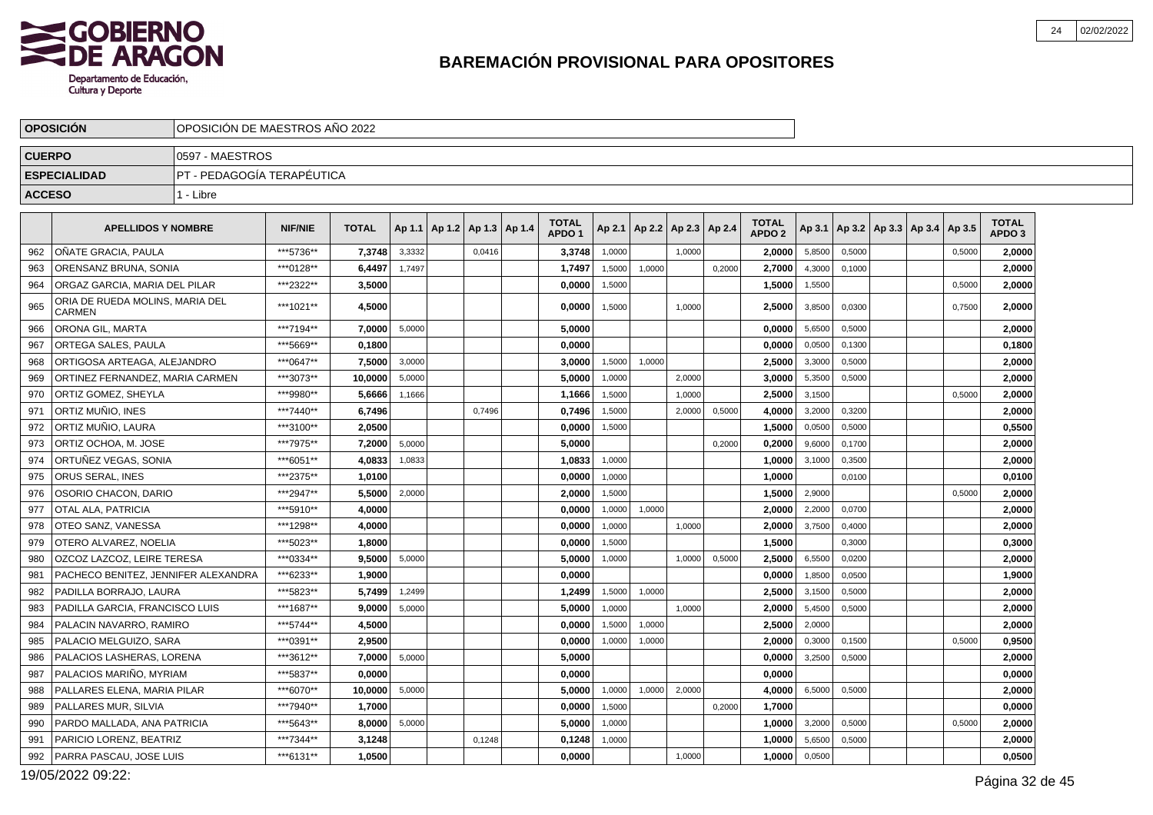

|               | <b>OPOSICION</b>                                 | OPOSICIÓN DE MAESTROS AÑO 2022 |                |              |        |                                   |        |                                   |        |                              |        |        |                                   |        |        |                                            |        |                                   |  |
|---------------|--------------------------------------------------|--------------------------------|----------------|--------------|--------|-----------------------------------|--------|-----------------------------------|--------|------------------------------|--------|--------|-----------------------------------|--------|--------|--------------------------------------------|--------|-----------------------------------|--|
| <b>CUERPO</b> |                                                  | 0597 - MAESTROS                |                |              |        |                                   |        |                                   |        |                              |        |        |                                   |        |        |                                            |        |                                   |  |
|               | <b>ESPECIALIDAD</b>                              | PT - PEDAGOGÍA TERAPÉUTICA     |                |              |        |                                   |        |                                   |        |                              |        |        |                                   |        |        |                                            |        |                                   |  |
| <b>ACCESO</b> |                                                  | 1 - Libre                      |                |              |        |                                   |        |                                   |        |                              |        |        |                                   |        |        |                                            |        |                                   |  |
|               | <b>APELLIDOS Y NOMBRE</b>                        |                                | <b>NIF/NIE</b> | <b>TOTAL</b> |        | Ap 1.1   Ap 1.2   Ap 1.3   Ap 1.4 |        | <b>TOTAL</b><br>APDO <sub>1</sub> | Ap 2.1 | $ $ Ap 2.2   Ap 2.3   Ap 2.4 |        |        | <b>TOTAL</b><br>APDO <sub>2</sub> |        |        | Ap 3.1   Ap 3.2   Ap 3.3   Ap 3.4   Ap 3.5 |        | <b>TOTAL</b><br>APDO <sub>3</sub> |  |
| 962           | <b>OÑATE GRACIA. PAULA</b>                       |                                | ***5736**      | 7.3748       | 3,3332 |                                   | 0,0416 | 3,3748                            | 1.0000 |                              | 1.0000 |        | 2.0000                            | 5,8500 | 0,5000 |                                            | 0,5000 | 2,0000                            |  |
| 963           | ORENSANZ BRUNA, SONIA                            |                                | ***0128**      | 6,4497       | 1,7497 |                                   |        | 1,7497                            | 1,5000 | 1,0000                       |        | 0,2000 | 2,7000                            | 4,3000 | 0,1000 |                                            |        | 2,0000                            |  |
| 964           | ORGAZ GARCIA, MARIA DEL PILAR                    |                                | ***2322**      | 3.5000       |        |                                   |        | 0,0000                            | 1,5000 |                              |        |        | 1,5000                            | 1,5500 |        |                                            | 0,5000 | 2,0000                            |  |
| 965           | ORIA DE RUEDA MOLINS, MARIA DEL<br><b>CARMEN</b> |                                | ***1021**      | 4.5000       |        |                                   |        | 0,0000                            | 1,5000 |                              | 1,0000 |        | 2,5000                            | 3,8500 | 0,0300 |                                            | 0.7500 | 2,0000                            |  |
| 966           | ORONA GIL, MARTA                                 |                                | ***7194**      | 7,0000       | 5,0000 |                                   |        | 5,0000                            |        |                              |        |        | 0,0000                            | 5,6500 | 0,5000 |                                            |        | 2,0000                            |  |
| 967           | ORTEGA SALES, PAULA                              |                                | ***5669**      | 0.1800       |        |                                   |        | 0.0000                            |        |                              |        |        | 0,0000                            | 0,0500 | 0,1300 |                                            |        | 0,1800                            |  |
| 968           | ORTIGOSA ARTEAGA, ALEJANDRO                      |                                | ***0647**      | 7,5000       | 3.0000 |                                   |        | 3,0000                            | 1,5000 | 1.0000                       |        |        | 2,5000                            | 3,3000 | 0,5000 |                                            |        | 2,0000                            |  |
| 969           | ORTINEZ FERNANDEZ. MARIA CARMEN                  |                                | ***3073**      | 10.0000      | 5,0000 |                                   |        | 5,0000                            | 1,0000 |                              | 2.0000 |        | 3,0000                            | 5,3500 | 0,5000 |                                            |        | 2,0000                            |  |
| 970           | ORTIZ GOMEZ. SHEYLA                              |                                | ***9980**      | 5.6666       | 1,1666 |                                   |        | 1,1666                            | 1,5000 |                              | 1,0000 |        | 2,5000                            | 3,1500 |        |                                            | 0,5000 | 2,0000                            |  |
| 971           | ORTIZ MUÑIO, INES                                |                                | ***7440**      | 6,7496       |        |                                   | 0.7496 | 0,7496                            | 1,5000 |                              | 2,0000 | 0,5000 | 4,0000                            | 3,2000 | 0,3200 |                                            |        | 2,0000                            |  |
| 972           | ORTIZ MUÑIO. LAURA                               |                                | ***3100**      | 2,0500       |        |                                   |        | 0,0000                            | 1,5000 |                              |        |        | 1,5000                            | 0,0500 | 0,5000 |                                            |        | 0,5500                            |  |
| 973           | ORTIZ OCHOA, M. JOSE                             |                                | ***7975**      | 7.2000       | 5,0000 |                                   |        | 5.0000                            |        |                              |        | 0,2000 | 0.2000                            | 9,6000 | 0,1700 |                                            |        | 2.0000                            |  |
| 974           | ORTUÑEZ VEGAS, SONIA                             |                                | ***6051**      | 4,0833       | 1,0833 |                                   |        | 1,0833                            | 1,0000 |                              |        |        | 1,0000                            | 3,1000 | 0,3500 |                                            |        | 2,0000                            |  |
| 975           | <b>ORUS SERAL. INES</b>                          |                                | ***2375**      | 1,0100       |        |                                   |        | 0,0000                            | 1.0000 |                              |        |        | 1,0000                            |        | 0.0100 |                                            |        | 0,0100                            |  |
| 976           | OSORIO CHACON, DARIO                             |                                | ***2947**      | 5.5000       | 2,0000 |                                   |        | 2,0000                            | 1,5000 |                              |        |        | 1,5000                            | 2,9000 |        |                                            | 0.5000 | 2,0000                            |  |
| 977           | OTAL ALA, PATRICIA                               |                                | ***5910**      | 4,0000       |        |                                   |        | 0,0000                            | 1,0000 | 1,0000                       |        |        | 2,0000                            | 2,2000 | 0,0700 |                                            |        | 2,0000                            |  |
| 978           | OTEO SANZ, VANESSA                               |                                | ***1298**      | 4,0000       |        |                                   |        | 0,0000                            | 1,0000 |                              | 1,0000 |        | 2,0000                            | 3,7500 | 0,4000 |                                            |        | 2,0000                            |  |
| 979           | OTERO ALVAREZ. NOELIA                            |                                | ***5023**      | 1.8000       |        |                                   |        | 0.0000                            | 1,5000 |                              |        |        | 1.5000                            |        | 0,3000 |                                            |        | 0,3000                            |  |
| 980           | OZCOZ LAZCOZ, LEIRE TERESA                       |                                | ***0334**      | 9,5000       | 5,0000 |                                   |        | 5,0000                            | 1,0000 |                              | 1,0000 | 0,5000 | 2,5000                            | 6,5500 | 0,0200 |                                            |        | 2,0000                            |  |
| 981           | PACHECO BENITEZ. JENNIFER ALEXANDRA              |                                | ***6233**      | 1,9000       |        |                                   |        | 0,0000                            |        |                              |        |        | 0,0000                            | 1,8500 | 0,0500 |                                            |        | 1,9000                            |  |
| 982           | PADILLA BORRAJO. LAURA                           |                                | ***5823**      | 5.7499       | 1,2499 |                                   |        | 1,2499                            | 1,5000 | 1,0000                       |        |        | 2.5000                            | 3,1500 | 0,5000 |                                            |        | 2.0000                            |  |
| 983           | PADILLA GARCIA, FRANCISCO LUIS                   |                                | ***1687**      | 9.0000       | 5,0000 |                                   |        | 5,0000                            | 1,0000 |                              | 1.0000 |        | 2,0000                            | 5,4500 | 0,5000 |                                            |        | 2,0000                            |  |
| 984           | PALACIN NAVARRO, RAMIRO                          |                                | ***5744**      | 4,5000       |        |                                   |        | 0,0000                            | 1,5000 | 1,0000                       |        |        | 2,5000                            | 2,0000 |        |                                            |        | 2,0000                            |  |
| 985           | PALACIO MELGUIZO, SARA                           |                                | ***0391**      | 2,9500       |        |                                   |        | 0,0000                            | 1.0000 | 1,0000                       |        |        | 2,0000                            | 0.3000 | 0,1500 |                                            | 0.5000 | 0,9500                            |  |
| 986           | PALACIOS LASHERAS, LORENA                        |                                | ***3612**      | 7.0000       | 5,0000 |                                   |        | 5,0000                            |        |                              |        |        | 0.0000                            | 3,2500 | 0,5000 |                                            |        | 2,0000                            |  |
| 987           | PALACIOS MARIÑO, MYRIAM                          |                                | ***5837**      | 0.0000       |        |                                   |        | 0.0000                            |        |                              |        |        | 0.0000                            |        |        |                                            |        | 0,0000                            |  |
| 988           | PALLARES ELENA, MARIA PILAR                      |                                | ***6070**      | 10,0000      | 5,0000 |                                   |        | 5,0000                            | 1,0000 | 1,0000                       | 2,0000 |        | 4,0000                            | 6,5000 | 0,5000 |                                            |        | 2,0000                            |  |
| 989           | PALLARES MUR, SILVIA                             |                                | ***7940**      | 1,7000       |        |                                   |        | 0,0000                            | 1,5000 |                              |        | 0,2000 | 1,7000                            |        |        |                                            |        | 0,0000                            |  |
| 990           | PARDO MALLADA, ANA PATRICIA                      |                                | ***5643**      | 8.0000       | 5,0000 |                                   |        | 5,0000                            | 1.0000 |                              |        |        | 1,0000                            | 3,2000 | 0,5000 |                                            | 0,5000 | 2,0000                            |  |
| 991           | PARICIO LORENZ, BEATRIZ                          |                                | ***7344**      | 3,1248       |        |                                   | 0,1248 | 0,1248                            | 1,0000 |                              |        |        | 1,0000                            | 5,6500 | 0,5000 |                                            |        | 2,0000                            |  |
| 992           | PARRA PASCAU, JOSE LUIS                          |                                | ***6131**      | 1,0500       |        |                                   |        | 0,0000                            |        |                              | 1,0000 |        | 1,0000                            | 0,0500 |        |                                            |        | 0,0500                            |  |

19/05/2022 09:22: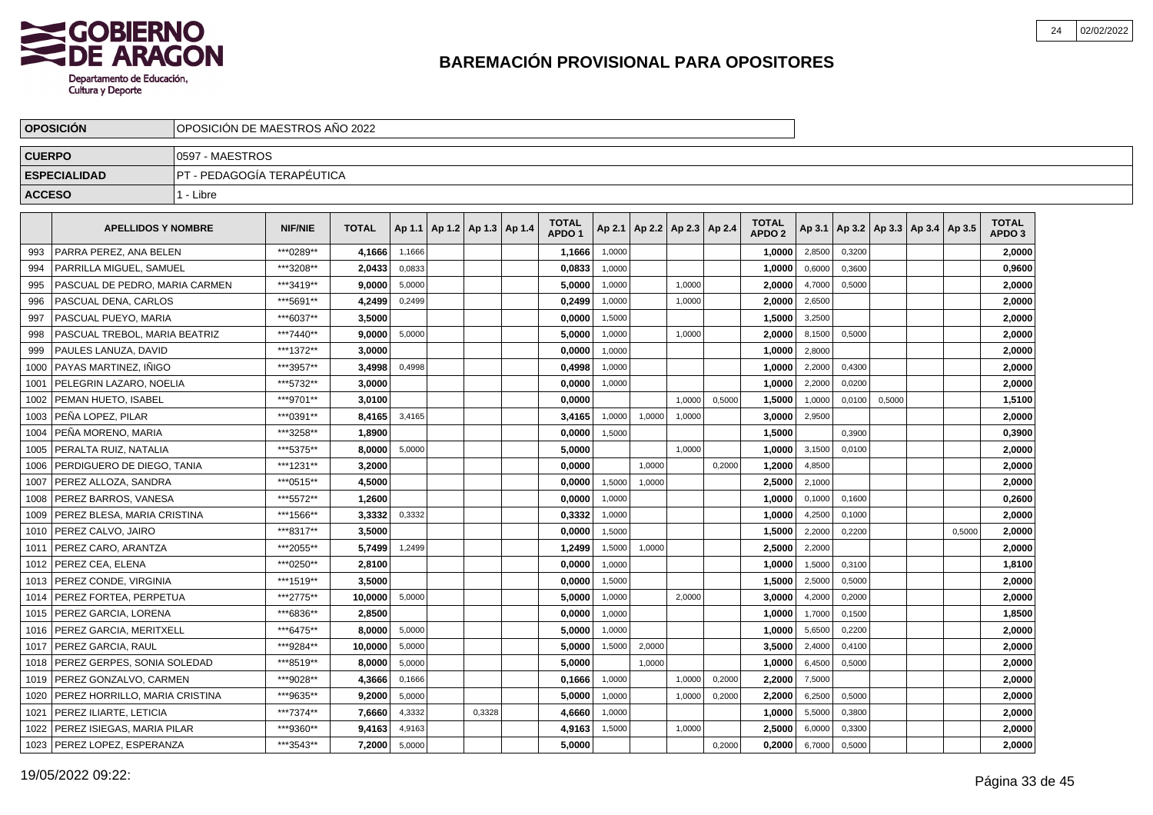

|               | <b>OPOSICION</b>                   | OPOSICION DE MAESTROS ANO 2022                    |                |              |        |  |                          |                                   |        |                          |        |        |                                   |        |        |                                   |        |                                   |  |
|---------------|------------------------------------|---------------------------------------------------|----------------|--------------|--------|--|--------------------------|-----------------------------------|--------|--------------------------|--------|--------|-----------------------------------|--------|--------|-----------------------------------|--------|-----------------------------------|--|
| <b>CUERPO</b> |                                    | 0597 - MAESTROS                                   |                |              |        |  |                          |                                   |        |                          |        |        |                                   |        |        |                                   |        |                                   |  |
|               | <b>ESPECIALIDAD</b>                | PT - PEDAGOGÍA TERAPÉUTICA                        |                |              |        |  |                          |                                   |        |                          |        |        |                                   |        |        |                                   |        |                                   |  |
| <b>ACCESO</b> |                                    | 1 - Libre                                         |                |              |        |  |                          |                                   |        |                          |        |        |                                   |        |        |                                   |        |                                   |  |
|               | <b>APELLIDOS Y NOMBRE</b>          |                                                   | <b>NIF/NIE</b> | <b>TOTAL</b> | Ap 1.1 |  | Ap 1.2   Ap 1.3   Ap 1.4 | <b>TOTAL</b><br>APDO <sub>1</sub> | Ap 2.1 | Ap 2.2   Ap 2.3   Ap 2.4 |        |        | <b>TOTAL</b><br>APDO <sub>2</sub> | Ap 3.1 |        | Ap 3.2   Ap 3.3   Ap 3.4   Ap 3.5 |        | <b>TOTAL</b><br>APDO <sub>3</sub> |  |
| 993           | PARRA PEREZ. ANA BELEN             |                                                   | ***0289**      | 4,1666       | 1,1666 |  |                          | 1,1666                            | 1,0000 |                          |        |        | 1,0000                            | 2,8500 | 0,3200 |                                   |        | 2,0000                            |  |
| 994           | <b>PARRILLA MIGUEL, SAMUEL</b>     |                                                   | ***3208**      | 2,0433       | 0,0833 |  |                          | 0,0833                            | 1,0000 |                          |        |        | 1,0000                            | 0,6000 | 0,3600 |                                   |        | 0,9600                            |  |
| 995           | PASCUAL DE PEDRO, MARIA CARMEN     |                                                   | ***3419**      | 9,0000       | 5,0000 |  |                          | 5,0000                            | 1,0000 |                          | 1,0000 |        | 2,0000                            | 4,7000 | 0,5000 |                                   |        | 2,0000                            |  |
| 996           | PASCUAL DENA, CARLOS               |                                                   | ***5691**      | 4,2499       | 0,2499 |  |                          | 0,2499                            | 1,0000 |                          | 1,0000 |        | 2,0000                            | 2,6500 |        |                                   |        | 2,0000                            |  |
| 997           | PASCUAL PUEYO, MARIA               |                                                   | ***6037**      | 3,5000       |        |  |                          | 0,0000                            | 1,5000 |                          |        |        | 1,5000                            | 3,2500 |        |                                   |        | 2,0000                            |  |
| 998           | PASCUAL TREBOL. MARIA BEATRIZ      |                                                   | ***7440**      | 9,0000       | 5,0000 |  |                          | 5.0000                            | 1,0000 |                          | 1,0000 |        | 2.0000                            | 8,1500 | 0,5000 |                                   |        | 2,0000                            |  |
| 999           | PAULES LANUZA. DAVID               |                                                   | ***1372**      | 3.0000       |        |  |                          | 0,0000                            | 1,0000 |                          |        |        | 1,0000                            | 2,8000 |        |                                   |        | 2,0000                            |  |
| 1000          | I PAYAS MARTINEZ. INIGO            |                                                   | ***3957**      | 3,4998       | 0,4998 |  |                          | 0,4998                            | 1,0000 |                          |        |        | 1,0000                            | 2,2000 | 0,4300 |                                   |        | 2,0000                            |  |
| 1001          | l PELEGRIN LAZARO. NOELIA          |                                                   | ***5732**      | 3,0000       |        |  |                          | 0,0000                            | 1,0000 |                          |        |        | 1,0000                            | 2,2000 | 0,0200 |                                   |        | 2,0000                            |  |
| 1002          | <b>PEMAN HUETO, ISABEL</b>         |                                                   | ***9701**      | 3,0100       |        |  |                          | 0,0000                            |        |                          | 1,0000 | 0,5000 | 1,5000                            | 1,0000 | 0,0100 | 0,5000                            |        | 1,5100                            |  |
|               | 1003   PEÑA LOPEZ, PILAR           |                                                   | ***0391**      | 8,4165       | 3,4165 |  |                          | 3,4165                            | 1,0000 | 1,0000                   | 1,0000 |        | 3,0000                            | 2,9500 |        |                                   |        | 2,0000                            |  |
| 1004          | l PEÑA MORENO. MARIA               |                                                   | ***3258**      | 1.8900       |        |  |                          | 0,0000                            | 1,5000 |                          |        |        | 1,5000                            |        | 0,3900 |                                   |        | 0,3900                            |  |
| 1005          | PERALTA RUIZ, NATALIA              |                                                   | ***5375**      | 8,0000       | 5,0000 |  |                          | 5,0000                            |        |                          | 1.0000 |        | 1,0000                            | 3,1500 | 0,0100 |                                   |        | 2,0000                            |  |
| 1006          | l PERDIGUERO DE DIEGO. TANIA       |                                                   | ***1231**      | 3,2000       |        |  |                          | 0.0000                            |        | 1,0000                   |        | 0,2000 | 1,2000                            | 4,8500 |        |                                   |        | 2,0000                            |  |
| 1007          | PEREZ ALLOZA, SANDRA               |                                                   | ***0515**      | 4,5000       |        |  |                          | 0,0000                            | 1,5000 | 1,0000                   |        |        | 2,5000                            | 2,1000 |        |                                   |        | 2,0000                            |  |
|               | 1008   PEREZ BARROS, VANESA        |                                                   | ***5572**      | 1,2600       |        |  |                          | 0,0000                            | 1,0000 |                          |        |        | 1,0000                            | 0,1000 | 0,1600 |                                   |        | 0,2600                            |  |
| 1009          | PEREZ BLESA, MARIA CRISTINA        |                                                   | ***1566**      | 3,3332       | 0,3332 |  |                          | 0,3332                            | 1,0000 |                          |        |        | 1,0000                            | 4,2500 | 0,1000 |                                   |        | 2,0000                            |  |
| 1010          | PEREZ CALVO. JAIRO                 |                                                   | ***8317**      | 3,5000       |        |  |                          | 0.0000                            | 1.5000 |                          |        |        | 1,5000                            | 2,2000 | 0.2200 |                                   | 0.5000 | 2,0000                            |  |
| 1011          | l PEREZ CARO. ARANTZA              |                                                   | ***2055**      | 5.7499       | 1,2499 |  |                          | 1,2499                            | 1,5000 | 1,0000                   |        |        | 2,5000                            | 2,2000 |        |                                   |        | 2,0000                            |  |
| 1012          | PEREZ CEA, ELENA                   |                                                   | ***0250**      | 2,8100       |        |  |                          | 0,0000                            | 1,0000 |                          |        |        | 1,0000                            | 1,5000 | 0,3100 |                                   |        | 1,8100                            |  |
| 1013          | <b>PEREZ CONDE, VIRGINIA</b>       |                                                   | ***1519**      | 3.5000       |        |  |                          | 0,0000                            | 1,5000 |                          |        |        | 1,5000                            | 2,5000 | 0,5000 |                                   |        | 2,0000                            |  |
| 1014          | PEREZ FORTEA, PERPETUA             |                                                   | ***2775**      | 10,0000      | 5,0000 |  |                          | 5,0000                            | 1,0000 |                          | 2,0000 |        | 3,0000                            | 4,2000 | 0,2000 |                                   |        | 2,0000                            |  |
| 1015          | PEREZ GARCIA, LORENA               |                                                   | ***6836**      | 2,8500       |        |  |                          | 0,0000                            | 1,0000 |                          |        |        | 1,0000                            | 1,7000 | 0,1500 |                                   |        | 1,8500                            |  |
| 1016          | <b>IPEREZ GARCIA. MERITXELL</b>    |                                                   | ***6475**      | 8.0000       | 5,0000 |  |                          | 5.0000                            | 1,0000 |                          |        |        | 1.0000                            | 5,6500 | 0,2200 |                                   |        | 2,0000                            |  |
|               | 1017   PEREZ GARCIA, RAUL          |                                                   | ***9284**      | 10.0000      | 5,0000 |  |                          | 5,0000                            | 1,5000 | 2,0000                   |        |        | 3.5000                            | 2,4000 | 0,4100 |                                   |        | 2,0000                            |  |
|               | 1018   PEREZ GERPES, SONIA SOLEDAD |                                                   | ***8519**      | 8.0000       | 5,0000 |  |                          | 5.0000                            |        | 1,0000                   |        |        | 1.0000                            | 6,4500 | 0,5000 |                                   |        | 2,0000                            |  |
|               | 1019   PEREZ GONZALVO, CARMEN      |                                                   | ***9028**      | 4,3666       | 0,1666 |  |                          | 0,1666                            | 1,0000 |                          | 1,0000 | 0,2000 | 2,2000                            | 7,5000 |        |                                   |        | 2,0000                            |  |
| 1020          | PEREZ HORRILLO, MARIA CRISTINA     |                                                   | ***9635**      | 9,2000       | 5,0000 |  |                          | 5,0000                            | 1,0000 |                          | 1,0000 | 0,2000 | 2,2000                            | 6,2500 | 0,5000 |                                   |        | 2,0000                            |  |
|               | 1021   PEREZ ILIARTE, LETICIA      | ***7374**<br>7,6660                               |                |              |        |  | 0,3328                   | 4,6660                            | 1,0000 |                          |        |        | 1,0000                            | 5,5000 | 0,3800 |                                   |        | 2,0000                            |  |
| 1022          |                                    | PEREZ ISIEGAS. MARIA PILAR<br>***9360**<br>9,4163 |                |              |        |  |                          | 4,9163                            | 1,5000 |                          | 1,0000 |        | 2.5000                            | 6,0000 | 0,3300 |                                   |        | 2,0000                            |  |
|               | 1023   PEREZ LOPEZ, ESPERANZA      |                                                   | ***3543**      | 7,2000       | 5,0000 |  |                          | 5.0000                            |        |                          |        | 0,2000 | 0,2000                            | 6,7000 | 0,5000 |                                   |        | 2,0000                            |  |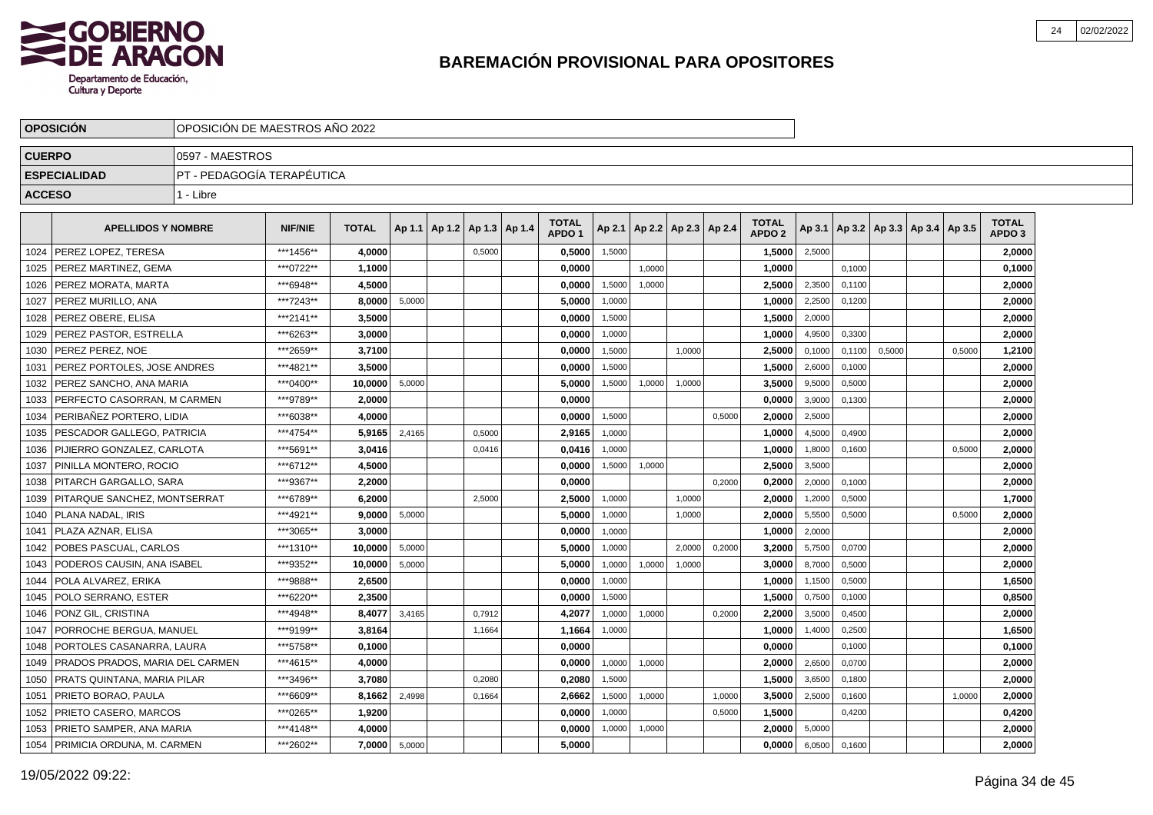

|               | <b>OPOSICIÓN</b>                | OPOSICIÓN DE MAESTROS AÑO 2022 |                |              |        |                                   |                                   |        |                          |        |        |                                   |        |        |                                            |        |                                   |  |
|---------------|---------------------------------|--------------------------------|----------------|--------------|--------|-----------------------------------|-----------------------------------|--------|--------------------------|--------|--------|-----------------------------------|--------|--------|--------------------------------------------|--------|-----------------------------------|--|
| <b>CUERPO</b> |                                 | 0597 - MAESTROS                |                |              |        |                                   |                                   |        |                          |        |        |                                   |        |        |                                            |        |                                   |  |
|               | <b>ESPECIALIDAD</b>             | PT - PEDAGOGÍA TERAPÉUTICA     |                |              |        |                                   |                                   |        |                          |        |        |                                   |        |        |                                            |        |                                   |  |
| <b>ACCESO</b> |                                 | 1 - Libre                      |                |              |        |                                   |                                   |        |                          |        |        |                                   |        |        |                                            |        |                                   |  |
|               | <b>APELLIDOS Y NOMBRE</b>       |                                | <b>NIF/NIE</b> | <b>TOTAL</b> |        | Ap 1.1   Ap 1.2   Ap 1.3   Ap 1.4 | <b>TOTAL</b><br>APDO <sub>1</sub> | Ap 2.1 | Ap 2.2   Ap 2.3   Ap 2.4 |        |        | <b>TOTAL</b><br>APDO <sub>2</sub> |        |        | Ap 3.1   Ap 3.2   Ap 3.3   Ap 3.4   Ap 3.5 |        | <b>TOTAL</b><br>APDO <sub>3</sub> |  |
| 1024          | PEREZ LOPEZ, TERESA             |                                | ***1456**      | 4.0000       |        | 0,5000                            | 0,5000                            | 1,5000 |                          |        |        | 1,5000                            | 2,5000 |        |                                            |        | 2,0000                            |  |
| 1025          | PEREZ MARTINEZ, GEMA            |                                | ***0722**      | 1,1000       |        |                                   | 0,0000                            |        | 1.0000                   |        |        | 1,0000                            |        | 0.1000 |                                            |        | 0,1000                            |  |
| 1026          | PEREZ MORATA, MARTA             |                                | ***6948**      | 4.5000       |        |                                   | 0,0000                            | 1,5000 | 1,0000                   |        |        | 2,5000                            | 2,3500 | 0,1100 |                                            |        | 2,0000                            |  |
| 1027          | PEREZ MURILLO, ANA              |                                | ***7243**      | 8.0000       | 5,0000 |                                   | 5.0000                            | 1,0000 |                          |        |        | 1.0000                            | 2,2500 | 0,1200 |                                            |        | 2,0000                            |  |
| 1028          | PEREZ OBERE, ELISA              |                                | ***2141**      | 3,5000       |        |                                   | 0,0000                            | 1,5000 |                          |        |        | 1,5000                            | 2,0000 |        |                                            |        | 2,0000                            |  |
| 1029          | PEREZ PASTOR, ESTRELLA          |                                | ***6263**      | 3,0000       |        |                                   | 0,0000                            | 1,0000 |                          |        |        | 1,0000                            | 4,9500 | 0,3300 |                                            |        | 2,0000                            |  |
| 1030          | PEREZ PEREZ. NOE                |                                | ***2659**      | 3,7100       |        |                                   | 0,0000                            | 1,5000 |                          | 1,0000 |        | 2,5000                            | 0,1000 | 0,1100 | 0,5000                                     | 0,5000 | 1,2100                            |  |
| 1031          | PEREZ PORTOLES, JOSE ANDRES     |                                | ***4821**      | 3.5000       |        |                                   | 0,0000                            | 1,5000 |                          |        |        | 1,5000                            | 2,6000 | 0,1000 |                                            |        | 2,0000                            |  |
| 1032          | PEREZ SANCHO, ANA MARIA         |                                | ***0400**      | 10.0000      | 5,0000 |                                   | 5,0000                            | 1,5000 | 1,0000                   | 1.0000 |        | 3,5000                            | 9,5000 | 0,5000 |                                            |        | 2,0000                            |  |
| 1033          | PERFECTO CASORRAN. M CARMEN     |                                | ***9789**      | 2.0000       |        |                                   | 0.0000                            |        |                          |        |        | 0.0000                            | 3,9000 | 0,1300 |                                            |        | 2.0000                            |  |
| 1034          | PERIBAÑEZ PORTERO. LIDIA        |                                | ***6038**      | 4.0000       |        |                                   | 0.0000                            | 1,5000 |                          |        | 0,5000 | 2,0000                            | 2,5000 |        |                                            |        | 2.0000                            |  |
| 1035          | PESCADOR GALLEGO, PATRICIA      |                                | ***4754**      | 5,9165       | 2,4165 | 0,5000                            | 2,9165                            | 1,0000 |                          |        |        | 1,0000                            | 4,5000 | 0,4900 |                                            |        | 2,0000                            |  |
| 1036          | PIJIERRO GONZALEZ, CARLOTA      |                                | ***5691**      | 3,0416       |        | 0,0416                            | 0,0416                            | 1,0000 |                          |        |        | 1,0000                            | 1,8000 | 0,1600 |                                            | 0,5000 | 2,0000                            |  |
| 1037          | PINILLA MONTERO, ROCIO          |                                | ***6712**      | 4,5000       |        |                                   | 0,0000                            | 1,5000 | 1,0000                   |        |        | 2,5000                            | 3,5000 |        |                                            |        | 2,0000                            |  |
| 1038          | PITARCH GARGALLO, SARA          |                                | ***9367**      | 2,2000       |        |                                   | 0,0000                            |        |                          |        | 0,2000 | 0,2000                            | 2,0000 | 0,1000 |                                            |        | 2,0000                            |  |
| 1039          | PITARQUE SANCHEZ, MONTSERRAT    |                                | ***6789**      | 6,2000       |        | 2,5000                            | 2,5000                            | 1,0000 |                          | 1,0000 |        | 2,0000                            | 1,2000 | 0,5000 |                                            |        | 1,7000                            |  |
| 1040          | PLANA NADAL. IRIS               |                                | ***4921**      | 9.0000       | 5,0000 |                                   | 5,0000                            | 1,0000 |                          | 1,0000 |        | 2,0000                            | 5,5500 | 0,5000 |                                            | 0.5000 | 2,0000                            |  |
| 1041          | PLAZA AZNAR. ELISA              |                                | ***3065**      | 3.0000       |        |                                   | 0,0000                            | 1,0000 |                          |        |        | 1.0000                            | 2,0000 |        |                                            |        | 2,0000                            |  |
| 1042          | POBES PASCUAL. CARLOS           |                                | ***1310**      | 10.0000      | 5,0000 |                                   | 5.0000                            | 1.0000 |                          | 2.0000 | 0.2000 | 3.2000                            | 5,7500 | 0,0700 |                                            |        | 2,0000                            |  |
| 1043          | PODEROS CAUSIN, ANA ISABEL      |                                | ***9352**      | 10,0000      | 5,0000 |                                   | 5,0000                            | 1,0000 | 1,0000                   | 1,0000 |        | 3,0000                            | 8,7000 | 0,5000 |                                            |        | 2,0000                            |  |
| 1044          | POLA ALVAREZ, ERIKA             |                                | ***9888**      | 2.6500       |        |                                   | 0,0000                            | 1,0000 |                          |        |        | 1,0000                            | 1,1500 | 0,5000 |                                            |        | 1,6500                            |  |
| 1045          | POLO SERRANO, ESTER             |                                | ***6220**      | 2,3500       |        |                                   | 0,0000                            | 1,5000 |                          |        |        | 1,5000                            | 0,7500 | 0,1000 |                                            |        | 0,8500                            |  |
| 1046          | PONZ GIL, CRISTINA              |                                | ***4948**      | 8,4077       | 3,4165 | 0.7912                            | 4,2077                            | 1,0000 | 1,0000                   |        | 0,2000 | 2,2000                            | 3,5000 | 0,4500 |                                            |        | 2,0000                            |  |
| 1047          | PORROCHE BERGUA, MANUEL         |                                | ***9199**      | 3.8164       |        | 1,1664                            | 1,1664                            | 1,0000 |                          |        |        | 1,0000                            | 1,4000 | 0,2500 |                                            |        | 1,6500                            |  |
| 1048          | PORTOLES CASANARRA, LAURA       |                                | ***5758**      | 0.1000       |        |                                   | 0.0000                            |        |                          |        |        | 0.0000                            |        | 0,1000 |                                            |        | 0,1000                            |  |
| 1049          | PRADOS PRADOS, MARIA DEL CARMEN |                                | ***4615**      | 4.0000       |        |                                   | 0.0000                            | 1,0000 | 1,0000                   |        |        | 2.0000                            | 2,6500 | 0,0700 |                                            |        | 2.0000                            |  |
| 1050          | PRATS QUINTANA, MARIA PILAR     |                                | ***3496**      | 3,7080       |        | 0.2080                            | 0,2080                            | 1.5000 |                          |        |        | 1,5000                            | 3,6500 | 0.1800 |                                            |        | 2,0000                            |  |
| 1051          | PRIETO BORAO, PAULA             |                                | ***6609**      | 8,1662       | 2,4998 | 0,1664                            | 2,6662                            | 1,5000 | 1,0000                   |        | 1,0000 | 3,5000                            | 2,5000 | 0,1600 |                                            | 1,0000 | 2,0000                            |  |
| 1052          | PRIETO CASERO, MARCOS           |                                | ***0265**      | 1,9200       |        |                                   | 0,0000                            | 1,0000 |                          |        | 0,5000 | 1,5000                            |        | 0,4200 |                                            |        | 0,4200                            |  |
| 1053          | PRIETO SAMPER, ANA MARIA        |                                | ***4148**      | 4,0000       |        |                                   | 0,0000                            | 1,0000 | 1,0000                   |        |        | 2,0000                            | 5,0000 |        |                                            |        | 2,0000                            |  |
| 1054          | PRIMICIA ORDUNA, M. CARMEN      |                                | ***2602**      | 7.0000       | 5,0000 |                                   | 5,0000                            |        |                          |        |        | 0,0000                            | 6,0500 | 0,1600 |                                            |        | 2,0000                            |  |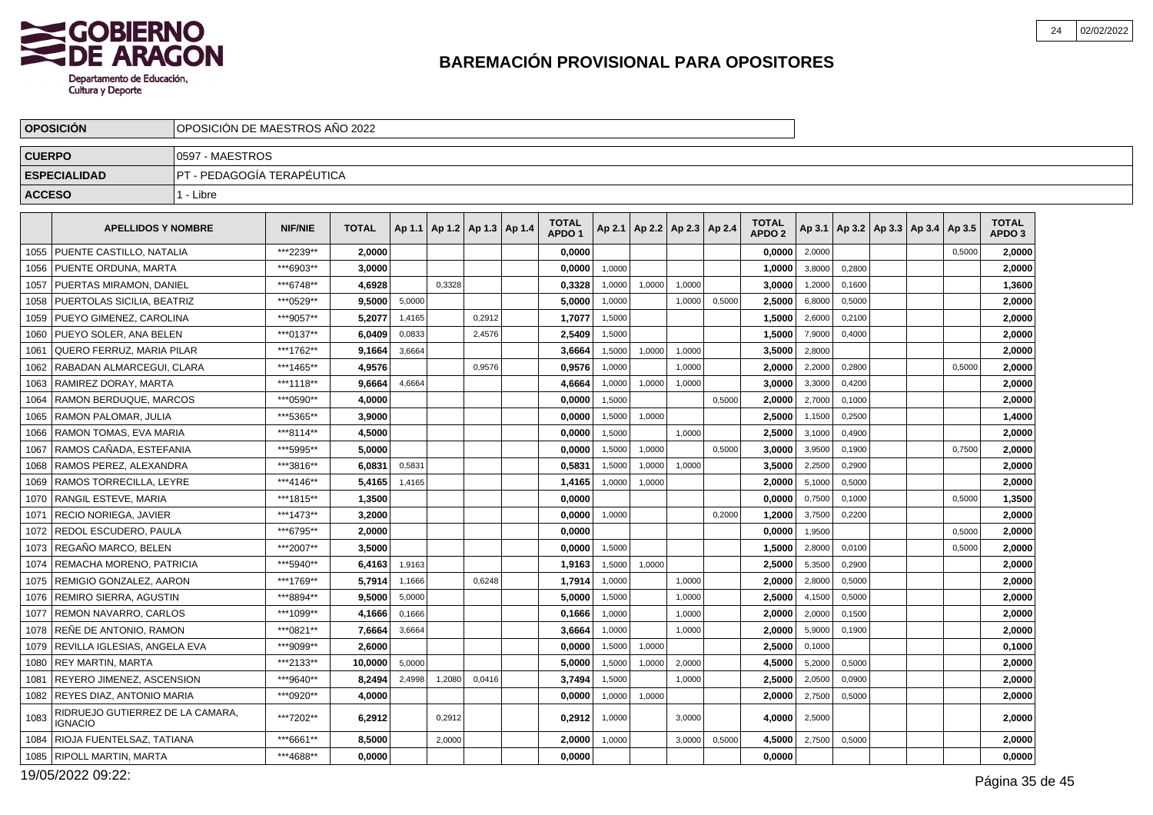

|               | <b>OPOSICIÓN</b>                            |                            | OPOSICIÓN DE MAESTROS AÑO 2022 |              |        |        |                          |  |                                   |        |                      |        |        |                                   |        |        |                                   |        |                                   |  |
|---------------|---------------------------------------------|----------------------------|--------------------------------|--------------|--------|--------|--------------------------|--|-----------------------------------|--------|----------------------|--------|--------|-----------------------------------|--------|--------|-----------------------------------|--------|-----------------------------------|--|
| <b>CUERPO</b> |                                             | 0597 - MAESTROS            |                                |              |        |        |                          |  |                                   |        |                      |        |        |                                   |        |        |                                   |        |                                   |  |
|               | <b>ESPECIALIDAD</b>                         | PT - PEDAGOGÍA TERAPÉUTICA |                                |              |        |        |                          |  |                                   |        |                      |        |        |                                   |        |        |                                   |        |                                   |  |
| <b>ACCESO</b> |                                             | 1 - Libre                  |                                |              |        |        |                          |  |                                   |        |                      |        |        |                                   |        |        |                                   |        |                                   |  |
|               |                                             |                            |                                |              |        |        |                          |  |                                   |        |                      |        |        |                                   |        |        |                                   |        |                                   |  |
|               | <b>APELLIDOS Y NOMBRE</b>                   |                            | <b>NIF/NIE</b>                 | <b>TOTAL</b> | Ap 1.1 |        | Ap 1.2   Ap 1.3   Ap 1.4 |  | <b>TOTAL</b><br>APDO <sub>1</sub> | Ap 2.1 | Ap 2.2 Ap 2.3 Ap 2.4 |        |        | <b>TOTAL</b><br>APDO <sub>2</sub> | Ap 3.1 |        | Ap 3.2   Ap 3.3   Ap 3.4   Ap 3.5 |        | <b>TOTAL</b><br>APDO <sub>3</sub> |  |
| 1055          | PUENTE CASTILLO, NATALIA                    |                            | ***2239**                      | 2,0000       |        |        |                          |  | 0,0000                            |        |                      |        |        | 0,0000                            | 2,0000 |        |                                   | 0,5000 | 2,0000                            |  |
| 1056          | PUENTE ORDUNA, MARTA                        |                            | ***6903**                      | 3.0000       |        |        |                          |  | 0.0000                            | 1,0000 |                      |        |        | 1.0000                            | 3,8000 | 0,2800 |                                   |        | 2,0000                            |  |
| 1057          | PUERTAS MIRAMON, DANIEL                     |                            | ***6748**                      | 4,6928       |        | 0.3328 |                          |  | 0,3328                            | 1,0000 | 1,0000               | 1,0000 |        | 3,0000                            | 1,2000 | 0,1600 |                                   |        | 1,3600                            |  |
| 1058          | PUERTOLAS SICILIA, BEATRIZ                  |                            | ***0529**                      | 9,5000       | 5,0000 |        |                          |  | 5,0000                            | 1,0000 |                      | 1,0000 | 0,5000 | 2,5000                            | 6,8000 | 0,5000 |                                   |        | 2,0000                            |  |
| 1059          | PUEYO GIMENEZ, CAROLINA                     |                            | ***9057**                      | 5,2077       | 1,4165 |        | 0,2912                   |  | 1,7077                            | 1,5000 |                      |        |        | 1,5000                            | 2,6000 | 0,2100 |                                   |        | 2,0000                            |  |
| 1060          | PUEYO SOLER, ANA BELEN                      |                            | ***0137**                      | 6.0409       | 0,0833 |        | 2,4576                   |  | 2,5409                            | 1,5000 |                      |        |        | 1,5000                            | 7,9000 | 0,4000 |                                   |        | 2,0000                            |  |
| 1061          | QUERO FERRUZ, MARIA PILAR                   |                            | ***1762**                      | 9,1664       | 3,6664 |        |                          |  | 3,6664                            | 1,5000 | 1,0000               | 1,0000 |        | 3,5000                            | 2,8000 |        |                                   |        | 2,0000                            |  |
| 1062          | RABADAN ALMARCEGUI, CLARA                   |                            | ***1465**                      | 4,9576       |        |        | 0,9576                   |  | 0,9576                            | 1,0000 |                      | 1.0000 |        | 2,0000                            | 2,2000 | 0,2800 |                                   | 0,5000 | 2,0000                            |  |
| 1063          | RAMIREZ DORAY, MARTA                        |                            | ***1118**                      | 9,6664       | 4,6664 |        |                          |  | 4,6664                            | 1,0000 | 1,0000               | 1,0000 |        | 3,0000                            | 3,3000 | 0,4200 |                                   |        | 2,0000                            |  |
| 1064          | RAMON BERDUQUE, MARCOS                      |                            | ***0590**                      | 4,0000       |        |        |                          |  | 0,0000                            | 1,5000 |                      |        | 0,5000 | 2,0000                            | 2,7000 | 0,1000 |                                   |        | 2,0000                            |  |
| 1065          | RAMON PALOMAR, JULIA                        |                            | ***5365**                      | 3,9000       |        |        |                          |  | 0.0000                            | 1,5000 | 1,0000               |        |        | 2,5000                            | 1,1500 | 0,2500 |                                   |        | 1,4000                            |  |
| 1066          | RAMON TOMAS, EVA MARIA                      |                            | ***8114**                      | 4,5000       |        |        |                          |  | 0,0000                            | 1,5000 |                      | 1.0000 |        | 2,5000                            | 3,1000 | 0,4900 |                                   |        | 2,0000                            |  |
| 1067          | RAMOS CAÑADA. ESTEFANIA                     |                            | ***5995**                      | 5.0000       |        |        |                          |  | 0,0000                            | 1,5000 | 1,0000               |        | 0,5000 | 3,0000                            | 3,9500 | 0,1900 |                                   | 0,7500 | 2,0000                            |  |
| 1068          | RAMOS PEREZ, ALEXANDRA                      |                            | ***3816**                      | 6.0831       | 0.5831 |        |                          |  | 0,5831                            | 1,5000 | 1.0000               | 1.0000 |        | 3,5000                            | 2.2500 | 0.2900 |                                   |        | 2.0000                            |  |
| 1069          | RAMOS TORRECILLA, LEYRE                     |                            | ***4146**                      | 5,4165       | 1,4165 |        |                          |  | 1,4165                            | 1,0000 | 1,0000               |        |        | 2,0000                            | 5,1000 | 0,5000 |                                   |        | 2,0000                            |  |
| 1070          | RANGIL ESTEVE, MARIA                        |                            | ***1815**                      | 1,3500       |        |        |                          |  | 0,0000                            |        |                      |        |        | 0,0000                            | 0,7500 | 0,1000 |                                   | 0,5000 | 1,3500                            |  |
| 1071          | RECIO NORIEGA. JAVIER                       |                            | ***1473**                      | 3.2000       |        |        |                          |  | 0.0000                            | 1,0000 |                      |        | 0,2000 | 1,2000                            | 3,7500 | 0,2200 |                                   |        | 2,0000                            |  |
| 1072          | REDOL ESCUDERO, PAULA                       |                            | ***6795**                      | 2,0000       |        |        |                          |  | 0,0000                            |        |                      |        |        | 0,0000                            | 1,9500 |        |                                   | 0,5000 | 2,0000                            |  |
| 1073          | REGAÑO MARCO, BELEN                         |                            | ***2007**                      | 3,5000       |        |        |                          |  | 0,0000                            | 1,5000 |                      |        |        | 1,5000                            | 2,8000 | 0,0100 |                                   | 0,5000 | 2,0000                            |  |
| 1074          | REMACHA MORENO, PATRICIA                    |                            | ***5940**                      | 6,4163       | 1,9163 |        |                          |  | 1,9163                            | 1,5000 | 1,0000               |        |        | 2,5000                            | 5,3500 | 0,2900 |                                   |        | 2,0000                            |  |
| 1075          | REMIGIO GONZALEZ, AARON                     |                            | ***1769**                      | 5,7914       | 1,1666 |        | 0,6248                   |  | 1,7914                            | 1,0000 |                      | 1,0000 |        | 2,0000                            | 2,8000 | 0,5000 |                                   |        | 2,0000                            |  |
| 1076          | REMIRO SIERRA, AGUSTIN                      |                            | ***8894**                      | 9,5000       | 5,0000 |        |                          |  | 5,0000                            | 1,5000 |                      | 1,0000 |        | 2,5000                            | 4,1500 | 0,5000 |                                   |        | 2,0000                            |  |
| 1077          | REMON NAVARRO, CARLOS                       |                            | ***1099**                      | 4,1666       | 0,1666 |        |                          |  | 0,1666                            | 1,0000 |                      | 1,0000 |        | 2.0000                            | 2,0000 | 0,1500 |                                   |        | 2.0000                            |  |
| 1078          | RENE DE ANTONIO. RAMON                      |                            | ***0821**                      | 7,6664       | 3,6664 |        |                          |  | 3,6664                            | 1,0000 |                      | 1,0000 |        | 2,0000                            | 5,9000 | 0,1900 |                                   |        | 2,0000                            |  |
| 1079          | REVILLA IGLESIAS, ANGELA EVA                |                            | ***9099**                      | 2,6000       |        |        |                          |  | 0,0000                            | 1,5000 | 1,0000               |        |        | 2,5000                            | 0,1000 |        |                                   |        | 0,1000                            |  |
| 1080          | <b>REY MARTIN, MARTA</b>                    |                            | ***2133**                      | 10.0000      | 5,0000 |        |                          |  | 5.0000                            | 1,5000 | 1,0000               | 2,0000 |        | 4,5000                            | 5,2000 | 0,5000 |                                   |        | 2,0000                            |  |
| 1081          | <b>REYERO JIMENEZ, ASCENSION</b>            |                            | ***9640**                      | 8,2494       | 2,4998 | 1,2080 | 0,0416                   |  | 3,7494                            | 1,5000 |                      | 1,0000 |        | 2,5000                            | 2,0500 | 0,0900 |                                   |        | 2,0000                            |  |
| 1082          | REYES DIAZ, ANTONIO MARIA                   |                            | ***0920**                      | 4,0000       |        |        |                          |  | 0,0000                            | 1,0000 | 1,0000               |        |        | 2,0000                            | 2,7500 | 0,5000 |                                   |        | 2,0000                            |  |
| 1083          | RIDRUEJO GUTIERREZ DE LA CAMARA.<br>IGNACIO |                            | ***7202**                      | 6,2912       |        | 0,2912 |                          |  | 0,2912                            | 1,0000 |                      | 3,0000 |        | 4,0000                            | 2,5000 |        |                                   |        | 2,0000                            |  |
| 1084          | RIOJA FUENTELSAZ, TATIANA                   |                            | ***6661**                      | 8.5000       |        | 2,0000 |                          |  | 2,0000                            | 1,0000 |                      | 3,0000 | 0,5000 | 4,5000                            | 2,7500 | 0,5000 |                                   |        | 2.0000                            |  |
| 1085          | <b>RIPOLL MARTIN, MARTA</b>                 |                            | ***4688**                      | 0.0000       |        |        |                          |  | 0,0000                            |        |                      |        |        | 0,0000                            |        |        |                                   |        | 0,0000                            |  |

19/05/2022 09:22: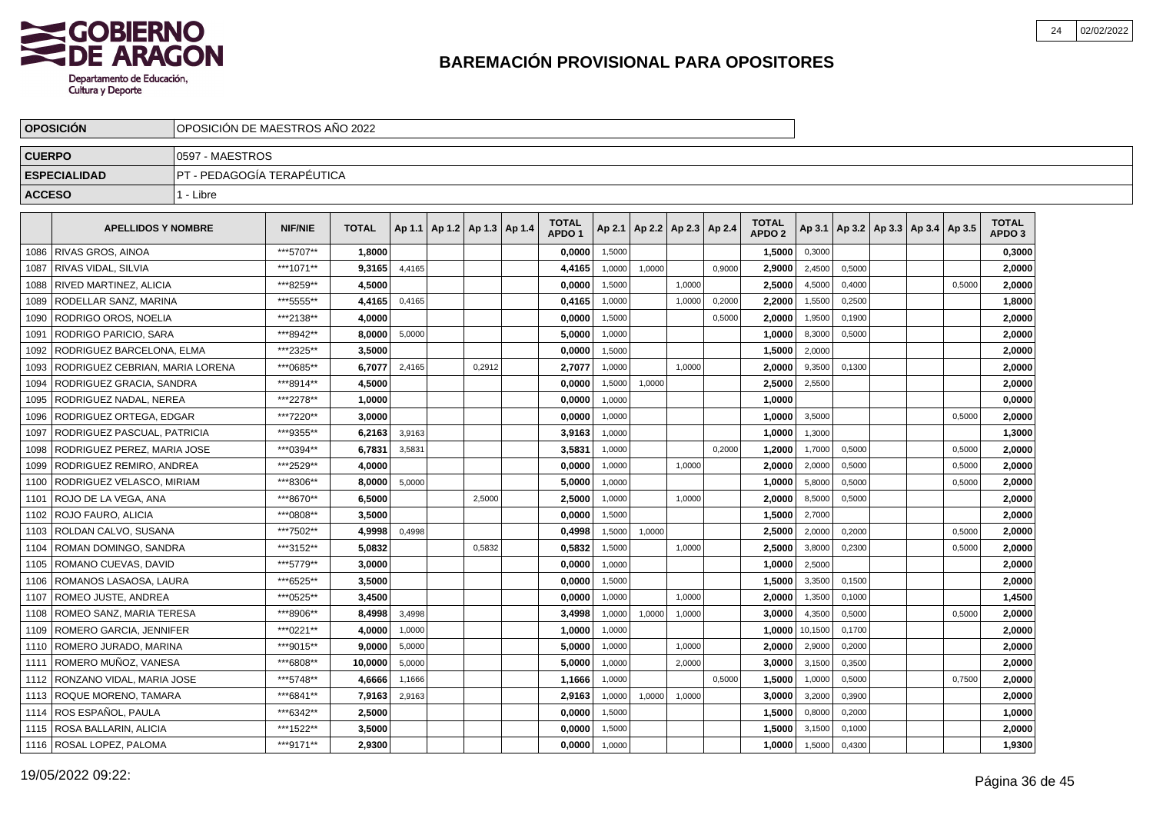

|               | <b>OPOSICION</b>                | OPOSICION DE MAESTROS ANO 2022 |                |              |        |                                   |        |                                   |        |                          |        |        |                                   |                |        |                                   |        |                                   |  |
|---------------|---------------------------------|--------------------------------|----------------|--------------|--------|-----------------------------------|--------|-----------------------------------|--------|--------------------------|--------|--------|-----------------------------------|----------------|--------|-----------------------------------|--------|-----------------------------------|--|
| <b>CUERPO</b> |                                 | 0597 - MAESTROS                |                |              |        |                                   |        |                                   |        |                          |        |        |                                   |                |        |                                   |        |                                   |  |
|               | <b>ESPECIALIDAD</b>             | IPT - PEDAGOGÍA TERAPÉUTICA    |                |              |        |                                   |        |                                   |        |                          |        |        |                                   |                |        |                                   |        |                                   |  |
| <b>ACCESO</b> |                                 | 1 - Libre                      |                |              |        |                                   |        |                                   |        |                          |        |        |                                   |                |        |                                   |        |                                   |  |
|               | <b>APELLIDOS Y NOMBRE</b>       |                                | <b>NIF/NIE</b> | <b>TOTAL</b> |        | Ap 1.1   Ap 1.2   Ap 1.3   Ap 1.4 |        | <b>TOTAL</b><br>APDO <sub>1</sub> | Ap 2.1 | Ap 2.2   Ap 2.3   Ap 2.4 |        |        | <b>TOTAL</b><br>APDO <sub>2</sub> | Ap 3.1         |        | Ap 3.2   Ap 3.3   Ap 3.4   Ap 3.5 |        | <b>TOTAL</b><br>APDO <sub>3</sub> |  |
| 1086          | RIVAS GROS. AINOA               |                                | ***5707**      | 1.8000       |        |                                   |        | 0,0000                            | 1,5000 |                          |        |        | 1,5000                            | 0,3000         |        |                                   |        | 0,3000                            |  |
| 1087          | RIVAS VIDAL, SILVIA             |                                | ***1071**      | 9,3165       | 4,4165 |                                   |        | 4,4165                            | 1,0000 | 1,0000                   |        | 0.9000 | 2,9000                            | 2,4500         | 0,5000 |                                   |        | 2,0000                            |  |
| 1088          | RIVED MARTINEZ, ALICIA          |                                | ***8259**      | 4,5000       |        |                                   |        | 0,0000                            | 1,5000 |                          | 1,0000 |        | 2,5000                            | 4,5000         | 0,4000 |                                   | 0,5000 | 2,0000                            |  |
| 1089          | RODELLAR SANZ, MARINA           |                                | ***5555**      | 4,4165       | 0,4165 |                                   |        | 0,4165                            | 1,0000 |                          | 1,0000 | 0,2000 | 2,2000                            | 1,5500         | 0,2500 |                                   |        | 1,8000                            |  |
| 1090          | <b>RODRIGO OROS, NOELIA</b>     |                                | ***2138**      | 4,0000       |        |                                   |        | 0,0000                            | 1,5000 |                          |        | 0,5000 | 2,0000                            | 1,9500         | 0,1900 |                                   |        | 2,0000                            |  |
| 1091          | RODRIGO PARICIO. SARA           |                                | ***8942**      | 8.0000       | 5,0000 |                                   |        | 5.0000                            | 1,0000 |                          |        |        | 1.0000                            | 8,3000         | 0,5000 |                                   |        | 2,0000                            |  |
| 1092          | RODRIGUEZ BARCELONA, ELMA       |                                | ***2325**      | 3,5000       |        |                                   |        | 0,0000                            | 1,5000 |                          |        |        | 1,5000                            | 2,0000         |        |                                   |        | 2,0000                            |  |
| 1093          | RODRIGUEZ CEBRIAN, MARIA LORENA |                                | ***0685**      | 6,7077       | 2,4165 |                                   | 0,2912 | 2,7077                            | 1,0000 |                          | 1,0000 |        | 2,0000                            | 9,3500         | 0,1300 |                                   |        | 2,0000                            |  |
| 1094          | RODRIGUEZ GRACIA. SANDRA        |                                | ***8914**      | 4,5000       |        |                                   |        | 0,0000                            | 1,5000 | 1,0000                   |        |        | 2,5000                            | 2,5500         |        |                                   |        | 2,0000                            |  |
| 1095          | RODRIGUEZ NADAL, NEREA          |                                | ***2278**      | 1,0000       |        |                                   |        | 0,0000                            | 1,0000 |                          |        |        | 1,0000                            |                |        |                                   |        | 0,0000                            |  |
| 1096          | RODRIGUEZ ORTEGA, EDGAR         |                                | ***7220**      | 3,0000       |        |                                   |        | 0,0000                            | 1,0000 |                          |        |        | 1,0000                            | 3,5000         |        |                                   | 0,5000 | 2,0000                            |  |
| 1097          | RODRIGUEZ PASCUAL. PATRICIA     |                                | ***9355**      | 6,2163       | 3,9163 |                                   |        | 3,9163                            | 1,0000 |                          |        |        | 1,0000                            | 1,3000         |        |                                   |        | 1,3000                            |  |
| 1098          | RODRIGUEZ PEREZ. MARIA JOSE     |                                | ***0394**      | 6,7831       | 3,5831 |                                   |        | 3,5831                            | 1,0000 |                          |        | 0.2000 | 1,2000                            | 1,7000         | 0,5000 |                                   | 0,5000 | 2,0000                            |  |
| 1099          | <b>RODRIGUEZ REMIRO, ANDREA</b> |                                | ***2529**      | 4,0000       |        |                                   |        | 0,0000                            | 1,0000 |                          | 1,0000 |        | 2.0000                            | 2,0000         | 0,5000 |                                   | 0,5000 | 2,0000                            |  |
| 1100          | RODRIGUEZ VELASCO, MIRIAM       |                                | ***8306**      | 8,0000       | 5,0000 |                                   |        | 5,0000                            | 1,0000 |                          |        |        | 1,0000                            | 5,8000         | 0,5000 |                                   | 0,5000 | 2,0000                            |  |
| 1101          | ROJO DE LA VEGA, ANA            |                                | ***8670**      | 6,5000       |        |                                   | 2,5000 | 2,5000                            | 1,0000 |                          | 1,0000 |        | 2,0000                            | 8,5000         | 0,5000 |                                   |        | 2,0000                            |  |
| 1102          | ROJO FAURO, ALICIA              |                                | ***0808**      | 3,5000       |        |                                   |        | 0,0000                            | 1,5000 |                          |        |        | 1,5000                            | 2,7000         |        |                                   |        | 2,0000                            |  |
| 1103          | ROLDAN CALVO, SUSANA            |                                | ***7502**      | 4.9998       | 0,4998 |                                   |        | 0.4998                            | 1,5000 | 1,0000                   |        |        | 2.5000                            | 2,0000         | 0,2000 |                                   | 0.5000 | 2.0000                            |  |
| 1104          | ROMAN DOMINGO, SANDRA           |                                | ***3152**      | 5.0832       |        |                                   | 0,5832 | 0,5832                            | 1,5000 |                          | 1,0000 |        | 2,5000                            | 3,8000         | 0,2300 |                                   | 0,5000 | 2,0000                            |  |
| 1105          | ROMANO CUEVAS, DAVID            |                                | ***5779**      | 3,0000       |        |                                   |        | 0,0000                            | 1,0000 |                          |        |        | 1,0000                            | 2,5000         |        |                                   |        | 2,0000                            |  |
| 1106          | ROMANOS LASAOSA, LAURA          |                                | ***6525**      | 3,5000       |        |                                   |        | 0,0000                            | 1,5000 |                          |        |        | 1,5000                            | 3,3500         | 0,1500 |                                   |        | 2,0000                            |  |
| 1107          | ROMEO JUSTE, ANDREA             |                                | ***0525**      | 3,4500       |        |                                   |        | 0,0000                            | 1,0000 |                          | 1,0000 |        | 2,0000                            | 1,3500         | 0,1000 |                                   |        | 1,4500                            |  |
| 1108          | ROMEO SANZ, MARIA TERESA        |                                | ***8906**      | 8,4998       | 3,4998 |                                   |        | 3,4998                            | 1,0000 | 1,0000                   | 1,0000 |        | 3,0000                            | 4,3500         | 0,5000 |                                   | 0,5000 | 2,0000                            |  |
| 1109          | ROMERO GARCIA, JENNIFER         |                                | ***0221**      | 4.0000       | 1,0000 |                                   |        | 1.0000                            | 1,0000 |                          |        |        |                                   | 1.0000 10,1500 | 0,1700 |                                   |        | 2,0000                            |  |
| 1110          | ROMERO JURADO, MARINA           |                                | ***9015**      | 9.0000       | 5,0000 |                                   |        | 5.0000                            | 1,0000 |                          | 1,0000 |        | 2.0000                            | 2,9000         | 0,2000 |                                   |        | 2,0000                            |  |
|               | 1111 ROMERO MUÑOZ. VANESA       |                                | ***6808**      | 10,0000      | 5,0000 |                                   |        | 5,0000                            | 1,0000 |                          | 2,0000 |        | 3.0000                            | 3,1500         | 0,3500 |                                   |        | 2,0000                            |  |
| 1112          | RONZANO VIDAL, MARIA JOSE       |                                | ***5748**      | 4,6666       | 1,1666 |                                   |        | 1,1666                            | 1,0000 |                          |        | 0,5000 | 1,5000                            | 1,0000         | 0,5000 |                                   | 0,7500 | 2,0000                            |  |
|               | 1113 ROQUE MORENO, TAMARA       |                                | ***6841**      | 7,9163       | 2,9163 |                                   |        | 2,9163                            | 1,0000 | 1,0000                   | 1,0000 |        | 3,0000                            | 3,2000         | 0,3900 |                                   |        | 2,0000                            |  |
|               | 1114   ROS ESPAÑOL, PAULA       |                                | ***6342**      | 2,5000       |        |                                   |        | 0,0000                            | 1,5000 |                          |        |        | 1,5000                            | 0,8000         | 0,2000 |                                   |        | 1,0000                            |  |
| 1115          | ROSA BALLARIN, ALICIA           |                                | ***1522**      | 3,5000       |        |                                   |        | 0.0000                            | 1,5000 |                          |        |        | 1.5000                            | 3,1500         | 0,1000 |                                   |        | 2,0000                            |  |
|               | 1116   ROSAL LOPEZ, PALOMA      |                                | ***9171**      | 2.9300       |        |                                   |        | 0,0000                            | 1,0000 |                          |        |        | 1,0000                            | 1,5000         | 0,4300 |                                   |        | 1,9300                            |  |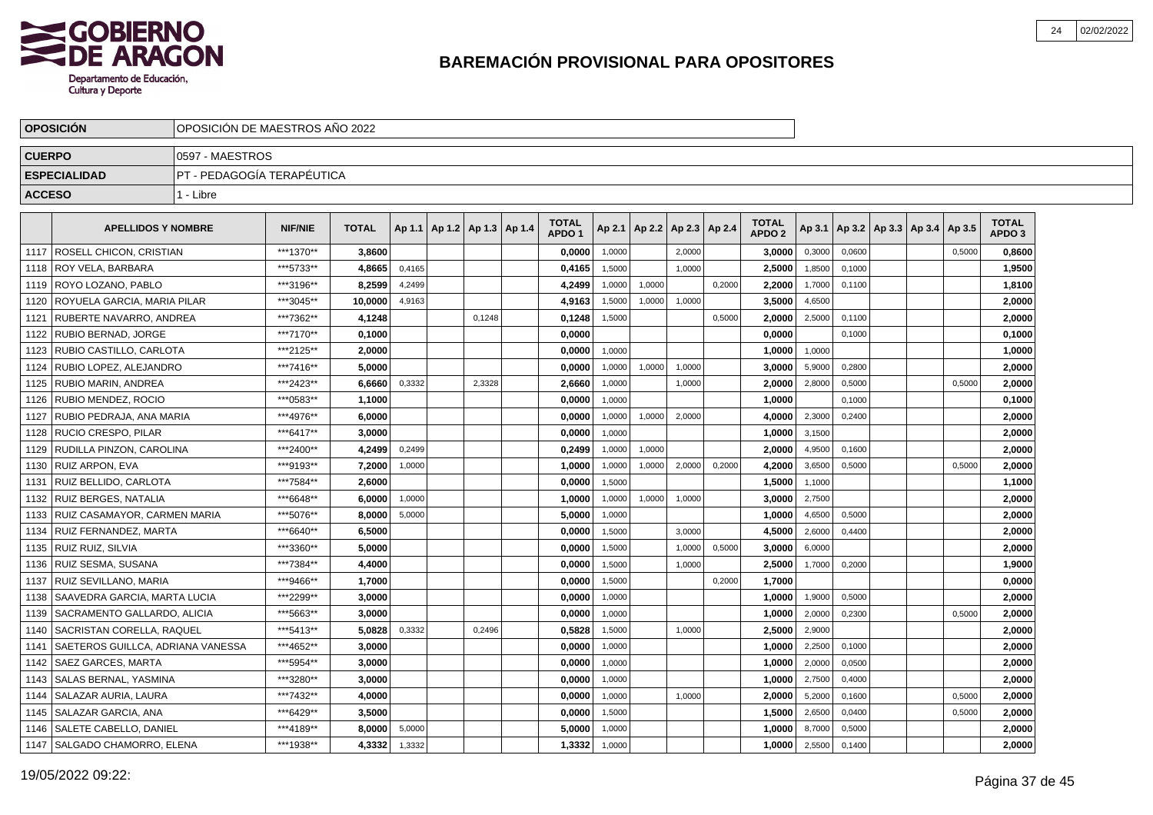

|               | <b>OPOSICIÓN</b>                  | OPOSICIÓN DE MAESTROS AÑO 2022 |                |              |        |                                   |        |                                   |        |                          |        |        |                                   |        |        |                                            |        |                                   |  |
|---------------|-----------------------------------|--------------------------------|----------------|--------------|--------|-----------------------------------|--------|-----------------------------------|--------|--------------------------|--------|--------|-----------------------------------|--------|--------|--------------------------------------------|--------|-----------------------------------|--|
| <b>CUERPO</b> |                                   | 0597 - MAESTROS                |                |              |        |                                   |        |                                   |        |                          |        |        |                                   |        |        |                                            |        |                                   |  |
|               | <b>ESPECIALIDAD</b>               | PT - PEDAGOGÍA TERAPÉUTICA     |                |              |        |                                   |        |                                   |        |                          |        |        |                                   |        |        |                                            |        |                                   |  |
| <b>ACCESO</b> |                                   | 1 - Libre                      |                |              |        |                                   |        |                                   |        |                          |        |        |                                   |        |        |                                            |        |                                   |  |
|               | <b>APELLIDOS Y NOMBRE</b>         |                                | <b>NIF/NIE</b> | <b>TOTAL</b> |        | Ap 1.1   Ap 1.2   Ap 1.3   Ap 1.4 |        | <b>TOTAL</b><br>APDO <sub>1</sub> | Ap 2.1 | Ap 2.2   Ap 2.3   Ap 2.4 |        |        | <b>TOTAL</b><br>APDO <sub>2</sub> |        |        | Ap 3.1   Ap 3.2   Ap 3.3   Ap 3.4   Ap 3.5 |        | <b>TOTAL</b><br>APDO <sub>3</sub> |  |
| 1117          | ROSELL CHICON, CRISTIAN           |                                | ***1370**      | 3,8600       |        |                                   |        | 0,0000                            | 1,0000 |                          | 2,0000 |        | 3,0000                            | 0,3000 | 0,0600 |                                            | 0,5000 | 0,8600                            |  |
| 1118          | ROY VELA, BARBARA                 |                                | ***5733**      | 4,8665       | 0,4165 |                                   |        | 0,4165                            | 1,5000 |                          | 1,0000 |        | 2,5000                            | 1,8500 | 0,1000 |                                            |        | 1,9500                            |  |
| 1119          | ROYO LOZANO, PABLO                |                                | ***3196**      | 8.2599       | 4,2499 |                                   |        | 4,2499                            | 1,0000 | 1,0000                   |        | 0,2000 | 2,2000                            | 1,7000 | 0,1100 |                                            |        | 1,8100                            |  |
| 1120          | ROYUELA GARCIA, MARIA PILAR       |                                | ***3045**      | 10.0000      | 4,9163 |                                   |        | 4,9163                            | 1,5000 | 1,0000                   | 1,0000 |        | 3,5000                            | 4,6500 |        |                                            |        | 2,0000                            |  |
| 1121          | RUBERTE NAVARRO. ANDREA           |                                | ***7362**      | 4.1248       |        |                                   | 0.1248 | 0,1248                            | 1,5000 |                          |        | 0,5000 | 2.0000                            | 2,5000 | 0,1100 |                                            |        | 2,0000                            |  |
| 1122          | <b>RUBIO BERNAD, JORGE</b>        |                                | ***7170**      | 0.1000       |        |                                   |        | 0.0000                            |        |                          |        |        | 0.0000                            |        | 0,1000 |                                            |        | 0,1000                            |  |
| 1123          | RUBIO CASTILLO, CARLOTA           |                                | ***2125**      | 2,0000       |        |                                   |        | 0,0000                            | 1.0000 |                          |        |        | 1,0000                            | 1,0000 |        |                                            |        | 1,0000                            |  |
| 1124          | RUBIO LOPEZ, ALEJANDRO            |                                | ***7416**      | 5,0000       |        |                                   |        | 0,0000                            | 1,0000 | 1,0000                   | 1,0000 |        | 3,0000                            | 5,9000 | 0,2800 |                                            |        | 2,0000                            |  |
| 1125          | RUBIO MARIN, ANDREA               |                                | ***2423**      | 6,6660       | 0,3332 |                                   | 2,3328 | 2,6660                            | 1,0000 |                          | 1,0000 |        | 2,0000                            | 2,8000 | 0,5000 |                                            | 0,5000 | 2,0000                            |  |
| 1126          | RUBIO MENDEZ, ROCIO               |                                | ***0583**      | 1,1000       |        |                                   |        | 0,0000                            | 1,0000 |                          |        |        | 1,0000                            |        | 0,1000 |                                            |        | 0,1000                            |  |
| 1127          | RUBIO PEDRAJA, ANA MARIA          |                                | ***4976**      | 6.0000       |        |                                   |        | 0,0000                            | 1,0000 | 1,0000                   | 2,0000 |        | 4,0000                            | 2,3000 | 0,2400 |                                            |        | 2,0000                            |  |
| 1128          | <b>RUCIO CRESPO, PILAR</b>        |                                | ***6417**      | 3.0000       |        |                                   |        | 0,0000                            | 1,0000 |                          |        |        | 1,0000                            | 3,1500 |        |                                            |        | 2,0000                            |  |
| 1129          | RUDILLA PINZON. CAROLINA          |                                | ***2400**      | 4,2499       | 0,2499 |                                   |        | 0,2499                            | 1,0000 | 1,0000                   |        |        | 2,0000                            | 4,9500 | 0,1600 |                                            |        | 2,0000                            |  |
| 1130          | RUIZ ARPON. EVA                   |                                | ***9193**      | 7,2000       | 1,0000 |                                   |        | 1,0000                            | 1,0000 | 1,0000                   | 2,0000 | 0,2000 | 4,2000                            | 3,6500 | 0,5000 |                                            | 0.5000 | 2,0000                            |  |
| 1131          | RUIZ BELLIDO. CARLOTA             |                                | ***7584**      | 2.6000       |        |                                   |        | 0,0000                            | 1,5000 |                          |        |        | 1,5000                            | 1,1000 |        |                                            |        | 1,1000                            |  |
| 1132          | RUIZ BERGES. NATALIA              |                                | ***6648**      | 6.0000       | 1,0000 |                                   |        | 1.0000                            | 1,0000 | 1,0000                   | 1,0000 |        | 3.0000                            | 2,7500 |        |                                            |        | 2.0000                            |  |
| 1133          | RUIZ CASAMAYOR, CARMEN MARIA      |                                | ***5076**      | 8,0000       | 5,0000 |                                   |        | 5,0000                            | 1,0000 |                          |        |        | 1,0000                            | 4,6500 | 0,5000 |                                            |        | 2,0000                            |  |
| 1134          | RUIZ FERNANDEZ, MARTA             |                                | ***6640**      | 6,5000       |        |                                   |        | 0,0000                            | 1,5000 |                          | 3,0000 |        | 4,5000                            | 2,6000 | 0,4400 |                                            |        | 2,0000                            |  |
| 1135          | RUIZ RUIZ, SILVIA                 |                                | ***3360**      | 5,0000       |        |                                   |        | 0,0000                            | 1,5000 |                          | 1,0000 | 0,5000 | 3,0000                            | 6,0000 |        |                                            |        | 2,0000                            |  |
| 1136          | RUIZ SESMA, SUSANA                |                                | ***7384**      | 4,4000       |        |                                   |        | 0,0000                            | 1,5000 |                          | 1,0000 |        | 2,5000                            | 1,7000 | 0,2000 |                                            |        | 1,9000                            |  |
| 1137          | RUIZ SEVILLANO, MARIA             |                                | ***9466**      | 1,7000       |        |                                   |        | 0,0000                            | 1,5000 |                          |        | 0,2000 | 1,7000                            |        |        |                                            |        | 0,0000                            |  |
| 1138          | SAAVEDRA GARCIA, MARTA LUCIA      |                                | ***2299**      | 3.0000       |        |                                   |        | 0,0000                            | 1,0000 |                          |        |        | 1,0000                            | 1,9000 | 0,5000 |                                            |        | 2,0000                            |  |
| 1139          | SACRAMENTO GALLARDO, ALICIA       |                                | ***5663**      | 3.0000       |        |                                   |        | 0,0000                            | 1,0000 |                          |        |        | 1,0000                            | 2,0000 | 0,2300 |                                            | 0,5000 | 2.0000                            |  |
| 1140          | SACRISTAN CORELLA. RAQUEL         |                                | *** 5413**     | 5.0828       | 0,3332 |                                   | 0.2496 | 0,5828                            | 1,5000 |                          | 1,0000 |        | 2,5000                            | 2,9000 |        |                                            |        | 2.0000                            |  |
| 1141          | SAETEROS GUILLCA, ADRIANA VANESSA |                                | ***4652**      | 3.0000       |        |                                   |        | 0.0000                            | 1.0000 |                          |        |        | 1,0000                            | 2,2500 | 0.1000 |                                            |        | 2.0000                            |  |
| 1142          | SAEZ GARCES, MARTA                |                                | ***5954**      | 3,0000       |        |                                   |        | 0,0000                            | 1,0000 |                          |        |        | 1,0000                            | 2,0000 | 0,0500 |                                            |        | 2,0000                            |  |
| 1143          | SALAS BERNAL, YASMINA             |                                | ***3280**      | 3,0000       |        |                                   |        | 0,0000                            | 1,0000 |                          |        |        | 1,0000                            | 2,7500 | 0,4000 |                                            |        | 2,0000                            |  |
| 1144          | SALAZAR AURIA, LAURA              |                                | ***7432**      | 4,0000       |        |                                   |        | 0,0000                            | 1,0000 |                          | 1,0000 |        | 2,0000                            | 5,2000 | 0,1600 |                                            | 0,5000 | 2,0000                            |  |
| 1145          | SALAZAR GARCIA, ANA               |                                | ***6429**      | 3,5000       |        |                                   |        | 0,0000                            | 1,5000 |                          |        |        | 1,5000                            | 2,6500 | 0,0400 |                                            | 0,5000 | 2,0000                            |  |
| 1146          | SALETE CABELLO, DANIEL            |                                | ***4189**      | 8,0000       | 5,0000 |                                   |        | 5,0000                            | 1,0000 |                          |        |        | 1,0000                            | 8,7000 | 0,5000 |                                            |        | 2,0000                            |  |
| 1147          | SALGADO CHAMORRO, ELENA           |                                | ***1938**      | 4,3332       | 1,3332 |                                   |        | 1,3332                            | 1,0000 |                          |        |        | 1,0000                            | 2,5500 | 0,1400 |                                            |        | 2,0000                            |  |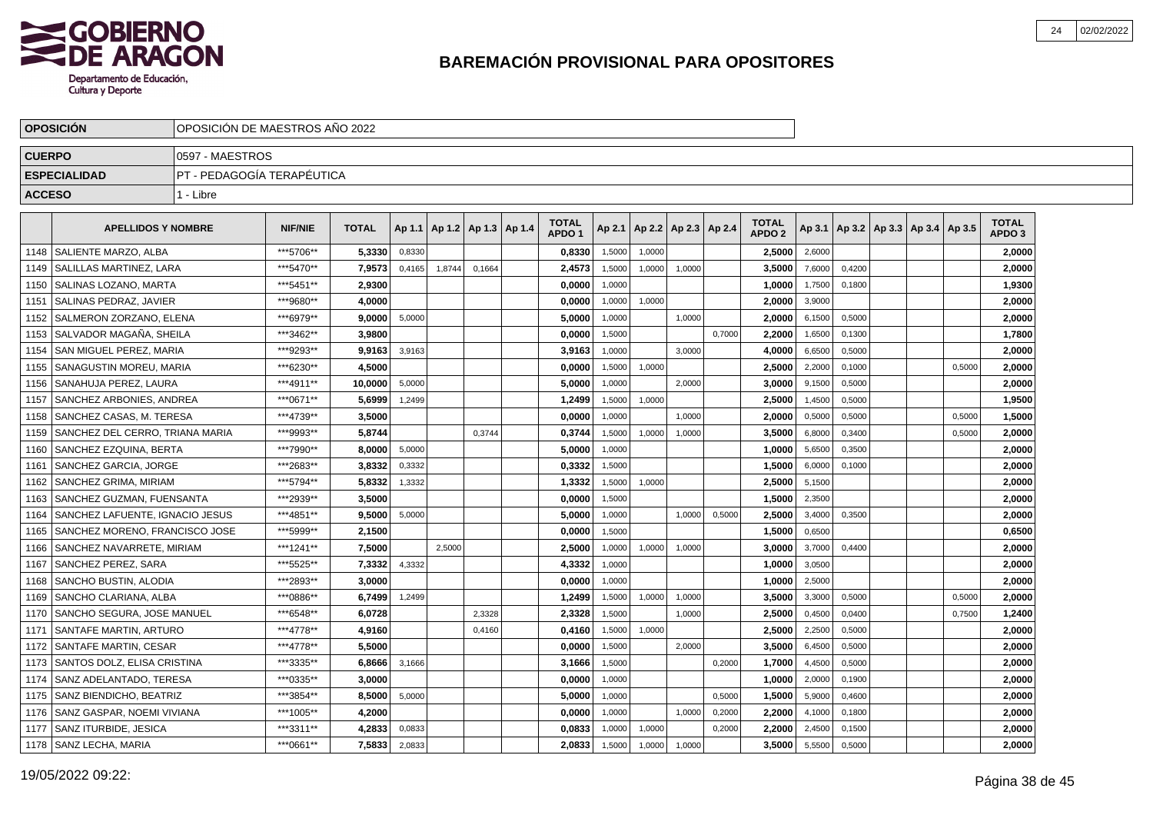

|               | <b>OPOSICION</b>                   | OPOSICION DE MAESTROS ANO 2022 |                |              |        |                          |        |                                   |        |        |                          |        |                                   |        |        |                                   |        |                                   |  |
|---------------|------------------------------------|--------------------------------|----------------|--------------|--------|--------------------------|--------|-----------------------------------|--------|--------|--------------------------|--------|-----------------------------------|--------|--------|-----------------------------------|--------|-----------------------------------|--|
| <b>CUERPO</b> |                                    | 10597 - MAESTROS               |                |              |        |                          |        |                                   |        |        |                          |        |                                   |        |        |                                   |        |                                   |  |
|               | <b>ESPECIALIDAD</b>                | PT - PEDAGOGÍA TERAPÉUTICA     |                |              |        |                          |        |                                   |        |        |                          |        |                                   |        |        |                                   |        |                                   |  |
| <b>ACCESO</b> |                                    | 1 - Libre                      |                |              |        |                          |        |                                   |        |        |                          |        |                                   |        |        |                                   |        |                                   |  |
|               | <b>APELLIDOS Y NOMBRE</b>          |                                | <b>NIF/NIE</b> | <b>TOTAL</b> | Ap 1.1 | Ap 1.2   Ap 1.3   Ap 1.4 |        | <b>TOTAL</b><br>APDO <sub>1</sub> | Ap 2.1 |        | Ap 2.2   Ap 2.3   Ap 2.4 |        | <b>TOTAL</b><br>APDO <sub>2</sub> | Ap 3.1 |        | Ap 3.2   Ap 3.3   Ap 3.4   Ap 3.5 |        | <b>TOTAL</b><br>APDO <sub>3</sub> |  |
| 1148          | SALIENTE MARZO. ALBA               |                                | ***5706**      | 5.3330       | 0,8330 |                          |        | 0,8330                            | 1,5000 | 1,0000 |                          |        | 2,5000                            | 2,6000 |        |                                   |        | 2,0000                            |  |
| 1149          | <b>SALILLAS MARTINEZ, LARA</b>     |                                | ***5470**      | 7,9573       | 0,4165 | 1,8744                   | 0,1664 | 2,4573                            | 1,5000 | 1,0000 | 1.0000                   |        | 3,5000                            | 7,6000 | 0,4200 |                                   |        | 2,0000                            |  |
| 1150          | <b>SALINAS LOZANO, MARTA</b>       |                                | ***5451**      | 2,9300       |        |                          |        | 0,0000                            | 1,0000 |        |                          |        | 1,0000                            | 1,7500 | 0.1800 |                                   |        | 1,9300                            |  |
| 1151          | SALINAS PEDRAZ, JAVIER             |                                | ***9680**      | 4.0000       |        |                          |        | 0,0000                            | 1,0000 | 1,0000 |                          |        | 2.0000                            | 3,9000 |        |                                   |        | 2,0000                            |  |
|               | 1152   SALMERON ZORZANO, ELENA     |                                | ***6979**      | 9,0000       | 5,0000 |                          |        | 5,0000                            | 1,0000 |        | 1,0000                   |        | 2,0000                            | 6,1500 | 0,5000 |                                   |        | 2,0000                            |  |
|               | 1153 SALVADOR MAGAÑA. SHEILA       |                                | ***3462**      | 3.9800       |        |                          |        | 0.0000                            | 1,5000 |        |                          | 0.7000 | 2.2000                            | 1,6500 | 0.1300 |                                   |        | 1,7800                            |  |
| 1154          | <b>SAN MIGUEL PEREZ. MARIA</b>     |                                | ***9293**      | 9.9163       | 3,9163 |                          |        | 3,9163                            | 1.0000 |        | 3,0000                   |        | 4,0000                            | 6,6500 | 0.5000 |                                   |        | 2,0000                            |  |
| 1155          | <b>SANAGUSTIN MOREU, MARIA</b>     |                                | ***6230**      | 4,5000       |        |                          |        | 0,0000                            | 1,5000 | 1,0000 |                          |        | 2,5000                            | 2,2000 | 0.1000 |                                   | 0.5000 | 2,0000                            |  |
| 1156          | SANAHUJA PEREZ. LAURA              |                                | ***4911**      | 10,0000      | 5,0000 |                          |        | 5,0000                            | 1,0000 |        | 2,0000                   |        | 3,0000                            | 9,1500 | 0,5000 |                                   |        | 2,0000                            |  |
| 1157          | SANCHEZ ARBONIES, ANDREA           |                                | ***0671**      | 5,6999       | 1,2499 |                          |        | 1,2499                            | 1,5000 | 1,0000 |                          |        | 2,5000                            | 1,4500 | 0,5000 |                                   |        | 1,9500                            |  |
| 1158          | SANCHEZ CASAS, M. TERESA           |                                | ***4739**      | 3,5000       |        |                          |        | 0,0000                            | 1,0000 |        | 1,0000                   |        | 2,0000                            | 0,5000 | 0,5000 |                                   | 0,5000 | 1,5000                            |  |
| 1159          | I SANCHEZ DEL CERRO. TRIANA MARIA  |                                | ***9993**      | 5,8744       |        |                          | 0.3744 | 0,3744                            | 1,5000 | 1,0000 | 1.0000                   |        | 3.5000                            | 6,8000 | 0.3400 |                                   | 0.5000 | 2,0000                            |  |
| 1160          | <b>SANCHEZ EZQUINA, BERTA</b>      |                                | ***7990**      | 8.0000       | 5,0000 |                          |        | 5.0000                            | 1,0000 |        |                          |        | 1.0000                            | 5,6500 | 0,3500 |                                   |        | 2,0000                            |  |
| 1161          | <b>SANCHEZ GARCIA, JORGE</b>       |                                | ***2683**      | 3.8332       | 0,3332 |                          |        | 0,3332                            | 1,5000 |        |                          |        | 1.5000                            | 6,0000 | 0,1000 |                                   |        | 2,0000                            |  |
| 1162          | SANCHEZ GRIMA, MIRIAM              |                                | ***5794**      | 5,8332       | 1,3332 |                          |        | 1,3332                            | 1,5000 | 1,0000 |                          |        | 2,5000                            | 5,1500 |        |                                   |        | 2,0000                            |  |
| 1163          | SANCHEZ GUZMAN, FUENSANTA          |                                | ***2939**      | 3,5000       |        |                          |        | 0,0000                            | 1,5000 |        |                          |        | 1,5000                            | 2,3500 |        |                                   |        | 2,0000                            |  |
| 1164          | SANCHEZ LAFUENTE, IGNACIO JESUS    |                                | ***4851**      | 9,5000       | 5,0000 |                          |        | 5,0000                            | 1,0000 |        | 1,0000                   | 0,5000 | 2,5000                            | 3,4000 | 0,3500 |                                   |        | 2,0000                            |  |
| 1165          | SANCHEZ MORENO, FRANCISCO JOSE     |                                | ***5999**      | 2.1500       |        |                          |        | 0.0000                            | 1.5000 |        |                          |        | 1.5000                            | 0,6500 |        |                                   |        | 0.6500                            |  |
| 1166          | SANCHEZ NAVARRETE, MIRIAM          |                                | ***1241**      | 7.5000       |        | 2,5000                   |        | 2,5000                            | 1,0000 | 1,0000 | 1,0000                   |        | 3.0000                            | 3,7000 | 0,4400 |                                   |        | 2,0000                            |  |
| 1167          | SANCHEZ PEREZ, SARA                |                                | ***5525**      | 7,3332       | 4,3332 |                          |        | 4,3332                            | 1,0000 |        |                          |        | 1,0000                            | 3,0500 |        |                                   |        | 2,0000                            |  |
| 1168          | <b>SANCHO BUSTIN, ALODIA</b>       |                                | ***2893**      | 3.0000       |        |                          |        | 0,0000                            | 1,0000 |        |                          |        | 1,0000                            | 2,5000 |        |                                   |        | 2,0000                            |  |
| 1169          | SANCHO CLARIANA. ALBA              |                                | ***0886**      | 6,7499       | 1,2499 |                          |        | 1,2499                            | 1,5000 | 1,0000 | 1,0000                   |        | 3,5000                            | 3,3000 | 0,5000 |                                   | 0,5000 | 2,0000                            |  |
| 1170          | SANCHO SEGURA, JOSE MANUEL         |                                | ***6548**      | 6.0728       |        |                          | 2,3328 | 2,3328                            | 1,5000 |        | 1,0000                   |        | 2,5000                            | 0,4500 | 0,0400 |                                   | 0,7500 | 1,2400                            |  |
| 1171          | <b>SANTAFE MARTIN, ARTURO</b>      |                                | ***4778**      | 4.9160       |        |                          | 0,4160 | 0.4160                            | 1,5000 | 1,0000 |                          |        | 2.5000                            | 2,2500 | 0.5000 |                                   |        | 2,0000                            |  |
| 1172          | <b>SANTAFE MARTIN, CESAR</b>       |                                | ***4778**      | 5.5000       |        |                          |        | 0.0000                            | 1,5000 |        | 2,0000                   |        | 3.5000                            | 6,4500 | 0,5000 |                                   |        | 2,0000                            |  |
|               | 1173   SANTOS DOLZ, ELISA CRISTINA |                                | ***3335**      | 6.8666       | 3,1666 |                          |        | 3,1666                            | 1,5000 |        |                          | 0,2000 | 1,7000                            | 4,4500 | 0,5000 |                                   |        | 2,0000                            |  |
| 1174          | SANZ ADELANTADO, TERESA            |                                | ***0335**      | 3,0000       |        |                          |        | 0,0000                            | 1,0000 |        |                          |        | 1,0000                            | 2,0000 | 0,1900 |                                   |        | 2,0000                            |  |
| 1175          | SANZ BIENDICHO, BEATRIZ            |                                | ***3854**      | 8,5000       | 5,0000 |                          |        | 5,0000                            | 1,0000 |        |                          | 0,5000 | 1,5000                            | 5,9000 | 0,4600 |                                   |        | 2,0000                            |  |
| 1176          | SANZ GASPAR, NOEMI VIVIANA         |                                | ***1005**      | 4,2000       |        |                          |        | 0,0000                            | 1,0000 |        | 1,0000                   | 0,2000 | 2,2000                            | 4,1000 | 0,1800 |                                   |        | 2,0000                            |  |
| 1177          | <b>SANZ ITURBIDE. JESICA</b>       |                                | ***3311**      | 4,2833       | 0,0833 |                          |        | 0.0833                            | 1,0000 | 1,0000 |                          | 0,2000 | 2.2000                            | 2,4500 | 0,1500 |                                   |        | 2,0000                            |  |
|               | 1178   SANZ LECHA, MARIA           |                                | ***0661**      | 7,5833       | 2,0833 |                          |        | 2,0833                            | 1,5000 | 1,0000 | 1,0000                   |        | 3,5000                            | 5,5500 | 0,5000 |                                   |        | 2,0000                            |  |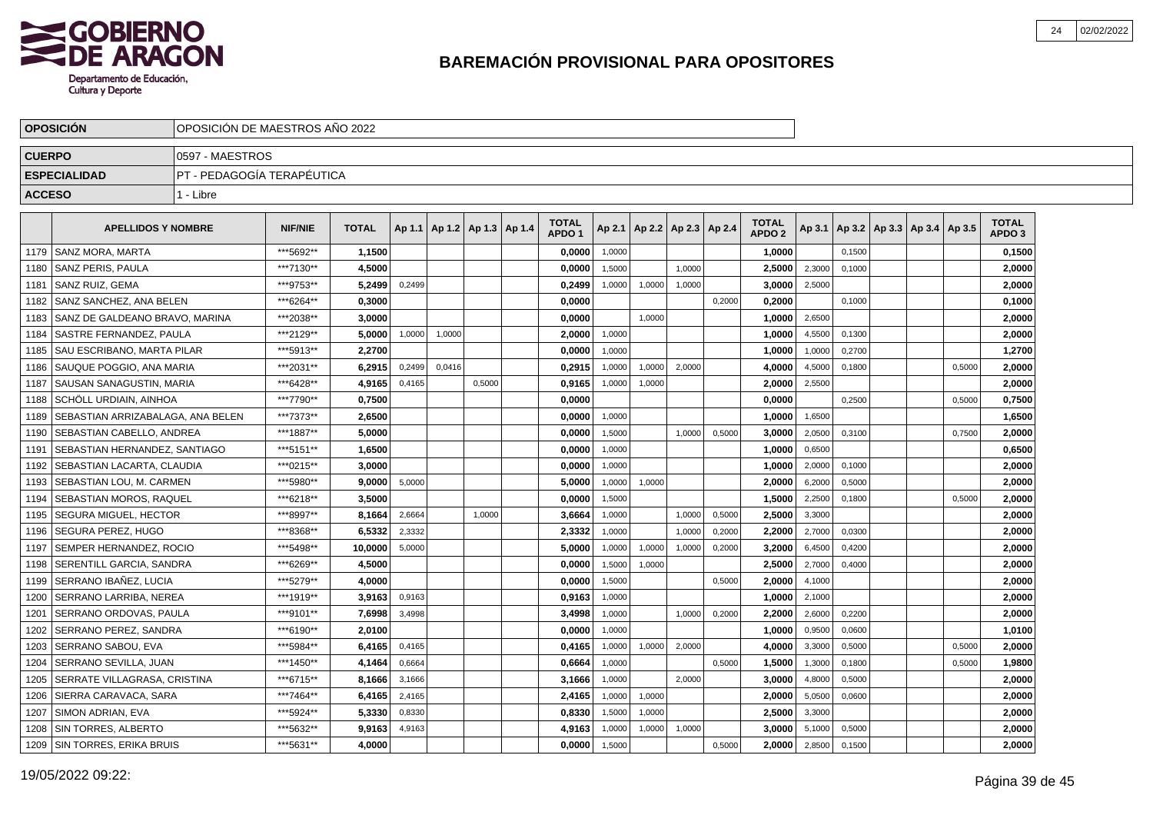

|               | <b>OPOSICION</b>                  | OPOSICION DE MAESTROS ANO 2022 |                |              |        |        |                                   |                                   |        |        |                          |        |                                   |        |        |                                   |        |                                   |  |
|---------------|-----------------------------------|--------------------------------|----------------|--------------|--------|--------|-----------------------------------|-----------------------------------|--------|--------|--------------------------|--------|-----------------------------------|--------|--------|-----------------------------------|--------|-----------------------------------|--|
| <b>CUERPO</b> |                                   | 0597 - MAESTROS                |                |              |        |        |                                   |                                   |        |        |                          |        |                                   |        |        |                                   |        |                                   |  |
|               | <b>ESPECIALIDAD</b>               | PT - PEDAGOGÍA TERAPÉUTICA     |                |              |        |        |                                   |                                   |        |        |                          |        |                                   |        |        |                                   |        |                                   |  |
| <b>ACCESO</b> |                                   | 1 - Libre                      |                |              |        |        |                                   |                                   |        |        |                          |        |                                   |        |        |                                   |        |                                   |  |
|               | <b>APELLIDOS Y NOMBRE</b>         |                                | <b>NIF/NIE</b> | <b>TOTAL</b> |        |        | Ap 1.1   Ap 1.2   Ap 1.3   Ap 1.4 | <b>TOTAL</b><br>APDO <sub>1</sub> | Ap 2.1 |        | Ap 2.2   Ap 2.3   Ap 2.4 |        | <b>TOTAL</b><br>APDO <sub>2</sub> | Ap 3.1 |        | Ap 3.2   Ap 3.3   Ap 3.4   Ap 3.5 |        | <b>TOTAL</b><br>APDO <sub>3</sub> |  |
| 1179          | l SANZ MORA. MARTA                |                                | ***5692**      | 1,1500       |        |        |                                   | 0,0000                            | 1,0000 |        |                          |        | 1,0000                            |        | 0.1500 |                                   |        | 0,1500                            |  |
| 1180          | <b>SANZ PERIS, PAULA</b>          |                                | ***7130**      | 4,5000       |        |        |                                   | 0,0000                            | 1,5000 |        | 1.0000                   |        | 2,5000                            | 2,3000 | 0,1000 |                                   |        | 2,0000                            |  |
| 1181          | l SANZ RUIZ. GEMA                 |                                | ***9753**      | 5,2499       | 0,2499 |        |                                   | 0,2499                            | 1,0000 | 1,0000 | 1,0000                   |        | 3,0000                            | 2,5000 |        |                                   |        | 2,0000                            |  |
| 1182          | SANZ SANCHEZ, ANA BELEN           |                                | ***6264**      | 0.3000       |        |        |                                   | 0,0000                            |        |        |                          | 0,2000 | 0,2000                            |        | 0,1000 |                                   |        | 0,1000                            |  |
| 1183          | SANZ DE GALDEANO BRAVO, MARINA    |                                | ***2038**      | 3,0000       |        |        |                                   | 0,0000                            |        | 1,0000 |                          |        | 1,0000                            | 2,6500 |        |                                   |        | 2,0000                            |  |
| 1184          | lSASTRE FERNANDEZ. PAULA          |                                | ***2129**      | 5.0000       | 1,0000 | 1,0000 |                                   | 2.0000                            | 1,0000 |        |                          |        | 1.0000                            | 4,5500 | 0.1300 |                                   |        | 2,0000                            |  |
| 1185          | I SAU ESCRIBANO. MARTA PILAR      |                                | ***5913**      | 2.2700       |        |        |                                   | 0,0000                            | 1,0000 |        |                          |        | 1.0000                            | 1,0000 | 0,2700 |                                   |        | 1,2700                            |  |
| 1186          | l SAUQUE POGGIO. ANA MARIA        |                                | ***2031**      | 6,2915       | 0,2499 | 0,0416 |                                   | 0,2915                            | 1,0000 | 1,0000 | 2,0000                   |        | 4,0000                            | 4,5000 | 0,1800 |                                   | 0,5000 | 2,0000                            |  |
| 1187          | I SAUSAN SANAGUSTIN. MARIA        |                                | ***6428**      | 4,9165       | 0,4165 |        | 0,5000                            | 0,9165                            | 1,0000 | 1,0000 |                          |        | 2,0000                            | 2,5500 |        |                                   |        | 2,0000                            |  |
| 1188          | SCHÖLL URDIAIN, AINHOA            |                                | ***7790**      | 0,7500       |        |        |                                   | 0,0000                            |        |        |                          |        | 0,0000                            |        | 0,2500 |                                   | 0,5000 | 0,7500                            |  |
| 1189          | SEBASTIAN ARRIZABALAGA, ANA BELEN |                                | ***7373**      | 2,6500       |        |        |                                   | 0,0000                            | 1,0000 |        |                          |        | 1,0000                            | 1,6500 |        |                                   |        | 1,6500                            |  |
| 1190          | SEBASTIAN CABELLO, ANDREA         |                                | ***1887**      | 5,0000       |        |        |                                   | 0,0000                            | 1,5000 |        | 1.0000                   | 0,5000 | 3,0000                            | 2,0500 | 0,3100 |                                   | 0,7500 | 2,0000                            |  |
| 1191          | SEBASTIAN HERNANDEZ, SANTIAGO     |                                | ***5151**      | 1,6500       |        |        |                                   | 0,0000                            | 1,0000 |        |                          |        | 1,0000                            | 0,6500 |        |                                   |        | 0,6500                            |  |
| 1192          | SEBASTIAN LACARTA, CLAUDIA        |                                | ***0215**      | 3.0000       |        |        |                                   | 0,0000                            | 1,0000 |        |                          |        | 1,0000                            | 2,0000 | 0,1000 |                                   |        | 2,0000                            |  |
| 1193          | SEBASTIAN LOU. M. CARMEN          |                                | ***5980**      | 9,0000       | 5,0000 |        |                                   | 5,0000                            | 1,0000 | 1,0000 |                          |        | 2,0000                            | 6,2000 | 0,5000 |                                   |        | 2,0000                            |  |
| 1194          | SEBASTIAN MOROS, RAQUEL           |                                | ***6218**      | 3,5000       |        |        |                                   | 0,0000                            | 1,5000 |        |                          |        | 1,5000                            | 2,2500 | 0,1800 |                                   | 0,5000 | 2,0000                            |  |
| 1195          | <b>SEGURA MIGUEL, HECTOR</b>      |                                | ***8997**      | 8,1664       | 2,6664 |        | 1,0000                            | 3,6664                            | 1,0000 |        | 1,0000                   | 0,5000 | 2,5000                            | 3,3000 |        |                                   |        | 2,0000                            |  |
| 1196          | SEGURA PEREZ, HUGO                |                                | ***8368**      | 6,5332       | 2,3332 |        |                                   | 2,3332                            | 1,0000 |        | 1,0000                   | 0,2000 | 2.2000                            | 2,7000 | 0.0300 |                                   |        | 2,0000                            |  |
| 1197          | <b>SEMPER HERNANDEZ, ROCIO</b>    |                                | ***5498**      | 10,0000      | 5,0000 |        |                                   | 5,0000                            | 1,0000 | 1,0000 | 1,0000                   | 0,2000 | 3,2000                            | 6,4500 | 0,4200 |                                   |        | 2.0000                            |  |
| 1198          | SERENTILL GARCIA, SANDRA          |                                | ***6269**      | 4,5000       |        |        |                                   | 0,0000                            | 1,5000 | 1,0000 |                          |        | 2,5000                            | 2,7000 | 0,4000 |                                   |        | 2,0000                            |  |
| 1199          | SERRANO IBAÑEZ, LUCIA             |                                | ***5279**      | 4,0000       |        |        |                                   | 0,0000                            | 1,5000 |        |                          | 0,5000 | 2,0000                            | 4,1000 |        |                                   |        | 2,0000                            |  |
| 1200          | <b>SERRANO LARRIBA, NEREA</b>     |                                | ***1919**      | 3,9163       | 0,9163 |        |                                   | 0,9163                            | 1,0000 |        |                          |        | 1,0000                            | 2,1000 |        |                                   |        | 2,0000                            |  |
| 1201          | SERRANO ORDOVAS, PAULA            |                                | ***9101**      | 7,6998       | 3,4998 |        |                                   | 3,4998                            | 1,0000 |        | 1,0000                   | 0,2000 | 2,2000                            | 2,6000 | 0,2200 |                                   |        | 2,0000                            |  |
| 1202          | <b>SERRANO PEREZ, SANDRA</b>      |                                | ***6190**      | 2.0100       |        |        |                                   | 0.0000                            | 1,0000 |        |                          |        | 1.0000                            | 0,9500 | 0,0600 |                                   |        | 1.0100                            |  |
| 1203          | SERRANO SABOU, EVA                |                                | ***5984**      | 6.4165       | 0,4165 |        |                                   | 0,4165                            | 1,0000 | 1,0000 | 2,0000                   |        | 4.0000                            | 3,3000 | 0,5000 |                                   | 0,5000 | 2,0000                            |  |
| 1204          | <b>ISERRANO SEVILLA. JUAN</b>     |                                | ***1450**      | 4,1464       | 0,6664 |        |                                   | 0,6664                            | 1,0000 |        |                          | 0,5000 | 1,5000                            | 1,3000 | 0,1800 |                                   | 0,5000 | 1,9800                            |  |
| 1205          | SERRATE VILLAGRASA, CRISTINA      |                                | ***6715**      | 8,1666       | 3,1666 |        |                                   | 3,1666                            | 1,0000 |        | 2,0000                   |        | 3,0000                            | 4,8000 | 0,5000 |                                   |        | 2,0000                            |  |
| 1206          | SIERRA CARAVACA, SARA             |                                | ***7464**      | 6,4165       | 2,4165 |        |                                   | 2,4165                            | 1,0000 | 1,0000 |                          |        | 2,0000                            | 5,0500 | 0,0600 |                                   |        | 2,0000                            |  |
| 1207          | SIMON ADRIAN, EVA                 |                                | ***5924**      | 5,3330       | 0,8330 |        |                                   | 0,8330                            | 1,5000 | 1,0000 |                          |        | 2,5000                            | 3,3000 |        |                                   |        | 2,0000                            |  |
| 1208          | <b>SIN TORRES, ALBERTO</b>        |                                | ***5632**      | 9,9163       | 4,9163 |        |                                   | 4,9163                            | 1,0000 | 1,0000 | 1,0000                   |        | 3.0000                            | 5,1000 | 0,5000 |                                   |        | 2.0000                            |  |
| 1209          | SIN TORRES, ERIKA BRUIS           |                                | ***5631**      | 4.0000       |        |        |                                   | 0,0000                            | 1,5000 |        |                          | 0,5000 | 2.0000                            | 2,8500 | 0,1500 |                                   |        | 2,0000                            |  |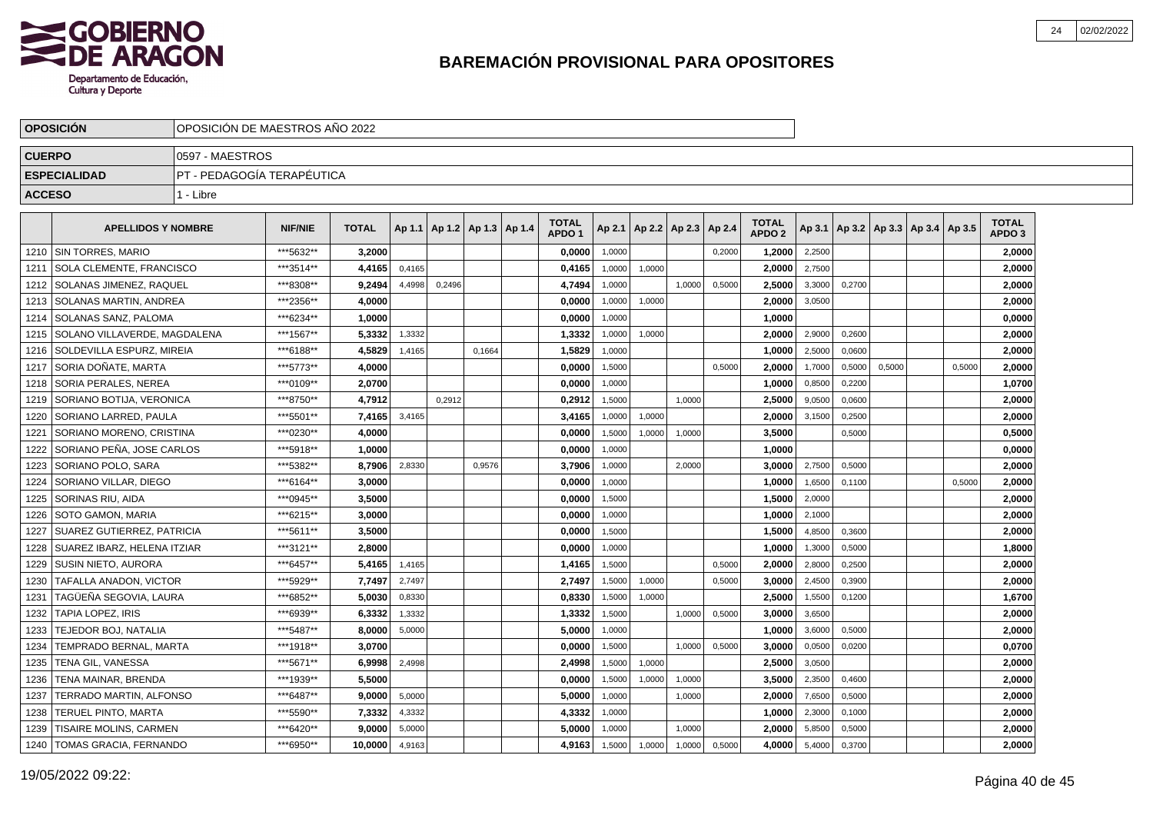

|               | <b>OPOSICIÓN</b>                | OPOSICIÓN DE MAESTROS AÑO 2022 |                |              |        |                                   |        |                                   |        |                 |        |        |                                   |        |                                            |        |        |                                   |  |
|---------------|---------------------------------|--------------------------------|----------------|--------------|--------|-----------------------------------|--------|-----------------------------------|--------|-----------------|--------|--------|-----------------------------------|--------|--------------------------------------------|--------|--------|-----------------------------------|--|
| <b>CUERPO</b> |                                 | 0597 - MAESTROS                |                |              |        |                                   |        |                                   |        |                 |        |        |                                   |        |                                            |        |        |                                   |  |
|               | <b>ESPECIALIDAD</b>             | PT - PEDAGOGÍA TERAPÉUTICA     |                |              |        |                                   |        |                                   |        |                 |        |        |                                   |        |                                            |        |        |                                   |  |
| <b>ACCESO</b> |                                 | 1 - Libre                      |                |              |        |                                   |        |                                   |        |                 |        |        |                                   |        |                                            |        |        |                                   |  |
|               | <b>APELLIDOS Y NOMBRE</b>       |                                | <b>NIF/NIE</b> | <b>TOTAL</b> |        | Ap 1.1   Ap 1.2   Ap 1.3   Ap 1.4 |        | <b>TOTAL</b><br>APDO <sub>1</sub> | Ap 2.1 | Ap 2.2   Ap 2.3 |        | Ap 2.4 | <b>TOTAL</b><br>APDO <sub>2</sub> |        | Ap 3.1   Ap 3.2   Ap 3.3   Ap 3.4   Ap 3.5 |        |        | <b>TOTAL</b><br>APDO <sub>3</sub> |  |
| 1210          | I SIN TORRES. MARIO             |                                | ***5632**      | 3,2000       |        |                                   |        | 0,0000                            | 1.0000 |                 |        | 0,2000 | 1,2000                            | 2,2500 |                                            |        |        | 2,0000                            |  |
| 1211          | <b>SOLA CLEMENTE, FRANCISCO</b> |                                | ***3514**      | 4,4165       | 0,4165 |                                   |        | 0,4165                            | 1,0000 | 1,0000          |        |        | 2.0000                            | 2,7500 |                                            |        |        | 2,0000                            |  |
| 1212          | SOLANAS JIMENEZ, RAQUEL         |                                | ***8308**      | 9,2494       | 4,4998 | 0,2496                            |        | 4,7494                            | 1,0000 |                 | 1,0000 | 0,5000 | 2,5000                            | 3,3000 | 0,2700                                     |        |        | 2,0000                            |  |
| 1213          | SOLANAS MARTIN, ANDREA          |                                | ***2356**      | 4,0000       |        |                                   |        | 0,0000                            | 1,0000 | 1,0000          |        |        | 2,0000                            | 3,0500 |                                            |        |        | 2,0000                            |  |
| 1214          | SOLANAS SANZ. PALOMA            |                                | ***6234**      | 1.0000       |        |                                   |        | 0,0000                            | 1,0000 |                 |        |        | 1,0000                            |        |                                            |        |        | 0,0000                            |  |
| 1215          | SOLANO VILLAVERDE, MAGDALENA    |                                | ***1567**      | 5,3332       | 1,3332 |                                   |        | 1,3332                            | 1,0000 | 1,0000          |        |        | 2,0000                            | 2,9000 | 0,2600                                     |        |        | 2,0000                            |  |
| 1216          | SOLDEVILLA ESPURZ, MIREIA       |                                | ***6188**      | 4.5829       | 1,4165 |                                   | 0,1664 | 1,5829                            | 1,0000 |                 |        |        | 1.0000                            | 2,5000 | 0,0600                                     |        |        | 2,0000                            |  |
| 1217          | SORIA DOÑATE, MARTA             |                                | ***5773**      | 4.0000       |        |                                   |        | 0.0000                            | 1,5000 |                 |        | 0,5000 | 2.0000                            | 1,7000 | 0,5000                                     | 0,5000 | 0,5000 | 2.0000                            |  |
| 1218          | SORIA PERALES, NEREA            |                                | ***0109**      | 2,0700       |        |                                   |        | 0,0000                            | 1,0000 |                 |        |        | 1,0000                            | 0,8500 | 0,2200                                     |        |        | 1,0700                            |  |
| 1219          | SORIANO BOTIJA, VERONICA        |                                | ***8750**      | 4,7912       |        | 0,2912                            |        | 0,2912                            | 1,5000 |                 | 1,0000 |        | 2,5000                            | 9,0500 | 0,0600                                     |        |        | 2,0000                            |  |
| 1220          | SORIANO LARRED, PAULA           |                                | ***5501**      | 7,4165       | 3,4165 |                                   |        | 3,4165                            | 1,0000 | 1,0000          |        |        | 2,0000                            | 3,1500 | 0,2500                                     |        |        | 2,0000                            |  |
| 1221          | SORIANO MORENO, CRISTINA        |                                | ***0230**      | 4,0000       |        |                                   |        | 0,0000                            | 1,5000 | 1,0000          | 1,0000 |        | 3,5000                            |        | 0,5000                                     |        |        | 0,5000                            |  |
| 1222          | SORIANO PEÑA, JOSE CARLOS       |                                | ***5918**      | 1.0000       |        |                                   |        | 0,0000                            | 1,0000 |                 |        |        | 1,0000                            |        |                                            |        |        | 0,0000                            |  |
| 1223          | SORIANO POLO, SARA              |                                | ***5382**      | 8,7906       | 2,8330 |                                   | 0,9576 | 3,7906                            | 1,0000 |                 | 2.0000 |        | 3.0000                            | 2,7500 | 0,5000                                     |        |        | 2,0000                            |  |
| 1224          | SORIANO VILLAR, DIEGO           |                                | ***6164**      | 3.0000       |        |                                   |        | 0.0000                            | 1,0000 |                 |        |        | 1.0000                            | 1,6500 | 0.1100                                     |        | 0.5000 | 2,0000                            |  |
| 1225          | SORINAS RIU, AIDA               |                                | ***0945**      | 3,5000       |        |                                   |        | 0,0000                            | 1,5000 |                 |        |        | 1,5000                            | 2,0000 |                                            |        |        | 2,0000                            |  |
| 1226          | SOTO GAMON, MARIA               |                                | ***6215**      | 3,0000       |        |                                   |        | 0,0000                            | 1,0000 |                 |        |        | 1,0000                            | 2,1000 |                                            |        |        | 2,0000                            |  |
| 1227          | SUAREZ GUTIERREZ, PATRICIA      |                                | ***5611**      | 3,5000       |        |                                   |        | 0,0000                            | 1,5000 |                 |        |        | 1,5000                            | 4,8500 | 0,3600                                     |        |        | 2,0000                            |  |
| 1228          | SUAREZ IBARZ, HELENA ITZIAR     |                                | ***3121**      | 2,8000       |        |                                   |        | 0,0000                            | 1,0000 |                 |        |        | 1,0000                            | 1,3000 | 0,5000                                     |        |        | 1,8000                            |  |
| 1229          | <b>SUSIN NIETO, AURORA</b>      |                                | ***6457**      | 5.4165       | 1,4165 |                                   |        | 1,4165                            | 1.5000 |                 |        | 0,5000 | 2.0000                            | 2,8000 | 0.2500                                     |        |        | 2,0000                            |  |
| 1230          | TAFALLA ANADON. VICTOR          |                                | ***5929**      | 7,7497       | 2,7497 |                                   |        | 2.7497                            | 1,5000 | 1,0000          |        | 0,5000 | 3.0000                            | 2,4500 | 0,3900                                     |        |        | 2,0000                            |  |
| 1231          | TAGÜEÑA SEGOVIA, LAURA          |                                | ***6852**      | 5,0030       | 0,8330 |                                   |        | 0,8330                            | 1,5000 | 1,0000          |        |        | 2,5000                            | 1,5500 | 0,1200                                     |        |        | 1,6700                            |  |
| 1232          | TAPIA LOPEZ, IRIS               |                                | ***6939**      | 6,3332       | 1,3332 |                                   |        | 1,3332                            | 1,5000 |                 | 1,0000 | 0,5000 | 3,0000                            | 3,6500 |                                            |        |        | 2,0000                            |  |
| 1233          | TEJEDOR BOJ, NATALIA            |                                | ***5487**      | 8,0000       | 5,0000 |                                   |        | 5,0000                            | 1,0000 |                 |        |        | 1,0000                            | 3,6000 | 0,5000                                     |        |        | 2,0000                            |  |
| 1234          | TEMPRADO BERNAL, MARTA          |                                | ***1918**      | 3.0700       |        |                                   |        | 0,0000                            | 1,5000 |                 | 1,0000 | 0,5000 | 3,0000                            | 0,0500 | 0,0200                                     |        |        | 0,0700                            |  |
| 1235          | TENA GIL, VANESSA               |                                | ***5671**      | 6,9998       | 2,4998 |                                   |        | 2,4998                            | 1,5000 | 1,0000          |        |        | 2,5000                            | 3,0500 |                                            |        |        | 2,0000                            |  |
| 1236          | TENA MAINAR. BRENDA             |                                | ***1939**      | 5,5000       |        |                                   |        | 0,0000                            | 1,5000 | 1,0000          | 1,0000 |        | 3.5000                            | 2,3500 | 0,4600                                     |        |        | 2,0000                            |  |
| 1237          | TERRADO MARTIN, ALFONSO         |                                | ***6487**      | 9,0000       | 5,0000 |                                   |        | 5,0000                            | 1,0000 |                 | 1,0000 |        | 2,0000                            | 7,6500 | 0,5000                                     |        |        | 2,0000                            |  |
| 1238          | TERUEL PINTO, MARTA             |                                | ***5590**      | 7,3332       | 4,3332 |                                   |        | 4,3332                            | 1,0000 |                 |        |        | 1,0000                            | 2,3000 | 0,1000                                     |        |        | 2,0000                            |  |
| 1239          | TISAIRE MOLINS, CARMEN          |                                | ***6420**      | 9,0000       | 5,0000 |                                   |        | 5,0000                            | 1,0000 |                 | 1,0000 |        | 2.0000                            | 5,8500 | 0,5000                                     |        |        | 2,0000                            |  |
| 1240          | TOMAS GRACIA, FERNANDO          |                                | ***6950**      | 10,0000      | 4,9163 |                                   |        | 4,9163                            | 1,5000 | 1,0000          | 1,0000 | 0,5000 | 4,0000                            | 5,4000 | 0,3700                                     |        |        | 2,0000                            |  |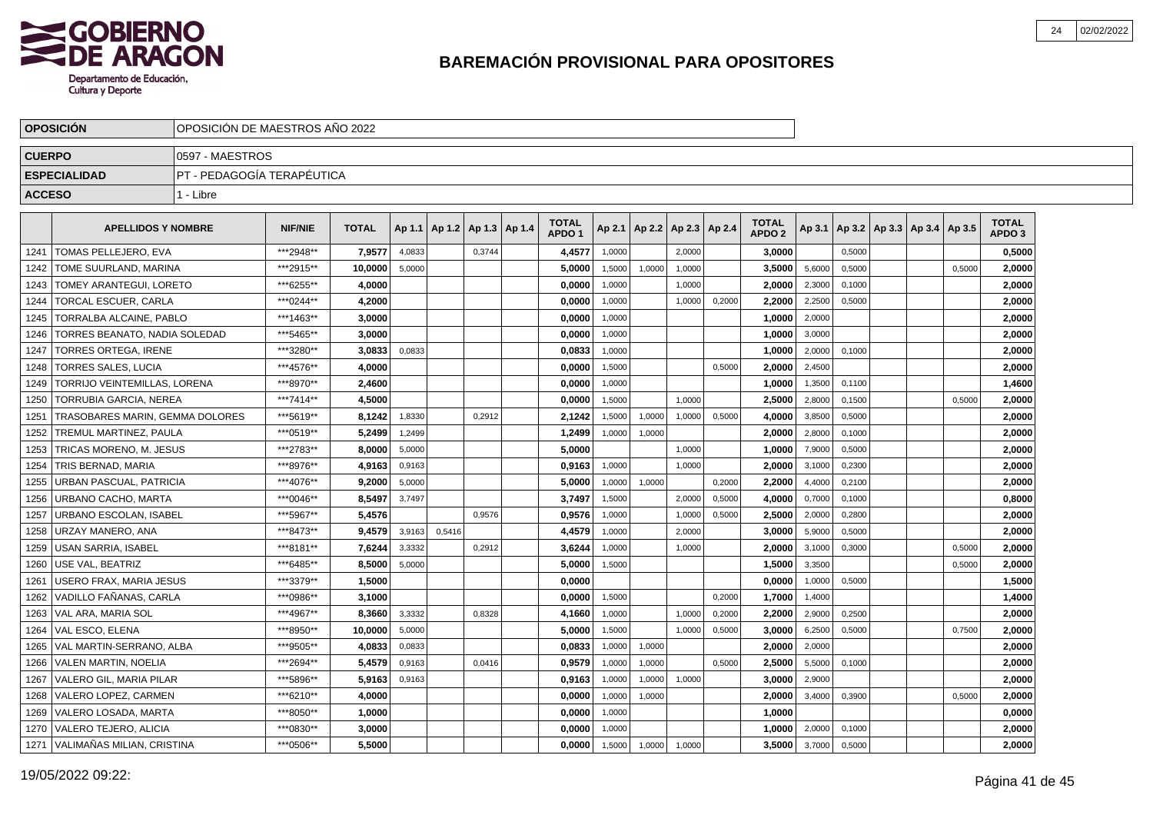

|               | <b>OPOSICIÓN</b>                  | OPOSICIÓN DE MAESTROS AÑO 2022 |           |              |        |        |                                   |                                   |        |        |                          |        |                                   |        |        |                                            |        |                                   |  |
|---------------|-----------------------------------|--------------------------------|-----------|--------------|--------|--------|-----------------------------------|-----------------------------------|--------|--------|--------------------------|--------|-----------------------------------|--------|--------|--------------------------------------------|--------|-----------------------------------|--|
| <b>CUERPO</b> |                                   | 0597 - MAESTROS                |           |              |        |        |                                   |                                   |        |        |                          |        |                                   |        |        |                                            |        |                                   |  |
|               | <b>ESPECIALIDAD</b>               | IPT - PEDAGOGÍA TERAPÉUTICA    |           |              |        |        |                                   |                                   |        |        |                          |        |                                   |        |        |                                            |        |                                   |  |
| <b>ACCESO</b> |                                   | 1 - Libre                      |           |              |        |        |                                   |                                   |        |        |                          |        |                                   |        |        |                                            |        |                                   |  |
|               | <b>APELLIDOS Y NOMBRE</b>         |                                | NIF/NIE   | <b>TOTAL</b> |        |        | Ap 1.1   Ap 1.2   Ap 1.3   Ap 1.4 | <b>TOTAL</b><br>APDO <sub>1</sub> | Ap 2.1 |        | Ap 2.2   Ap 2.3   Ap 2.4 |        | <b>TOTAL</b><br>APDO <sub>2</sub> |        |        | Ap 3.1   Ap 3.2   Ap 3.3   Ap 3.4   Ap 3.5 |        | <b>TOTAL</b><br>APDO <sub>3</sub> |  |
| 1241          | TOMAS PELLEJERO. EVA              |                                | ***2948** | 7,9577       | 4,0833 |        | 0,3744                            | 4,4577                            | 1,0000 |        | 2.0000                   |        | 3,0000                            |        | 0.5000 |                                            |        | 0,5000                            |  |
| 1242          | TOME SUURLAND, MARINA             |                                | ***2915** | 10,0000      | 5,0000 |        |                                   | 5,0000                            | 1,5000 | 1,0000 | 1,0000                   |        | 3,5000                            | 5,6000 | 0,5000 |                                            | 0.5000 | 2,0000                            |  |
| 1243          | TOMEY ARANTEGUI, LORETO           |                                | ***6255** | 4,0000       |        |        |                                   | 0,0000                            | 1,0000 |        | 1,0000                   |        | 2,0000                            | 2,3000 | 0,1000 |                                            |        | 2,0000                            |  |
| 1244          | TORCAL ESCUER, CARLA              |                                | ***0244** | 4,2000       |        |        |                                   | 0,0000                            | 1,0000 |        | 1,0000                   | 0,2000 | 2,2000                            | 2,2500 | 0,5000 |                                            |        | 2,0000                            |  |
| 1245          | TORRALBA ALCAINE, PABLO           |                                | ***1463** | 3,0000       |        |        |                                   | 0,0000                            | 1,0000 |        |                          |        | 1,0000                            | 2,0000 |        |                                            |        | 2,0000                            |  |
| 1246          | TORRES BEANATO. NADIA SOLEDAD     |                                | ***5465** | 3.0000       |        |        |                                   | 0,0000                            | 1,0000 |        |                          |        | 1.0000                            | 3,0000 |        |                                            |        | 2,0000                            |  |
| 1247          | <b>TORRES ORTEGA. IRENE</b>       |                                | ***3280** | 3.0833       | 0,0833 |        |                                   | 0,0833                            | 1,0000 |        |                          |        | 1.0000                            | 2,0000 | 0.1000 |                                            |        | 2,0000                            |  |
| 1248          | TORRES SALES, LUCIA               |                                | ***4576** | 4.0000       |        |        |                                   | 0,0000                            | 1.5000 |        |                          | 0.5000 | 2.0000                            | 2,4500 |        |                                            |        | 2,0000                            |  |
| 1249          | TORRIJO VEINTEMILLAS, LORENA      |                                | ***8970** | 2,4600       |        |        |                                   | 0,0000                            | 1,0000 |        |                          |        | 1,0000                            | 1,3500 | 0,1100 |                                            |        | 1,4600                            |  |
| 1250          | TORRUBIA GARCIA, NEREA            |                                | ***7414** | 4.5000       |        |        |                                   | 0,0000                            | 1,5000 |        | 1,0000                   |        | 2,5000                            | 2,8000 | 0,1500 |                                            | 0,5000 | 2,0000                            |  |
| 1251          | TRASOBARES MARIN, GEMMA DOLORES   |                                | ***5619** | 8,1242       | 1,8330 |        | 0.2912                            | 2,1242                            | 1,5000 | 1,0000 | 1,0000                   | 0,5000 | 4,0000                            | 3,8500 | 0,5000 |                                            |        | 2,0000                            |  |
| 1252          | TREMUL MARTINEZ, PAULA            |                                | ***0519** | 5.2499       | 1,2499 |        |                                   | 1,2499                            | 1,0000 | 1,0000 |                          |        | 2,0000                            | 2,8000 | 0,1000 |                                            |        | 2,0000                            |  |
| 1253          | TRICAS MORENO. M. JESUS           |                                | ***2783** | 8.0000       | 5,0000 |        |                                   | 5.0000                            |        |        | 1,0000                   |        | 1.0000                            | 7,9000 | 0,5000 |                                            |        | 2,0000                            |  |
| 1254          | TRIS BERNAD, MARIA                |                                | ***8976** | 4,9163       | 0,9163 |        |                                   | 0,9163                            | 1.0000 |        | 1.0000                   |        | 2.0000                            | 3,1000 | 0,2300 |                                            |        | 2,0000                            |  |
| 1255          | JRBAN PASCUAL, PATRICIA           |                                | ***4076** | 9,2000       | 5,0000 |        |                                   | 5,0000                            | 1,0000 | 1,0000 |                          | 0,2000 | 2,2000                            | 4,4000 | 0,2100 |                                            |        | 2,0000                            |  |
| 1256          | URBANO CACHO, MARTA               |                                | ***0046** | 8,5497       | 3,7497 |        |                                   | 3,7497                            | 1,5000 |        | 2,0000                   | 0,5000 | 4,0000                            | 0,7000 | 0,1000 |                                            |        | 0,8000                            |  |
| 1257          | URBANO ESCOLAN, ISABEL            |                                | ***5967** | 5,4576       |        |        | 0,9576                            | 0,9576                            | 1,0000 |        | 1,0000                   | 0,5000 | 2,5000                            | 2,0000 | 0,2800 |                                            |        | 2,0000                            |  |
| 1258          | URZAY MANERO, ANA                 |                                | ***8473** | 9,4579       | 3,9163 | 0,5416 |                                   | 4,4579                            | 1,0000 |        | 2,0000                   |        | 3,0000                            | 5,9000 | 0,5000 |                                            |        | 2,0000                            |  |
| 1259          | USAN SARRIA. ISABEL               |                                | ***8181** | 7.6244       | 3,3332 |        | 0,2912                            | 3,6244                            | 1,0000 |        | 1,0000                   |        | 2,0000                            | 3,1000 | 0,3000 |                                            | 0.5000 | 2,0000                            |  |
| 1260          | USE VAL. BEATRIZ                  |                                | ***6485** | 8.5000       | 5,0000 |        |                                   | 5.0000                            | 1,5000 |        |                          |        | 1.5000                            | 3,3500 |        |                                            | 0,5000 | 2,0000                            |  |
| 1261          | JSERO FRAX, MARIA JESUS           |                                | ***3379** | 1,5000       |        |        |                                   | 0,0000                            |        |        |                          |        | 0,0000                            | 1.0000 | 0.5000 |                                            |        | 1,5000                            |  |
| 1262          | VADILLO FAÑANAS. CARLA            |                                | ***0986** | 3,1000       |        |        |                                   | 0,0000                            | 1,5000 |        |                          | 0,2000 | 1,7000                            | 1,4000 |        |                                            |        | 1,4000                            |  |
| 1263          | VAL ARA, MARIA SOL                |                                | ***4967** | 8,3660       | 3,3332 |        | 0,8328                            | 4,1660                            | 1,0000 |        | 1,0000                   | 0,2000 | 2,2000                            | 2,9000 | 0,2500 |                                            |        | 2,0000                            |  |
| 1264          | VAL ESCO, ELENA                   |                                | ***8950** | 10,0000      | 5,0000 |        |                                   | 5,0000                            | 1,5000 |        | 1,0000                   | 0,5000 | 3.0000                            | 6,2500 | 0,5000 |                                            | 0,7500 | 2,0000                            |  |
| 1265          | VAL MARTIN-SERRANO, ALBA          |                                | ***9505** | 4,0833       | 0,0833 |        |                                   | 0,0833                            | 1,0000 | 1,0000 |                          |        | 2,0000                            | 2,0000 |        |                                            |        | 2,0000                            |  |
| 1266          | <b>VALEN MARTIN, NOELIA</b>       |                                | ***2694** | 5.4579       | 0,9163 |        | 0,0416                            | 0,9579                            | 1,0000 | 1,0000 |                          | 0,5000 | 2.5000                            | 5,5000 | 0,1000 |                                            |        | 2,0000                            |  |
| 1267          | <b>VALERO GIL. MARIA PILAR</b>    |                                | ***5896** | 5.9163       | 0,9163 |        |                                   | 0.9163                            | 1,0000 | 1,0000 | 1,0000                   |        | 3.0000                            | 2,9000 |        |                                            |        | 2,0000                            |  |
| 1268          | VALERO LOPEZ, CARMEN              |                                | ***6210** | 4,0000       |        |        |                                   | 0,0000                            | 1,0000 | 1,0000 |                          |        | 2,0000                            | 3,4000 | 0,3900 |                                            | 0,5000 | 2,0000                            |  |
| 1269          | VALERO LOSADA, MARTA              |                                | ***8050** | 1,0000       |        |        |                                   | 0,0000                            | 1,0000 |        |                          |        | 1,0000                            |        |        |                                            |        | 0,0000                            |  |
| 1270          | VALERO TEJERO, ALICIA             |                                | ***0830** | 3,0000       |        |        |                                   | 0,0000                            | 1,0000 |        |                          |        | 1,0000                            | 2,0000 | 0,1000 |                                            |        | 2,0000                            |  |
|               | 1271   VALIMAÑAS MILIAN, CRISTINA |                                | ***0506** | 5.5000       |        |        |                                   | 0,0000                            | 1,5000 | 1,0000 | 1,0000                   |        | 3,5000                            | 3,7000 | 0,5000 |                                            |        | 2,0000                            |  |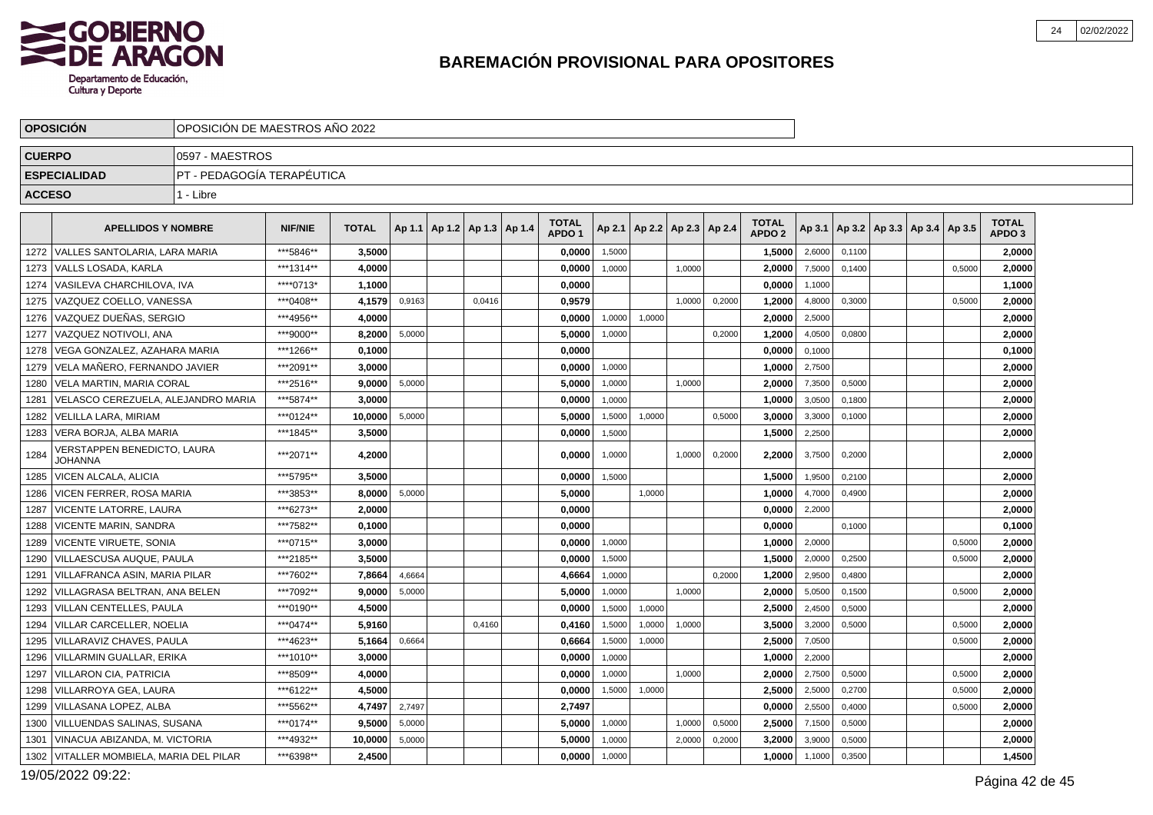

|               | <b>OPOSICION</b>                              | OPOSICIÓN DE MAESTROS ANO 2022 |                |              |        |                                   |        |                                   |        |                                   |        |        |                                   |        |        |                                            |        |                                   |  |
|---------------|-----------------------------------------------|--------------------------------|----------------|--------------|--------|-----------------------------------|--------|-----------------------------------|--------|-----------------------------------|--------|--------|-----------------------------------|--------|--------|--------------------------------------------|--------|-----------------------------------|--|
| <b>CUERPO</b> |                                               | 0597 - MAESTROS                |                |              |        |                                   |        |                                   |        |                                   |        |        |                                   |        |        |                                            |        |                                   |  |
|               | <b>ESPECIALIDAD</b>                           | PT - PEDAGOGIA TERAPÉUTICA     |                |              |        |                                   |        |                                   |        |                                   |        |        |                                   |        |        |                                            |        |                                   |  |
| <b>ACCESO</b> |                                               | 1 - Libre                      |                |              |        |                                   |        |                                   |        |                                   |        |        |                                   |        |        |                                            |        |                                   |  |
|               | <b>APELLIDOS Y NOMBRE</b>                     |                                | <b>NIF/NIE</b> | <b>TOTAL</b> |        | Ap 1.1   Ap 1.2   Ap 1.3   Ap 1.4 |        | <b>TOTAL</b><br>APDO <sub>1</sub> |        | Ap 2.1   Ap 2.2   Ap 2.3   Ap 2.4 |        |        | <b>TOTAL</b><br>APDO <sub>2</sub> |        |        | Ap 3.1   Ap 3.2   Ap 3.3   Ap 3.4   Ap 3.5 |        | <b>TOTAL</b><br>APDO <sub>3</sub> |  |
|               | 1272   VALLES SANTOLARIA, LARA MARIA          |                                | ***5846**      | 3,5000       |        |                                   |        | 0,0000                            | 1,5000 |                                   |        |        | 1,5000                            | 2,6000 | 0,1100 |                                            |        | 2,0000                            |  |
| 1273          | VALLS LOSADA. KARLA                           |                                | ***1314**      | 4,0000       |        |                                   |        | 0,0000                            | 1,0000 |                                   | 1.0000 |        | 2,0000                            | 7,5000 | 0.1400 |                                            | 0.5000 | 2,0000                            |  |
|               | 1274   VASILEVA CHARCHILOVA, IVA              |                                | ****0713*      | 1,1000       |        |                                   |        | 0.0000                            |        |                                   |        |        | 0.0000                            | 1,1000 |        |                                            |        | 1,1000                            |  |
|               | 1275   VAZQUEZ COELLO, VANESSA                |                                | ***0408**      | 4,1579       | 0,9163 |                                   | 0,0416 | 0,9579                            |        |                                   | 1,0000 | 0,2000 | 1,2000                            | 4,8000 | 0,3000 |                                            | 0,5000 | 2,0000                            |  |
| 1276          | VAZQUEZ DUEÑAS, SERGIO                        |                                | ***4956**      | 4,0000       |        |                                   |        | 0.0000                            | 1,0000 | 1.0000                            |        |        | 2.0000                            | 2,5000 |        |                                            |        | 2,0000                            |  |
| 1277          | VAZQUEZ NOTIVOLI, ANA                         |                                | ***9000**      | 8,2000       | 5,0000 |                                   |        | 5,0000                            | 1,0000 |                                   |        | 0,2000 | 1,2000                            | 4,0500 | 0,0800 |                                            |        | 2,0000                            |  |
| 1278          | VEGA GONZALEZ, AZAHARA MARIA                  |                                | ***1266**      | 0.1000       |        |                                   |        | 0,0000                            |        |                                   |        |        | 0,0000                            | 0,1000 |        |                                            |        | 0,1000                            |  |
| 1279          | VELA MAÑERO. FERNANDO JAVIER                  |                                | ***2091**      | 3.0000       |        |                                   |        | 0.0000                            | 1,0000 |                                   |        |        | 1.0000                            | 2,7500 |        |                                            |        | 2,0000                            |  |
| 1280          | VELA MARTIN, MARIA CORAL                      |                                | ***2516**      | 9,0000       | 5,0000 |                                   |        | 5,0000                            | 1,0000 |                                   | 1,0000 |        | 2,0000                            | 7,3500 | 0,5000 |                                            |        | 2,0000                            |  |
| 1281          | VELASCO CEREZUELA, ALEJANDRO MARIA            |                                | ***5874**      | 3,0000       |        |                                   |        | 0,0000                            | 1.0000 |                                   |        |        | 1.0000                            | 3,0500 | 0.1800 |                                            |        | 2,0000                            |  |
| 1282          | VELILLA LARA. MIRIAM                          |                                | ***0124**      | 10.0000      | 5.0000 |                                   |        | 5.0000                            | 1,5000 | 1.0000                            |        | 0.5000 | 3.0000                            | 3,3000 | 0.1000 |                                            |        | 2.0000                            |  |
| 1283          | VERA BORJA, ALBA MARIA                        |                                | ***1845**      | 3,5000       |        |                                   |        | 0,0000                            | 1,5000 |                                   |        |        | 1,5000                            | 2,2500 |        |                                            |        | 2,0000                            |  |
| 1284          | VERSTAPPEN BENEDICTO, LAURA<br><b>JOHANNA</b> |                                | ***2071**      | 4,2000       |        |                                   |        | 0,0000                            | 1,0000 |                                   | 1,0000 | 0,2000 | 2,2000                            | 3,7500 | 0,2000 |                                            |        | 2,0000                            |  |
| 1285          | VICEN ALCALA, ALICIA                          |                                | ***5795**      | 3,5000       |        |                                   |        | 0,0000                            | 1.5000 |                                   |        |        | 1,5000                            | 1,9500 | 0.2100 |                                            |        | 2,0000                            |  |
| 1286          | <b>VICEN FERRER, ROSA MARIA</b>               |                                | ***3853**      | 8,0000       | 5,0000 |                                   |        | 5,0000                            |        | 1,0000                            |        |        | 1,0000                            | 4,7000 | 0,4900 |                                            |        | 2,0000                            |  |
| 1287          | <b>VICENTE LATORRE, LAURA</b>                 |                                | ***6273**      | 2.0000       |        |                                   |        | 0.0000                            |        |                                   |        |        | 0.0000                            | 2,2000 |        |                                            |        | 2,0000                            |  |
| 1288          | <b>VICENTE MARIN, SANDRA</b>                  |                                | ***7582**      | 0,1000       |        |                                   |        | 0.0000                            |        |                                   |        |        | 0,0000                            |        | 0,1000 |                                            |        | 0,1000                            |  |
| 1289          | <b>VICENTE VIRUETE, SONIA</b>                 |                                | ***0715**      | 3,0000       |        |                                   |        | 0,0000                            | 1,0000 |                                   |        |        | 1,0000                            | 2,0000 |        |                                            | 0,5000 | 2,0000                            |  |
| 1290          | VILLAESCUSA AUQUE, PAULA                      |                                | ***2185**      | 3,5000       |        |                                   |        | 0.0000                            | 1.5000 |                                   |        |        | 1,5000                            | 2,0000 | 0.2500 |                                            | 0,5000 | 2,0000                            |  |
| 1291          | VILLAFRANCA ASIN. MARIA PILAR                 |                                | ***7602**      | 7,8664       | 4,6664 |                                   |        | 4,6664                            | 1,0000 |                                   |        | 0,2000 | 1,2000                            | 2,9500 | 0,4800 |                                            |        | 2,0000                            |  |
| 1292          | VILLAGRASA BELTRAN. ANA BELEN                 |                                | ***7092**      | 9.0000       | 5,0000 |                                   |        | 5,0000                            | 1,0000 |                                   | 1.0000 |        | 2,0000                            | 5,0500 | 0,1500 |                                            | 0,5000 | 2,0000                            |  |
| 1293          | VILLAN CENTELLES, PAULA                       |                                | ***0190**      | 4,5000       |        |                                   |        | 0,0000                            | 1.5000 | 1.0000                            |        |        | 2,5000                            | 2.4500 | 0.5000 |                                            |        | 2,0000                            |  |
| 1294          | <b>VILLAR CARCELLER. NOELIA</b>               |                                | ***0474**      | 5.9160       |        |                                   | 0,4160 | 0,4160                            | 1,5000 | 1,0000                            | 1,0000 |        | 3,5000                            | 3,2000 | 0,5000 |                                            | 0,5000 | 2,0000                            |  |
| 1295          | VILLARAVIZ CHAVES, PAULA                      |                                | ***4623**      | 5.1664       | 0,6664 |                                   |        | 0,6664                            | 1,5000 | 1,0000                            |        |        | 2,5000                            | 7,0500 |        |                                            | 0,5000 | 2.0000                            |  |
| 1296          | VILLARMIN GUALLAR, ERIKA                      |                                | ***1010**      | 3,0000       |        |                                   |        | 0,0000                            | 1,0000 |                                   |        |        | 1,0000                            | 2,2000 |        |                                            |        | 2,0000                            |  |
| 1297          | VILLARON CIA, PATRICIA                        |                                | ***8509**      | 4.0000       |        |                                   |        | 0.0000                            | 1,0000 |                                   | 1,0000 |        | 2,0000                            | 2,7500 | 0,5000 |                                            | 0,5000 | 2,0000                            |  |
| 1298          | l VILLARROYA GEA. LAURA                       |                                | ***6122**      | 4.5000       |        |                                   |        | 0.0000                            | 1,5000 | 1,0000                            |        |        | 2.5000                            | 2,5000 | 0.2700 |                                            | 0,5000 | 2.0000                            |  |
| 1299          | VILLASANA LOPEZ, ALBA                         |                                | ***5562**      | 4,7497       | 2,7497 |                                   |        | 2,7497                            |        |                                   |        |        | 0,0000                            | 2,5500 | 0,4000 |                                            | 0,5000 | 2,0000                            |  |
| 1300          | VILLUENDAS SALINAS, SUSANA                    |                                | ***0174**      | 9,5000       | 5,0000 |                                   |        | 5.0000                            | 1,0000 |                                   | 1,0000 | 0,5000 | 2,5000                            | 7,1500 | 0,5000 |                                            |        | 2,0000                            |  |
| 1301          | VINACUA ABIZANDA, M. VICTORIA                 |                                | ***4932**      | 10,0000      | 5,0000 |                                   |        | 5,0000                            | 1,0000 |                                   | 2,0000 | 0,2000 | 3,2000                            | 3,9000 | 0,5000 |                                            |        | 2,0000                            |  |
| 1302          | VITALLER MOMBIELA, MARIA DEL PILAR            |                                | ***6398**      | 2,4500       |        |                                   |        | 0,0000                            | 1,0000 |                                   |        |        | 1,0000                            | 1,1000 | 0,3500 |                                            |        | 1,4500                            |  |

19/05/2022 09:22: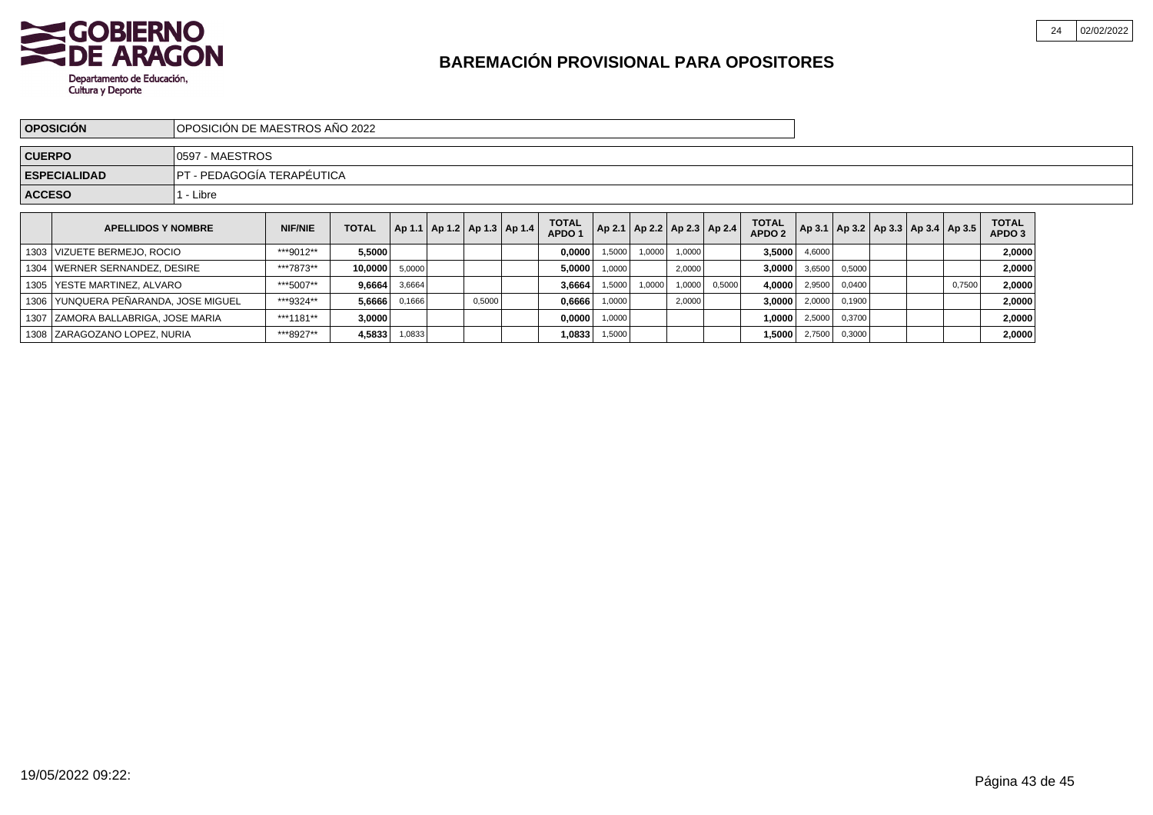

|               | <b>OPOSICIÓN</b>                     | OPOSICIÓN DE MAESTROS AÑO 2022 |                |              |        |        |                                       |                                   |        |        |        |                                   |                                   |                 |        |                                            |        |                        |  |
|---------------|--------------------------------------|--------------------------------|----------------|--------------|--------|--------|---------------------------------------|-----------------------------------|--------|--------|--------|-----------------------------------|-----------------------------------|-----------------|--------|--------------------------------------------|--------|------------------------|--|
| <b>CUERPO</b> |                                      | 0597 - MAESTROS                |                |              |        |        |                                       |                                   |        |        |        |                                   |                                   |                 |        |                                            |        |                        |  |
|               | <b>ESPECIALIDAD</b>                  | IPT - PEDAGOGÍA TERAPÉUTICA    |                |              |        |        |                                       |                                   |        |        |        |                                   |                                   |                 |        |                                            |        |                        |  |
| <b>ACCESO</b> |                                      | 1 - Libre                      |                |              |        |        |                                       |                                   |        |        |        |                                   |                                   |                 |        |                                            |        |                        |  |
|               | <b>APELLIDOS Y NOMBRE</b>            |                                | <b>NIF/NIE</b> | <b>TOTAL</b> |        |        | $ $ Ap 1.1   Ap 1.2   Ap 1.3   Ap 1.4 | <b>TOTAL</b><br>APDO <sub>1</sub> |        |        |        | Ap 2.1   Ap 2.2   Ap 2.3   Ap 2.4 | <b>TOTAL</b><br>APDO <sub>2</sub> |                 |        | Ap 3.1   Ap 3.2   Ap 3.3   Ap 3.4   Ap 3.5 |        | <b>TOTAL</b><br>APDO 3 |  |
|               | 1303 VIZUETE BERMEJO, ROCIO          |                                | ***9012**      | 5,5000       |        |        |                                       | 0,0000                            | 1,5000 | 1,0000 | 1,0000 |                                   |                                   | $3,5000$ 4,6000 |        |                                            |        | 2,0000                 |  |
|               | 1304 WERNER SERNANDEZ, DESIRE        |                                | ***7873**      | 10,0000      | 5,0000 |        |                                       | 5,0000                            | 1,0000 |        | 2,0000 |                                   | 3,0000                            | 3,6500          | 0,5000 |                                            |        | 2,0000                 |  |
|               | 1305   YESTE MARTINEZ, ALVARO        |                                | ***5007**      | 9,6664       | 3,6664 |        |                                       | 3,6664                            | 1,5000 | 1,0000 | 1,0000 | 0,5000                            | 4,0000                            | 2,9500          | 0,0400 |                                            | 0,7500 | 2,0000                 |  |
|               | 1306 YUNQUERA PEÑARANDA, JOSE MIGUEL |                                | ***9324**      | 5,6666       | 0,1666 | 0,5000 |                                       | 0,6666                            | 1,0000 |        | 2,0000 |                                   | 3,0000                            | 2,0000          | 0,1900 |                                            |        | 2,0000                 |  |
|               | 1307 ZAMORA BALLABRIGA, JOSE MARIA   |                                | ***1181**      | 3,0000       |        |        |                                       | 0,0000                            | 1,0000 |        |        |                                   | 1,0000                            | 2,5000          | 0,3700 |                                            |        | 2,0000                 |  |
|               | 1308 ZARAGOZANO LOPEZ, NURIA         |                                | ***8927**      | 4,5833       | 1,0833 |        |                                       | 1,0833                            | 1,5000 |        |        |                                   | 1,5000                            | 2,7500          | 0,3000 |                                            |        | 2,0000                 |  |

02/02/2022

24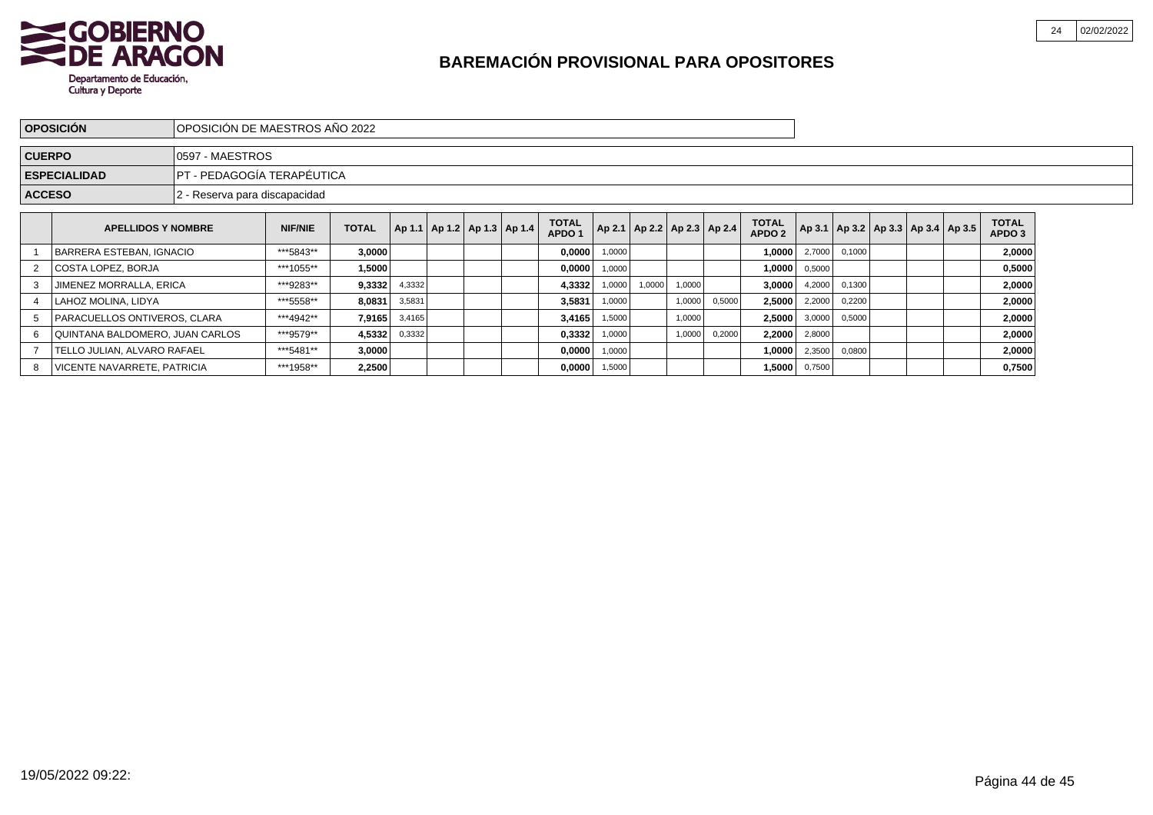

|               | <b>OPOSICIÓN</b>                | IOPOSICIÓN DE MAESTROS AÑO 2022 |                                                                                                                                                                                                                                 |        |        |  |  |  |        |        |        |        |        |        |        |        |  |                                            |                        |  |
|---------------|---------------------------------|---------------------------------|---------------------------------------------------------------------------------------------------------------------------------------------------------------------------------------------------------------------------------|--------|--------|--|--|--|--------|--------|--------|--------|--------|--------|--------|--------|--|--------------------------------------------|------------------------|--|
| <b>CUERPO</b> |                                 | 0597 - MAESTROS                 |                                                                                                                                                                                                                                 |        |        |  |  |  |        |        |        |        |        |        |        |        |  |                                            |                        |  |
|               | <b>ESPECIALIDAD</b>             | PT - PEDAGOGÍA TERAPÉUTICA      |                                                                                                                                                                                                                                 |        |        |  |  |  |        |        |        |        |        |        |        |        |  |                                            |                        |  |
| <b>ACCESO</b> |                                 | 2 - Reserva para discapacidad   |                                                                                                                                                                                                                                 |        |        |  |  |  |        |        |        |        |        |        |        |        |  |                                            |                        |  |
|               | <b>APELLIDOS Y NOMBRE</b>       |                                 | <b>TOTAL</b><br><b>TOTAL</b><br>Ap 2.1   Ap 2.2   Ap 2.3   Ap 2.4<br>  Ap 1.1   Ap 1.2   Ap 1.3   Ap 1.4<br><b>TOTAL</b><br><b>NIF/NIE</b><br>APDO <sub>2</sub><br>APDO <sub>1</sub><br>***5843**<br>3,0000<br>0,0000<br>1,0000 |        |        |  |  |  |        |        |        |        |        |        |        |        |  | Ap 3.1   Ap 3.2   Ap 3.3   Ap 3.4   Ap 3.5 | <b>TOTAL</b><br>APDO 3 |  |
|               | <b>BARRERA ESTEBAN, IGNACIO</b> |                                 |                                                                                                                                                                                                                                 |        |        |  |  |  |        |        |        |        |        |        | 2,7000 | 0,1000 |  |                                            | 2,0000                 |  |
|               | COSTA LOPEZ, BORJA              |                                 | 1,0000<br>***1055**<br>1,5000<br>0,0000<br>1,0000<br>1,0000                                                                                                                                                                     |        |        |  |  |  |        |        |        |        |        |        |        |        |  |                                            | 0,5000                 |  |
|               | JIMENEZ MORRALLA, ERICA         |                                 | ***9283**                                                                                                                                                                                                                       | 9,3332 | 4,3332 |  |  |  | 4,3332 | 1,0000 | 1,0000 | 1,0000 |        | 3,0000 | 4,2000 | 0,1300 |  |                                            | 2,0000                 |  |
|               | LAHOZ MOLINA, LIDYA             |                                 | ***5558**                                                                                                                                                                                                                       | 8,0831 | 3,5831 |  |  |  | 3,5831 | 1,0000 |        | 1,0000 | 0,5000 | 2,5000 | 2,2000 | 0,2200 |  |                                            | 2,0000                 |  |
| 5             | PARACUELLOS ONTIVEROS, CLARA    |                                 | ***4942**                                                                                                                                                                                                                       | 7,9165 | 3,4165 |  |  |  | 3,4165 | 1,5000 |        | 1,0000 |        | 2,5000 | 3,0000 | 0,5000 |  |                                            | 2,0000                 |  |
| 6             | QUINTANA BALDOMERO, JUAN CARLOS |                                 | ***9579**                                                                                                                                                                                                                       | 4,5332 | 0,3332 |  |  |  | 0,3332 | 1,0000 |        | 1,0000 | 0,2000 | 2,2000 | 2,8000 |        |  |                                            | 2,0000                 |  |
|               | TELLO JULIAN, ALVARO RAFAEL     |                                 | ***5481**                                                                                                                                                                                                                       | 3,0000 |        |  |  |  | 0,0000 | 1,0000 |        |        |        | 1,0000 | 2,3500 | 0,0800 |  |                                            | 2,0000                 |  |
| 8             | VICENTE NAVARRETE, PATRICIA     |                                 | ***1958**                                                                                                                                                                                                                       | 2,2500 |        |  |  |  | 0,0000 | 1,5000 |        |        |        | 1,5000 | 0,7500 |        |  |                                            | 0,7500                 |  |